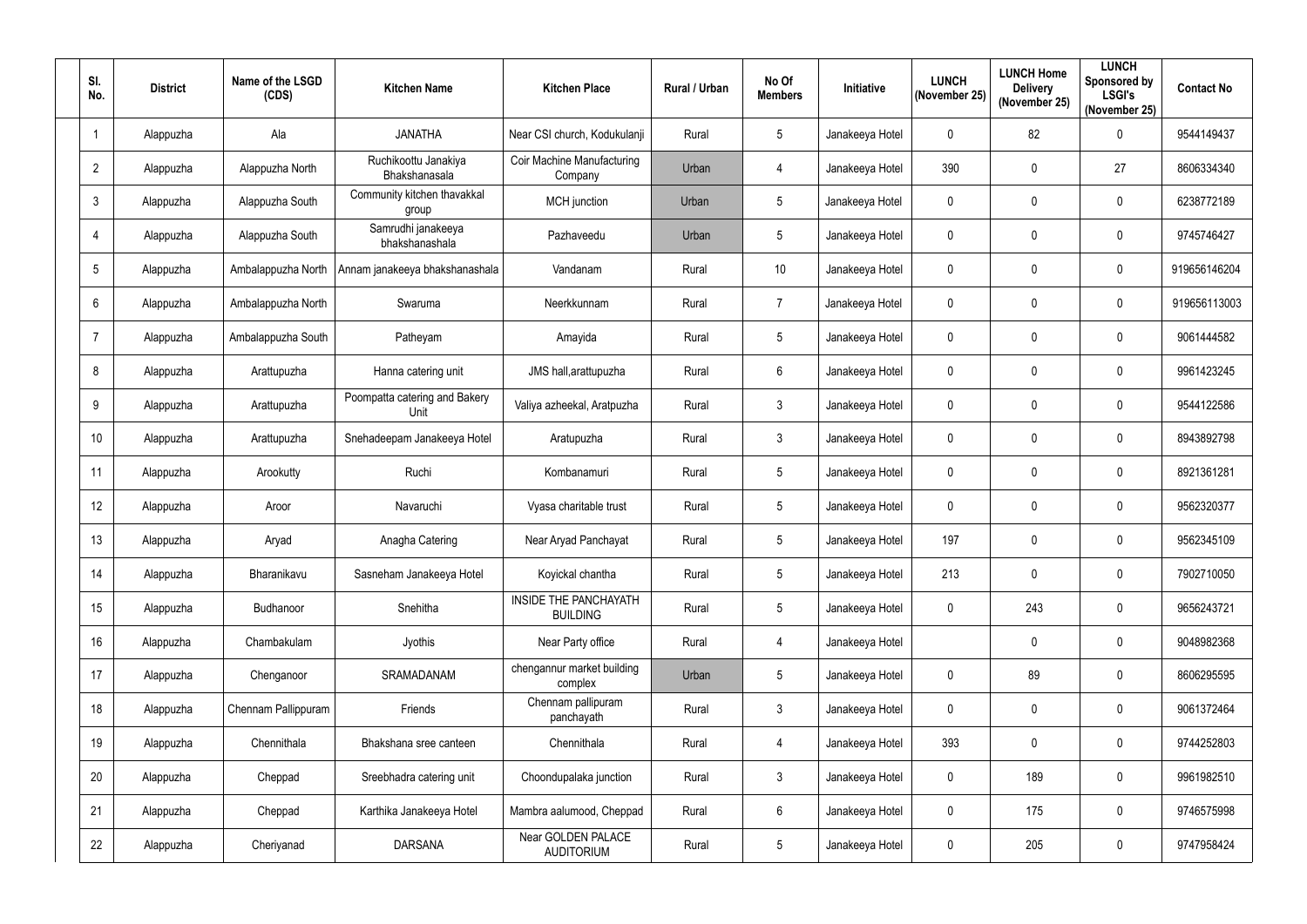| SI.<br>No.      | <b>District</b> | Name of the LSGD<br>(CDS) | <b>Kitchen Name</b>                   | <b>Kitchen Place</b>                            | Rural / Urban | No Of<br><b>Members</b> | Initiative      | <b>LUNCH</b><br>(November 25) | <b>LUNCH Home</b><br><b>Delivery</b><br>(November 25) | <b>LUNCH</b><br>Sponsored by<br><b>LSGI's</b><br>(November 25) | <b>Contact No</b> |
|-----------------|-----------------|---------------------------|---------------------------------------|-------------------------------------------------|---------------|-------------------------|-----------------|-------------------------------|-------------------------------------------------------|----------------------------------------------------------------|-------------------|
|                 | Alappuzha       | Ala                       | <b>JANATHA</b>                        | Near CSI church, Kodukulanji                    | Rural         | 5                       | Janakeeya Hotel | 0                             | 82                                                    | $\mathbf 0$                                                    | 9544149437        |
| $\overline{2}$  | Alappuzha       | Alappuzha North           | Ruchikoottu Janakiya<br>Bhakshanasala | Coir Machine Manufacturing<br>Company           | Urban         | 4                       | Janakeeya Hotel | 390                           | $\mathbf 0$                                           | 27                                                             | 8606334340        |
| $\mathfrak{Z}$  | Alappuzha       | Alappuzha South           | Community kitchen thavakkal<br>group  | <b>MCH</b> junction                             | Urban         | 5                       | Janakeeya Hotel | $\mathbf 0$                   | $\mathbf 0$                                           | 0                                                              | 6238772189        |
| 4               | Alappuzha       | Alappuzha South           | Samrudhi janakeeya<br>bhakshanashala  | Pazhaveedu                                      | Urban         | 5                       | Janakeeya Hotel | 0                             | $\mathbf 0$                                           | $\pmb{0}$                                                      | 9745746427        |
| $5\phantom{.0}$ | Alappuzha       | Ambalappuzha North        | Annam janakeeya bhakshanashala        | Vandanam                                        | Rural         | 10                      | Janakeeya Hotel | $\mathbf 0$                   | $\mathbf 0$                                           | 0                                                              | 919656146204      |
| 6               | Alappuzha       | Ambalappuzha North        | Swaruma                               | Neerkkunnam                                     | Rural         | $\overline{7}$          | Janakeeya Hotel | 0                             | $\mathbf 0$                                           | $\pmb{0}$                                                      | 919656113003      |
| 7               | Alappuzha       | Ambalappuzha South        | Patheyam                              | Amayida                                         | Rural         | 5                       | Janakeeya Hotel | $\mathbf{0}$                  | $\mathbf 0$                                           | 0                                                              | 9061444582        |
| 8               | Alappuzha       | Arattupuzha               | Hanna catering unit                   | JMS hall, arattupuzha                           | Rural         | $6\phantom{.}$          | Janakeeya Hotel | 0                             | $\boldsymbol{0}$                                      | $\pmb{0}$                                                      | 9961423245        |
| 9               | Alappuzha       | Arattupuzha               | Poompatta catering and Bakery<br>Unit | Valiya azheekal, Aratpuzha                      | Rural         | $\mathbf{3}$            | Janakeeya Hotel | $\mathbf 0$                   | $\mathbf 0$                                           | 0                                                              | 9544122586        |
| 10              | Alappuzha       | Arattupuzha               | Snehadeepam Janakeeya Hotel           | Aratupuzha                                      | Rural         | 3                       | Janakeeya Hotel | $\mathbf 0$                   | $\mathbf 0$                                           | $\pmb{0}$                                                      | 8943892798        |
| 11              | Alappuzha       | Arookutty                 | Ruchi                                 | Kombanamuri                                     | Rural         | 5                       | Janakeeya Hotel | 0                             | $\mathbf 0$                                           | $\pmb{0}$                                                      | 8921361281        |
| 12              | Alappuzha       | Aroor                     | Navaruchi                             | Vyasa charitable trust                          | Rural         | 5                       | Janakeeya Hotel | 0                             | $\boldsymbol{0}$                                      | 0                                                              | 9562320377        |
| 13              | Alappuzha       | Aryad                     | Anagha Catering                       | Near Aryad Panchayat                            | Rural         | 5                       | Janakeeya Hotel | 197                           | $\mathbf 0$                                           | 0                                                              | 9562345109        |
| 14              | Alappuzha       | Bharanikavu               | Sasneham Janakeeya Hotel              | Koyickal chantha                                | Rural         | $5\phantom{.0}$         | Janakeeya Hotel | 213                           | $\mathbf 0$                                           | $\pmb{0}$                                                      | 7902710050        |
| 15              | Alappuzha       | Budhanoor                 | Snehitha                              | <b>INSIDE THE PANCHAYATH</b><br><b>BUILDING</b> | Rural         | 5                       | Janakeeya Hotel | $\mathbf 0$                   | 243                                                   | $\pmb{0}$                                                      | 9656243721        |
| 16              | Alappuzha       | Chambakulam               | Jyothis                               | Near Party office                               | Rural         | 4                       | Janakeeya Hotel |                               | $\mathbf 0$                                           | $\mathbf 0$                                                    | 9048982368        |
| 17              | Alappuzha       | Chenganoor                | SRAMADANAM                            | chengannur market building<br>complex           | Urban         | 5                       | Janakeeya Hotel | $\mathbf 0$                   | 89                                                    | 0                                                              | 8606295595        |
| 18              | Alappuzha       | Chennam Pallippuram       | Friends                               | Chennam pallipuram<br>panchayath                | Rural         | $\mathfrak{Z}$          | Janakeeya Hotel | $\mathbf 0$                   | $\mathbf 0$                                           | $\mathbf 0$                                                    | 9061372464        |
| 19              | Alappuzha       | Chennithala               | Bhakshana sree canteen                | Chennithala                                     | Rural         | $\overline{4}$          | Janakeeya Hotel | 393                           | $\overline{0}$                                        | 0                                                              | 9744252803        |
| 20              | Alappuzha       | Cheppad                   | Sreebhadra catering unit              | Choondupalaka junction                          | Rural         | $\mathbf{3}$            | Janakeeya Hotel | $\mathbf 0$                   | 189                                                   | 0                                                              | 9961982510        |
| 21              | Alappuzha       | Cheppad                   | Karthika Janakeeya Hotel              | Mambra aalumood, Cheppad                        | Rural         | $6\phantom{.}$          | Janakeeya Hotel | $\mathbf 0$                   | 175                                                   | $\pmb{0}$                                                      | 9746575998        |
| 22              | Alappuzha       | Cheriyanad                | <b>DARSANA</b>                        | Near GOLDEN PALACE<br><b>AUDITORIUM</b>         | Rural         | 5                       | Janakeeya Hotel | $\mathbf{0}$                  | 205                                                   | $\pmb{0}$                                                      | 9747958424        |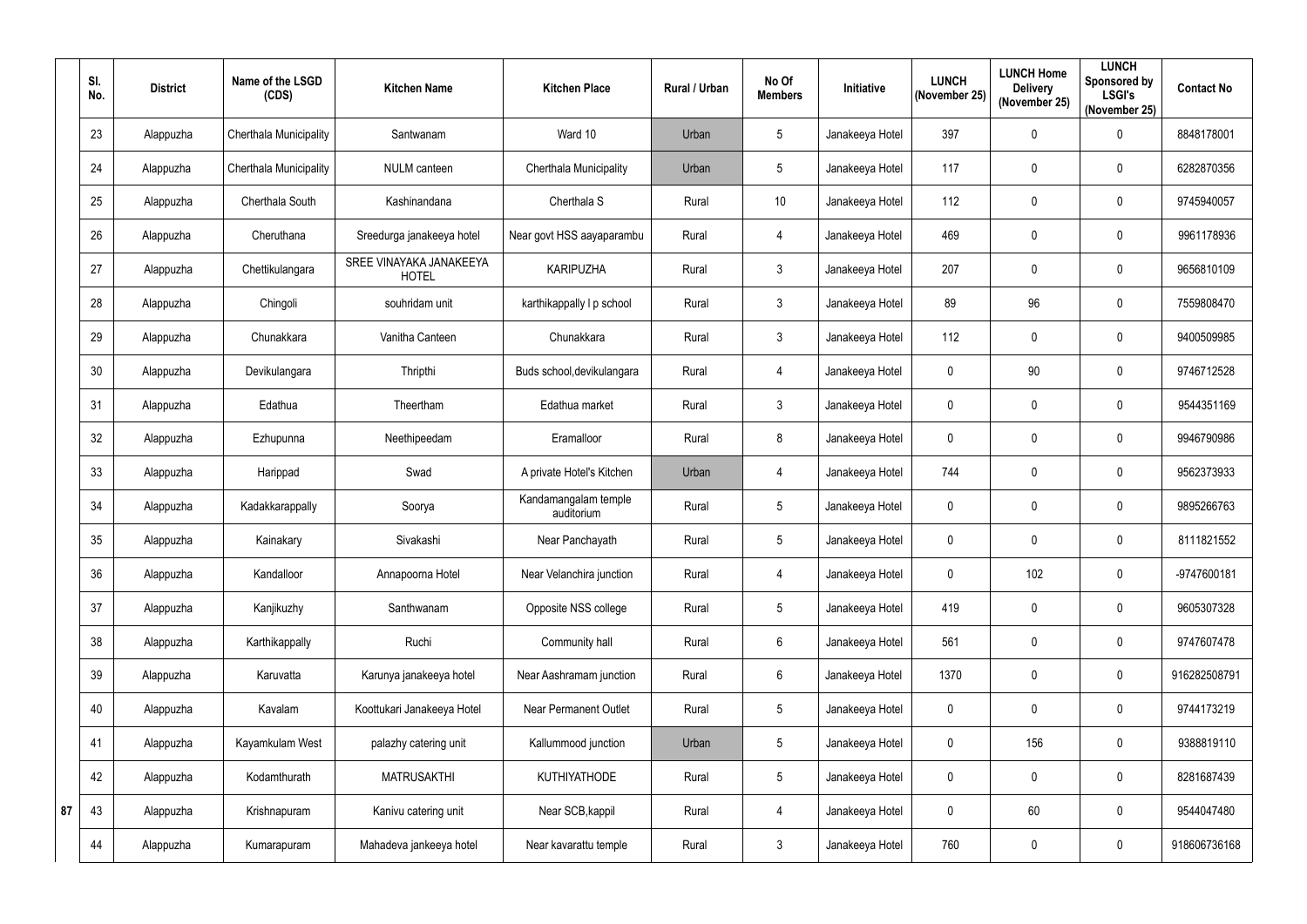|    | SI.<br>No.      | <b>District</b> | Name of the LSGD<br>(CDS) | <b>Kitchen Name</b>                     | <b>Kitchen Place</b>               | Rural / Urban | No Of<br><b>Members</b> | Initiative      | <b>LUNCH</b><br>(November 25) | <b>LUNCH Home</b><br><b>Delivery</b><br>(November 25) | <b>LUNCH</b><br>Sponsored by<br><b>LSGI's</b><br>(November 25) | <b>Contact No</b> |
|----|-----------------|-----------------|---------------------------|-----------------------------------------|------------------------------------|---------------|-------------------------|-----------------|-------------------------------|-------------------------------------------------------|----------------------------------------------------------------|-------------------|
|    | 23              | Alappuzha       | Cherthala Municipality    | Santwanam                               | Ward 10                            | Urban         | $5\phantom{.0}$         | Janakeeya Hotel | 397                           | $\overline{0}$                                        | $\pmb{0}$                                                      | 8848178001        |
|    | 24              | Alappuzha       | Cherthala Municipality    | <b>NULM</b> canteen                     | Cherthala Municipality             | Urban         | 5 <sup>5</sup>          | Janakeeya Hotel | 117                           | $\mathbf 0$                                           | $\mathbf 0$                                                    | 6282870356        |
|    | 25              | Alappuzha       | Cherthala South           | Kashinandana                            | Cherthala S                        | Rural         | 10                      | Janakeeya Hotel | 112                           | $\mathbf 0$                                           | $\pmb{0}$                                                      | 9745940057        |
|    | 26              | Alappuzha       | Cheruthana                | Sreedurga janakeeya hotel               | Near govt HSS aayaparambu          | Rural         | 4                       | Janakeeya Hotel | 469                           | $\mathbf 0$                                           | $\mathbf 0$                                                    | 9961178936        |
|    | 27              | Alappuzha       | Chettikulangara           | SREE VINAYAKA JANAKEEYA<br><b>HOTEL</b> | <b>KARIPUZHA</b>                   | Rural         | $\mathfrak{Z}$          | Janakeeya Hotel | 207                           | $\pmb{0}$                                             | $\pmb{0}$                                                      | 9656810109        |
|    | 28              | Alappuzha       | Chingoli                  | souhridam unit                          | karthikappally I p school          | Rural         | $\mathfrak{Z}$          | Janakeeya Hotel | 89                            | 96                                                    | $\mathbf 0$                                                    | 7559808470        |
|    | 29              | Alappuzha       | Chunakkara                | Vanitha Canteen                         | Chunakkara                         | Rural         | $3\overline{3}$         | Janakeeya Hotel | 112                           | $\mathbf 0$                                           | $\mathbf 0$                                                    | 9400509985        |
|    | 30 <sub>2</sub> | Alappuzha       | Devikulangara             | Thripthi                                | Buds school, devikulangara         | Rural         | 4                       | Janakeeya Hotel | $\mathbf{0}$                  | $90\,$                                                | $\pmb{0}$                                                      | 9746712528        |
|    | 31              | Alappuzha       | Edathua                   | Theertham                               | Edathua market                     | Rural         | $3\overline{3}$         | Janakeeya Hotel | 0                             | $\mathbf 0$                                           | $\mathbf 0$                                                    | 9544351169        |
|    | 32              | Alappuzha       | Ezhupunna                 | Neethipeedam                            | Eramalloor                         | Rural         | 8                       | Janakeeya Hotel | $\mathbf 0$                   | $\mathbf 0$                                           | $\pmb{0}$                                                      | 9946790986        |
|    | 33              | Alappuzha       | Harippad                  | Swad                                    | A private Hotel's Kitchen          | Urban         | 4                       | Janakeeya Hotel | 744                           | $\overline{0}$                                        | $\mathbf 0$                                                    | 9562373933        |
|    | 34              | Alappuzha       | Kadakkarappally           | Soorya                                  | Kandamangalam temple<br>auditorium | Rural         | 5 <sup>5</sup>          | Janakeeya Hotel | $\mathbf{0}$                  | $\boldsymbol{0}$                                      | $\mathbf 0$                                                    | 9895266763        |
|    | 35              | Alappuzha       | Kainakary                 | Sivakashi                               | Near Panchayath                    | Rural         | $5\phantom{.0}$         | Janakeeya Hotel | 0                             | $\mathbf 0$                                           | 0                                                              | 8111821552        |
|    | 36              | Alappuzha       | Kandalloor                | Annapoorna Hotel                        | Near Velanchira junction           | Rural         | $\overline{4}$          | Janakeeya Hotel | $\mathbf 0$                   | 102                                                   | $\pmb{0}$                                                      | -9747600181       |
|    | 37              | Alappuzha       | Kanjikuzhy                | Santhwanam                              | Opposite NSS college               | Rural         | $\sqrt{5}$              | Janakeeya Hotel | 419                           | $\mathbf 0$                                           | $\pmb{0}$                                                      | 9605307328        |
|    | 38              | Alappuzha       | Karthikappally            | Ruchi                                   | Community hall                     | Rural         | $6\overline{6}$         | Janakeeya Hotel | 561                           | $\mathbf 0$                                           | $\pmb{0}$                                                      | 9747607478        |
|    | 39              | Alappuzha       | Karuvatta                 | Karunya janakeeya hotel                 | Near Aashramam junction            | Rural         | $6\phantom{.0}$         | Janakeeya Hotel | 1370                          | $\overline{0}$                                        | $\mathbf 0$                                                    | 916282508791      |
|    | 40              | Alappuzha       | Kavalam                   | Koottukari Janakeeya Hotel              | <b>Near Permanent Outlet</b>       | Rural         | $5\phantom{.0}$         | Janakeeya Hotel | $\mathbf 0$                   | $\overline{0}$                                        | $\mathbf 0$                                                    | 9744173219        |
|    | 41              | Alappuzha       | Kayamkulam West           | palazhy catering unit                   | Kallummood junction                | Urban         | $5\phantom{.0}$         | Janakeeya Hotel | 0                             | 156                                                   | $\pmb{0}$                                                      | 9388819110        |
|    | 42              | Alappuzha       | Kodamthurath              | <b>MATRUSAKTHI</b>                      | <b>KUTHIYATHODE</b>                | Rural         | $5\phantom{.0}$         | Janakeeya Hotel | 0                             | $\mathbf 0$                                           | $\mathbf 0$                                                    | 8281687439        |
| 87 | 43              | Alappuzha       | Krishnapuram              | Kanivu catering unit                    | Near SCB, kappil                   | Rural         | 4                       | Janakeeya Hotel | $\mathbf 0$                   | 60                                                    | $\pmb{0}$                                                      | 9544047480        |
|    | 44              | Alappuzha       | Kumarapuram               | Mahadeva jankeeya hotel                 | Near kavarattu temple              | Rural         | $\mathfrak{Z}$          | Janakeeya Hotel | 760                           | $\mathbf 0$                                           | $\pmb{0}$                                                      | 918606736168      |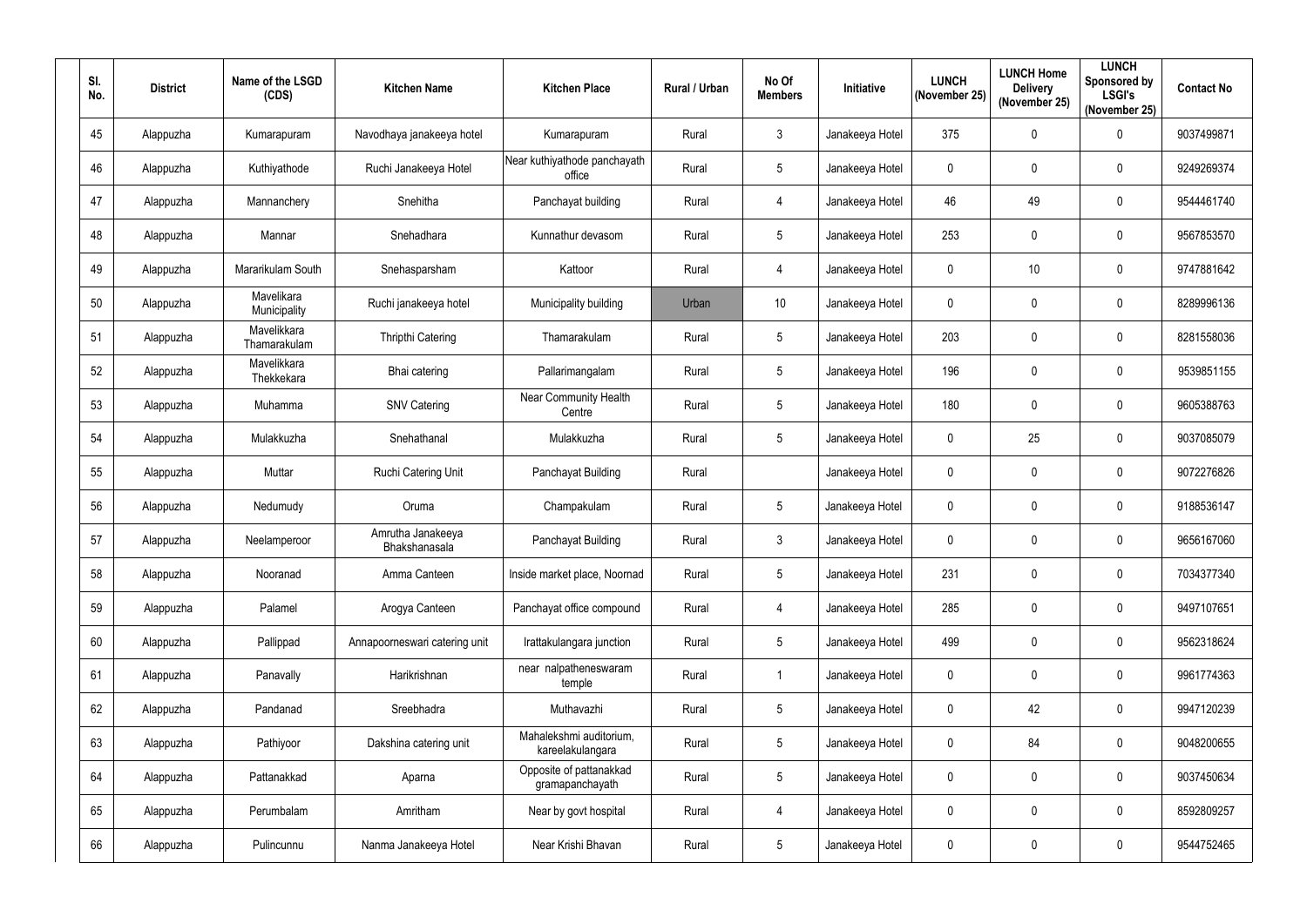| SI.<br>No. | <b>District</b> | Name of the LSGD<br>(CDS)   | <b>Kitchen Name</b>                | <b>Kitchen Place</b>                        | Rural / Urban | No Of<br><b>Members</b> | Initiative      | <b>LUNCH</b><br>(November 25) | <b>LUNCH Home</b><br><b>Delivery</b><br>(November 25) | <b>LUNCH</b><br>Sponsored by<br><b>LSGI's</b><br>(November 25) | <b>Contact No</b> |
|------------|-----------------|-----------------------------|------------------------------------|---------------------------------------------|---------------|-------------------------|-----------------|-------------------------------|-------------------------------------------------------|----------------------------------------------------------------|-------------------|
| 45         | Alappuzha       | Kumarapuram                 | Navodhaya janakeeya hotel          | Kumarapuram                                 | Rural         | $\mathfrak{Z}$          | Janakeeya Hotel | 375                           | $\mathbf 0$                                           | $\pmb{0}$                                                      | 9037499871        |
| 46         | Alappuzha       | Kuthiyathode                | Ruchi Janakeeya Hotel              | Near kuthiyathode panchayath<br>office      | Rural         | 5                       | Janakeeya Hotel | $\mathbf 0$                   | $\mathbf 0$                                           | $\mathbf 0$                                                    | 9249269374        |
| 47         | Alappuzha       | Mannanchery                 | Snehitha                           | Panchayat building                          | Rural         | $\overline{4}$          | Janakeeya Hotel | 46                            | 49                                                    | $\pmb{0}$                                                      | 9544461740        |
| 48         | Alappuzha       | Mannar                      | Snehadhara                         | Kunnathur devasom                           | Rural         | 5                       | Janakeeya Hotel | 253                           | $\boldsymbol{0}$                                      | $\pmb{0}$                                                      | 9567853570        |
| 49         | Alappuzha       | Mararikulam South           | Snehasparsham                      | Kattoor                                     | Rural         | $\overline{4}$          | Janakeeya Hotel | 0                             | 10 <sup>°</sup>                                       | $\mathbf 0$                                                    | 9747881642        |
| 50         | Alappuzha       | Mavelikara<br>Municipality  | Ruchi janakeeya hotel              | Municipality building                       | Urban         | 10                      | Janakeeya Hotel | $\mathbf 0$                   | $\overline{0}$                                        | $\mathbf 0$                                                    | 8289996136        |
| 51         | Alappuzha       | Mavelikkara<br>Thamarakulam | Thripthi Catering                  | Thamarakulam                                | Rural         | 5                       | Janakeeya Hotel | 203                           | $\boldsymbol{0}$                                      | $\mathbf 0$                                                    | 8281558036        |
| 52         | Alappuzha       | Mavelikkara<br>Thekkekara   | Bhai catering                      | Pallarimangalam                             | Rural         | 5                       | Janakeeya Hotel | 196                           | $\mathbf 0$                                           | $\pmb{0}$                                                      | 9539851155        |
| 53         | Alappuzha       | Muhamma                     | <b>SNV Catering</b>                | <b>Near Community Health</b><br>Centre      | Rural         | 5                       | Janakeeya Hotel | 180                           | $\boldsymbol{0}$                                      | $\mathbf 0$                                                    | 9605388763        |
| 54         | Alappuzha       | Mulakkuzha                  | Snehathanal                        | Mulakkuzha                                  | Rural         | 5                       | Janakeeya Hotel | $\mathbf{0}$                  | 25                                                    | $\pmb{0}$                                                      | 9037085079        |
| 55         | Alappuzha       | Muttar                      | Ruchi Catering Unit                | Panchayat Building                          | Rural         |                         | Janakeeya Hotel | $\boldsymbol{0}$              | $\boldsymbol{0}$                                      | $\pmb{0}$                                                      | 9072276826        |
| 56         | Alappuzha       | Nedumudy                    | Oruma                              | Champakulam                                 | Rural         | 5                       | Janakeeya Hotel | 0                             | $\boldsymbol{0}$                                      | $\mathbf 0$                                                    | 9188536147        |
| 57         | Alappuzha       | Neelamperoor                | Amrutha Janakeeya<br>Bhakshanasala | Panchayat Building                          | Rural         | 3                       | Janakeeya Hotel | $\mathbf 0$                   | $\mathbf 0$                                           | $\mathbf 0$                                                    | 9656167060        |
| 58         | Alappuzha       | Nooranad                    | Amma Canteen                       | Inside market place, Noornad                | Rural         | 5                       | Janakeeya Hotel | 231                           | $\mathbf 0$                                           | $\pmb{0}$                                                      | 7034377340        |
| 59         | Alappuzha       | Palamel                     | Arogya Canteen                     | Panchayat office compound                   | Rural         | $\overline{4}$          | Janakeeya Hotel | 285                           | $\mathbf 0$                                           | $\pmb{0}$                                                      | 9497107651        |
| 60         | Alappuzha       | Pallippad                   | Annapoorneswari catering unit      | Irattakulangara junction                    | Rural         | 5                       | Janakeeya Hotel | 499                           | $\boldsymbol{0}$                                      | $\pmb{0}$                                                      | 9562318624        |
| 61         | Alappuzha       | Panavally                   | Harikrishnan                       | near nalpatheneswaram<br>temple             | Rural         |                         | Janakeeya Hotel | $\mathbf 0$                   | $\mathbf 0$                                           | $\pmb{0}$                                                      | 9961774363        |
| 62         | Alappuzha       | Pandanad                    | Sreebhadra                         | Muthavazhi                                  | Rural         | 5                       | Janakeeya Hotel | $\mathbf 0$                   | 42                                                    | $\mathbf 0$                                                    | 9947120239        |
| 63         | Alappuzha       | Pathiyoor                   | Dakshina catering unit             | Mahalekshmi auditorium,<br>kareelakulangara | Rural         | 5                       | Janakeeya Hotel | $\boldsymbol{0}$              | 84                                                    | $\pmb{0}$                                                      | 9048200655        |
| 64         | Alappuzha       | Pattanakkad                 | Aparna                             | Opposite of pattanakkad<br>gramapanchayath  | Rural         | 5                       | Janakeeya Hotel | $\mathbf 0$                   | $\mathbf 0$                                           | $\mathbf 0$                                                    | 9037450634        |
| 65         | Alappuzha       | Perumbalam                  | Amritham                           | Near by govt hospital                       | Rural         | $\overline{4}$          | Janakeeya Hotel | $\pmb{0}$                     | $\pmb{0}$                                             | $\pmb{0}$                                                      | 8592809257        |
| 66         | Alappuzha       | Pulincunnu                  | Nanma Janakeeya Hotel              | Near Krishi Bhavan                          | Rural         | 5                       | Janakeeya Hotel | 0                             | $\boldsymbol{0}$                                      | $\pmb{0}$                                                      | 9544752465        |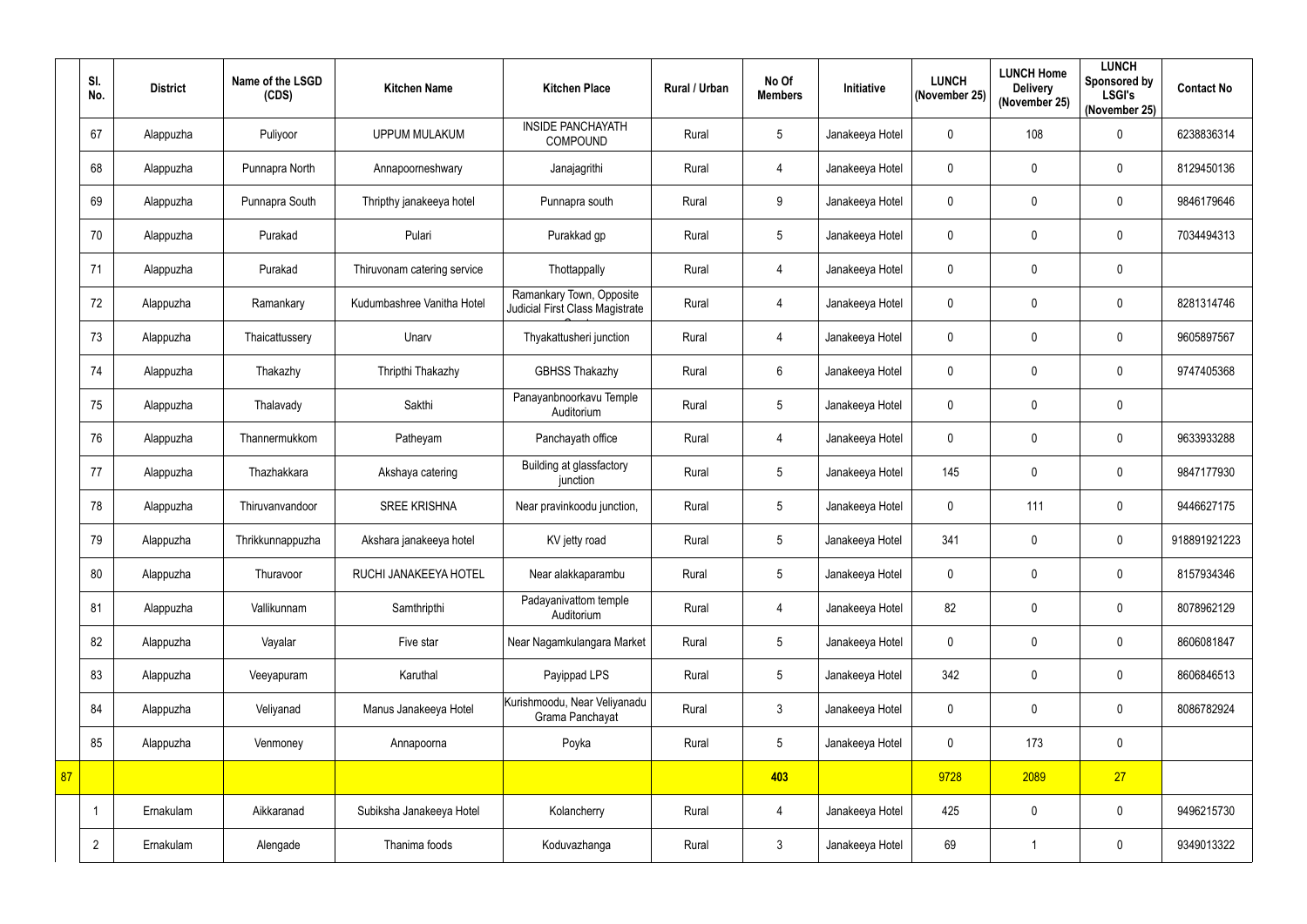|    | SI.<br>No.     | <b>District</b> | Name of the LSGD<br>(CDS) | <b>Kitchen Name</b>         | <b>Kitchen Place</b>                                        | Rural / Urban | No Of<br><b>Members</b> | Initiative      | <b>LUNCH</b><br>(November 25) | <b>LUNCH Home</b><br><b>Delivery</b><br>(November 25) | <b>LUNCH</b><br><b>Sponsored by</b><br><b>LSGI's</b><br>(November 25) | <b>Contact No</b> |
|----|----------------|-----------------|---------------------------|-----------------------------|-------------------------------------------------------------|---------------|-------------------------|-----------------|-------------------------------|-------------------------------------------------------|-----------------------------------------------------------------------|-------------------|
|    | 67             | Alappuzha       | Puliyoor                  | <b>UPPUM MULAKUM</b>        | <b>INSIDE PANCHAYATH</b><br><b>COMPOUND</b>                 | Rural         | 5                       | Janakeeya Hotel | 0                             | 108                                                   | $\pmb{0}$                                                             | 6238836314        |
|    | 68             | Alappuzha       | Punnapra North            | Annapoorneshwary            | Janajagrithi                                                | Rural         | 4                       | Janakeeya Hotel | 0                             | $\mathbf 0$                                           | $\pmb{0}$                                                             | 8129450136        |
|    | 69             | Alappuzha       | Punnapra South            | Thripthy janakeeya hotel    | Punnapra south                                              | Rural         | $9\phantom{.0}$         | Janakeeya Hotel | 0                             | $\mathbf 0$                                           | $\pmb{0}$                                                             | 9846179646        |
|    | 70             | Alappuzha       | Purakad                   | Pulari                      | Purakkad gp                                                 | Rural         | 5                       | Janakeeya Hotel | $\mathbf{0}$                  | $\mathbf 0$                                           | $\pmb{0}$                                                             | 7034494313        |
|    | 71             | Alappuzha       | Purakad                   | Thiruvonam catering service | Thottappally                                                | Rural         | 4                       | Janakeeya Hotel | 0                             | $\mathbf 0$                                           | $\pmb{0}$                                                             |                   |
|    | 72             | Alappuzha       | Ramankary                 | Kudumbashree Vanitha Hotel  | Ramankary Town, Opposite<br>Judicial First Class Magistrate | Rural         | 4                       | Janakeeya Hotel | 0                             | $\mathbf 0$                                           | $\pmb{0}$                                                             | 8281314746        |
|    | 73             | Alappuzha       | Thaicattussery            | Unarv                       | Thyakattusheri junction                                     | Rural         | 4                       | Janakeeya Hotel | 0                             | $\mathbf 0$                                           | $\mathbf 0$                                                           | 9605897567        |
|    | 74             | Alappuzha       | Thakazhy                  | Thripthi Thakazhy           | <b>GBHSS Thakazhy</b>                                       | Rural         | $6\phantom{.}$          | Janakeeya Hotel | 0                             | $\mathbf 0$                                           | $\pmb{0}$                                                             | 9747405368        |
|    | 75             | Alappuzha       | Thalavady                 | Sakthi                      | Panayanbnoorkavu Temple<br>Auditorium                       | Rural         | $5\phantom{.0}$         | Janakeeya Hotel | 0                             | $\mathbf 0$                                           | $\pmb{0}$                                                             |                   |
|    | 76             | Alappuzha       | Thannermukkom             | Patheyam                    | Panchayath office                                           | Rural         | 4                       | Janakeeya Hotel | 0                             | $\mathbf 0$                                           | $\pmb{0}$                                                             | 9633933288        |
|    | 77             | Alappuzha       | Thazhakkara               | Akshaya catering            | Building at glassfactory<br>junction                        | Rural         | $5\phantom{.0}$         | Janakeeya Hotel | 145                           | $\mathbf 0$                                           | $\pmb{0}$                                                             | 9847177930        |
|    | 78             | Alappuzha       | Thiruvanvandoor           | <b>SREE KRISHNA</b>         | Near pravinkoodu junction,                                  | Rural         | $5\phantom{.0}$         | Janakeeya Hotel | 0                             | 111                                                   | $\mathbf 0$                                                           | 9446627175        |
|    | 79             | Alappuzha       | Thrikkunnappuzha          | Akshara janakeeya hotel     | KV jetty road                                               | Rural         | $5\overline{)}$         | Janakeeya Hotel | 341                           | $\mathbf 0$                                           | 0                                                                     | 918891921223      |
|    | 80             | Alappuzha       | Thuravoor                 | RUCHI JANAKEEYA HOTEL       | Near alakkaparambu                                          | Rural         | 5                       | Janakeeya Hotel | 0                             | $\mathbf 0$                                           | $\pmb{0}$                                                             | 8157934346        |
|    | 81             | Alappuzha       | Vallikunnam               | Samthripthi                 | Padayanivattom temple<br>Auditorium                         | Rural         | 4                       | Janakeeya Hotel | 82                            | $\pmb{0}$                                             | $\pmb{0}$                                                             | 8078962129        |
|    | 82             | Alappuzha       | Vayalar                   | Five star                   | Near Nagamkulangara Market                                  | Rural         | $5\phantom{.0}$         | Janakeeya Hotel | $\mathbf 0$                   | $\mathbf 0$                                           | $\pmb{0}$                                                             | 8606081847        |
|    | 83             | Alappuzha       | Veeyapuram                | Karuthal                    | Payippad LPS                                                | Rural         | $5\phantom{.0}$         | Janakeeya Hotel | 342                           | $\mathbf 0$                                           | $\pmb{0}$                                                             | 8606846513        |
|    | 84             | Alappuzha       | Veliyanad                 | Manus Janakeeya Hotel       | Kurishmoodu, Near Veliyanadu<br>Grama Panchayat             | Rural         | $\mathfrak{Z}$          | Janakeeya Hotel | 0                             | $\mathbf 0$                                           | $\mathbf 0$                                                           | 8086782924        |
|    | 85             | Alappuzha       | Venmoney                  | Annapoorna                  | Poyka                                                       | Rural         | $5\phantom{.0}$         | Janakeeya Hotel | 0                             | 173                                                   | $\pmb{0}$                                                             |                   |
| 87 |                |                 |                           |                             |                                                             |               | 403                     |                 | 9728                          | 2089                                                  | 27                                                                    |                   |
|    | -1             | Ernakulam       | Aikkaranad                | Subiksha Janakeeya Hotel    | Kolancherry                                                 | Rural         | $\overline{4}$          | Janakeeya Hotel | 425                           | $\overline{0}$                                        | $\pmb{0}$                                                             | 9496215730        |
|    | $\overline{2}$ | Ernakulam       | Alengade                  | Thanima foods               | Koduvazhanga                                                | Rural         | $\mathfrak{Z}$          | Janakeeya Hotel | 69                            |                                                       | $\pmb{0}$                                                             | 9349013322        |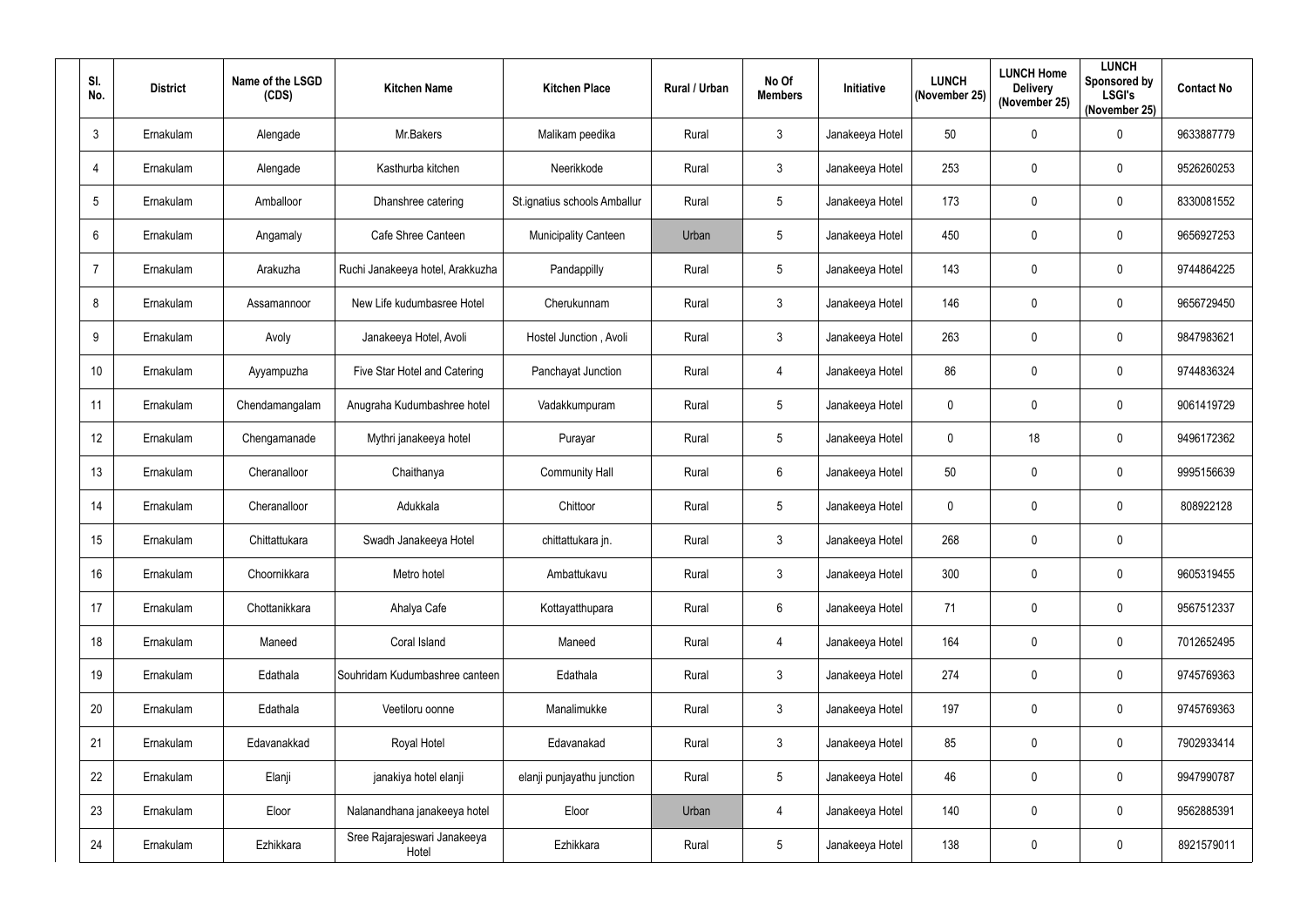| SI.<br>No.       | <b>District</b> | Name of the LSGD<br>(CDS) | <b>Kitchen Name</b>                   | <b>Kitchen Place</b>         | Rural / Urban | No Of<br><b>Members</b> | Initiative      | <b>LUNCH</b><br>(November 25) | <b>LUNCH Home</b><br><b>Delivery</b><br>(November 25) | <b>LUNCH</b><br>Sponsored by<br><b>LSGI's</b><br>(November 25) | <b>Contact No</b> |
|------------------|-----------------|---------------------------|---------------------------------------|------------------------------|---------------|-------------------------|-----------------|-------------------------------|-------------------------------------------------------|----------------------------------------------------------------|-------------------|
| $\mathbf{3}$     | Ernakulam       | Alengade                  | Mr.Bakers                             | Malikam peedika              | Rural         | $\mathbf{3}$            | Janakeeya Hotel | 50                            | $\mathbf 0$                                           | $\pmb{0}$                                                      | 9633887779        |
| 4                | Ernakulam       | Alengade                  | Kasthurba kitchen                     | Neerikkode                   | Rural         | $\mathbf{3}$            | Janakeeya Hotel | 253                           | $\mathbf 0$                                           | $\mathbf 0$                                                    | 9526260253        |
| 5                | Ernakulam       | Amballoor                 | Dhanshree catering                    | St.ignatius schools Amballur | Rural         | $5\overline{)}$         | Janakeeya Hotel | 173                           | $\mathbf 0$                                           | 0                                                              | 8330081552        |
| $6\phantom{1}6$  | Ernakulam       | Angamaly                  | Cafe Shree Canteen                    | <b>Municipality Canteen</b>  | Urban         | $5\phantom{.0}$         | Janakeeya Hotel | 450                           | $\mathbf 0$                                           | 0                                                              | 9656927253        |
| $\overline{7}$   | Ernakulam       | Arakuzha                  | Ruchi Janakeeya hotel, Arakkuzha      | Pandappilly                  | Rural         | $5\phantom{.0}$         | Janakeeya Hotel | 143                           | $\mathbf 0$                                           | 0                                                              | 9744864225        |
| 8                | Ernakulam       | Assamannoor               | New Life kudumbasree Hotel            | Cherukunnam                  | Rural         | $\mathbf{3}$            | Janakeeya Hotel | 146                           | $\mathbf 0$                                           | $\mathbf 0$                                                    | 9656729450        |
| 9                | Ernakulam       | Avoly                     | Janakeeya Hotel, Avoli                | Hostel Junction, Avoli       | Rural         | $\mathbf{3}$            | Janakeeya Hotel | 263                           | $\boldsymbol{0}$                                      | 0                                                              | 9847983621        |
| 10 <sup>°</sup>  | Ernakulam       | Ayyampuzha                | Five Star Hotel and Catering          | Panchayat Junction           | Rural         | $\overline{4}$          | Janakeeya Hotel | 86                            | $\mathbf 0$                                           | $\pmb{0}$                                                      | 9744836324        |
| 11               | Ernakulam       | Chendamangalam            | Anugraha Kudumbashree hotel           | Vadakkumpuram                | Rural         | $5\phantom{.0}$         | Janakeeya Hotel | 0                             | $\mathbf 0$                                           | 0                                                              | 9061419729        |
| 12               | Ernakulam       | Chengamanade              | Mythri janakeeya hotel                | Purayar                      | Rural         | $5\phantom{.0}$         | Janakeeya Hotel | $\mathbf 0$                   | 18                                                    | $\mathbf 0$                                                    | 9496172362        |
| 13               | Ernakulam       | Cheranalloor              | Chaithanya                            | <b>Community Hall</b>        | Rural         | $6\overline{6}$         | Janakeeya Hotel | 50                            | $\mathbf 0$                                           | 0                                                              | 9995156639        |
| 14               | Ernakulam       | Cheranalloor              | Adukkala                              | Chittoor                     | Rural         | $5\phantom{.0}$         | Janakeeya Hotel | 0                             | $\mathbf 0$                                           | $\mathbf 0$                                                    | 808922128         |
| 15 <sub>15</sub> | Ernakulam       | Chittattukara             | Swadh Janakeeya Hotel                 | chittattukara jn.            | Rural         | $\mathbf{3}$            | Janakeeya Hotel | 268                           | $\mathbf 0$                                           | $\mathbf 0$                                                    |                   |
| 16               | Ernakulam       | Choornikkara              | Metro hotel                           | Ambattukavu                  | Rural         | $\mathbf{3}$            | Janakeeya Hotel | 300                           | $\mathbf 0$                                           | 0                                                              | 9605319455        |
| 17               | Ernakulam       | Chottanikkara             | Ahalya Cafe                           | Kottayatthupara              | Rural         | $6\overline{6}$         | Janakeeya Hotel | 71                            | $\pmb{0}$                                             | $\pmb{0}$                                                      | 9567512337        |
| 18               | Ernakulam       | Maneed                    | Coral Island                          | Maneed                       | Rural         | 4                       | Janakeeya Hotel | 164                           | $\mathbf 0$                                           | $\pmb{0}$                                                      | 7012652495        |
| 19               | Ernakulam       | Edathala                  | Souhridam Kudumbashree canteen        | Edathala                     | Rural         | $\mathbf{3}$            | Janakeeya Hotel | 274                           | $\mathbf 0$                                           | $\mathbf 0$                                                    | 9745769363        |
| 20               | Ernakulam       | Edathala                  | Veetiloru oonne                       | Manalimukke                  | Rural         | $\mathbf{3}$            | Janakeeya Hotel | 197                           | $\mathbf 0$                                           | $\mathbf 0$                                                    | 9745769363        |
| 21               | Ernakulam       | Edavanakkad               | Royal Hotel                           | Edavanakad                   | Rural         | $\mathbf{3}$            | Janakeeya Hotel | 85                            | $\mathbf 0$                                           | 0                                                              | 7902933414        |
| 22               | Ernakulam       | Elanji                    | janakiya hotel elanji                 | elanji punjayathu junction   | Rural         | $5\overline{)}$         | Janakeeya Hotel | 46                            | $\mathbf 0$                                           | 0                                                              | 9947990787        |
| 23               | Ernakulam       | Eloor                     | Nalanandhana janakeeya hotel          | Eloor                        | Urban         | $\overline{4}$          | Janakeeya Hotel | 140                           | $\mathbf 0$                                           | $\pmb{0}$                                                      | 9562885391        |
| 24               | Ernakulam       | Ezhikkara                 | Sree Rajarajeswari Janakeeya<br>Hotel | Ezhikkara                    | Rural         | $5\overline{)}$         | Janakeeya Hotel | 138                           | $\boldsymbol{0}$                                      | 0                                                              | 8921579011        |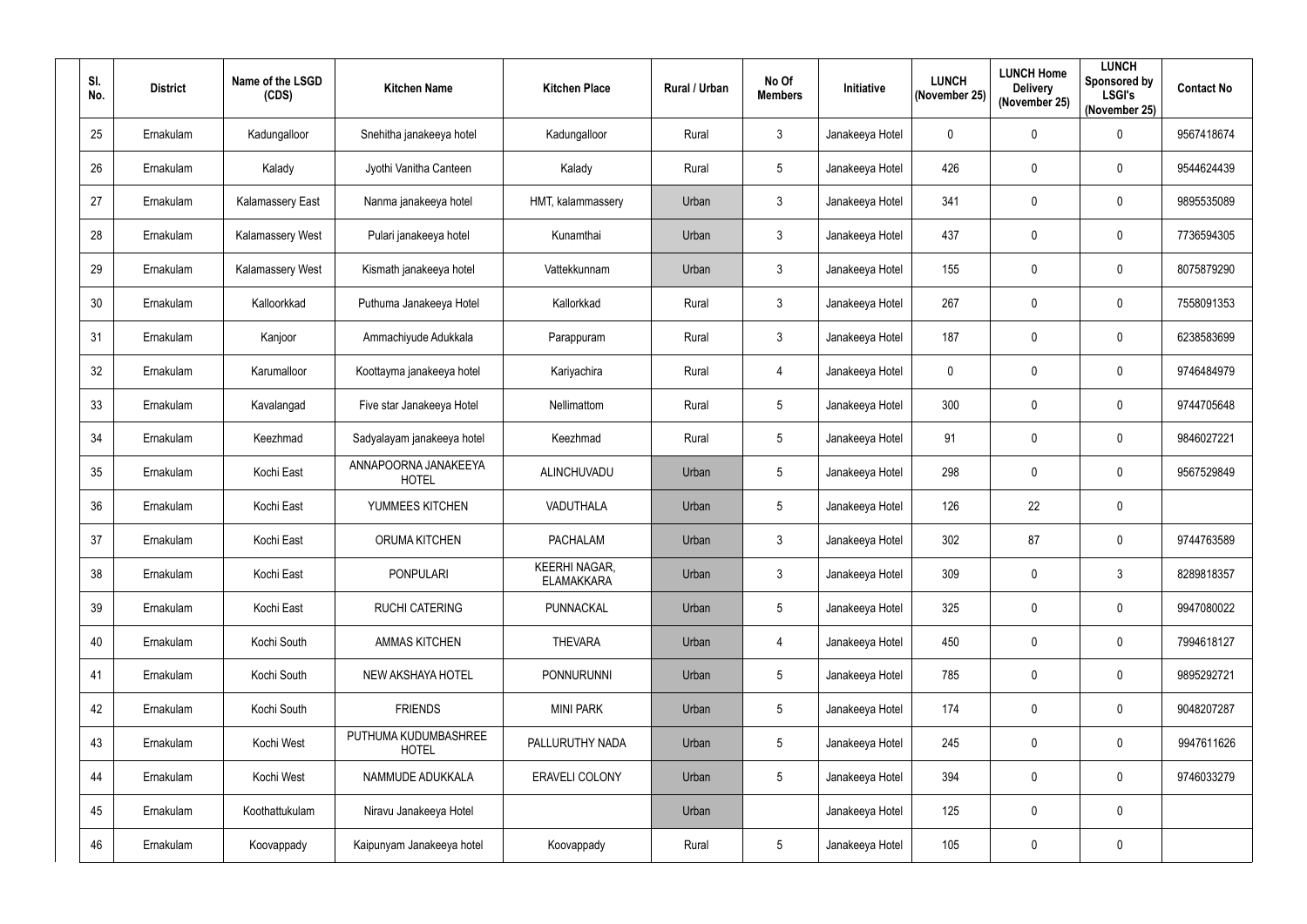| SI. | No. | <b>District</b> | Name of the LSGD<br>(CDS) | <b>Kitchen Name</b>                  | <b>Kitchen Place</b>                      | Rural / Urban | No Of<br><b>Members</b> | Initiative      | <b>LUNCH</b><br>(November 25) | <b>LUNCH Home</b><br><b>Delivery</b><br>(November 25) | <b>LUNCH</b><br>Sponsored by<br><b>LSGI's</b><br>(November 25) | <b>Contact No</b> |
|-----|-----|-----------------|---------------------------|--------------------------------------|-------------------------------------------|---------------|-------------------------|-----------------|-------------------------------|-------------------------------------------------------|----------------------------------------------------------------|-------------------|
|     | 25  | Ernakulam       | Kadungalloor              | Snehitha janakeeya hotel             | Kadungalloor                              | Rural         | $\mathfrak{Z}$          | Janakeeya Hotel | $\mathbf 0$                   | $\overline{0}$                                        | $\mathbf 0$                                                    | 9567418674        |
|     | 26  | Ernakulam       | Kalady                    | Jyothi Vanitha Canteen               | Kalady                                    | Rural         | $5\overline{)}$         | Janakeeya Hotel | 426                           | $\mathbf 0$                                           | $\mathbf 0$                                                    | 9544624439        |
|     | 27  | Ernakulam       | <b>Kalamassery East</b>   | Nanma janakeeya hotel                | HMT, kalammassery                         | Urban         | 3                       | Janakeeya Hotel | 341                           | $\overline{0}$                                        | $\mathbf 0$                                                    | 9895535089        |
|     | 28  | Ernakulam       | Kalamassery West          | Pulari janakeeya hotel               | Kunamthai                                 | Urban         | 3                       | Janakeeya Hotel | 437                           | $\overline{0}$                                        | $\pmb{0}$                                                      | 7736594305        |
|     | 29  | Ernakulam       | Kalamassery West          | Kismath janakeeya hotel              | Vattekkunnam                              | Urban         | 3                       | Janakeeya Hotel | 155                           | $\mathbf 0$                                           | $\mathbf 0$                                                    | 8075879290        |
|     | 30  | Ernakulam       | Kalloorkkad               | Puthuma Janakeeya Hotel              | Kallorkkad                                | Rural         | $\mathbf{3}$            | Janakeeya Hotel | 267                           | $\overline{0}$                                        | $\mathbf 0$                                                    | 7558091353        |
|     | 31  | Ernakulam       | Kanjoor                   | Ammachiyude Adukkala                 | Parappuram                                | Rural         | $\mathfrak{Z}$          | Janakeeya Hotel | 187                           | $\boldsymbol{0}$                                      | $\mathbf 0$                                                    | 6238583699        |
|     | 32  | Ernakulam       | Karumalloor               | Koottayma janakeeya hotel            | Kariyachira                               | Rural         | $\overline{4}$          | Janakeeya Hotel | $\boldsymbol{0}$              | $\mathbf 0$                                           | $\pmb{0}$                                                      | 9746484979        |
|     | 33  | Ernakulam       | Kavalangad                | Five star Janakeeya Hotel            | Nellimattom                               | Rural         | $5\phantom{.0}$         | Janakeeya Hotel | 300                           | $\mathbf 0$                                           | $\mathbf 0$                                                    | 9744705648        |
|     | 34  | Ernakulam       | Keezhmad                  | Sadyalayam janakeeya hotel           | Keezhmad                                  | Rural         | 5                       | Janakeeya Hotel | 91                            | $\overline{0}$                                        | $\pmb{0}$                                                      | 9846027221        |
|     | 35  | Ernakulam       | Kochi East                | ANNAPOORNA JANAKEEYA<br><b>HOTEL</b> | ALINCHUVADU                               | Urban         | 5                       | Janakeeya Hotel | 298                           | $\boldsymbol{0}$                                      | $\pmb{0}$                                                      | 9567529849        |
|     | 36  | Ernakulam       | Kochi East                | YUMMEES KITCHEN                      | VADUTHALA                                 | Urban         | 5                       | Janakeeya Hotel | 126                           | 22                                                    | $\pmb{0}$                                                      |                   |
|     | 37  | Ernakulam       | Kochi East                | ORUMA KITCHEN                        | <b>PACHALAM</b>                           | Urban         | 3                       | Janakeeya Hotel | 302                           | 87                                                    | $\mathbf 0$                                                    | 9744763589        |
|     | 38  | Ernakulam       | Kochi East                | <b>PONPULARI</b>                     | <b>KEERHI NAGAR,</b><br><b>ELAMAKKARA</b> | Urban         | $\mathfrak{Z}$          | Janakeeya Hotel | 309                           | $\mathbf 0$                                           | $\mathfrak{Z}$                                                 | 8289818357        |
|     | 39  | Ernakulam       | Kochi East                | <b>RUCHI CATERING</b>                | <b>PUNNACKAL</b>                          | Urban         | 5                       | Janakeeya Hotel | 325                           | $\mathbf 0$                                           | $\pmb{0}$                                                      | 9947080022        |
|     | 40  | Ernakulam       | Kochi South               | <b>AMMAS KITCHEN</b>                 | <b>THEVARA</b>                            | Urban         | $\overline{4}$          | Janakeeya Hotel | 450                           | $\mathbf 0$                                           | $\mathbf 0$                                                    | 7994618127        |
|     | 41  | Ernakulam       | Kochi South               | <b>NEW AKSHAYA HOTEL</b>             | <b>PONNURUNNI</b>                         | Urban         | 5                       | Janakeeya Hotel | 785                           | $\mathbf 0$                                           | $\pmb{0}$                                                      | 9895292721        |
|     | 42  | Ernakulam       | Kochi South               | <b>FRIENDS</b>                       | <b>MINI PARK</b>                          | Urban         | 5                       | Janakeeya Hotel | 174                           | $\mathbf 0$                                           | $\mathbf 0$                                                    | 9048207287        |
|     | 43  | Ernakulam       | Kochi West                | PUTHUMA KUDUMBASHREE<br><b>HOTEL</b> | PALLURUTHY NADA                           | Urban         | 5                       | Janakeeya Hotel | 245                           | $\mathbf 0$                                           | $\mathbf 0$                                                    | 9947611626        |
|     | 44  | Ernakulam       | Kochi West                | NAMMUDE ADUKKALA                     | <b>ERAVELI COLONY</b>                     | Urban         | $5\phantom{.0}$         | Janakeeya Hotel | 394                           | $\mathbf 0$                                           | $\mathbf 0$                                                    | 9746033279        |
|     | 45  | Ernakulam       | Koothattukulam            | Niravu Janakeeya Hotel               |                                           | Urban         |                         | Janakeeya Hotel | 125                           | $\mathbf 0$                                           | $\pmb{0}$                                                      |                   |
|     | 46  | Ernakulam       | Koovappady                | Kaipunyam Janakeeya hotel            | Koovappady                                | Rural         | $5\phantom{.0}$         | Janakeeya Hotel | 105                           | $\mathbf 0$                                           | $\pmb{0}$                                                      |                   |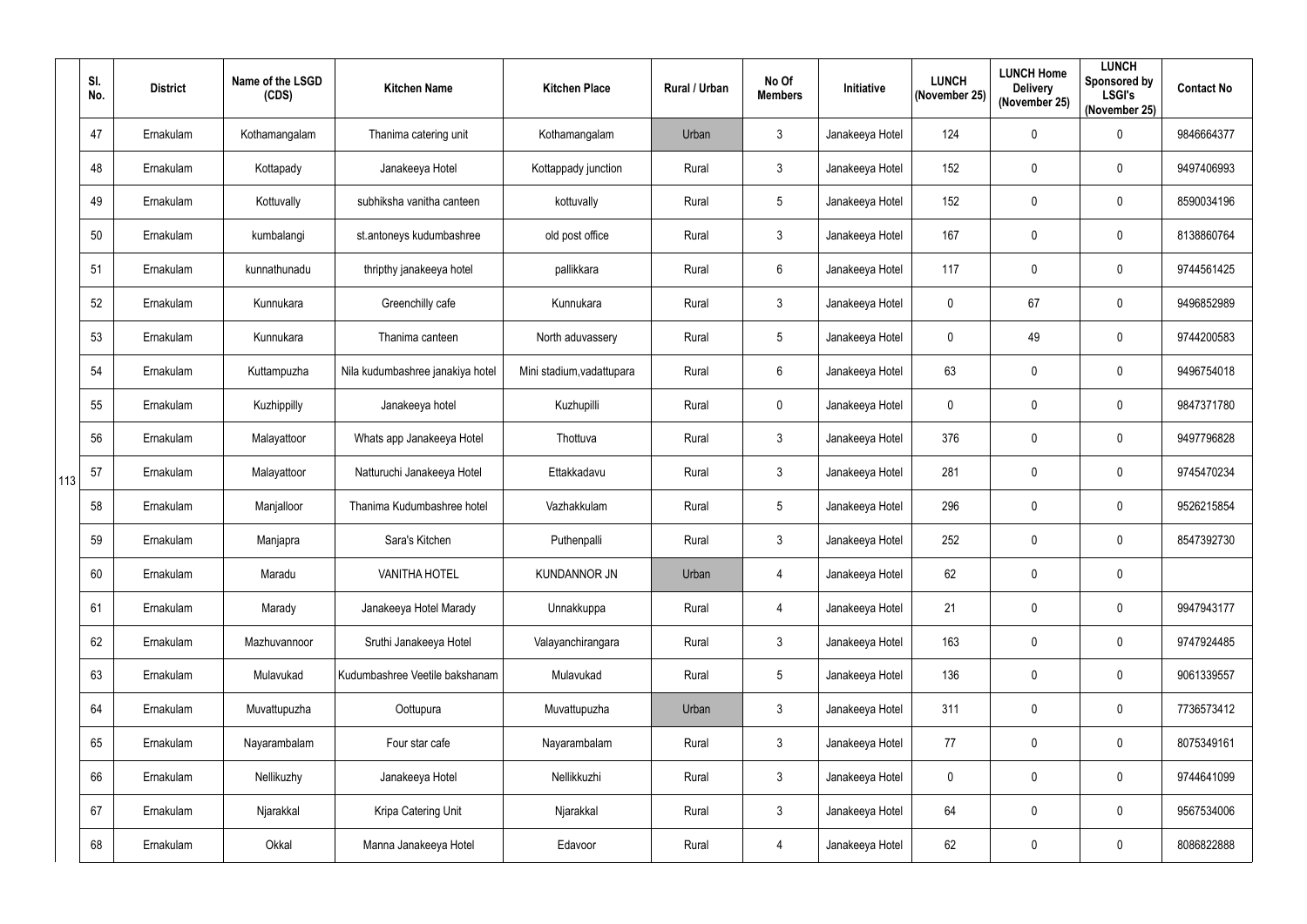|     | SI.<br>No. | <b>District</b> | Name of the LSGD<br>(CDS) | <b>Kitchen Name</b>              | <b>Kitchen Place</b>      | Rural / Urban | No Of<br><b>Members</b> | Initiative      | <b>LUNCH</b><br>(November 25) | <b>LUNCH Home</b><br><b>Delivery</b><br>(November 25) | <b>LUNCH</b><br>Sponsored by<br><b>LSGI's</b><br>(November 25) | <b>Contact No</b> |
|-----|------------|-----------------|---------------------------|----------------------------------|---------------------------|---------------|-------------------------|-----------------|-------------------------------|-------------------------------------------------------|----------------------------------------------------------------|-------------------|
|     | 47         | Ernakulam       | Kothamangalam             | Thanima catering unit            | Kothamangalam             | Urban         | $\mathfrak{Z}$          | Janakeeya Hotel | 124                           | $\overline{0}$                                        | $\pmb{0}$                                                      | 9846664377        |
|     | 48         | Ernakulam       | Kottapady                 | Janakeeya Hotel                  | Kottappady junction       | Rural         | $\mathbf{3}$            | Janakeeya Hotel | 152                           | $\mathbf 0$                                           | $\mathbf 0$                                                    | 9497406993        |
|     | 49         | Ernakulam       | Kottuvally                | subhiksha vanitha canteen        | kottuvally                | Rural         | $5\phantom{.0}$         | Janakeeya Hotel | 152                           | $\overline{0}$                                        | $\pmb{0}$                                                      | 8590034196        |
|     | 50         | Ernakulam       | kumbalangi                | st.antoneys kudumbashree         | old post office           | Rural         | $\mathfrak{Z}$          | Janakeeya Hotel | 167                           | $\overline{0}$                                        | $\mathbf 0$                                                    | 8138860764        |
|     | 51         | Ernakulam       | kunnathunadu              | thripthy janakeeya hotel         | pallikkara                | Rural         | $6\phantom{.}$          | Janakeeya Hotel | 117                           | $\mathbf 0$                                           | $\pmb{0}$                                                      | 9744561425        |
|     | 52         | Ernakulam       | Kunnukara                 | Greenchilly cafe                 | Kunnukara                 | Rural         | $\mathfrak{Z}$          | Janakeeya Hotel | $\mathbf 0$                   | 67                                                    | $\mathbf 0$                                                    | 9496852989        |
|     | 53         | Ernakulam       | Kunnukara                 | Thanima canteen                  | North aduvassery          | Rural         | $5\phantom{.0}$         | Janakeeya Hotel | 0                             | 49                                                    | $\mathbf 0$                                                    | 9744200583        |
|     | 54         | Ernakulam       | Kuttampuzha               | Nila kudumbashree janakiya hotel | Mini stadium, vadattupara | Rural         | $6\phantom{.}$          | Janakeeya Hotel | 63                            | $\boldsymbol{0}$                                      | $\pmb{0}$                                                      | 9496754018        |
|     | 55         | Ernakulam       | Kuzhippilly               | Janakeeya hotel                  | Kuzhupilli                | Rural         | 0                       | Janakeeya Hotel | 0                             | $\boldsymbol{0}$                                      | $\mathbf 0$                                                    | 9847371780        |
|     | 56         | Ernakulam       | Malayattoor               | Whats app Janakeeya Hotel        | Thottuva                  | Rural         | $\mathfrak{Z}$          | Janakeeya Hotel | 376                           | $\overline{0}$                                        | $\pmb{0}$                                                      | 9497796828        |
| 113 | 57         | Ernakulam       | Malayattoor               | Natturuchi Janakeeya Hotel       | Ettakkadavu               | Rural         | $\mathfrak{Z}$          | Janakeeya Hotel | 281                           | $\boldsymbol{0}$                                      | $\mathbf 0$                                                    | 9745470234        |
|     | 58         | Ernakulam       | Manjalloor                | Thanima Kudumbashree hotel       | Vazhakkulam               | Rural         | $5\phantom{.0}$         | Janakeeya Hotel | 296                           | $\boldsymbol{0}$                                      | $\mathbf 0$                                                    | 9526215854        |
|     | 59         | Ernakulam       | Manjapra                  | Sara's Kitchen                   | Puthenpalli               | Rural         | $\mathfrak{Z}$          | Janakeeya Hotel | 252                           | $\mathbf 0$                                           | $\mathbf 0$                                                    | 8547392730        |
|     | 60         | Ernakulam       | Maradu                    | <b>VANITHA HOTEL</b>             | <b>KUNDANNOR JN</b>       | Urban         | $\overline{4}$          | Janakeeya Hotel | 62                            | $\mathbf 0$                                           | $\pmb{0}$                                                      |                   |
|     | 61         | Ernakulam       | Marady                    | Janakeeya Hotel Marady           | Unnakkuppa                | Rural         | 4                       | Janakeeya Hotel | 21                            | $\mathbf 0$                                           | $\pmb{0}$                                                      | 9947943177        |
|     | 62         | Ernakulam       | Mazhuvannoor              | Sruthi Janakeeya Hotel           | Valayanchirangara         | Rural         | $\mathfrak{Z}$          | Janakeeya Hotel | 163                           | $\boldsymbol{0}$                                      | $\pmb{0}$                                                      | 9747924485        |
|     | 63         | Ernakulam       | Mulavukad                 | Kudumbashree Veetile bakshanam   | Mulavukad                 | Rural         | $5\phantom{.0}$         | Janakeeya Hotel | 136                           | $\mathbf 0$                                           | $\pmb{0}$                                                      | 9061339557        |
|     | 64         | Ernakulam       | Muvattupuzha              | Oottupura                        | Muvattupuzha              | Urban         | $\mathfrak{Z}$          | Janakeeya Hotel | 311                           | $\mathbf 0$                                           | $\mathbf 0$                                                    | 7736573412        |
|     | 65         | Ernakulam       | Nayarambalam              | Four star cafe                   | Nayarambalam              | Rural         | $\mathbf{3}$            | Janakeeya Hotel | 77                            | $\boldsymbol{0}$                                      | $\pmb{0}$                                                      | 8075349161        |
|     | 66         | Ernakulam       | Nellikuzhy                | Janakeeya Hotel                  | Nellikkuzhi               | Rural         | 3                       | Janakeeya Hotel | $\mathbf 0$                   | $\mathbf 0$                                           | $\mathbf 0$                                                    | 9744641099        |
|     | 67         | Ernakulam       | Njarakkal                 | Kripa Catering Unit              | Njarakkal                 | Rural         | $\mathbf{3}$            | Janakeeya Hotel | 64                            | $\mathbf 0$                                           | $\pmb{0}$                                                      | 9567534006        |
|     | 68         | Ernakulam       | Okkal                     | Manna Janakeeya Hotel            | Edavoor                   | Rural         | 4                       | Janakeeya Hotel | 62                            | $\mathbf 0$                                           | $\pmb{0}$                                                      | 8086822888        |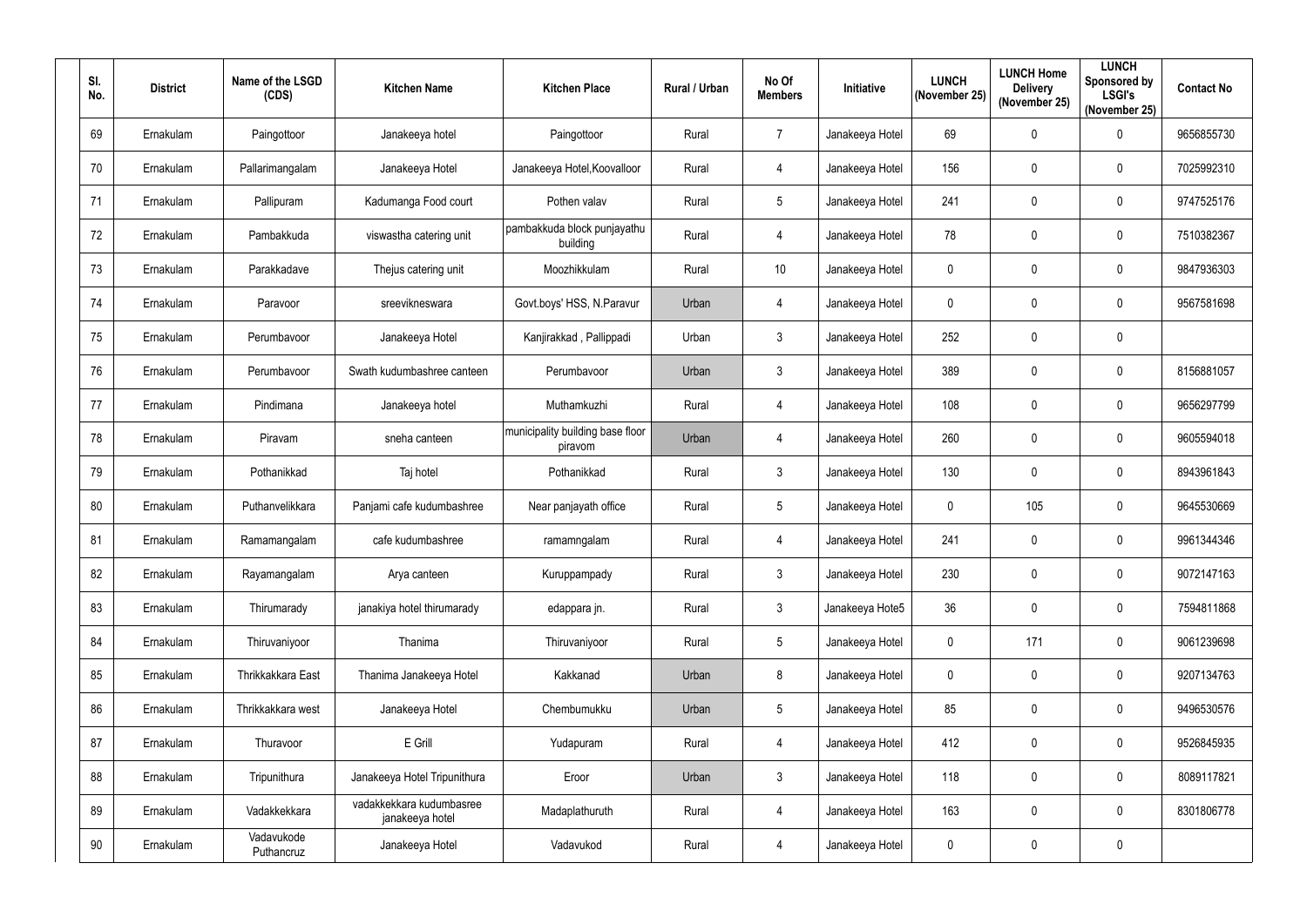| SI.<br>No.      | <b>District</b> | Name of the LSGD<br>(CDS) | <b>Kitchen Name</b>                         | <b>Kitchen Place</b>                        | Rural / Urban | No Of<br><b>Members</b> | Initiative      | <b>LUNCH</b><br>(November 25) | <b>LUNCH Home</b><br><b>Delivery</b><br>(November 25) | <b>LUNCH</b><br>Sponsored by<br><b>LSGI's</b><br>(November 25) | <b>Contact No</b> |
|-----------------|-----------------|---------------------------|---------------------------------------------|---------------------------------------------|---------------|-------------------------|-----------------|-------------------------------|-------------------------------------------------------|----------------------------------------------------------------|-------------------|
| 69              | Ernakulam       | Paingottoor               | Janakeeya hotel                             | Paingottoor                                 | Rural         | $\overline{7}$          | Janakeeya Hotel | 69                            | $\mathbf 0$                                           | $\mathbf 0$                                                    | 9656855730        |
| 70              | Ernakulam       | Pallarimangalam           | Janakeeya Hotel                             | Janakeeya Hotel, Koovalloor                 | Rural         | $\overline{4}$          | Janakeeya Hotel | 156                           | $\mathbf 0$                                           | $\mathbf 0$                                                    | 7025992310        |
| 71              | Ernakulam       | Pallipuram                | Kadumanga Food court                        | Pothen valav                                | Rural         | 5                       | Janakeeya Hotel | 241                           | $\overline{0}$                                        | $\mathbf 0$                                                    | 9747525176        |
| 72              | Ernakulam       | Pambakkuda                | viswastha catering unit                     | pambakkuda block punjayathu<br>building     | Rural         | $\overline{4}$          | Janakeeya Hotel | 78                            | $\overline{0}$                                        | $\pmb{0}$                                                      | 7510382367        |
| 73              | Ernakulam       | Parakkadave               | Thejus catering unit                        | Moozhikkulam                                | Rural         | 10                      | Janakeeya Hotel | 0                             | $\mathbf 0$                                           | $\mathbf 0$                                                    | 9847936303        |
| 74              | Ernakulam       | Paravoor                  | sreevikneswara                              | Govt.boys' HSS, N.Paravur                   | Urban         | $\overline{4}$          | Janakeeya Hotel | $\mathbf 0$                   | $\overline{0}$                                        | $\mathbf 0$                                                    | 9567581698        |
| 75              | Ernakulam       | Perumbavoor               | Janakeeya Hotel                             | Kanjirakkad, Pallippadi                     | Urban         | $\mathbf{3}$            | Janakeeya Hotel | 252                           | $\boldsymbol{0}$                                      | $\mathbf 0$                                                    |                   |
| 76              | Ernakulam       | Perumbavoor               | Swath kudumbashree canteen                  | Perumbavoor                                 | Urban         | $\mathfrak{Z}$          | Janakeeya Hotel | 389                           | $\mathbf 0$                                           | $\pmb{0}$                                                      | 8156881057        |
| 77              | Ernakulam       | Pindimana                 | Janakeeya hotel                             | Muthamkuzhi                                 | Rural         | $\overline{4}$          | Janakeeya Hotel | 108                           | $\mathbf 0$                                           | $\mathbf 0$                                                    | 9656297799        |
| 78              | Ernakulam       | Piravam                   | sneha canteen                               | municipality building base floor<br>piravom | Urban         | $\overline{4}$          | Janakeeya Hotel | 260                           | $\overline{0}$                                        | $\mathbf 0$                                                    | 9605594018        |
| 79              | Ernakulam       | Pothanikkad               | Taj hotel                                   | Pothanikkad                                 | Rural         | 3                       | Janakeeya Hotel | 130                           | $\boldsymbol{0}$                                      | $\pmb{0}$                                                      | 8943961843        |
| 80              | Ernakulam       | Puthanvelikkara           | Panjami cafe kudumbashree                   | Near panjayath office                       | Rural         | 5                       | Janakeeya Hotel | 0                             | 105                                                   | $\mathbf 0$                                                    | 9645530669        |
| 81              | Ernakulam       | Ramamangalam              | cafe kudumbashree                           | ramamngalam                                 | Rural         | 4                       | Janakeeya Hotel | 241                           | $\boldsymbol{0}$                                      | $\mathbf 0$                                                    | 9961344346        |
| 82              | Ernakulam       | Rayamangalam              | Arya canteen                                | Kuruppampady                                | Rural         | $\mathfrak{Z}$          | Janakeeya Hotel | 230                           | $\mathbf 0$                                           | $\pmb{0}$                                                      | 9072147163        |
| 83              | Ernakulam       | Thirumarady               | janakiya hotel thirumarady                  | edappara jn.                                | Rural         | $\mathfrak{Z}$          | Janakeeya Hote5 | 36                            | $\mathbf 0$                                           | $\pmb{0}$                                                      | 7594811868        |
| 84              | Ernakulam       | Thiruvaniyoor             | Thanima                                     | Thiruvaniyoor                               | Rural         | 5                       | Janakeeya Hotel | $\mathbf 0$                   | 171                                                   | $\mathbf 0$                                                    | 9061239698        |
| 85              | Ernakulam       | Thrikkakkara East         | Thanima Janakeeya Hotel                     | Kakkanad                                    | Urban         | 8                       | Janakeeya Hotel | $\mathbf 0$                   | $\mathbf 0$                                           | $\pmb{0}$                                                      | 9207134763        |
| 86              | Ernakulam       | Thrikkakkara west         | Janakeeya Hotel                             | Chembumukku                                 | Urban         | 5                       | Janakeeya Hotel | 85                            | $\mathbf 0$                                           | $\mathbf 0$                                                    | 9496530576        |
| 87              | Ernakulam       | Thuravoor                 | E Grill                                     | Yudapuram                                   | Rural         | $\overline{4}$          | Janakeeya Hotel | 412                           | $\mathbf 0$                                           | $\pmb{0}$                                                      | 9526845935        |
| 88              | Ernakulam       | Tripunithura              | Janakeeya Hotel Tripunithura                | Eroor                                       | Urban         | $\mathbf{3}$            | Janakeeya Hotel | 118                           | $\mathbf 0$                                           | $\mathbf 0$                                                    | 8089117821        |
| 89              | Ernakulam       | Vadakkekkara              | vadakkekkara kudumbasree<br>janakeeya hotel | Madaplathuruth                              | Rural         | $\overline{4}$          | Janakeeya Hotel | 163                           | $\pmb{0}$                                             | $\pmb{0}$                                                      | 8301806778        |
| 90 <sup>°</sup> | Ernakulam       | Vadavukode<br>Puthancruz  | Janakeeya Hotel                             | Vadavukod                                   | Rural         | $\overline{4}$          | Janakeeya Hotel | $\mathbf 0$                   | $\boldsymbol{0}$                                      | $\pmb{0}$                                                      |                   |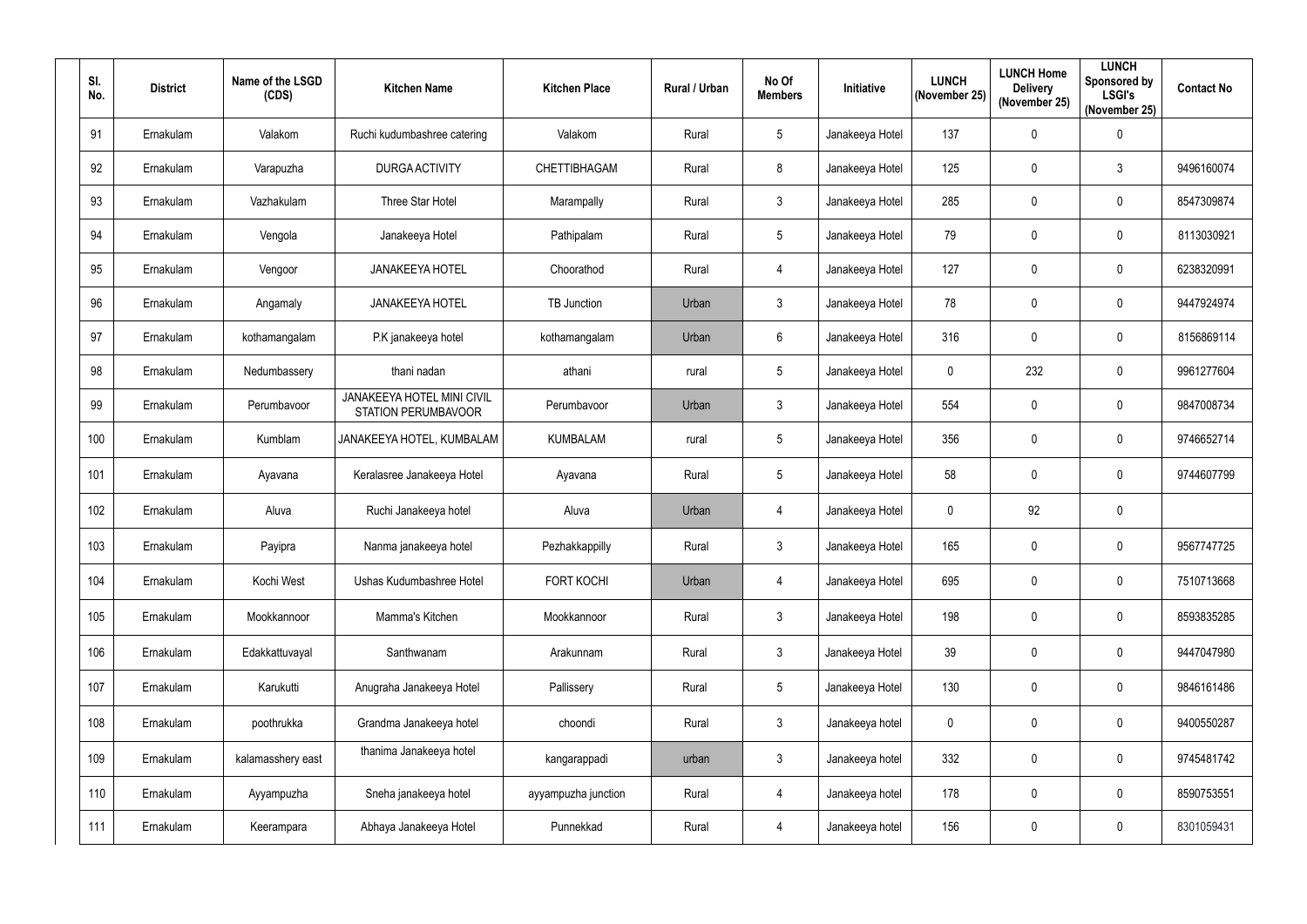| SI.<br>No. | <b>District</b> | Name of the LSGD<br>(CDS) | <b>Kitchen Name</b>                                      | <b>Kitchen Place</b> | Rural / Urban | No Of<br><b>Members</b> | Initiative      | <b>LUNCH</b><br>(November 25) | <b>LUNCH Home</b><br><b>Delivery</b><br>(November 25) | <b>LUNCH</b><br>Sponsored by<br><b>LSGI's</b><br>(November 25) | <b>Contact No</b> |
|------------|-----------------|---------------------------|----------------------------------------------------------|----------------------|---------------|-------------------------|-----------------|-------------------------------|-------------------------------------------------------|----------------------------------------------------------------|-------------------|
| 91         | Ernakulam       | Valakom                   | Ruchi kudumbashree catering                              | Valakom              | Rural         | 5                       | Janakeeya Hotel | 137                           | $\mathbf 0$                                           | $\pmb{0}$                                                      |                   |
| 92         | Ernakulam       | Varapuzha                 | <b>DURGA ACTIVITY</b>                                    | CHETTIBHAGAM         | Rural         | 8                       | Janakeeya Hotel | 125                           | $\boldsymbol{0}$                                      | $\mathfrak{Z}$                                                 | 9496160074        |
| 93         | Ernakulam       | Vazhakulam                | Three Star Hotel                                         | Marampally           | Rural         | $\mathbf{3}$            | Janakeeya Hotel | 285                           | $\boldsymbol{0}$                                      | $\pmb{0}$                                                      | 8547309874        |
| 94         | Ernakulam       | Vengola                   | Janakeeya Hotel                                          | Pathipalam           | Rural         | 5                       | Janakeeya Hotel | 79                            | $\boldsymbol{0}$                                      | $\pmb{0}$                                                      | 8113030921        |
| 95         | Ernakulam       | Vengoor                   | <b>JANAKEEYA HOTEL</b>                                   | Choorathod           | Rural         | $\overline{4}$          | Janakeeya Hotel | 127                           | $\mathbf 0$                                           | $\pmb{0}$                                                      | 6238320991        |
| 96         | Ernakulam       | Angamaly                  | <b>JANAKEEYA HOTEL</b>                                   | <b>TB Junction</b>   | Urban         | $\mathbf{3}$            | Janakeeya Hotel | 78                            | $\mathbf 0$                                           | $\pmb{0}$                                                      | 9447924974        |
| 97         | Ernakulam       | kothamangalam             | P.K janakeeya hotel                                      | kothamangalam        | Urban         | 6                       | Janakeeya Hotel | 316                           | $\boldsymbol{0}$                                      | $\mathbf 0$                                                    | 8156869114        |
| 98         | Ernakulam       | Nedumbassery              | thani nadan                                              | athani               | rural         | 5                       | Janakeeya Hotel | $\mathbf 0$                   | 232                                                   | $\pmb{0}$                                                      | 9961277604        |
| 99         | Ernakulam       | Perumbavoor               | JANAKEEYA HOTEL MINI CIVIL<br><b>STATION PERUMBAVOOR</b> | Perumbavoor          | Urban         | $\mathbf{3}$            | Janakeeya Hotel | 554                           | $\boldsymbol{0}$                                      | $\mathbf 0$                                                    | 9847008734        |
| 100        | Ernakulam       | Kumblam                   | JANAKEEYA HOTEL, KUMBALAM                                | <b>KUMBALAM</b>      | rural         | 5                       | Janakeeya Hotel | 356                           | $\boldsymbol{0}$                                      | $\pmb{0}$                                                      | 9746652714        |
| 101        | Ernakulam       | Ayavana                   | Keralasree Janakeeya Hotel                               | Ayavana              | Rural         | 5                       | Janakeeya Hotel | 58                            | $\boldsymbol{0}$                                      | $\pmb{0}$                                                      | 9744607799        |
| 102        | Ernakulam       | Aluva                     | Ruchi Janakeeya hotel                                    | Aluva                | Urban         | $\overline{4}$          | Janakeeya Hotel | $\mathbf 0$                   | 92                                                    | $\pmb{0}$                                                      |                   |
| 103        | Ernakulam       | Payipra                   | Nanma janakeeya hotel                                    | Pezhakkappilly       | Rural         | 3                       | Janakeeya Hotel | 165                           | $\mathbf 0$                                           | $\mathbf 0$                                                    | 9567747725        |
| 104        | Ernakulam       | Kochi West                | Ushas Kudumbashree Hotel                                 | <b>FORT KOCHI</b>    | Urban         | $\overline{4}$          | Janakeeya Hotel | 695                           | $\mathbf 0$                                           | $\pmb{0}$                                                      | 7510713668        |
| 105        | Ernakulam       | Mookkannoor               | Mamma's Kitchen                                          | Mookkannoor          | Rural         | $\mathfrak{Z}$          | Janakeeya Hotel | 198                           | $\pmb{0}$                                             | $\boldsymbol{0}$                                               | 8593835285        |
| 106        | Ernakulam       | Edakkattuvayal            | Santhwanam                                               | Arakunnam            | Rural         | $\mathfrak{Z}$          | Janakeeya Hotel | 39                            | $\boldsymbol{0}$                                      | $\pmb{0}$                                                      | 9447047980        |
| 107        | Ernakulam       | Karukutti                 | Anugraha Janakeeya Hotel                                 | Pallissery           | Rural         | 5                       | Janakeeya Hotel | 130                           | $\mathbf 0$                                           | $\pmb{0}$                                                      | 9846161486        |
| 108        | Ernakulam       | poothrukka                | Grandma Janakeeya hotel                                  | choondi              | Rural         | $\mathfrak{Z}$          | Janakeeya hotel | $\mathbf 0$                   | $\mathbf 0$                                           | $\pmb{0}$                                                      | 9400550287        |
| 109        | Ernakulam       | kalamasshery east         | thanima Janakeeya hotel                                  | kangarappadi         | urban         | $\mathfrak{Z}$          | Janakeeya hotel | 332                           | $\pmb{0}$                                             | $\pmb{0}$                                                      | 9745481742        |
| 110        | Ernakulam       | Ayyampuzha                | Sneha janakeeya hotel                                    | ayyampuzha junction  | Rural         | 4                       | Janakeeya hotel | 178                           | $\boldsymbol{0}$                                      | $\pmb{0}$                                                      | 8590753551        |
| 111        | Ernakulam       | Keerampara                | Abhaya Janakeeya Hotel                                   | Punnekkad            | Rural         | $\overline{4}$          | Janakeeya hotel | 156                           | $\boldsymbol{0}$                                      | $\boldsymbol{0}$                                               | 8301059431        |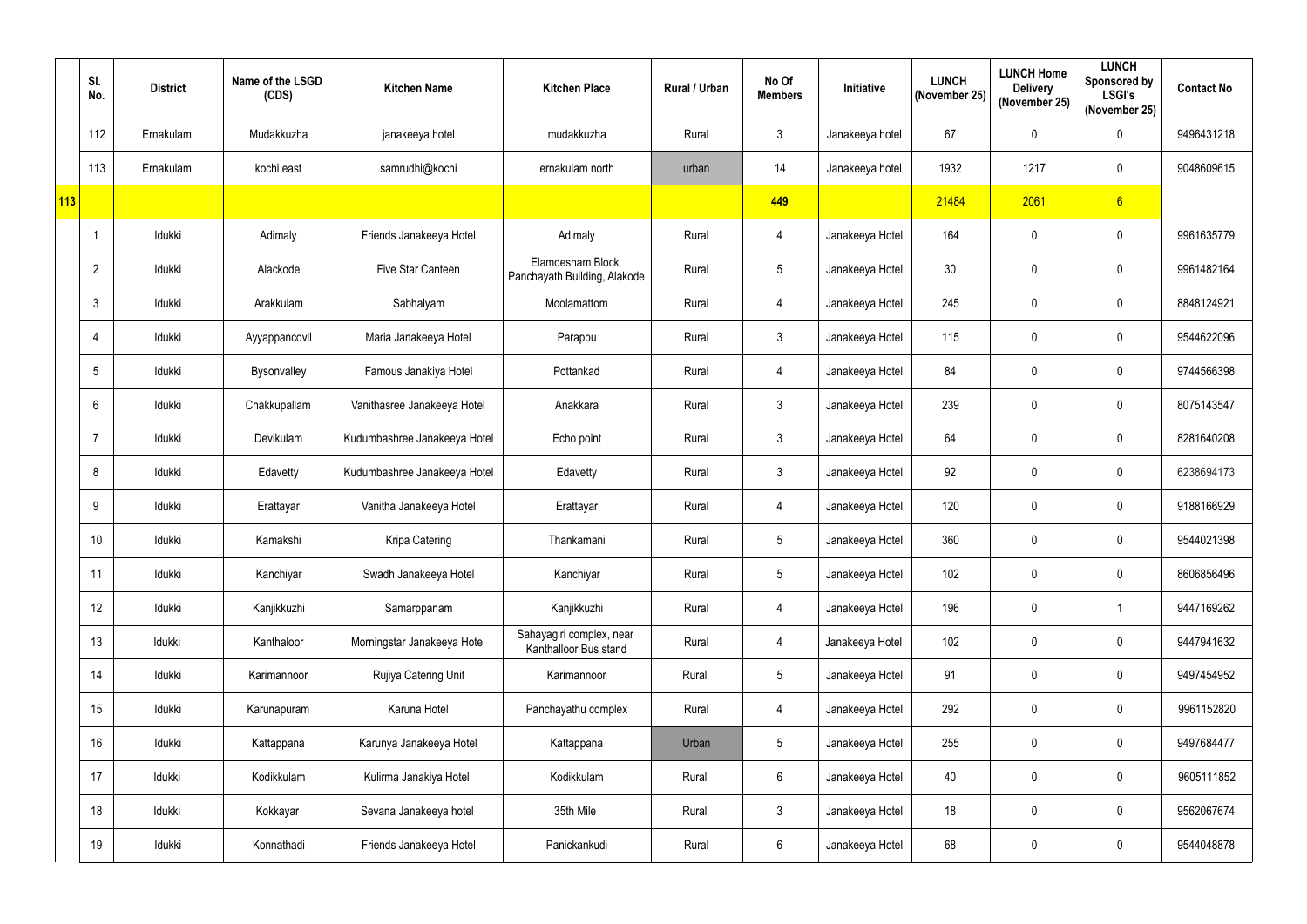|     | SI.<br>No.     | <b>District</b> | Name of the LSGD<br>(CDS) | <b>Kitchen Name</b>          | <b>Kitchen Place</b>                              | <b>Rural / Urban</b> | No Of<br><b>Members</b> | Initiative      | <b>LUNCH</b><br>(November 25) | <b>LUNCH Home</b><br><b>Delivery</b><br>(November 25) | <b>LUNCH</b><br>Sponsored by<br><b>LSGI's</b><br>(November 25) | <b>Contact No</b> |
|-----|----------------|-----------------|---------------------------|------------------------------|---------------------------------------------------|----------------------|-------------------------|-----------------|-------------------------------|-------------------------------------------------------|----------------------------------------------------------------|-------------------|
|     | 112            | Ernakulam       | Mudakkuzha                | janakeeya hotel              | mudakkuzha                                        | Rural                | $\mathfrak{Z}$          | Janakeeya hotel | 67                            | $\mathbf 0$                                           | $\pmb{0}$                                                      | 9496431218        |
|     | 113            | Ernakulam       | kochi east                | samrudhi@kochi               | ernakulam north                                   | urban                | 14                      | Janakeeya hotel | 1932                          | 1217                                                  | $\mathbf 0$                                                    | 9048609615        |
| 113 |                |                 |                           |                              |                                                   |                      | 449                     |                 | 21484                         | 2061                                                  | 6                                                              |                   |
|     |                | Idukki          | Adimaly                   | Friends Janakeeya Hotel      | Adimaly                                           | Rural                | 4                       | Janakeeya Hotel | 164                           | $\boldsymbol{0}$                                      | $\pmb{0}$                                                      | 9961635779        |
|     | $\overline{2}$ | Idukki          | Alackode                  | Five Star Canteen            | Elamdesham Block<br>Panchayath Building, Alakode  | Rural                | 5 <sup>5</sup>          | Janakeeya Hotel | 30                            | $\mathbf 0$                                           | $\mathbf 0$                                                    | 9961482164        |
|     | 3              | Idukki          | Arakkulam                 | Sabhalyam                    | Moolamattom                                       | Rural                | 4                       | Janakeeya Hotel | 245                           | $\boldsymbol{0}$                                      | $\pmb{0}$                                                      | 8848124921        |
|     | 4              | Idukki          | Ayyappancovil             | Maria Janakeeya Hotel        | Parappu                                           | Rural                | 3 <sup>1</sup>          | Janakeeya Hotel | 115                           | $\boldsymbol{0}$                                      | $\mathbf 0$                                                    | 9544622096        |
|     | 5              | Idukki          | Bysonvalley               | Famous Janakiya Hotel        | Pottankad                                         | Rural                | 4                       | Janakeeya Hotel | 84                            | $\mathbf 0$                                           | $\pmb{0}$                                                      | 9744566398        |
|     | 6              | Idukki          | Chakkupallam              | Vanithasree Janakeeya Hotel  | Anakkara                                          | Rural                | $\mathbf{3}$            | Janakeeya Hotel | 239                           | $\mathbf 0$                                           | $\mathbf 0$                                                    | 8075143547        |
|     |                | Idukki          | Devikulam                 | Kudumbashree Janakeeya Hotel | Echo point                                        | Rural                | $\mathfrak{Z}$          | Janakeeya Hotel | 64                            | $\mathbf 0$                                           | $\mathbf 0$                                                    | 8281640208        |
|     | 8              | Idukki          | Edavetty                  | Kudumbashree Janakeeya Hotel | Edavetty                                          | Rural                | $3\overline{3}$         | Janakeeya Hotel | 92                            | $\boldsymbol{0}$                                      | $\pmb{0}$                                                      | 6238694173        |
|     | 9              | Idukki          | Erattayar                 | Vanitha Janakeeya Hotel      | Erattayar                                         | Rural                | 4                       | Janakeeya Hotel | 120                           | $\boldsymbol{0}$                                      | $\mathbf 0$                                                    | 9188166929        |
|     | 10             | Idukki          | Kamakshi                  | Kripa Catering               | Thankamani                                        | Rural                | $5\phantom{.0}$         | Janakeeya Hotel | 360                           | $\mathbf 0$                                           | $\mathbf 0$                                                    | 9544021398        |
|     | 11             | Idukki          | Kanchiyar                 | Swadh Janakeeya Hotel        | Kanchiyar                                         | Rural                | $5\phantom{.0}$         | Janakeeya Hotel | 102                           | $\mathbf 0$                                           | $\pmb{0}$                                                      | 8606856496        |
|     | 12             | Idukki          | Kanjikkuzhi               | Samarppanam                  | Kanjikkuzhi                                       | Rural                | $\overline{4}$          | Janakeeya Hotel | 196                           | $\mathbf 0$                                           |                                                                | 9447169262        |
|     | 13             | Idukki          | Kanthaloor                | Morningstar Janakeeya Hotel  | Sahayagiri complex, near<br>Kanthalloor Bus stand | Rural                | $\overline{4}$          | Janakeeya Hotel | 102                           | $\mathbf 0$                                           | $\mathbf 0$                                                    | 9447941632        |
|     | 14             | Idukki          | Karimannoor               | Rujiya Catering Unit         | Karimannoor                                       | Rural                | $5\phantom{.0}$         | Janakeeya Hotel | 91                            | $\mathbf 0$                                           | $\pmb{0}$                                                      | 9497454952        |
|     | 15             | Idukki          | Karunapuram               | Karuna Hotel                 | Panchayathu complex                               | Rural                | 4                       | Janakeeya Hotel | 292                           | $\mathbf 0$                                           | $\pmb{0}$                                                      | 9961152820        |
|     | 16             | Idukki          | Kattappana                | Karunya Janakeeya Hotel      | Kattappana                                        | Urban                | $5\phantom{.0}$         | Janakeeya Hotel | 255                           | $\mathbf 0$                                           | $\pmb{0}$                                                      | 9497684477        |
|     | 17             | Idukki          | Kodikkulam                | Kulirma Janakiya Hotel       | Kodikkulam                                        | Rural                | $6\overline{6}$         | Janakeeya Hotel | 40                            | $\mathbf 0$                                           | $\pmb{0}$                                                      | 9605111852        |
|     | 18             | Idukki          | Kokkayar                  | Sevana Janakeeya hotel       | 35th Mile                                         | Rural                | $\mathfrak{Z}$          | Janakeeya Hotel | 18                            | $\mathbf 0$                                           | $\pmb{0}$                                                      | 9562067674        |
|     | 19             | Idukki          | Konnathadi                | Friends Janakeeya Hotel      | Panickankudi                                      | Rural                | $6\phantom{.0}$         | Janakeeya Hotel | 68                            | $\boldsymbol{0}$                                      | $\pmb{0}$                                                      | 9544048878        |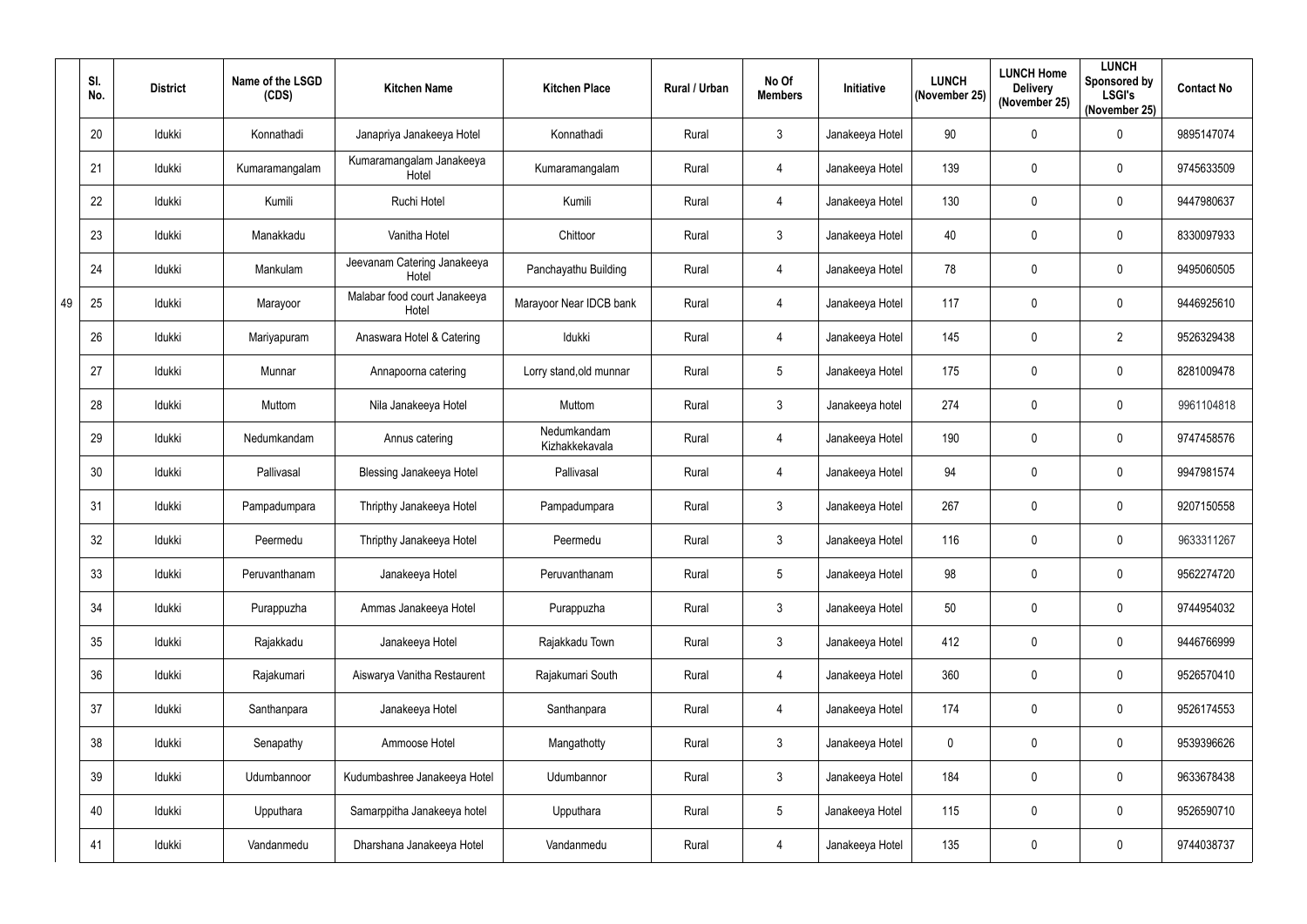|    | SI.<br>No. | <b>District</b> | Name of the LSGD<br>(CDS) | <b>Kitchen Name</b>                   | <b>Kitchen Place</b>          | Rural / Urban | No Of<br><b>Members</b> | Initiative      | <b>LUNCH</b><br>(November 25) | <b>LUNCH Home</b><br><b>Delivery</b><br>(November 25) | <b>LUNCH</b><br>Sponsored by<br><b>LSGI's</b><br>(November 25) | <b>Contact No</b> |
|----|------------|-----------------|---------------------------|---------------------------------------|-------------------------------|---------------|-------------------------|-----------------|-------------------------------|-------------------------------------------------------|----------------------------------------------------------------|-------------------|
|    | 20         | Idukki          | Konnathadi                | Janapriya Janakeeya Hotel             | Konnathadi                    | Rural         | $\mathbf{3}$            | Janakeeya Hotel | 90                            | $\mathbf 0$                                           | $\pmb{0}$                                                      | 9895147074        |
|    | 21         | Idukki          | Kumaramangalam            | Kumaramangalam Janakeeya<br>Hotel     | Kumaramangalam                | Rural         | 4                       | Janakeeya Hotel | 139                           | $\mathbf 0$                                           | $\mathbf 0$                                                    | 9745633509        |
|    | 22         | Idukki          | Kumili                    | Ruchi Hotel                           | Kumili                        | Rural         | 4                       | Janakeeya Hotel | 130                           | $\overline{0}$                                        | $\pmb{0}$                                                      | 9447980637        |
|    | 23         | Idukki          | Manakkadu                 | Vanitha Hotel                         | Chittoor                      | Rural         | $\mathbf{3}$            | Janakeeya Hotel | 40                            | $\overline{0}$                                        | $\mathbf 0$                                                    | 8330097933        |
|    | 24         | Idukki          | Mankulam                  | Jeevanam Catering Janakeeya<br>Hotel  | Panchayathu Building          | Rural         | 4                       | Janakeeya Hotel | 78                            | $\overline{0}$                                        | $\pmb{0}$                                                      | 9495060505        |
| 49 | 25         | Idukki          | Marayoor                  | Malabar food court Janakeeya<br>Hotel | Marayoor Near IDCB bank       | Rural         | 4                       | Janakeeya Hotel | 117                           | $\mathbf 0$                                           | $\mathbf 0$                                                    | 9446925610        |
|    | 26         | Idukki          | Mariyapuram               | Anaswara Hotel & Catering             | Idukki                        | Rural         | 4                       | Janakeeya Hotel | 145                           | $\overline{0}$                                        | $\overline{2}$                                                 | 9526329438        |
|    | 27         | Idukki          | Munnar                    | Annapoorna catering                   | Lorry stand, old munnar       | Rural         | 5                       | Janakeeya Hotel | 175                           | $\overline{0}$                                        | $\pmb{0}$                                                      | 8281009478        |
|    | 28         | Idukki          | Muttom                    | Nila Janakeeya Hotel                  | Muttom                        | Rural         | $\mathbf{3}$            | Janakeeya hotel | 274                           | $\mathbf 0$                                           | $\mathbf 0$                                                    | 9961104818        |
|    | 29         | Idukki          | Nedumkandam               | Annus catering                        | Nedumkandam<br>Kizhakkekavala | Rural         | 4                       | Janakeeya Hotel | 190                           | $\overline{0}$                                        | $\pmb{0}$                                                      | 9747458576        |
|    | 30         | Idukki          | Pallivasal                | <b>Blessing Janakeeya Hotel</b>       | Pallivasal                    | Rural         | 4                       | Janakeeya Hotel | 94                            | $\overline{0}$                                        | $\mathbf 0$                                                    | 9947981574        |
|    | 31         | Idukki          | Pampadumpara              | Thripthy Janakeeya Hotel              | Pampadumpara                  | Rural         | $\mathbf{3}$            | Janakeeya Hotel | 267                           | $\overline{0}$                                        | $\mathbf 0$                                                    | 9207150558        |
|    | 32         | Idukki          | Peermedu                  | Thripthy Janakeeya Hotel              | Peermedu                      | Rural         | $\mathfrak{Z}$          | Janakeeya Hotel | 116                           | $\mathbf 0$                                           | 0                                                              | 9633311267        |
|    | 33         | Idukki          | Peruvanthanam             | Janakeeya Hotel                       | Peruvanthanam                 | Rural         | $5\overline{)}$         | Janakeeya Hotel | 98                            | $\overline{0}$                                        | $\pmb{0}$                                                      | 9562274720        |
|    | 34         | Idukki          | Purappuzha                | Ammas Janakeeya Hotel                 | Purappuzha                    | Rural         | $\mathbf{3}$            | Janakeeya Hotel | 50                            | $\mathbf 0$                                           | $\pmb{0}$                                                      | 9744954032        |
|    | 35         | Idukki          | Rajakkadu                 | Janakeeya Hotel                       | Rajakkadu Town                | Rural         | $\mathbf{3}$            | Janakeeya Hotel | 412                           | $\mathbf 0$                                           | $\pmb{0}$                                                      | 9446766999        |
|    | 36         | Idukki          | Rajakumari                | Aiswarya Vanitha Restaurent           | Rajakumari South              | Rural         | $\overline{4}$          | Janakeeya Hotel | 360                           | $\mathbf 0$                                           | $\pmb{0}$                                                      | 9526570410        |
|    | 37         | Idukki          | Santhanpara               | Janakeeya Hotel                       | Santhanpara                   | Rural         | $\overline{4}$          | Janakeeya Hotel | 174                           | $\overline{0}$                                        | $\boldsymbol{0}$                                               | 9526174553        |
|    | 38         | Idukki          | Senapathy                 | Ammoose Hotel                         | Mangathotty                   | Rural         | 3 <sup>1</sup>          | Janakeeya Hotel | 0                             | $\mathbf 0$                                           | $\pmb{0}$                                                      | 9539396626        |
|    | 39         | Idukki          | Udumbannoor               | Kudumbashree Janakeeya Hotel          | Udumbannor                    | Rural         | 3 <sup>1</sup>          | Janakeeya Hotel | 184                           | $\overline{0}$                                        | $\mathbf 0$                                                    | 9633678438        |
|    | 40         | Idukki          | Upputhara                 | Samarppitha Janakeeya hotel           | Upputhara                     | Rural         | $5\overline{)}$         | Janakeeya Hotel | 115                           | $\overline{0}$                                        | $\pmb{0}$                                                      | 9526590710        |
|    | 41         | Idukki          | Vandanmedu                | Dharshana Janakeeya Hotel             | Vandanmedu                    | Rural         | 4                       | Janakeeya Hotel | 135                           | $\mathbf 0$                                           | $\pmb{0}$                                                      | 9744038737        |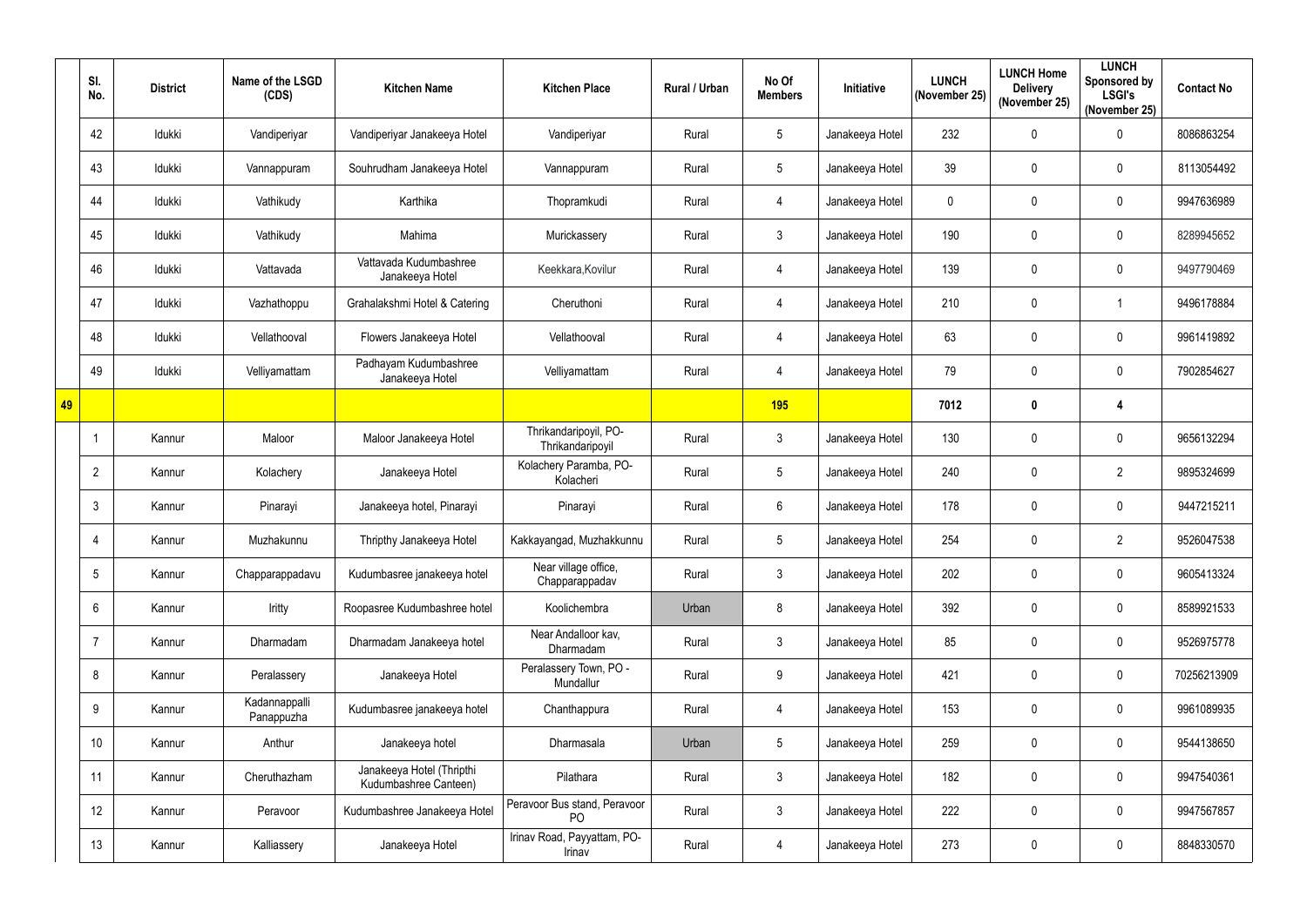|    | SI.<br>No.      | <b>District</b> | Name of the LSGD<br>(CDS)   | <b>Kitchen Name</b>                                | <b>Kitchen Place</b>                           | Rural / Urban | No Of<br><b>Members</b> | Initiative      | <b>LUNCH</b><br>(November 25) | <b>LUNCH Home</b><br><b>Delivery</b><br>(November 25) | <b>LUNCH</b><br><b>Sponsored by</b><br><b>LSGI's</b><br>(November 25) | <b>Contact No</b> |
|----|-----------------|-----------------|-----------------------------|----------------------------------------------------|------------------------------------------------|---------------|-------------------------|-----------------|-------------------------------|-------------------------------------------------------|-----------------------------------------------------------------------|-------------------|
|    | 42              | Idukki          | Vandiperiyar                | Vandiperiyar Janakeeya Hotel                       | Vandiperiyar                                   | Rural         | $5\phantom{.0}$         | Janakeeya Hotel | 232                           | $\mathbf 0$                                           | $\pmb{0}$                                                             | 8086863254        |
|    | 43              | Idukki          | Vannappuram                 | Souhrudham Janakeeya Hotel                         | Vannappuram                                    | Rural         | 5 <sup>5</sup>          | Janakeeya Hotel | 39                            | $\mathbf 0$                                           | $\mathbf 0$                                                           | 8113054492        |
|    | 44              | Idukki          | Vathikudy                   | Karthika                                           | Thopramkudi                                    | Rural         | 4                       | Janakeeya Hotel | $\mathbf 0$                   | $\mathbf 0$                                           | $\pmb{0}$                                                             | 9947636989        |
|    | 45              | Idukki          | Vathikudy                   | Mahima                                             | Murickassery                                   | Rural         | $3\overline{3}$         | Janakeeya Hotel | 190                           | $\mathbf 0$                                           | $\pmb{0}$                                                             | 8289945652        |
|    | 46              | Idukki          | Vattavada                   | Vattavada Kudumbashree<br>Janakeeya Hotel          | Keekkara, Kovilur                              | Rural         | 4                       | Janakeeya Hotel | 139                           | $\mathbf 0$                                           | $\mathbf 0$                                                           | 9497790469        |
|    | 47              | Idukki          | Vazhathoppu                 | Grahalakshmi Hotel & Catering                      | Cheruthoni                                     | Rural         | 4                       | Janakeeya Hotel | 210                           | $\mathbf 0$                                           | $\mathbf 1$                                                           | 9496178884        |
|    | 48              | Idukki          | Vellathooval                | Flowers Janakeeya Hotel                            | Vellathooval                                   | Rural         | 4                       | Janakeeya Hotel | 63                            | $\overline{0}$                                        | $\mathbf 0$                                                           | 9961419892        |
|    | 49              | Idukki          | Velliyamattam               | Padhayam Kudumbashree<br>Janakeeya Hotel           | Velliyamattam                                  | Rural         | 4                       | Janakeeya Hotel | 79                            | $\pmb{0}$                                             | $\pmb{0}$                                                             | 7902854627        |
| 49 |                 |                 |                             |                                                    |                                                |               | <b>195</b>              |                 | 7012                          | $\boldsymbol{0}$                                      | $\overline{\mathbf{4}}$                                               |                   |
|    |                 | Kannur          | Maloor                      | Maloor Janakeeya Hotel                             | Thrikandaripoyil, PO-<br>Thrikandaripoyil      | Rural         | $\mathfrak{Z}$          | Janakeeya Hotel | 130                           | $\mathbf 0$                                           | $\pmb{0}$                                                             | 9656132294        |
|    | $\overline{2}$  | Kannur          | Kolachery                   | Janakeeya Hotel                                    | Kolachery Paramba, PO-<br>Kolacheri            | Rural         | $\sqrt{5}$              | Janakeeya Hotel | 240                           | $\mathbf 0$                                           | $\overline{2}$                                                        | 9895324699        |
|    | 3               | Kannur          | Pinarayi                    | Janakeeya hotel, Pinarayi                          | Pinarayi                                       | Rural         | $6\overline{6}$         | Janakeeya Hotel | 178                           | $\mathbf 0$                                           | $\mathbf 0$                                                           | 9447215211        |
|    | 4               | Kannur          | Muzhakunnu                  | Thripthy Janakeeya Hotel                           | Kakkayangad, Muzhakkunnu                       | Rural         | 5                       | Janakeeya Hotel | 254                           | $\mathbf 0$                                           | $\overline{2}$                                                        | 9526047538        |
|    | $5\phantom{.0}$ | Kannur          | Chapparappadavu             | Kudumbasree janakeeya hotel                        | Near village office,<br>Chapparappadav         | Rural         | $\mathfrak{Z}$          | Janakeeya Hotel | 202                           | $\overline{0}$                                        | $\pmb{0}$                                                             | 9605413324        |
|    | $6\phantom{.0}$ | Kannur          | Iritty                      | Roopasree Kudumbashree hotel                       | Koolichembra                                   | Urban         | 8                       | Janakeeya Hotel | 392                           | $\mathbf 0$                                           | $\pmb{0}$                                                             | 8589921533        |
|    | $\overline{7}$  | Kannur          | Dharmadam                   | Dharmadam Janakeeya hotel                          | Near Andalloor kav,<br>Dharmadam               | Rural         | $\mathfrak{Z}$          | Janakeeya Hotel | 85                            | $\overline{0}$                                        | $\mathbf 0$                                                           | 9526975778        |
|    | 8               | Kannur          | Peralassery                 | Janakeeya Hotel                                    | Peralassery Town, PO -<br>Mundallur            | Rural         | 9                       | Janakeeya Hotel | 421                           | $\mathbf 0$                                           | $\pmb{0}$                                                             | 70256213909       |
|    | 9               | Kannur          | Kadannappalli<br>Panappuzha | Kudumbasree janakeeya hotel                        | Chanthappura                                   | Rural         | $\overline{4}$          | Janakeeya Hotel | 153                           | $\overline{0}$                                        | $\mathbf 0$                                                           | 9961089935        |
|    | 10 <sup>°</sup> | Kannur          | Anthur                      | Janakeeya hotel                                    | Dharmasala                                     | Urban         | $5\phantom{.0}$         | Janakeeya Hotel | 259                           | $\mathbf 0$                                           | $\pmb{0}$                                                             | 9544138650        |
|    | 11              | Kannur          | Cheruthazham                | Janakeeya Hotel (Thripthi<br>Kudumbashree Canteen) | Pilathara                                      | Rural         | $\mathfrak{Z}$          | Janakeeya Hotel | 182                           | $\overline{0}$                                        | $\pmb{0}$                                                             | 9947540361        |
|    | 12              | Kannur          | Peravoor                    | Kudumbashree Janakeeya Hotel                       | Peravoor Bus stand, Peravoor<br>P <sub>O</sub> | Rural         | $\mathfrak{Z}$          | Janakeeya Hotel | 222                           | $\overline{0}$                                        | $\pmb{0}$                                                             | 9947567857        |
|    | 13              | Kannur          | Kalliassery                 | Janakeeya Hotel                                    | Irinav Road, Payyattam, PO-<br>Irinav          | Rural         | 4                       | Janakeeya Hotel | 273                           | $\mathbf 0$                                           | $\pmb{0}$                                                             | 8848330570        |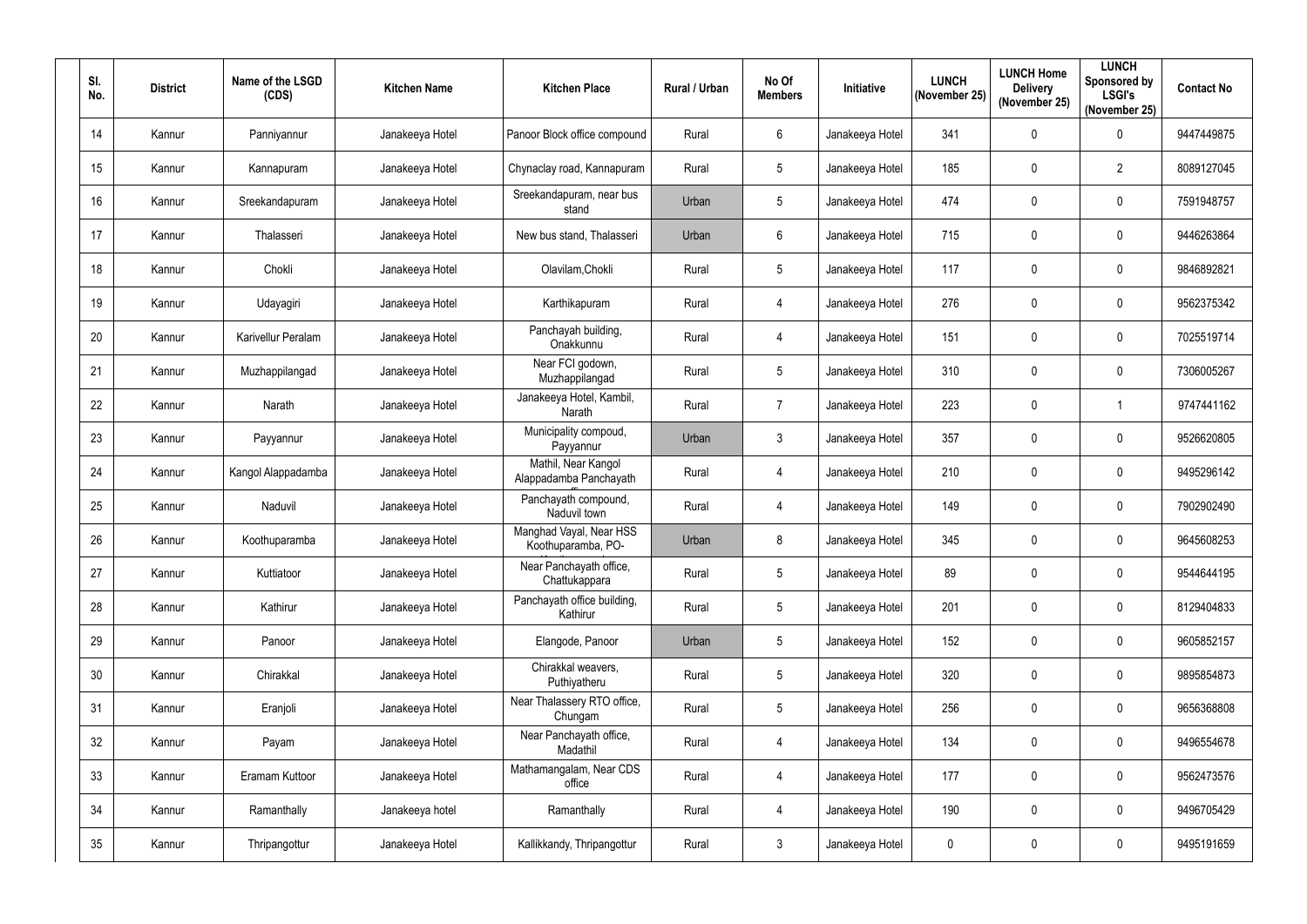| SI.<br>No. | <b>District</b> | Name of the LSGD<br>(CDS) | <b>Kitchen Name</b> | <b>Kitchen Place</b>                          | Rural / Urban | No Of<br><b>Members</b> | Initiative      | <b>LUNCH</b><br>(November 25) | <b>LUNCH Home</b><br><b>Delivery</b><br>(November 25) | <b>LUNCH</b><br>Sponsored by<br><b>LSGI's</b><br>(November 25) | <b>Contact No</b> |
|------------|-----------------|---------------------------|---------------------|-----------------------------------------------|---------------|-------------------------|-----------------|-------------------------------|-------------------------------------------------------|----------------------------------------------------------------|-------------------|
| 14         | Kannur          | Panniyannur               | Janakeeya Hotel     | Panoor Block office compound                  | Rural         | 6                       | Janakeeya Hotel | 341                           | $\mathbf 0$                                           | $\pmb{0}$                                                      | 9447449875        |
| 15         | Kannur          | Kannapuram                | Janakeeya Hotel     | Chynaclay road, Kannapuram                    | Rural         | 5                       | Janakeeya Hotel | 185                           | $\mathbf 0$                                           | $\overline{2}$                                                 | 8089127045        |
| 16         | Kannur          | Sreekandapuram            | Janakeeya Hotel     | Sreekandapuram, near bus<br>stand             | Urban         | 5                       | Janakeeya Hotel | 474                           | $\mathbf 0$                                           | 0                                                              | 7591948757        |
| 17         | Kannur          | Thalasseri                | Janakeeya Hotel     | New bus stand, Thalasseri                     | Urban         | 6                       | Janakeeya Hotel | 715                           | $\mathbf 0$                                           | 0                                                              | 9446263864        |
| 18         | Kannur          | Chokli                    | Janakeeya Hotel     | Olavilam, Chokli                              | Rural         | 5                       | Janakeeya Hotel | 117                           | $\mathbf 0$                                           | 0                                                              | 9846892821        |
| 19         | Kannur          | Udayagiri                 | Janakeeya Hotel     | Karthikapuram                                 | Rural         | $\overline{4}$          | Janakeeya Hotel | 276                           | $\mathbf 0$                                           | 0                                                              | 9562375342        |
| 20         | Kannur          | Karivellur Peralam        | Janakeeya Hotel     | Panchayah building,<br>Onakkunnu              | Rural         | $\overline{4}$          | Janakeeya Hotel | 151                           | $\boldsymbol{0}$                                      | 0                                                              | 7025519714        |
| 21         | Kannur          | Muzhappilangad            | Janakeeya Hotel     | Near FCI godown,<br>Muzhappilangad            | Rural         | 5                       | Janakeeya Hotel | 310                           | $\mathbf 0$                                           | $\pmb{0}$                                                      | 7306005267        |
| 22         | Kannur          | Narath                    | Janakeeya Hotel     | Janakeeya Hotel, Kambil,<br>Narath            | Rural         | $\overline{7}$          | Janakeeya Hotel | 223                           | $\mathbf 0$                                           |                                                                | 9747441162        |
| 23         | Kannur          | Payyannur                 | Janakeeya Hotel     | Municipality compoud,<br>Payyannur            | Urban         | 3                       | Janakeeya Hotel | 357                           | $\mathbf 0$                                           | 0                                                              | 9526620805        |
| 24         | Kannur          | Kangol Alappadamba        | Janakeeya Hotel     | Mathil, Near Kangol<br>Alappadamba Panchayath | Rural         | $\overline{4}$          | Janakeeya Hotel | 210                           | $\boldsymbol{0}$                                      | 0                                                              | 9495296142        |
| 25         | Kannur          | Naduvil                   | Janakeeya Hotel     | Panchayath compound,<br>Naduvil town          | Rural         | $\overline{4}$          | Janakeeya Hotel | 149                           | $\boldsymbol{0}$                                      | 0                                                              | 7902902490        |
| 26         | Kannur          | Koothuparamba             | Janakeeya Hotel     | Manghad Vayal, Near HSS<br>Koothuparamba, PO- | Urban         | 8                       | Janakeeya Hotel | 345                           | $\mathbf 0$                                           | 0                                                              | 9645608253        |
| 27         | Kannur          | Kuttiatoor                | Janakeeya Hotel     | Near Panchayath office,<br>Chattukappara      | Rural         | 5                       | Janakeeya Hotel | 89                            | $\overline{0}$                                        | 0                                                              | 9544644195        |
| 28         | Kannur          | Kathirur                  | Janakeeya Hotel     | Panchayath office building,<br>Kathirur       | Rural         | $5\phantom{.0}$         | Janakeeya Hotel | 201                           | $\mathbf 0$                                           | $\pmb{0}$                                                      | 8129404833        |
| 29         | Kannur          | Panoor                    | Janakeeya Hotel     | Elangode, Panoor                              | Urban         | 5                       | Janakeeya Hotel | 152                           | $\mathbf 0$                                           | $\pmb{0}$                                                      | 9605852157        |
| 30         | Kannur          | Chirakkal                 | Janakeeya Hotel     | Chirakkal weavers,<br>Puthiyatheru            | Rural         | 5                       | Janakeeya Hotel | 320                           | $\mathbf 0$                                           | $\pmb{0}$                                                      | 9895854873        |
| 31         | Kannur          | Eranjoli                  | Janakeeya Hotel     | Near Thalassery RTO office,<br>Chungam        | Rural         | 5                       | Janakeeya Hotel | 256                           | $\mathbf 0$                                           | $\mathbf 0$                                                    | 9656368808        |
| 32         | Kannur          | Payam                     | Janakeeya Hotel     | Near Panchayath office,<br>Madathil           | Rural         | $\overline{4}$          | Janakeeya Hotel | 134                           | $\mathbf 0$                                           | $\pmb{0}$                                                      | 9496554678        |
| 33         | Kannur          | Eramam Kuttoor            | Janakeeya Hotel     | Mathamangalam, Near CDS<br>office             | Rural         | $\overline{4}$          | Janakeeya Hotel | 177                           | $\mathbf 0$                                           | 0                                                              | 9562473576        |
| 34         | Kannur          | Ramanthally               | Janakeeya hotel     | Ramanthally                                   | Rural         | $\overline{4}$          | Janakeeya Hotel | 190                           | $\mathbf 0$                                           | $\pmb{0}$                                                      | 9496705429        |
| 35         | Kannur          | Thripangottur             | Janakeeya Hotel     | Kallikkandy, Thripangottur                    | Rural         | 3 <sup>1</sup>          | Janakeeya Hotel | $\pmb{0}$                     | $\boldsymbol{0}$                                      | $\pmb{0}$                                                      | 9495191659        |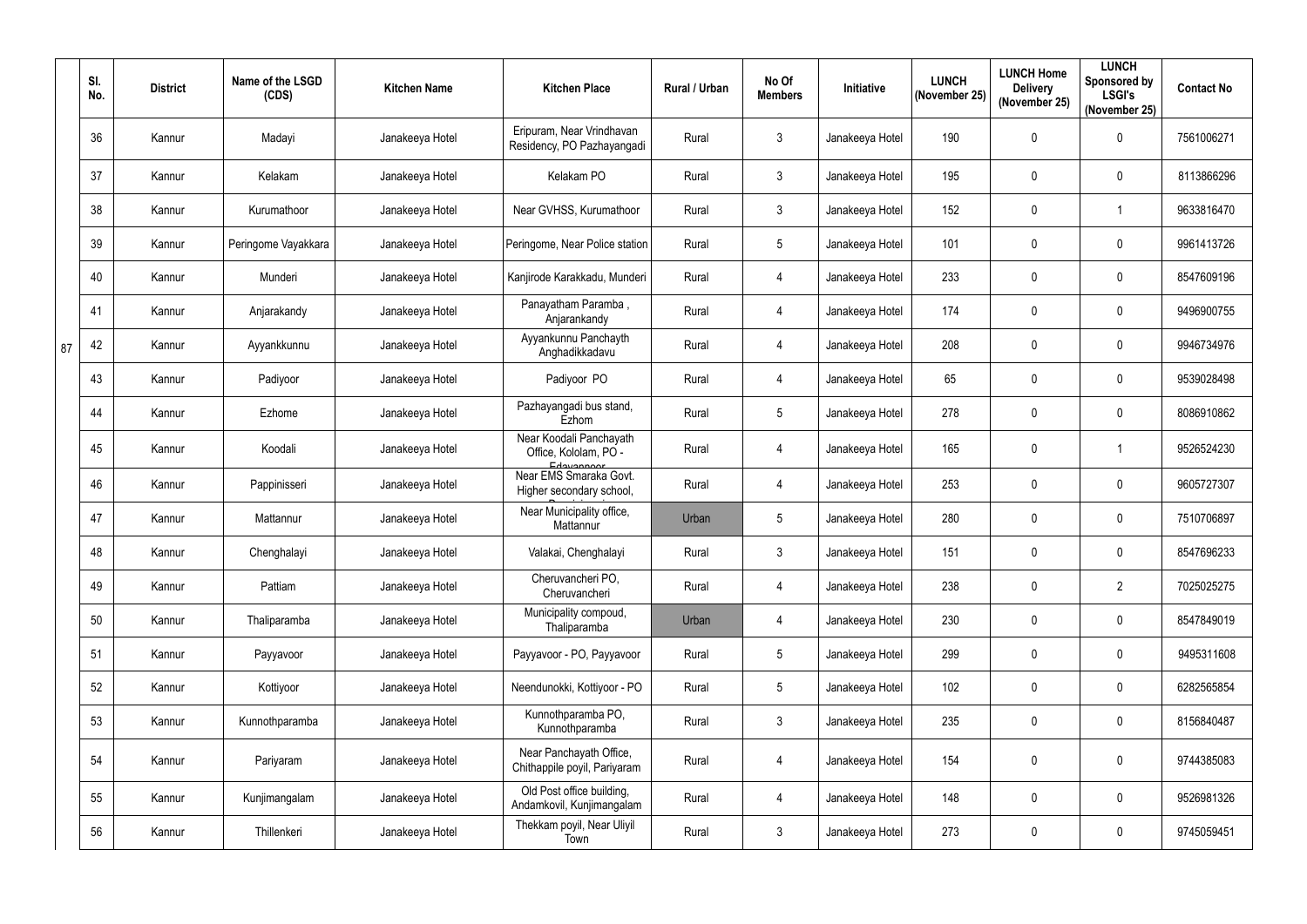|    | SI.<br>No. | <b>District</b> | Name of the LSGD<br>(CDS) | <b>Kitchen Name</b> | <b>Kitchen Place</b>                                             | Rural / Urban | No Of<br><b>Members</b> | Initiative      | <b>LUNCH</b><br>(November 25) | <b>LUNCH Home</b><br><b>Delivery</b><br>(November 25) | <b>LUNCH</b><br>Sponsored by<br><b>LSGI's</b><br>(November 25) | <b>Contact No</b> |
|----|------------|-----------------|---------------------------|---------------------|------------------------------------------------------------------|---------------|-------------------------|-----------------|-------------------------------|-------------------------------------------------------|----------------------------------------------------------------|-------------------|
|    | 36         | Kannur          | Madayi                    | Janakeeya Hotel     | Eripuram, Near Vrindhavan<br>Residency, PO Pazhayangadi          | Rural         | 3                       | Janakeeya Hotel | 190                           | $\mathbf 0$                                           | $\mathbf 0$                                                    | 7561006271        |
|    | 37         | Kannur          | Kelakam                   | Janakeeya Hotel     | Kelakam PO                                                       | Rural         | $\mathfrak{Z}$          | Janakeeya Hotel | 195                           | $\mathbf 0$                                           | $\pmb{0}$                                                      | 8113866296        |
|    | 38         | Kannur          | Kurumathoor               | Janakeeya Hotel     | Near GVHSS, Kurumathoor                                          | Rural         | $\mathfrak{Z}$          | Janakeeya Hotel | 152                           | $\mathbf 0$                                           | 1                                                              | 9633816470        |
|    | 39         | Kannur          | Peringome Vayakkara       | Janakeeya Hotel     | Peringome, Near Police station                                   | Rural         | 5                       | Janakeeya Hotel | 101                           | $\mathbf 0$                                           | 0                                                              | 9961413726        |
|    | 40         | Kannur          | Munderi                   | Janakeeya Hotel     | Kanjirode Karakkadu, Munderi                                     | Rural         | $\overline{4}$          | Janakeeya Hotel | 233                           | $\mathbf 0$                                           | $\pmb{0}$                                                      | 8547609196        |
|    | 41         | Kannur          | Anjarakandy               | Janakeeya Hotel     | Panayatham Paramba,<br>Anjarankandy                              | Rural         | 4                       | Janakeeya Hotel | 174                           | $\mathbf 0$                                           | 0                                                              | 9496900755        |
| 87 | 42         | Kannur          | Ayyankkunnu               | Janakeeya Hotel     | Ayyankunnu Panchayth<br>Anghadikkadavu                           | Rural         | 4                       | Janakeeya Hotel | 208                           | $\mathbf 0$                                           | $\pmb{0}$                                                      | 9946734976        |
|    | 43         | Kannur          | Padiyoor                  | Janakeeya Hotel     | Padiyoor PO                                                      | Rural         | 4                       | Janakeeya Hotel | 65                            | $\mathbf 0$                                           | 0                                                              | 9539028498        |
|    | 44         | Kannur          | Ezhome                    | Janakeeya Hotel     | Pazhayangadi bus stand,<br>Ezhom                                 | Rural         | $5\overline{)}$         | Janakeeya Hotel | 278                           | $\mathbf 0$                                           | 0                                                              | 8086910862        |
|    | 45         | Kannur          | Koodali                   | Janakeeya Hotel     | Near Koodali Panchayath<br>Office, Kololam, PO -                 | Rural         | 4                       | Janakeeya Hotel | 165                           | $\mathbf 0$                                           | $\mathbf 1$                                                    | 9526524230        |
|    | 46         | Kannur          | Pappinisseri              | Janakeeya Hotel     | Edavannoor<br>Near EMS Smaraka Govt.<br>Higher secondary school, | Rural         | 4                       | Janakeeya Hotel | 253                           | $\mathbf 0$                                           | 0                                                              | 9605727307        |
|    | 47         | Kannur          | Mattannur                 | Janakeeya Hotel     | Near Municipality office,<br>Mattannur                           | Urban         | 5                       | Janakeeya Hotel | 280                           | $\mathbf 0$                                           | 0                                                              | 7510706897        |
|    | 48         | Kannur          | Chenghalayi               | Janakeeya Hotel     | Valakai, Chenghalayi                                             | Rural         | 3                       | Janakeeya Hotel | 151                           | $\mathbf 0$                                           | $\overline{0}$                                                 | 8547696233        |
|    | 49         | Kannur          | Pattiam                   | Janakeeya Hotel     | Cheruvancheri PO,<br>Cheruvancheri                               | Rural         | 4                       | Janakeeya Hotel | 238                           | $\overline{0}$                                        | $\overline{2}$                                                 | 7025025275        |
|    | 50         | Kannur          | Thaliparamba              | Janakeeya Hotel     | Municipality compoud,<br>Thaliparamba                            | Urban         | $\overline{4}$          | Janakeeya Hotel | 230                           | $\overline{0}$                                        | $\pmb{0}$                                                      | 8547849019        |
|    | 51         | Kannur          | Payyavoor                 | Janakeeya Hotel     | Payyavoor - PO, Payyavoor                                        | Rural         | $\sqrt{5}$              | Janakeeya Hotel | 299                           | $\overline{0}$                                        | $\pmb{0}$                                                      | 9495311608        |
|    | 52         | Kannur          | Kottiyoor                 | Janakeeya Hotel     | Neendunokki, Kottiyoor - PO                                      | Rural         | $\overline{5}$          | Janakeeya Hotel | 102                           | $\pmb{0}$                                             | $\pmb{0}$                                                      | 6282565854        |
|    | 53         | Kannur          | Kunnothparamba            | Janakeeya Hotel     | Kunnothparamba PO,<br>Kunnothparamba                             | Rural         | $\mathbf{3}$            | Janakeeya Hotel | 235                           | $\overline{0}$                                        | $\pmb{0}$                                                      | 8156840487        |
|    | 54         | Kannur          | Pariyaram                 | Janakeeya Hotel     | Near Panchayath Office,<br>Chithappile poyil, Pariyaram          | Rural         | 4                       | Janakeeya Hotel | 154                           | $\mathbf 0$                                           | $\pmb{0}$                                                      | 9744385083        |
|    | 55         | Kannur          | Kunjimangalam             | Janakeeya Hotel     | Old Post office building,<br>Andamkovil, Kunjimangalam           | Rural         | $\overline{4}$          | Janakeeya Hotel | 148                           | $\overline{0}$                                        | $\pmb{0}$                                                      | 9526981326        |
|    | 56         | Kannur          | Thillenkeri               | Janakeeya Hotel     | Thekkam poyil, Near Uliyil<br>Town                               | Rural         | $\mathfrak{Z}$          | Janakeeya Hotel | 273                           | $\boldsymbol{0}$                                      | $\pmb{0}$                                                      | 9745059451        |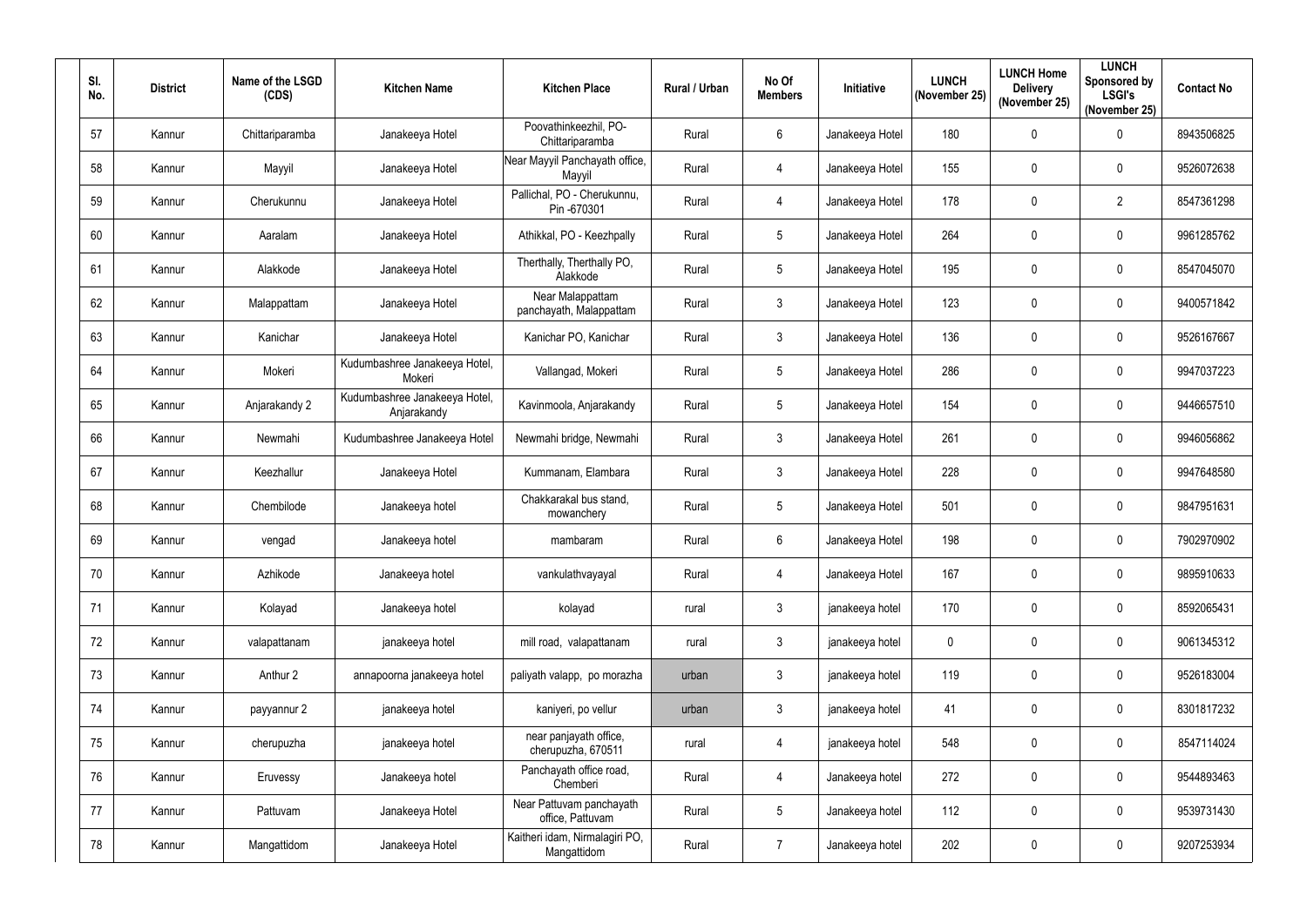| SI.<br>No. | <b>District</b> | Name of the LSGD<br>(CDS) | <b>Kitchen Name</b>                          | <b>Kitchen Place</b>                          | Rural / Urban | No Of<br><b>Members</b> | Initiative      | <b>LUNCH</b><br>(November 25) | <b>LUNCH Home</b><br><b>Delivery</b><br>(November 25) | <b>LUNCH</b><br>Sponsored by<br><b>LSGI's</b><br>(November 25) | <b>Contact No</b> |
|------------|-----------------|---------------------------|----------------------------------------------|-----------------------------------------------|---------------|-------------------------|-----------------|-------------------------------|-------------------------------------------------------|----------------------------------------------------------------|-------------------|
| 57         | Kannur          | Chittariparamba           | Janakeeya Hotel                              | Poovathinkeezhil, PO-<br>Chittariparamba      | Rural         | $6\phantom{.}$          | Janakeeya Hotel | 180                           | $\mathbf 0$                                           | $\mathbf 0$                                                    | 8943506825        |
| 58         | Kannur          | Mayyil                    | Janakeeya Hotel                              | Near Mayyil Panchayath office,<br>Mayyil      | Rural         | 4                       | Janakeeya Hotel | 155                           | $\mathbf 0$                                           | 0                                                              | 9526072638        |
| 59         | Kannur          | Cherukunnu                | Janakeeya Hotel                              | Pallichal, PO - Cherukunnu,<br>Pin -670301    | Rural         | 4                       | Janakeeya Hotel | 178                           | $\mathbf 0$                                           | $\overline{2}$                                                 | 8547361298        |
| 60         | Kannur          | Aaralam                   | Janakeeya Hotel                              | Athikkal, PO - Keezhpally                     | Rural         | 5                       | Janakeeya Hotel | 264                           | $\mathbf 0$                                           | $\pmb{0}$                                                      | 9961285762        |
| 61         | Kannur          | Alakkode                  | Janakeeya Hotel                              | Therthally, Therthally PO,<br>Alakkode        | Rural         | 5                       | Janakeeya Hotel | 195                           | $\mathbf 0$                                           | 0                                                              | 8547045070        |
| 62         | Kannur          | Malappattam               | Janakeeya Hotel                              | Near Malappattam<br>panchayath, Malappattam   | Rural         | $\mathbf{3}$            | Janakeeya Hotel | 123                           | $\mathbf 0$                                           | 0                                                              | 9400571842        |
| 63         | Kannur          | Kanichar                  | Janakeeya Hotel                              | Kanichar PO, Kanichar                         | Rural         | $\mathfrak{Z}$          | Janakeeya Hotel | 136                           | $\pmb{0}$                                             | 0                                                              | 9526167667        |
| 64         | Kannur          | Mokeri                    | Kudumbashree Janakeeya Hotel,<br>Mokeri      | Vallangad, Mokeri                             | Rural         | 5                       | Janakeeya Hotel | 286                           | $\boldsymbol{0}$                                      | $\pmb{0}$                                                      | 9947037223        |
| 65         | Kannur          | Anjarakandy 2             | Kudumbashree Janakeeya Hotel,<br>Anjarakandy | Kavinmoola, Anjarakandy                       | Rural         | $5\phantom{.0}$         | Janakeeya Hotel | 154                           | $\mathbf 0$                                           | 0                                                              | 9446657510        |
| 66         | Kannur          | Newmahi                   | Kudumbashree Janakeeya Hotel                 | Newmahi bridge, Newmahi                       | Rural         | 3                       | Janakeeya Hotel | 261                           | $\mathbf 0$                                           | $\pmb{0}$                                                      | 9946056862        |
| 67         | Kannur          | Keezhallur                | Janakeeya Hotel                              | Kummanam, Elambara                            | Rural         | $\mathfrak{Z}$          | Janakeeya Hotel | 228                           | $\boldsymbol{0}$                                      | $\pmb{0}$                                                      | 9947648580        |
| 68         | Kannur          | Chembilode                | Janakeeya hotel                              | Chakkarakal bus stand,<br>mowanchery          | Rural         | 5                       | Janakeeya Hotel | 501                           | $\boldsymbol{0}$                                      | 0                                                              | 9847951631        |
| 69         | Kannur          | vengad                    | Janakeeya hotel                              | mambaram                                      | Rural         | 6                       | Janakeeya Hotel | 198                           | $\mathbf 0$                                           | 0                                                              | 7902970902        |
| 70         | Kannur          | Azhikode                  | Janakeeya hotel                              | vankulathvayayal                              | Rural         | $\overline{4}$          | Janakeeya Hotel | 167                           | $\overline{0}$                                        | $\pmb{0}$                                                      | 9895910633        |
| 71         | Kannur          | Kolayad                   | Janakeeya hotel                              | kolayad                                       | rural         | $\mathfrak{Z}$          | janakeeya hotel | 170                           | $\pmb{0}$                                             | $\pmb{0}$                                                      | 8592065431        |
| 72         | Kannur          | valapattanam              | janakeeya hotel                              | mill road, valapattanam                       | rural         | $\mathbf{3}$            | janakeeya hotel | $\mathbf 0$                   | $\mathbf 0$                                           | $\pmb{0}$                                                      | 9061345312        |
| 73         | Kannur          | Anthur 2                  | annapoorna janakeeya hotel                   | paliyath valapp, po morazha                   | urban         | $\mathfrak{Z}$          | janakeeya hotel | 119                           | $\mathbf 0$                                           | $\pmb{0}$                                                      | 9526183004        |
| 74         | Kannur          | payyannur 2               | janakeeya hotel                              | kaniyeri, po vellur                           | urban         | $\mathfrak{Z}$          | janakeeya hotel | 41                            | $\mathbf 0$                                           | $\mathbf 0$                                                    | 8301817232        |
| 75         | Kannur          | cherupuzha                | janakeeya hotel                              | near panjayath office,<br>cherupuzha, 670511  | rural         | $\overline{4}$          | janakeeya hotel | 548                           | $\overline{0}$                                        | $\pmb{0}$                                                      | 8547114024        |
| 76         | Kannur          | Eruvessy                  | Janakeeya hotel                              | Panchayath office road,<br>Chemberi           | Rural         | $\overline{4}$          | Janakeeya hotel | 272                           | $\mathbf 0$                                           | $\mathbf 0$                                                    | 9544893463        |
| 77         | Kannur          | Pattuvam                  | Janakeeya Hotel                              | Near Pattuvam panchayath<br>office, Pattuvam  | Rural         | $5\phantom{.0}$         | Janakeeya hotel | 112                           | $\overline{0}$                                        | $\pmb{0}$                                                      | 9539731430        |
| 78         | Kannur          | Mangattidom               | Janakeeya Hotel                              | Kaitheri idam, Nirmalagiri PO,<br>Mangattidom | Rural         | $\overline{7}$          | Janakeeya hotel | 202                           | $\pmb{0}$                                             | $\pmb{0}$                                                      | 9207253934        |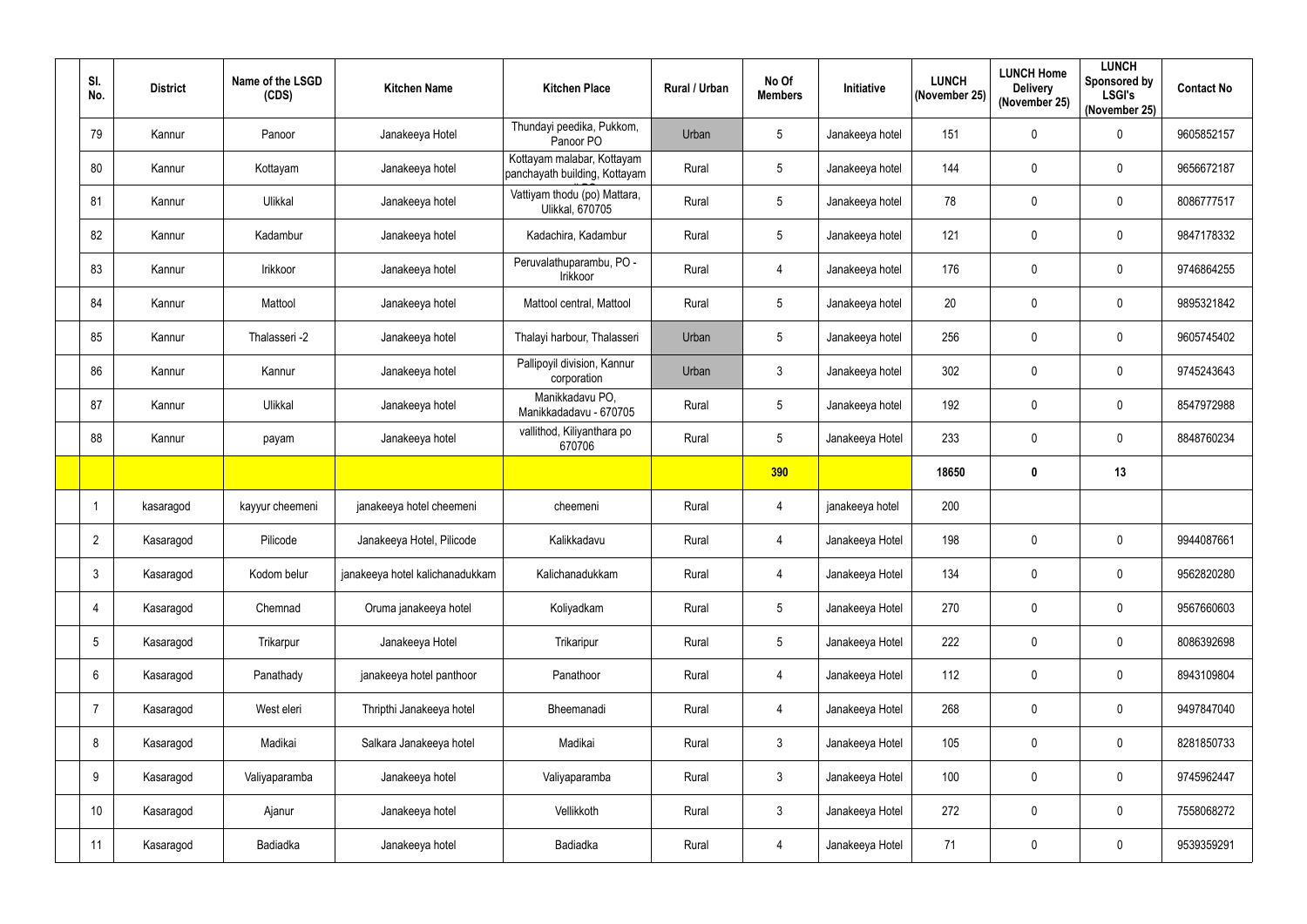| SI.<br>No.      | <b>District</b> | Name of the LSGD<br>(CDS) | <b>Kitchen Name</b>             | <b>Kitchen Place</b>                                        | Rural / Urban | No Of<br><b>Members</b> | Initiative      | <b>LUNCH</b><br>(November 25) | <b>LUNCH Home</b><br><b>Delivery</b><br>(November 25) | <b>LUNCH</b><br><b>Sponsored by</b><br><b>LSGI's</b><br>(November 25) | <b>Contact No</b> |
|-----------------|-----------------|---------------------------|---------------------------------|-------------------------------------------------------------|---------------|-------------------------|-----------------|-------------------------------|-------------------------------------------------------|-----------------------------------------------------------------------|-------------------|
| 79              | Kannur          | Panoor                    | Janakeeya Hotel                 | Thundayi peedika, Pukkom,<br>Panoor PO                      | Urban         | 5                       | Janakeeya hotel | 151                           | 0                                                     | $\pmb{0}$                                                             | 9605852157        |
| 80              | Kannur          | Kottayam                  | Janakeeya hotel                 | Kottayam malabar, Kottayam<br>panchayath building, Kottayam | Rural         | $5\phantom{.0}$         | Janakeeya hotel | 144                           | 0                                                     | $\pmb{0}$                                                             | 9656672187        |
| 81              | Kannur          | Ulikkal                   | Janakeeya hotel                 | Vattiyam thodu (po) Mattara,<br><b>Ulikkal, 670705</b>      | Rural         | $5\phantom{.0}$         | Janakeeya hotel | 78                            | 0                                                     | $\overline{0}$                                                        | 8086777517        |
| 82              | Kannur          | Kadambur                  | Janakeeya hotel                 | Kadachira, Kadambur                                         | Rural         | $5\phantom{.0}$         | Janakeeya hotel | 121                           | 0                                                     | $\boldsymbol{0}$                                                      | 9847178332        |
| 83              | Kannur          | Irikkoor                  | Janakeeya hotel                 | Peruvalathuparambu, PO -<br>Irikkoor                        | Rural         | 4                       | Janakeeya hotel | 176                           | 0                                                     | $\boldsymbol{0}$                                                      | 9746864255        |
| 84              | Kannur          | Mattool                   | Janakeeya hotel                 | Mattool central, Mattool                                    | Rural         | $5\phantom{.0}$         | Janakeeya hotel | 20                            | 0                                                     | $\boldsymbol{0}$                                                      | 9895321842        |
| 85              | Kannur          | Thalasseri -2             | Janakeeya hotel                 | Thalayi harbour, Thalasseri                                 | Urban         | $\sqrt{5}$              | Janakeeya hotel | 256                           | 0                                                     | $\boldsymbol{0}$                                                      | 9605745402        |
| 86              | Kannur          | Kannur                    | Janakeeya hotel                 | Pallipoyil division, Kannur<br>corporation                  | Urban         | $\mathfrak{Z}$          | Janakeeya hotel | 302                           | 0                                                     | $\pmb{0}$                                                             | 9745243643        |
| 87              | Kannur          | Ulikkal                   | Janakeeya hotel                 | Manikkadavu PO,<br>Manikkadadavu - 670705                   | Rural         | $5\phantom{.0}$         | Janakeeya hotel | 192                           | 0                                                     | $\boldsymbol{0}$                                                      | 8547972988        |
| 88              | Kannur          | payam                     | Janakeeya hotel                 | vallithod, Kiliyanthara po<br>670706                        | Rural         | 5                       | Janakeeya Hotel | 233                           | 0                                                     | $\mathbf 0$                                                           | 8848760234        |
|                 |                 |                           |                                 |                                                             |               | <b>390</b>              |                 | 18650                         | $\boldsymbol{0}$                                      | 13                                                                    |                   |
|                 | kasaragod       | kayyur cheemeni           | janakeeya hotel cheemeni        | cheemeni                                                    | Rural         | 4                       | janakeeya hotel | 200                           |                                                       |                                                                       |                   |
| $\overline{2}$  | Kasaragod       | Pilicode                  | Janakeeya Hotel, Pilicode       | Kalikkadavu                                                 | Rural         | 4                       | Janakeeya Hotel | 198                           | 0                                                     | 0                                                                     | 9944087661        |
| $\mathbf{3}$    | Kasaragod       | Kodom belur               | janakeeya hotel kalichanadukkam | Kalichanadukkam                                             | Rural         | 4                       | Janakeeya Hotel | 134                           | 0                                                     | $\overline{0}$                                                        | 9562820280        |
| $\overline{4}$  | Kasaragod       | Chemnad                   | Oruma janakeeya hotel           | Koliyadkam                                                  | Rural         | $\sqrt{5}$              | Janakeeya Hotel | 270                           | 0                                                     | $\pmb{0}$                                                             | 9567660603        |
| $5\phantom{.0}$ | Kasaragod       | Trikarpur                 | Janakeeya Hotel                 | Trikaripur                                                  | Rural         | $5\phantom{.0}$         | Janakeeya Hotel | 222                           | 0                                                     | $\mathbf 0$                                                           | 8086392698        |
| $6\phantom{.}6$ | Kasaragod       | Panathady                 | janakeeya hotel panthoor        | Panathoor                                                   | Rural         | 4                       | Janakeeya Hotel | 112                           | 0                                                     | $\overline{0}$                                                        | 8943109804        |
| 7               | Kasaragod       | West eleri                | Thripthi Janakeeya hotel        | Bheemanadi                                                  | Rural         | $\overline{4}$          | Janakeeya Hotel | 268                           | 0                                                     | $\overline{0}$                                                        | 9497847040        |
| 8               | Kasaragod       | Madikai                   | Salkara Janakeeya hotel         | Madikai                                                     | Rural         | $\mathbf{3}$            | Janakeeya Hotel | 105                           | 0                                                     | $\mathbf 0$                                                           | 8281850733        |
| 9               | Kasaragod       | Valiyaparamba             | Janakeeya hotel                 | Valiyaparamba                                               | Rural         | $\mathfrak{Z}$          | Janakeeya Hotel | 100                           | 0                                                     | $\mathbf 0$                                                           | 9745962447        |
| 10              | Kasaragod       | Ajanur                    | Janakeeya hotel                 | Vellikkoth                                                  | Rural         | $\mathbf{3}$            | Janakeeya Hotel | 272                           | 0                                                     | $\pmb{0}$                                                             | 7558068272        |
| 11              | Kasaragod       | Badiadka                  | Janakeeya hotel                 | <b>Badiadka</b>                                             | Rural         | 4                       | Janakeeya Hotel | 71                            | 0                                                     | $\pmb{0}$                                                             | 9539359291        |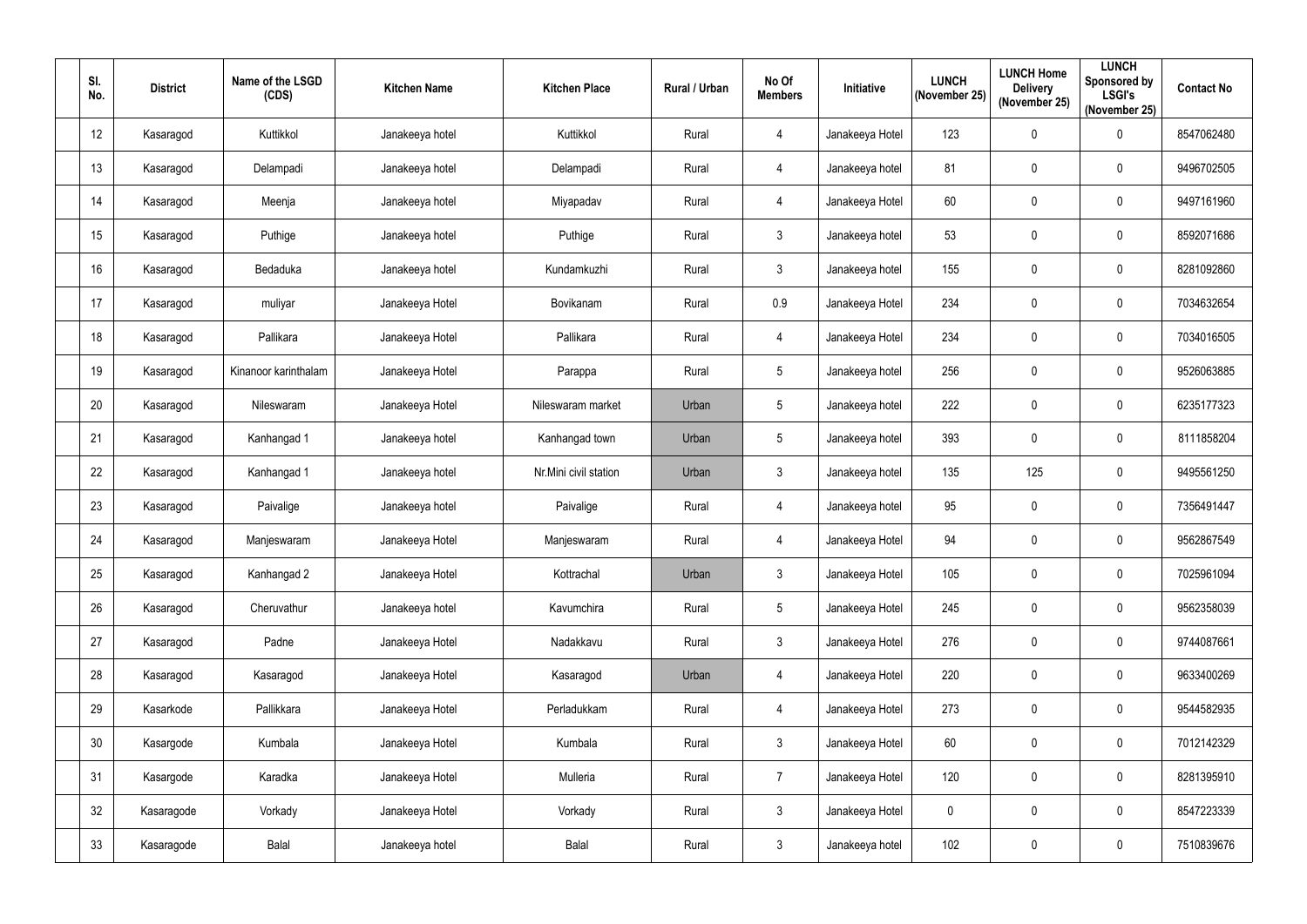| SI.<br>No. | <b>District</b> | Name of the LSGD<br>(CDS) | <b>Kitchen Name</b> | <b>Kitchen Place</b>  | Rural / Urban | No Of<br><b>Members</b> | Initiative      | <b>LUNCH</b><br>(November 25) | <b>LUNCH Home</b><br><b>Delivery</b><br>(November 25) | <b>LUNCH</b><br>Sponsored by<br><b>LSGI's</b><br>(November 25) | <b>Contact No</b> |
|------------|-----------------|---------------------------|---------------------|-----------------------|---------------|-------------------------|-----------------|-------------------------------|-------------------------------------------------------|----------------------------------------------------------------|-------------------|
| 12         | Kasaragod       | Kuttikkol                 | Janakeeya hotel     | Kuttikkol             | Rural         | 4                       | Janakeeya Hotel | 123                           | $\mathbf 0$                                           | $\pmb{0}$                                                      | 8547062480        |
| 13         | Kasaragod       | Delampadi                 | Janakeeya hotel     | Delampadi             | Rural         | 4                       | Janakeeya hotel | 81                            | 0                                                     | $\pmb{0}$                                                      | 9496702505        |
| 14         | Kasaragod       | Meenja                    | Janakeeya hotel     | Miyapadav             | Rural         | 4                       | Janakeeya Hotel | 60                            | $\mathbf 0$                                           | $\pmb{0}$                                                      | 9497161960        |
| 15         | Kasaragod       | Puthige                   | Janakeeya hotel     | Puthige               | Rural         | $\mathfrak{Z}$          | Janakeeya hotel | 53                            | $\mathbf 0$                                           | $\pmb{0}$                                                      | 8592071686        |
| 16         | Kasaragod       | Bedaduka                  | Janakeeya hotel     | Kundamkuzhi           | Rural         | $\mathfrak{Z}$          | Janakeeya hotel | 155                           | $\pmb{0}$                                             | $\pmb{0}$                                                      | 8281092860        |
| 17         | Kasaragod       | muliyar                   | Janakeeya Hotel     | Bovikanam             | Rural         | 0.9                     | Janakeeya Hotel | 234                           | $\mathbf 0$                                           | $\pmb{0}$                                                      | 7034632654        |
| 18         | Kasaragod       | Pallikara                 | Janakeeya Hotel     | Pallikara             | Rural         | 4                       | Janakeeya Hotel | 234                           | $\mathbf 0$                                           | $\pmb{0}$                                                      | 7034016505        |
| 19         | Kasaragod       | Kinanoor karinthalam      | Janakeeya Hotel     | Parappa               | Rural         | $5\phantom{.0}$         | Janakeeya hotel | 256                           | $\mathbf 0$                                           | $\pmb{0}$                                                      | 9526063885        |
| 20         | Kasaragod       | Nileswaram                | Janakeeya Hotel     | Nileswaram market     | Urban         | $5\phantom{.0}$         | Janakeeya hotel | 222                           | $\mathbf 0$                                           | $\pmb{0}$                                                      | 6235177323        |
| 21         | Kasaragod       | Kanhangad 1               | Janakeeya hotel     | Kanhangad town        | Urban         | $5\phantom{.0}$         | Janakeeya hotel | 393                           | $\mathbf 0$                                           | $\pmb{0}$                                                      | 8111858204        |
| 22         | Kasaragod       | Kanhangad 1               | Janakeeya hotel     | Nr.Mini civil station | Urban         | 3                       | Janakeeya hotel | 135                           | 125                                                   | $\pmb{0}$                                                      | 9495561250        |
| 23         | Kasaragod       | Paivalige                 | Janakeeya hotel     | Paivalige             | Rural         | 4                       | Janakeeya hotel | 95                            | $\mathbf 0$                                           | $\pmb{0}$                                                      | 7356491447        |
| 24         | Kasaragod       | Manjeswaram               | Janakeeya Hotel     | Manjeswaram           | Rural         | 4                       | Janakeeya Hotel | 94                            | $\mathbf 0$                                           | $\mathbf 0$                                                    | 9562867549        |
| 25         | Kasaragod       | Kanhangad 2               | Janakeeya Hotel     | Kottrachal            | Urban         | $\mathbf{3}$            | Janakeeya Hotel | 105                           | $\mathbf 0$                                           | $\pmb{0}$                                                      | 7025961094        |
| 26         | Kasaragod       | Cheruvathur               | Janakeeya hotel     | Kavumchira            | Rural         | $5\phantom{.0}$         | Janakeeya Hotel | 245                           | $\mathbf 0$                                           | $\pmb{0}$                                                      | 9562358039        |
| 27         | Kasaragod       | Padne                     | Janakeeya Hotel     | Nadakkavu             | Rural         | $\mathfrak{Z}$          | Janakeeya Hotel | 276                           | $\mathbf 0$                                           | $\mathbf 0$                                                    | 9744087661        |
| 28         | Kasaragod       | Kasaragod                 | Janakeeya Hotel     | Kasaragod             | Urban         | 4                       | Janakeeya Hotel | 220                           | $\mathbf 0$                                           | $\pmb{0}$                                                      | 9633400269        |
| 29         | Kasarkode       | Pallikkara                | Janakeeya Hotel     | Perladukkam           | Rural         | 4                       | Janakeeya Hotel | 273                           | $\mathbf 0$                                           | $\mathbf 0$                                                    | 9544582935        |
| 30         | Kasargode       | Kumbala                   | Janakeeya Hotel     | Kumbala               | Rural         | $\mathfrak{Z}$          | Janakeeya Hotel | 60                            | $\mathbf 0$                                           | $\mathbf 0$                                                    | 7012142329        |
| 31         | Kasargode       | Karadka                   | Janakeeya Hotel     | Mulleria              | Rural         | $\overline{7}$          | Janakeeya Hotel | 120                           | $\mathbf 0$                                           | $\mathbf 0$                                                    | 8281395910        |
| 32         | Kasaragode      | Vorkady                   | Janakeeya Hotel     | Vorkady               | Rural         | $\mathfrak{Z}$          | Janakeeya Hotel | $\mathbf{0}$                  | $\mathbf 0$                                           | $\mathbf 0$                                                    | 8547223339        |
| 33         | Kasaragode      | Balal                     | Janakeeya hotel     | Balal                 | Rural         | $\mathfrak{Z}$          | Janakeeya hotel | 102                           | $\mathbf 0$                                           | $\pmb{0}$                                                      | 7510839676        |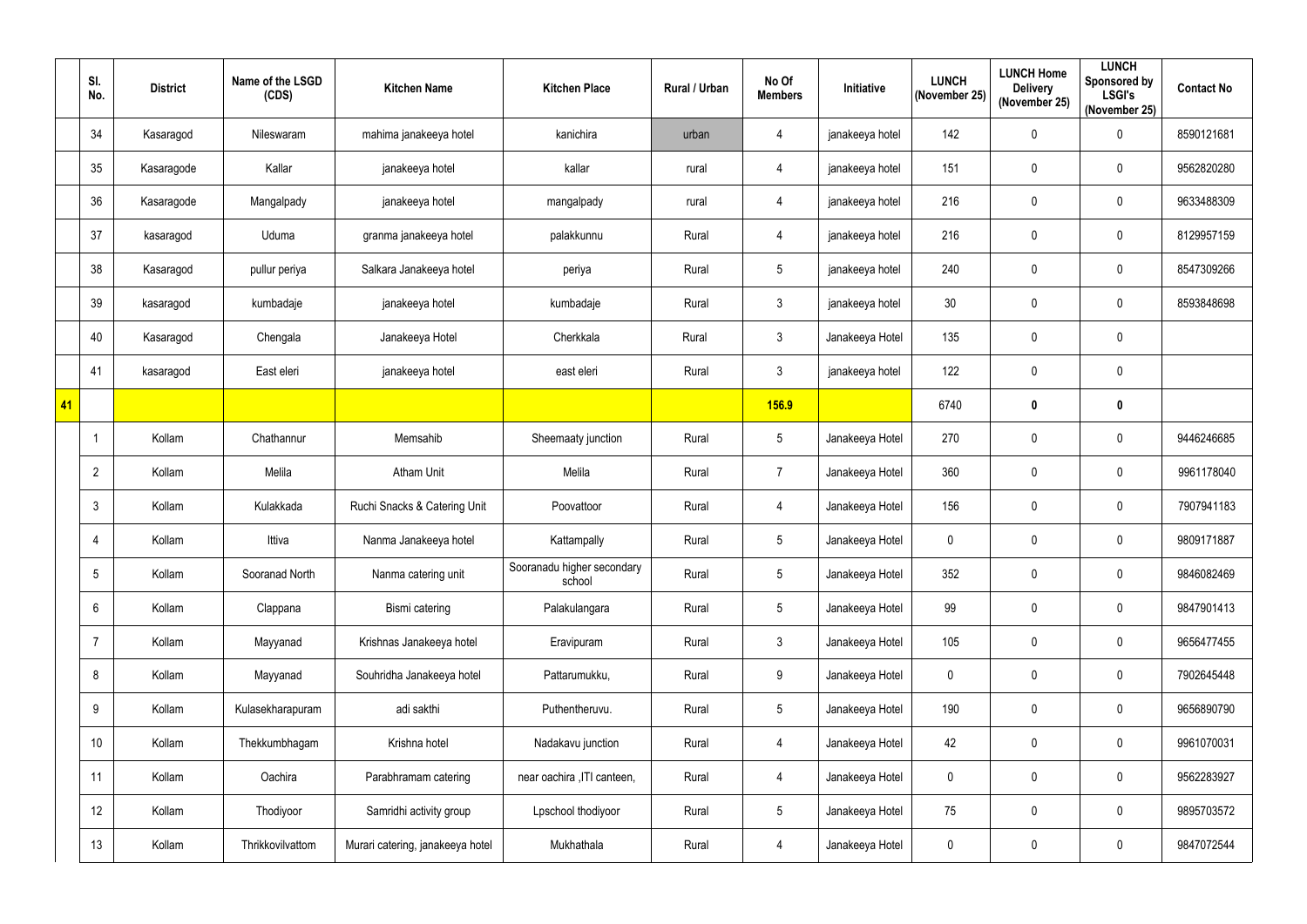|    | SI.<br>No.      | <b>District</b> | Name of the LSGD<br>(CDS) | <b>Kitchen Name</b>              | <b>Kitchen Place</b>                 | Rural / Urban | No Of<br><b>Members</b> | Initiative      | <b>LUNCH</b><br>(November 25) | <b>LUNCH Home</b><br><b>Delivery</b><br>(November 25) | <b>LUNCH</b><br>Sponsored by<br><b>LSGI's</b><br>(November 25) | <b>Contact No</b> |
|----|-----------------|-----------------|---------------------------|----------------------------------|--------------------------------------|---------------|-------------------------|-----------------|-------------------------------|-------------------------------------------------------|----------------------------------------------------------------|-------------------|
|    | 34              | Kasaragod       | Nileswaram                | mahima janakeeya hotel           | kanichira                            | urban         | 4                       | janakeeya hotel | 142                           | $\mathbf 0$                                           | $\pmb{0}$                                                      | 8590121681        |
|    | 35              | Kasaragode      | Kallar                    | janakeeya hotel                  | kallar                               | rural         | 4                       | janakeeya hotel | 151                           | $\pmb{0}$                                             | $\pmb{0}$                                                      | 9562820280        |
|    | 36              | Kasaragode      | Mangalpady                | janakeeya hotel                  | mangalpady                           | rural         | 4                       | janakeeya hotel | 216                           | $\mathbf 0$                                           | $\pmb{0}$                                                      | 9633488309        |
|    | 37              | kasaragod       | Uduma                     | granma janakeeya hotel           | palakkunnu                           | Rural         | $\overline{4}$          | janakeeya hotel | 216                           | $\boldsymbol{0}$                                      | $\pmb{0}$                                                      | 8129957159        |
|    | 38              | Kasaragod       | pullur periya             | Salkara Janakeeya hotel          | periya                               | Rural         | 5 <sup>5</sup>          | janakeeya hotel | 240                           | $\boldsymbol{0}$                                      | $\pmb{0}$                                                      | 8547309266        |
|    | 39              | kasaragod       | kumbadaje                 | janakeeya hotel                  | kumbadaje                            | Rural         | $\mathfrak{Z}$          | janakeeya hotel | 30 <sub>o</sub>               | $\mathbf 0$                                           | $\pmb{0}$                                                      | 8593848698        |
|    | 40              | Kasaragod       | Chengala                  | Janakeeya Hotel                  | Cherkkala                            | Rural         | $3\overline{3}$         | Janakeeya Hotel | 135                           | $\mathbf 0$                                           | $\mathbf 0$                                                    |                   |
|    | 41              | kasaragod       | East eleri                | janakeeya hotel                  | east eleri                           | Rural         | $\mathfrak{Z}$          | janakeeya hotel | 122                           | $\mathbf 0$                                           | $\pmb{0}$                                                      |                   |
| 41 |                 |                 |                           |                                  |                                      |               | <b>156.9</b>            |                 | 6740                          | $\boldsymbol{0}$                                      | $\boldsymbol{0}$                                               |                   |
|    |                 | Kollam          | Chathannur                | Memsahib                         | Sheemaaty junction                   | Rural         | $5\phantom{.0}$         | Janakeeya Hotel | 270                           | $\mathbf 0$                                           | $\mathbf 0$                                                    | 9446246685        |
|    | $\overline{2}$  | Kollam          | Melila                    | <b>Atham Unit</b>                | Melila                               | Rural         | $\overline{7}$          | Janakeeya Hotel | 360                           | $\boldsymbol{0}$                                      | $\pmb{0}$                                                      | 9961178040        |
|    | 3               | Kollam          | Kulakkada                 | Ruchi Snacks & Catering Unit     | Poovattoor                           | Rural         | 4                       | Janakeeya Hotel | 156                           | $\mathbf 0$                                           | $\pmb{0}$                                                      | 7907941183        |
|    | 4               | Kollam          | Ittiva                    | Nanma Janakeeya hotel            | Kattampally                          | Rural         | 5                       | Janakeeya Hotel | $\mathbf 0$                   | $\mathbf 0$                                           | $\mathbf 0$                                                    | 9809171887        |
|    | $5\phantom{.0}$ | Kollam          | Sooranad North            | Nanma catering unit              | Sooranadu higher secondary<br>school | Rural         | $5\phantom{.0}$         | Janakeeya Hotel | 352                           | $\mathbf 0$                                           | $\pmb{0}$                                                      | 9846082469        |
|    | $6\phantom{.}$  | Kollam          | Clappana                  | Bismi catering                   | Palakulangara                        | Rural         | $5\phantom{.0}$         | Janakeeya Hotel | 99                            | $\mathbf 0$                                           | $\pmb{0}$                                                      | 9847901413        |
|    | $\overline{7}$  | Kollam          | Mayyanad                  | Krishnas Janakeeya hotel         | Eravipuram                           | Rural         | $\mathfrak{Z}$          | Janakeeya Hotel | 105                           | $\mathbf 0$                                           | $\mathbf 0$                                                    | 9656477455        |
|    | 8               | Kollam          | Mayyanad                  | Souhridha Janakeeya hotel        | Pattarumukku,                        | Rural         | 9                       | Janakeeya Hotel | $\mathbf 0$                   | $\mathbf 0$                                           | $\mathbf 0$                                                    | 7902645448        |
|    | 9               | Kollam          | Kulasekharapuram          | adi sakthi                       | Puthentheruvu.                       | Rural         | $5\phantom{.0}$         | Janakeeya Hotel | 190                           | $\mathbf 0$                                           | $\mathbf 0$                                                    | 9656890790        |
|    | 10 <sup>°</sup> | Kollam          | Thekkumbhagam             | Krishna hotel                    | Nadakavu junction                    | Rural         | $\overline{4}$          | Janakeeya Hotel | 42                            | $\mathbf 0$                                           | $\pmb{0}$                                                      | 9961070031        |
|    | 11              | Kollam          | Oachira                   | Parabhramam catering             | near oachira , ITI canteen,          | Rural         | $\overline{4}$          | Janakeeya Hotel | $\mathbf 0$                   | $\mathbf 0$                                           | $\pmb{0}$                                                      | 9562283927        |
|    | 12              | Kollam          | Thodiyoor                 | Samridhi activity group          | Lpschool thodiyoor                   | Rural         | $5\phantom{.0}$         | Janakeeya Hotel | 75                            | $\mathbf 0$                                           | $\pmb{0}$                                                      | 9895703572        |
|    | 13              | Kollam          | Thrikkovilvattom          | Murari catering, janakeeya hotel | Mukhathala                           | Rural         | 4                       | Janakeeya Hotel | $\mathbf{0}$                  | $\boldsymbol{0}$                                      | $\pmb{0}$                                                      | 9847072544        |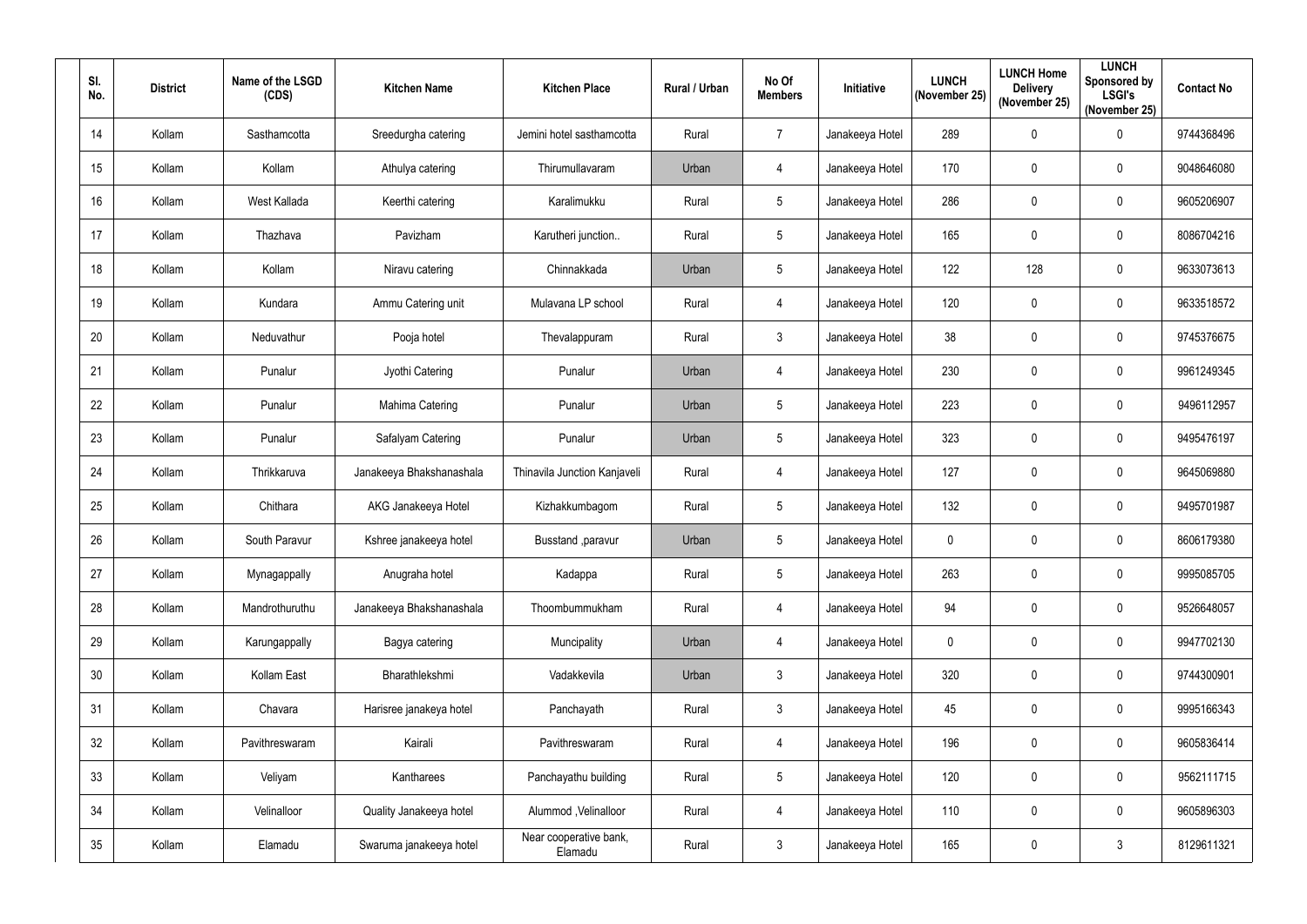| SI.<br>No. | <b>District</b> | Name of the LSGD<br>(CDS) | <b>Kitchen Name</b>      | <b>Kitchen Place</b>              | Rural / Urban | No Of<br><b>Members</b> | Initiative      | <b>LUNCH</b><br>(November 25) | <b>LUNCH Home</b><br><b>Delivery</b><br>(November 25) | <b>LUNCH</b><br>Sponsored by<br><b>LSGI's</b><br>(November 25) | <b>Contact No</b> |
|------------|-----------------|---------------------------|--------------------------|-----------------------------------|---------------|-------------------------|-----------------|-------------------------------|-------------------------------------------------------|----------------------------------------------------------------|-------------------|
| 14         | Kollam          | Sasthamcotta              | Sreedurgha catering      | Jemini hotel sasthamcotta         | Rural         | $\overline{7}$          | Janakeeya Hotel | 289                           | $\mathbf 0$                                           | 0                                                              | 9744368496        |
| 15         | Kollam          | Kollam                    | Athulya catering         | Thirumullavaram                   | Urban         | $\overline{4}$          | Janakeeya Hotel | 170                           | $\mathbf 0$                                           | 0                                                              | 9048646080        |
| 16         | Kollam          | West Kallada              | Keerthi catering         | Karalimukku                       | Rural         | 5                       | Janakeeya Hotel | 286                           | $\mathbf 0$                                           | 0                                                              | 9605206907        |
| 17         | Kollam          | Thazhava                  | Pavizham                 | Karutheri junction                | Rural         | 5                       | Janakeeya Hotel | 165                           | $\boldsymbol{0}$                                      | 0                                                              | 8086704216        |
| 18         | Kollam          | Kollam                    | Niravu catering          | Chinnakkada                       | Urban         | 5                       | Janakeeya Hotel | 122                           | 128                                                   | 0                                                              | 9633073613        |
| 19         | Kollam          | Kundara                   | Ammu Catering unit       | Mulavana LP school                | Rural         | $\overline{4}$          | Janakeeya Hotel | 120                           | $\boldsymbol{0}$                                      | 0                                                              | 9633518572        |
| 20         | Kollam          | Neduvathur                | Pooja hotel              | Thevalappuram                     | Rural         | $\mathbf{3}$            | Janakeeya Hotel | 38                            | $\boldsymbol{0}$                                      | 0                                                              | 9745376675        |
| 21         | Kollam          | Punalur                   | Jyothi Catering          | Punalur                           | Urban         | $\overline{4}$          | Janakeeya Hotel | 230                           | $\mathbf 0$                                           | 0                                                              | 9961249345        |
| 22         | Kollam          | Punalur                   | Mahima Catering          | Punalur                           | Urban         | 5                       | Janakeeya Hotel | 223                           | $\boldsymbol{0}$                                      | 0                                                              | 9496112957        |
| 23         | Kollam          | Punalur                   | Safalyam Catering        | Punalur                           | Urban         | 5                       | Janakeeya Hotel | 323                           | $\mathbf 0$                                           | 0                                                              | 9495476197        |
| 24         | Kollam          | Thrikkaruva               | Janakeeya Bhakshanashala | Thinavila Junction Kanjaveli      | Rural         | $\overline{4}$          | Janakeeya Hotel | 127                           | $\boldsymbol{0}$                                      | 0                                                              | 9645069880        |
| 25         | Kollam          | Chithara                  | AKG Janakeeya Hotel      | Kizhakkumbagom                    | Rural         | 5                       | Janakeeya Hotel | 132                           | $\boldsymbol{0}$                                      | 0                                                              | 9495701987        |
| 26         | Kollam          | South Paravur             | Kshree janakeeya hotel   | Busstand , paravur                | Urban         | 5                       | Janakeeya Hotel | $\mathbf 0$                   | 0                                                     | $\mathbf 0$                                                    | 8606179380        |
| 27         | Kollam          | Mynagappally              | Anugraha hotel           | Kadappa                           | Rural         | 5                       | Janakeeya Hotel | 263                           | $\mathbf 0$                                           | 0                                                              | 9995085705        |
| 28         | Kollam          | Mandrothuruthu            | Janakeeya Bhakshanashala | Thoombummukham                    | Rural         | $\overline{4}$          | Janakeeya Hotel | 94                            | $\mathbf 0$                                           | $\pmb{0}$                                                      | 9526648057        |
| 29         | Kollam          | Karungappally             | Bagya catering           | Muncipality                       | Urban         | $\overline{4}$          | Janakeeya Hotel | $\mathbf 0$                   | $\mathbf 0$                                           | $\pmb{0}$                                                      | 9947702130        |
| 30         | Kollam          | Kollam East               | Bharathlekshmi           | Vadakkevila                       | Urban         | $\mathfrak{Z}$          | Janakeeya Hotel | 320                           | $\mathbf 0$                                           | $\mathbf 0$                                                    | 9744300901        |
| 31         | Kollam          | Chavara                   | Harisree janakeya hotel  | Panchayath                        | Rural         | $\mathfrak{Z}$          | Janakeeya Hotel | 45                            | $\mathbf 0$                                           | $\mathbf 0$                                                    | 9995166343        |
| 32         | Kollam          | Pavithreswaram            | Kairali                  | Pavithreswaram                    | Rural         | $\overline{4}$          | Janakeeya Hotel | 196                           | $\mathbf 0$                                           | $\pmb{0}$                                                      | 9605836414        |
| 33         | Kollam          | Veliyam                   | Kantharees               | Panchayathu building              | Rural         | $5\phantom{.0}$         | Janakeeya Hotel | 120                           | $\mathbf 0$                                           | $\pmb{0}$                                                      | 9562111715        |
| 34         | Kollam          | Velinalloor               | Quality Janakeeya hotel  | Alummod, Velinalloor              | Rural         | $\overline{4}$          | Janakeeya Hotel | 110                           | $\pmb{0}$                                             | $\pmb{0}$                                                      | 9605896303        |
| 35         | Kollam          | Elamadu                   | Swaruma janakeeya hotel  | Near cooperative bank,<br>Elamadu | Rural         | $\mathfrak{Z}$          | Janakeeya Hotel | 165                           | $\mathbf 0$                                           | $\mathfrak{Z}$                                                 | 8129611321        |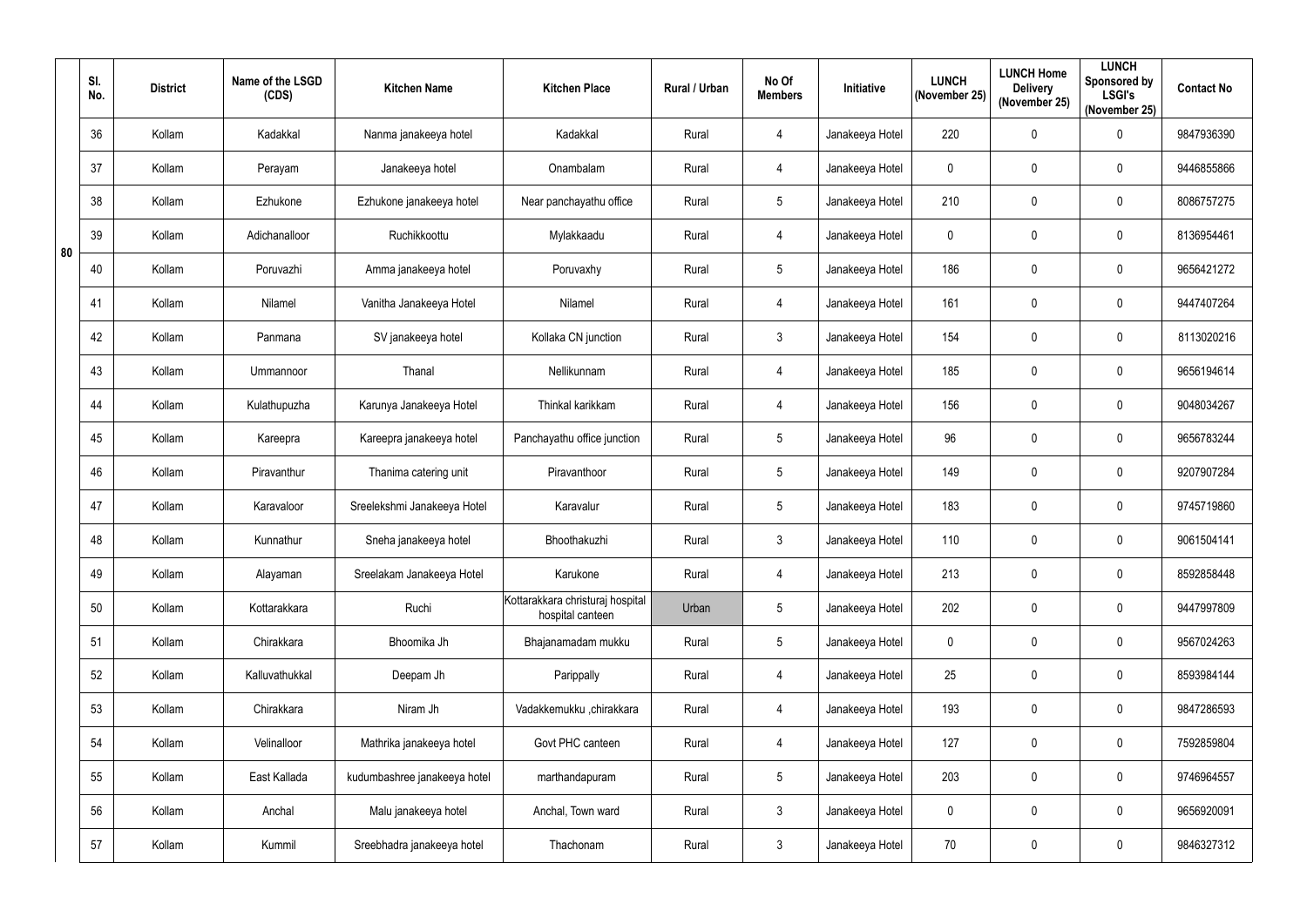|    | SI.<br>No. | <b>District</b> | Name of the LSGD<br>(CDS) | <b>Kitchen Name</b>          | <b>Kitchen Place</b>                                 | Rural / Urban | No Of<br><b>Members</b> | Initiative      | <b>LUNCH</b><br>(November 25) | <b>LUNCH Home</b><br><b>Delivery</b><br>(November 25) | <b>LUNCH</b><br>Sponsored by<br><b>LSGI's</b><br>(November 25) | <b>Contact No</b> |
|----|------------|-----------------|---------------------------|------------------------------|------------------------------------------------------|---------------|-------------------------|-----------------|-------------------------------|-------------------------------------------------------|----------------------------------------------------------------|-------------------|
|    | 36         | Kollam          | Kadakkal                  | Nanma janakeeya hotel        | Kadakkal                                             | Rural         | 4                       | Janakeeya Hotel | 220                           | $\overline{0}$                                        | $\pmb{0}$                                                      | 9847936390        |
|    | 37         | Kollam          | Perayam                   | Janakeeya hotel              | Onambalam                                            | Rural         | 4                       | Janakeeya Hotel | $\mathbf{0}$                  | $\mathbf 0$                                           | $\mathbf 0$                                                    | 9446855866        |
|    | 38         | Kollam          | Ezhukone                  | Ezhukone janakeeya hotel     | Near panchayathu office                              | Rural         | $5\phantom{.0}$         | Janakeeya Hotel | 210                           | $\mathbf 0$                                           | $\pmb{0}$                                                      | 8086757275        |
| 80 | 39         | Kollam          | Adichanalloor             | Ruchikkoottu                 | Mylakkaadu                                           | Rural         | 4                       | Janakeeya Hotel | 0                             | $\mathbf 0$                                           | $\mathbf 0$                                                    | 8136954461        |
|    | 40         | Kollam          | Poruvazhi                 | Amma janakeeya hotel         | Poruvaxhy                                            | Rural         | $5\phantom{.0}$         | Janakeeya Hotel | 186                           | $\pmb{0}$                                             | $\pmb{0}$                                                      | 9656421272        |
|    | 41         | Kollam          | Nilamel                   | Vanitha Janakeeya Hotel      | Nilamel                                              | Rural         | 4                       | Janakeeya Hotel | 161                           | $\mathbf 0$                                           | $\mathbf 0$                                                    | 9447407264        |
|    | 42         | Kollam          | Panmana                   | SV janakeeya hotel           | Kollaka CN junction                                  | Rural         | $3\overline{3}$         | Janakeeya Hotel | 154                           | $\mathbf 0$                                           | $\mathbf 0$                                                    | 8113020216        |
|    | 43         | Kollam          | Ummannoor                 | Thanal                       | Nellikunnam                                          | Rural         | 4                       | Janakeeya Hotel | 185                           | $\mathbf 0$                                           | $\pmb{0}$                                                      | 9656194614        |
|    | 44         | Kollam          | Kulathupuzha              | Karunya Janakeeya Hotel      | Thinkal karikkam                                     | Rural         | 4                       | Janakeeya Hotel | 156                           | $\mathbf 0$                                           | $\mathbf 0$                                                    | 9048034267        |
|    | 45         | Kollam          | Kareepra                  | Kareepra janakeeya hotel     | Panchayathu office junction                          | Rural         | $5\phantom{.0}$         | Janakeeya Hotel | 96                            | $\mathbf 0$                                           | $\pmb{0}$                                                      | 9656783244        |
|    | 46         | Kollam          | Piravanthur               | Thanima catering unit        | Piravanthoor                                         | Rural         | $5\phantom{.0}$         | Janakeeya Hotel | 149                           | $\overline{0}$                                        | $\pmb{0}$                                                      | 9207907284        |
|    | 47         | Kollam          | Karavaloor                | Sreelekshmi Janakeeya Hotel  | Karavalur                                            | Rural         | 5 <sup>5</sup>          | Janakeeya Hotel | 183                           | $\mathbf 0$                                           | $\mathbf 0$                                                    | 9745719860        |
|    | 48         | Kollam          | Kunnathur                 | Sneha janakeeya hotel        | Bhoothakuzhi                                         | Rural         | $\mathfrak{Z}$          | Janakeeya Hotel | 110                           | $\mathbf 0$                                           | 0                                                              | 9061504141        |
|    | 49         | Kollam          | Alayaman                  | Sreelakam Janakeeya Hotel    | Karukone                                             | Rural         | $\overline{4}$          | Janakeeya Hotel | 213                           | $\overline{0}$                                        | $\pmb{0}$                                                      | 8592858448        |
|    | 50         | Kollam          | Kottarakkara              | Ruchi                        | Kottarakkara christuraj hospital<br>hospital canteen | Urban         | $5\phantom{.0}$         | Janakeeya Hotel | 202                           | $\mathbf 0$                                           | $\pmb{0}$                                                      | 9447997809        |
|    | 51         | Kollam          | Chirakkara                | Bhoomika Jh                  | Bhajanamadam mukku                                   | Rural         | $5\phantom{.0}$         | Janakeeya Hotel | $\mathbf 0$                   | $\overline{0}$                                        | $\pmb{0}$                                                      | 9567024263        |
|    | 52         | Kollam          | Kalluvathukkal            | Deepam Jh                    | Parippally                                           | Rural         | $\overline{4}$          | Janakeeya Hotel | 25                            | $\mathbf 0$                                           | $\pmb{0}$                                                      | 8593984144        |
|    | 53         | Kollam          | Chirakkara                | Niram Jh                     | Vadakkemukku ,chirakkara                             | Rural         | $\overline{4}$          | Janakeeya Hotel | 193                           | $\overline{0}$                                        | $\mathbf 0$                                                    | 9847286593        |
|    | 54         | Kollam          | Velinalloor               | Mathrika janakeeya hotel     | Govt PHC canteen                                     | Rural         | 4                       | Janakeeya Hotel | 127                           | $\overline{0}$                                        | $\mathbf 0$                                                    | 7592859804        |
|    | 55         | Kollam          | East Kallada              | kudumbashree janakeeya hotel | marthandapuram                                       | Rural         | $5\phantom{.0}$         | Janakeeya Hotel | 203                           | $\overline{0}$                                        | $\mathbf 0$                                                    | 9746964557        |
|    | 56         | Kollam          | Anchal                    | Malu janakeeya hotel         | Anchal, Town ward                                    | Rural         | $\mathfrak{Z}$          | Janakeeya Hotel | $\mathbf 0$                   | $\overline{0}$                                        | $\pmb{0}$                                                      | 9656920091        |
|    | 57         | Kollam          | Kummil                    | Sreebhadra janakeeya hotel   | Thachonam                                            | Rural         | $\mathfrak{Z}$          | Janakeeya Hotel | 70                            | $\mathbf 0$                                           | $\pmb{0}$                                                      | 9846327312        |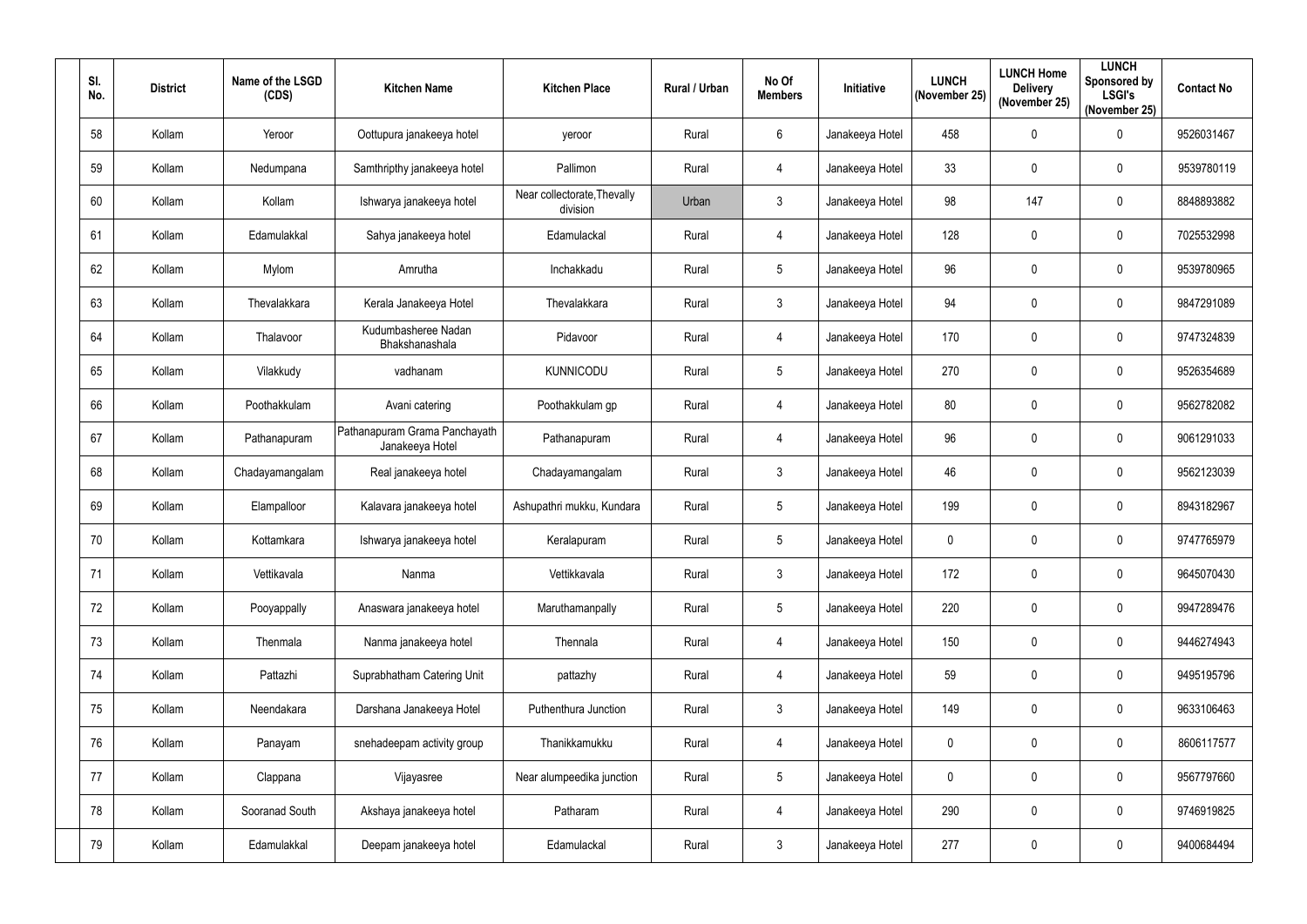| SI.<br>No. | <b>District</b> | Name of the LSGD<br>(CDS) | <b>Kitchen Name</b>                              | <b>Kitchen Place</b>                    | Rural / Urban | No Of<br><b>Members</b> | Initiative      | <b>LUNCH</b><br>(November 25) | <b>LUNCH Home</b><br><b>Delivery</b><br>(November 25) | <b>LUNCH</b><br>Sponsored by<br><b>LSGI's</b><br>(November 25) | <b>Contact No</b> |
|------------|-----------------|---------------------------|--------------------------------------------------|-----------------------------------------|---------------|-------------------------|-----------------|-------------------------------|-------------------------------------------------------|----------------------------------------------------------------|-------------------|
| 58         | Kollam          | Yeroor                    | Oottupura janakeeya hotel                        | yeroor                                  | Rural         | 6                       | Janakeeya Hotel | 458                           | $\mathbf 0$                                           | $\pmb{0}$                                                      | 9526031467        |
| 59         | Kollam          | Nedumpana                 | Samthripthy janakeeya hotel                      | Pallimon                                | Rural         | 4                       | Janakeeya Hotel | 33                            | 0                                                     | $\pmb{0}$                                                      | 9539780119        |
| 60         | Kollam          | Kollam                    | Ishwarya janakeeya hotel                         | Near collectorate, Thevally<br>division | Urban         | $3\overline{3}$         | Janakeeya Hotel | 98                            | 147                                                   | $\pmb{0}$                                                      | 8848893882        |
| 61         | Kollam          | Edamulakkal               | Sahya janakeeya hotel                            | Edamulackal                             | Rural         | $\overline{4}$          | Janakeeya Hotel | 128                           | $\mathbf 0$                                           | $\mathbf 0$                                                    | 7025532998        |
| 62         | Kollam          | Mylom                     | Amrutha                                          | Inchakkadu                              | Rural         | $5\phantom{.0}$         | Janakeeya Hotel | 96                            | $\pmb{0}$                                             | $\pmb{0}$                                                      | 9539780965        |
| 63         | Kollam          | Thevalakkara              | Kerala Janakeeya Hotel                           | Thevalakkara                            | Rural         | $\mathfrak{Z}$          | Janakeeya Hotel | 94                            | $\mathbf 0$                                           | $\mathbf 0$                                                    | 9847291089        |
| 64         | Kollam          | Thalavoor                 | Kudumbasheree Nadan<br>Bhakshanashala            | Pidavoor                                | Rural         | $\overline{4}$          | Janakeeya Hotel | 170                           | $\mathbf 0$                                           | $\mathbf 0$                                                    | 9747324839        |
| 65         | Kollam          | Vilakkudy                 | vadhanam                                         | <b>KUNNICODU</b>                        | Rural         | 5                       | Janakeeya Hotel | 270                           | $\mathbf 0$                                           | $\pmb{0}$                                                      | 9526354689        |
| 66         | Kollam          | Poothakkulam              | Avani catering                                   | Poothakkulam gp                         | Rural         | 4                       | Janakeeya Hotel | 80                            | 0                                                     | $\mathbf 0$                                                    | 9562782082        |
| 67         | Kollam          | Pathanapuram              | Pathanapuram Grama Panchayath<br>Janakeeya Hotel | Pathanapuram                            | Rural         | $\overline{4}$          | Janakeeya Hotel | 96                            | $\mathbf 0$                                           | $\pmb{0}$                                                      | 9061291033        |
| 68         | Kollam          | Chadayamangalam           | Real janakeeya hotel                             | Chadayamangalam                         | Rural         | $\mathbf{3}$            | Janakeeya Hotel | 46                            | $\mathbf 0$                                           | $\mathbf 0$                                                    | 9562123039        |
| 69         | Kollam          | Elampalloor               | Kalavara janakeeya hotel                         | Ashupathri mukku, Kundara               | Rural         | $5\phantom{.0}$         | Janakeeya Hotel | 199                           | $\pmb{0}$                                             | $\mathbf 0$                                                    | 8943182967        |
| 70         | Kollam          | Kottamkara                | Ishwarya janakeeya hotel                         | Keralapuram                             | Rural         | 5                       | Janakeeya Hotel | 0                             | 0                                                     | 0                                                              | 9747765979        |
| 71         | Kollam          | Vettikavala               | Nanma                                            | Vettikkavala                            | Rural         | $\mathfrak{Z}$          | Janakeeya Hotel | 172                           | $\mathbf 0$                                           | $\pmb{0}$                                                      | 9645070430        |
| 72         | Kollam          | Pooyappally               | Anaswara janakeeya hotel                         | Maruthamanpally                         | Rural         | $5\phantom{.0}$         | Janakeeya Hotel | 220                           | $\mathbf 0$                                           | $\pmb{0}$                                                      | 9947289476        |
| 73         | Kollam          | Thenmala                  | Nanma janakeeya hotel                            | Thennala                                | Rural         | 4                       | Janakeeya Hotel | 150                           | $\mathbf 0$                                           | $\pmb{0}$                                                      | 9446274943        |
| 74         | Kollam          | Pattazhi                  | Suprabhatham Catering Unit                       | pattazhy                                | Rural         | $\overline{4}$          | Janakeeya Hotel | 59                            | $\mathbf 0$                                           | $\mathbf 0$                                                    | 9495195796        |
| 75         | Kollam          | Neendakara                | Darshana Janakeeya Hotel                         | Puthenthura Junction                    | Rural         | $\mathfrak{Z}$          | Janakeeya Hotel | 149                           | $\mathbf 0$                                           | $\boldsymbol{0}$                                               | 9633106463        |
| 76         | Kollam          | Panayam                   | snehadeepam activity group                       | Thanikkamukku                           | Rural         | $\overline{4}$          | Janakeeya Hotel | 0                             | $\mathsf{0}$                                          | $\pmb{0}$                                                      | 8606117577        |
| 77         | Kollam          | Clappana                  | Vijayasree                                       | Near alumpeedika junction               | Rural         | $5\phantom{.0}$         | Janakeeya Hotel | 0                             | $\mathbf 0$                                           | $\pmb{0}$                                                      | 9567797660        |
| 78         | Kollam          | Sooranad South            | Akshaya janakeeya hotel                          | Patharam                                | Rural         | $\overline{4}$          | Janakeeya Hotel | 290                           | $\mathbf 0$                                           | $\mathbf 0$                                                    | 9746919825        |
| 79         | Kollam          | Edamulakkal               | Deepam janakeeya hotel                           | Edamulackal                             | Rural         | $\mathfrak{Z}$          | Janakeeya Hotel | 277                           | $\mathbf 0$                                           | $\pmb{0}$                                                      | 9400684494        |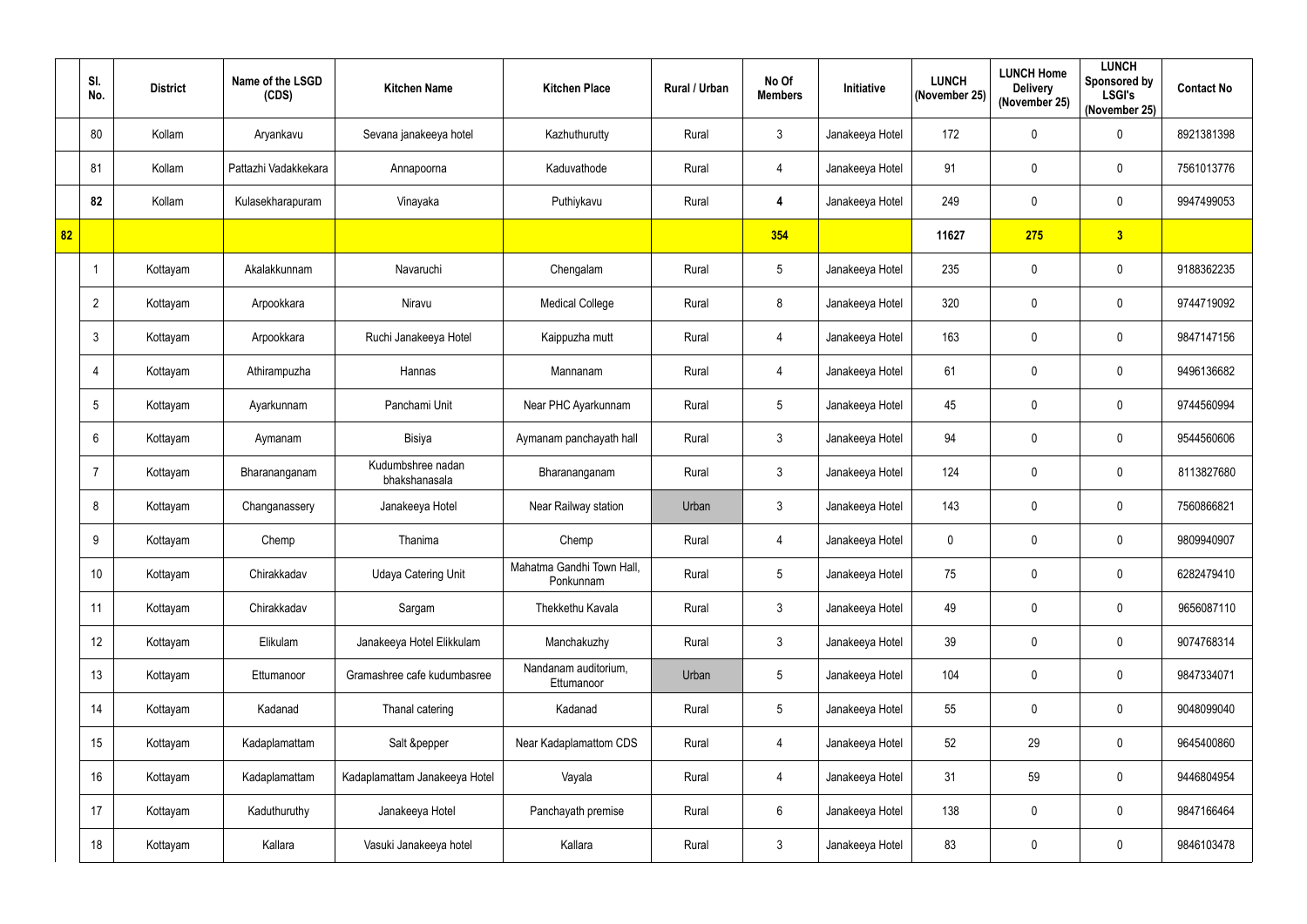|    | SI.<br>No.      | <b>District</b> | Name of the LSGD<br>(CDS) | <b>Kitchen Name</b>                | <b>Kitchen Place</b>                   | <b>Rural / Urban</b> | No Of<br><b>Members</b> | <b>Initiative</b> | <b>LUNCH</b><br>(November 25) | <b>LUNCH Home</b><br><b>Delivery</b><br>(November 25) | <b>LUNCH</b><br><b>Sponsored by</b><br><b>LSGI's</b><br>(November 25) | <b>Contact No</b> |
|----|-----------------|-----------------|---------------------------|------------------------------------|----------------------------------------|----------------------|-------------------------|-------------------|-------------------------------|-------------------------------------------------------|-----------------------------------------------------------------------|-------------------|
|    | 80              | Kollam          | Aryankavu                 | Sevana janakeeya hotel             | Kazhuthurutty                          | Rural                | $\mathfrak{Z}$          | Janakeeya Hotel   | 172                           | $\mathbf 0$                                           | $\pmb{0}$                                                             | 8921381398        |
|    | 81              | Kollam          | Pattazhi Vadakkekara      | Annapoorna                         | Kaduvathode                            | Rural                | 4                       | Janakeeya Hotel   | 91                            | 0                                                     | $\pmb{0}$                                                             | 7561013776        |
|    | 82              | Kollam          | Kulasekharapuram          | Vinayaka                           | Puthiykavu                             | Rural                | 4                       | Janakeeya Hotel   | 249                           | $\mathbf 0$                                           | $\pmb{0}$                                                             | 9947499053        |
| 82 |                 |                 |                           |                                    |                                        |                      | 354                     |                   | 11627                         | 275                                                   | $\overline{\mathbf{3}}$                                               |                   |
|    |                 | Kottayam        | Akalakkunnam              | Navaruchi                          | Chengalam                              | Rural                | $5\phantom{.0}$         | Janakeeya Hotel   | 235                           | 0                                                     | $\mathbf 0$                                                           | 9188362235        |
|    | $\overline{2}$  | Kottayam        | Arpookkara                | Niravu                             | <b>Medical College</b>                 | Rural                | 8                       | Janakeeya Hotel   | 320                           | $\mathbf 0$                                           | $\pmb{0}$                                                             | 9744719092        |
|    | $\mathbf{3}$    | Kottayam        | Arpookkara                | Ruchi Janakeeya Hotel              | Kaippuzha mutt                         | Rural                | 4                       | Janakeeya Hotel   | 163                           | $\mathbf 0$                                           | $\pmb{0}$                                                             | 9847147156        |
|    | $\overline{4}$  | Kottayam        | Athirampuzha              | Hannas                             | Mannanam                               | Rural                | 4                       | Janakeeya Hotel   | 61                            | $\mathbf 0$                                           | $\pmb{0}$                                                             | 9496136682        |
|    | $5\phantom{.0}$ | Kottayam        | Ayarkunnam                | Panchami Unit                      | Near PHC Ayarkunnam                    | Rural                | $5\phantom{.0}$         | Janakeeya Hotel   | 45                            | 0                                                     | $\mathbf 0$                                                           | 9744560994        |
|    | $6\phantom{1}$  | Kottayam        | Aymanam                   | <b>Bisiya</b>                      | Aymanam panchayath hall                | Rural                | $\mathbf{3}$            | Janakeeya Hotel   | 94                            | $\mathbf 0$                                           | $\mathbf 0$                                                           | 9544560606        |
|    | 7               | Kottayam        | Bharananganam             | Kudumbshree nadan<br>bhakshanasala | Bharananganam                          | Rural                | $\mathfrak{Z}$          | Janakeeya Hotel   | 124                           | 0                                                     | $\pmb{0}$                                                             | 8113827680        |
|    | 8               | Kottayam        | Changanassery             | Janakeeya Hotel                    | Near Railway station                   | Urban                | $\mathbf{3}$            | Janakeeya Hotel   | 143                           | 0                                                     | $\mathbf 0$                                                           | 7560866821        |
|    | 9               | Kottayam        | Chemp                     | Thanima                            | Chemp                                  | Rural                | 4                       | Janakeeya Hotel   | 0                             | 0                                                     | 0                                                                     | 9809940907        |
|    | 10 <sup>°</sup> | Kottayam        | Chirakkadav               | <b>Udaya Catering Unit</b>         | Mahatma Gandhi Town Hall,<br>Ponkunnam | Rural                | $5\phantom{.0}$         | Janakeeya Hotel   | 75                            | $\mathbf 0$                                           | $\pmb{0}$                                                             | 6282479410        |
|    | 11              | Kottayam        | Chirakkadav               | Sargam                             | Thekkethu Kavala                       | Rural                | $\mathfrak{Z}$          | Janakeeya Hotel   | 49                            | 0                                                     | $\pmb{0}$                                                             | 9656087110        |
|    | 12              | Kottayam        | Elikulam                  | Janakeeya Hotel Elikkulam          | Manchakuzhy                            | Rural                | $\mathfrak{Z}$          | Janakeeya Hotel   | 39                            | $\mathbf 0$                                           | $\mathbf 0$                                                           | 9074768314        |
|    | 13              | Kottayam        | Ettumanoor                | Gramashree cafe kudumbasree        | Nandanam auditorium,<br>Ettumanoor     | Urban                | $5\phantom{.0}$         | Janakeeya Hotel   | 104                           | $\mathbf 0$                                           | $\mathbf 0$                                                           | 9847334071        |
|    | 14              | Kottayam        | Kadanad                   | Thanal catering                    | Kadanad                                | Rural                | $5\phantom{.0}$         | Janakeeya Hotel   | 55                            | $\mathbf 0$                                           | $\boldsymbol{0}$                                                      | 9048099040        |
|    | 15              | Kottayam        | Kadaplamattam             | Salt &pepper                       | Near Kadaplamattom CDS                 | Rural                | 4                       | Janakeeya Hotel   | 52                            | 29                                                    | $\pmb{0}$                                                             | 9645400860        |
|    | 16              | Kottayam        | Kadaplamattam             | Kadaplamattam Janakeeya Hotel      | Vayala                                 | Rural                | 4                       | Janakeeya Hotel   | 31                            | 59                                                    | $\mathbf 0$                                                           | 9446804954        |
|    | 17              | Kottayam        | Kaduthuruthy              | Janakeeya Hotel                    | Panchayath premise                     | Rural                | $6\,$                   | Janakeeya Hotel   | 138                           | $\pmb{0}$                                             | $\pmb{0}$                                                             | 9847166464        |
|    | 18              | Kottayam        | Kallara                   | Vasuki Janakeeya hotel             | Kallara                                | Rural                | $\mathfrak{Z}$          | Janakeeya Hotel   | 83                            | 0                                                     | $\pmb{0}$                                                             | 9846103478        |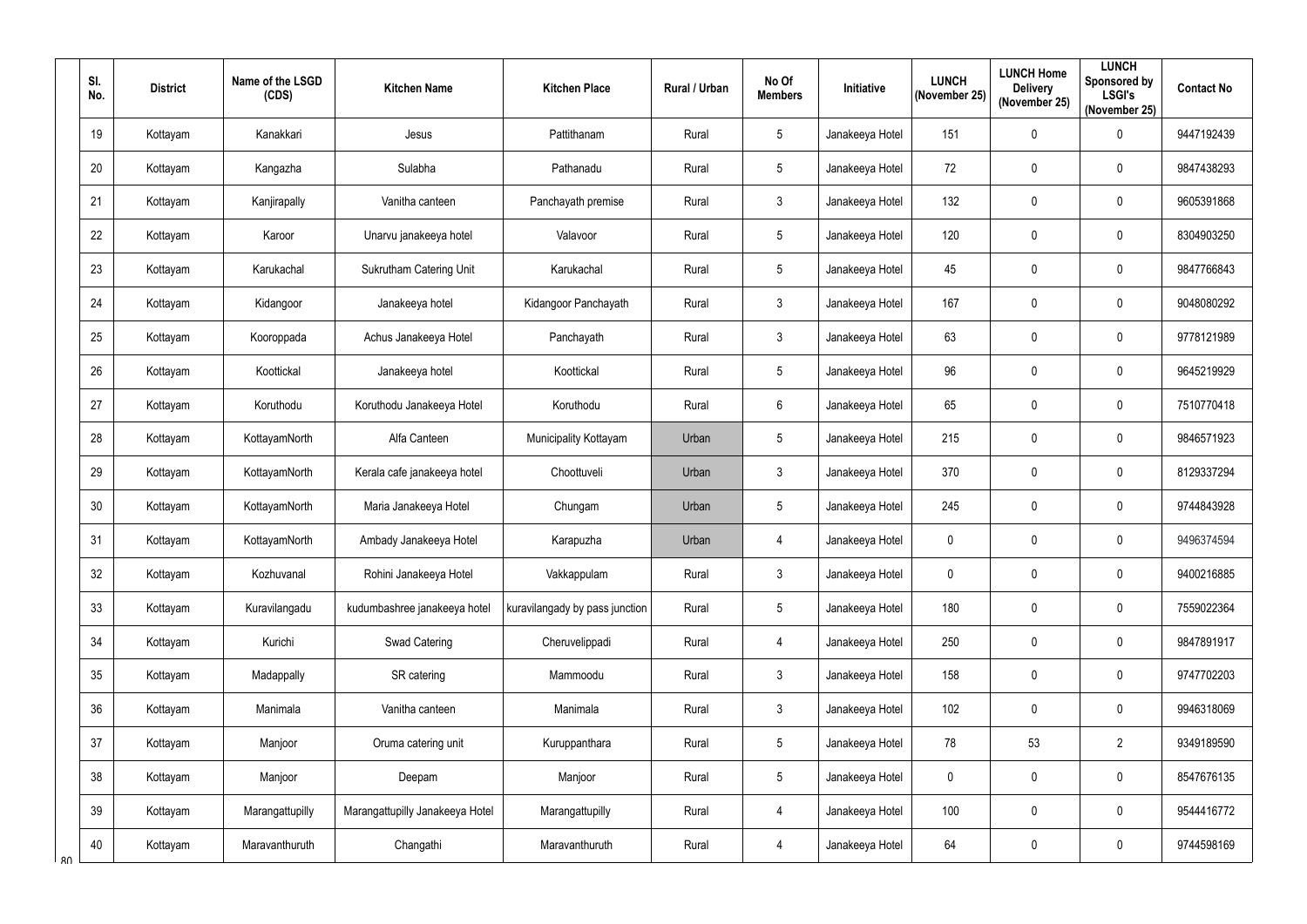| SI.<br>No. | <b>District</b> | Name of the LSGD<br>(CDS) | <b>Kitchen Name</b>             | <b>Kitchen Place</b>           | Rural / Urban | No Of<br><b>Members</b> | Initiative      | <b>LUNCH</b><br>(November 25) | <b>LUNCH Home</b><br><b>Delivery</b><br>(November 25) | <b>LUNCH</b><br>Sponsored by<br><b>LSGI's</b><br>(November 25) | <b>Contact No</b> |
|------------|-----------------|---------------------------|---------------------------------|--------------------------------|---------------|-------------------------|-----------------|-------------------------------|-------------------------------------------------------|----------------------------------------------------------------|-------------------|
| 19         | Kottayam        | Kanakkari                 | Jesus                           | Pattithanam                    | Rural         | $\sqrt{5}$              | Janakeeya Hotel | 151                           | $\boldsymbol{0}$                                      | $\pmb{0}$                                                      | 9447192439        |
| 20         | Kottayam        | Kangazha                  | Sulabha                         | Pathanadu                      | Rural         | 5                       | Janakeeya Hotel | 72                            | $\boldsymbol{0}$                                      | $\pmb{0}$                                                      | 9847438293        |
| 21         | Kottayam        | Kanjirapally              | Vanitha canteen                 | Panchayath premise             | Rural         | $\mathbf{3}$            | Janakeeya Hotel | 132                           | $\overline{0}$                                        | $\pmb{0}$                                                      | 9605391868        |
| 22         | Kottayam        | Karoor                    | Unarvu janakeeya hotel          | Valavoor                       | Rural         | $5\phantom{.0}$         | Janakeeya Hotel | 120                           | $\boldsymbol{0}$                                      | $\mathbf 0$                                                    | 8304903250        |
| 23         | Kottayam        | Karukachal                | <b>Sukrutham Catering Unit</b>  | Karukachal                     | Rural         | 5                       | Janakeeya Hotel | 45                            | $\mathbf 0$                                           | $\pmb{0}$                                                      | 9847766843        |
| 24         | Kottayam        | Kidangoor                 | Janakeeya hotel                 | Kidangoor Panchayath           | Rural         | $\mathfrak{Z}$          | Janakeeya Hotel | 167                           | $\mathbf 0$                                           | $\pmb{0}$                                                      | 9048080292        |
| 25         | Kottayam        | Kooroppada                | Achus Janakeeya Hotel           | Panchayath                     | Rural         | $\mathbf{3}$            | Janakeeya Hotel | 63                            | $\boldsymbol{0}$                                      | $\mathbf 0$                                                    | 9778121989        |
| 26         | Kottayam        | Koottickal                | Janakeeya hotel                 | Koottickal                     | Rural         | $\sqrt{5}$              | Janakeeya Hotel | 96                            | $\boldsymbol{0}$                                      | $\pmb{0}$                                                      | 9645219929        |
| 27         | Kottayam        | Koruthodu                 | Koruthodu Janakeeya Hotel       | Koruthodu                      | Rural         | 6                       | Janakeeya Hotel | 65                            | $\boldsymbol{0}$                                      | $\pmb{0}$                                                      | 7510770418        |
| 28         | Kottayam        | KottayamNorth             | Alfa Canteen                    | Municipality Kottayam          | Urban         | 5                       | Janakeeya Hotel | 215                           | $\overline{0}$                                        | $\pmb{0}$                                                      | 9846571923        |
| 29         | Kottayam        | KottayamNorth             | Kerala cafe janakeeya hotel     | Choottuveli                    | Urban         | 3                       | Janakeeya Hotel | 370                           | $\boldsymbol{0}$                                      | $\pmb{0}$                                                      | 8129337294        |
| 30         | Kottayam        | KottayamNorth             | Maria Janakeeya Hotel           | Chungam                        | Urban         | 5                       | Janakeeya Hotel | 245                           | $\boldsymbol{0}$                                      | $\pmb{0}$                                                      | 9744843928        |
| 31         | Kottayam        | KottayamNorth             | Ambady Janakeeya Hotel          | Karapuzha                      | Urban         | $\overline{4}$          | Janakeeya Hotel | $\mathbf 0$                   | $\mathbf 0$                                           | $\mathbf 0$                                                    | 9496374594        |
| 32         | Kottayam        | Kozhuvanal                | Rohini Janakeeya Hotel          | Vakkappulam                    | Rural         | $\mathfrak{Z}$          | Janakeeya Hotel | $\mathbf 0$                   | $\mathbf 0$                                           | $\pmb{0}$                                                      | 9400216885        |
| 33         | Kottayam        | Kuravilangadu             | kudumbashree janakeeya hotel    | kuravilangady by pass junction | Rural         | 5                       | Janakeeya Hotel | 180                           | $\mathbf 0$                                           | $\pmb{0}$                                                      | 7559022364        |
| 34         | Kottayam        | Kurichi                   | Swad Catering                   | Cheruvelippadi                 | Rural         | 4                       | Janakeeya Hotel | 250                           | $\boldsymbol{0}$                                      | $\pmb{0}$                                                      | 9847891917        |
| 35         | Kottayam        | Madappally                | SR catering                     | Mammoodu                       | Rural         | $\mathfrak{Z}$          | Janakeeya Hotel | 158                           | $\boldsymbol{0}$                                      | $\pmb{0}$                                                      | 9747702203        |
| 36         | Kottayam        | Manimala                  | Vanitha canteen                 | Manimala                       | Rural         | $\mathfrak{Z}$          | Janakeeya Hotel | 102                           | $\mathbf 0$                                           | $\mathbf 0$                                                    | 9946318069        |
| 37         | Kottayam        | Manjoor                   | Oruma catering unit             | Kuruppanthara                  | Rural         | $\sqrt{5}$              | Janakeeya Hotel | 78                            | 53                                                    | $\overline{2}$                                                 | 9349189590        |
| 38         | Kottayam        | Manjoor                   | Deepam                          | Manjoor                        | Rural         | $5\phantom{.0}$         | Janakeeya Hotel | 0                             | $\mathbf 0$                                           | $\pmb{0}$                                                      | 8547676135        |
| 39         | Kottayam        | Marangattupilly           | Marangattupilly Janakeeya Hotel | Marangattupilly                | Rural         | $\overline{4}$          | Janakeeya Hotel | 100                           | $\mathbf 0$                                           | $\pmb{0}$                                                      | 9544416772        |
| 40<br>R۸   | Kottayam        | Maravanthuruth            | Changathi                       | Maravanthuruth                 | Rural         | $\overline{4}$          | Janakeeya Hotel | 64                            | $\mathbf 0$                                           | $\pmb{0}$                                                      | 9744598169        |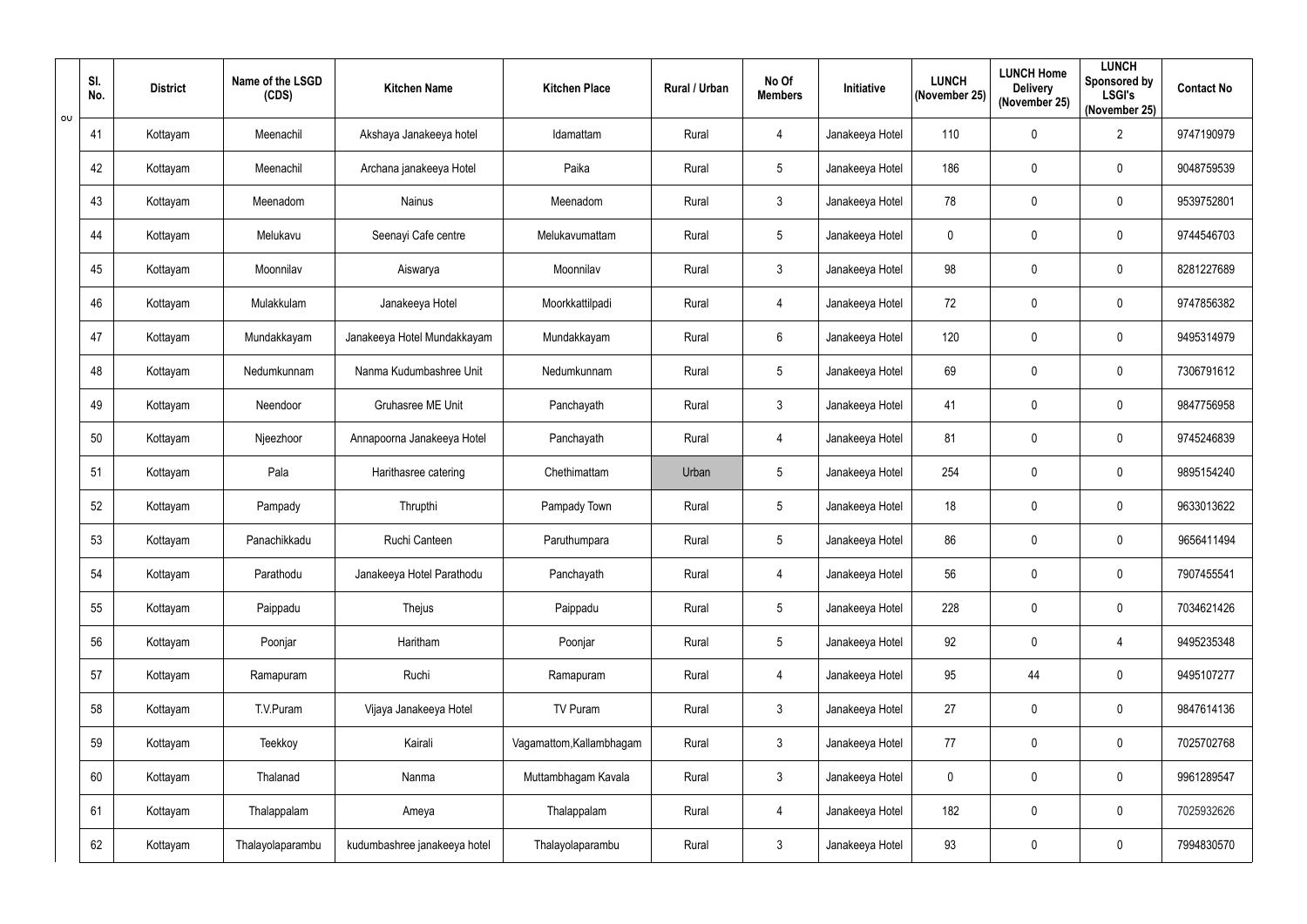|     | SI.<br>No. | <b>District</b> | Name of the LSGD<br>(CDS) | <b>Kitchen Name</b>          | <b>Kitchen Place</b>     | <b>Rural / Urban</b> | No Of<br><b>Members</b> | Initiative      | <b>LUNCH</b><br>(November 25) | <b>LUNCH Home</b><br><b>Delivery</b><br>(November 25) | <b>LUNCH</b><br>Sponsored by<br><b>LSGI's</b><br>(November 25) | <b>Contact No</b> |
|-----|------------|-----------------|---------------------------|------------------------------|--------------------------|----------------------|-------------------------|-----------------|-------------------------------|-------------------------------------------------------|----------------------------------------------------------------|-------------------|
| −০∪ | 41         | Kottayam        | Meenachil                 | Akshaya Janakeeya hotel      | Idamattam                | Rural                | 4                       | Janakeeya Hotel | 110                           | $\mathbf 0$                                           | $\overline{2}$                                                 | 9747190979        |
|     | 42         | Kottayam        | Meenachil                 | Archana janakeeya Hotel      | Paika                    | Rural                | 5 <sup>5</sup>          | Janakeeya Hotel | 186                           | $\mathbf 0$                                           | $\pmb{0}$                                                      | 9048759539        |
|     | 43         | Kottayam        | Meenadom                  | Nainus                       | Meenadom                 | Rural                | $3\overline{3}$         | Janakeeya Hotel | 78                            | $\overline{0}$                                        | $\pmb{0}$                                                      | 9539752801        |
|     | 44         | Kottayam        | Melukavu                  | Seenayi Cafe centre          | Melukavumattam           | Rural                | $5\phantom{.0}$         | Janakeeya Hotel | $\mathbf{0}$                  | $\mathbf 0$                                           | $\pmb{0}$                                                      | 9744546703        |
|     | 45         | Kottayam        | Moonnilav                 | Aiswarya                     | Moonnilav                | Rural                | $3\overline{3}$         | Janakeeya Hotel | 98                            | $\boldsymbol{0}$                                      | $\mathbf 0$                                                    | 8281227689        |
|     | 46         | Kottayam        | Mulakkulam                | Janakeeya Hotel              | Moorkkattilpadi          | Rural                | $\overline{4}$          | Janakeeya Hotel | 72                            | $\overline{0}$                                        | $\pmb{0}$                                                      | 9747856382        |
|     | 47         | Kottayam        | Mundakkayam               | Janakeeya Hotel Mundakkayam  | Mundakkayam              | Rural                | $6^{\circ}$             | Janakeeya Hotel | 120                           | $\overline{0}$                                        | $\mathbf 0$                                                    | 9495314979        |
|     | 48         | Kottayam        | Nedumkunnam               | Nanma Kudumbashree Unit      | Nedumkunnam              | Rural                | $5\phantom{.0}$         | Janakeeya Hotel | 69                            | $\mathbf 0$                                           | $\pmb{0}$                                                      | 7306791612        |
|     | 49         | Kottayam        | Neendoor                  | Gruhasree ME Unit            | Panchayath               | Rural                | $3\overline{3}$         | Janakeeya Hotel | 41                            | $\mathbf 0$                                           | $\mathbf 0$                                                    | 9847756958        |
|     | 50         | Kottayam        | Njeezhoor                 | Annapoorna Janakeeya Hotel   | Panchayath               | Rural                | 4                       | Janakeeya Hotel | 81                            | $\mathbf 0$                                           | $\pmb{0}$                                                      | 9745246839        |
|     | 51         | Kottayam        | Pala                      | Harithasree catering         | Chethimattam             | Urban                | $\sqrt{5}$              | Janakeeya Hotel | 254                           | $\mathbf 0$                                           | $\pmb{0}$                                                      | 9895154240        |
|     | 52         | Kottayam        | Pampady                   | Thrupthi                     | Pampady Town             | Rural                | 5 <sup>5</sup>          | Janakeeya Hotel | 18                            | $\mathbf 0$                                           | $\mathbf 0$                                                    | 9633013622        |
|     | 53         | Kottayam        | Panachikkadu              | Ruchi Canteen                | Paruthumpara             | Rural                | $5\phantom{.0}$         | Janakeeya Hotel | 86                            | $\mathbf 0$                                           | 0                                                              | 9656411494        |
|     | 54         | Kottayam        | Parathodu                 | Janakeeya Hotel Parathodu    | Panchayath               | Rural                | $\overline{4}$          | Janakeeya Hotel | 56                            | $\overline{0}$                                        | $\pmb{0}$                                                      | 7907455541        |
|     | 55         | Kottayam        | Paippadu                  | Thejus                       | Paippadu                 | Rural                | $5\phantom{.0}$         | Janakeeya Hotel | 228                           | $\mathbf 0$                                           | $\pmb{0}$                                                      | 7034621426        |
|     | 56         | Kottayam        | Poonjar                   | Haritham                     | Poonjar                  | Rural                | $5\phantom{.0}$         | Janakeeya Hotel | 92                            | $\overline{0}$                                        | $\overline{4}$                                                 | 9495235348        |
|     | 57         | Kottayam        | Ramapuram                 | Ruchi                        | Ramapuram                | Rural                | $\overline{4}$          | Janakeeya Hotel | 95                            | 44                                                    | $\pmb{0}$                                                      | 9495107277        |
|     | 58         | Kottayam        | T.V.Puram                 | Vijaya Janakeeya Hotel       | TV Puram                 | Rural                | $\mathfrak{Z}$          | Janakeeya Hotel | 27                            | $\overline{0}$                                        | $\mathbf 0$                                                    | 9847614136        |
|     | 59         | Kottayam        | Teekkoy                   | Kairali                      | Vagamattom, Kallambhagam | Rural                | $\mathfrak{Z}$          | Janakeeya Hotel | 77                            | $\overline{0}$                                        | $\pmb{0}$                                                      | 7025702768        |
|     | 60         | Kottayam        | Thalanad                  | Nanma                        | Muttambhagam Kavala      | Rural                | 3 <sup>1</sup>          | Janakeeya Hotel | 0                             | $\overline{0}$                                        | $\pmb{0}$                                                      | 9961289547        |
|     | 61         | Kottayam        | Thalappalam               | Ameya                        | Thalappalam              | Rural                | 4                       | Janakeeya Hotel | 182                           | $\overline{0}$                                        | $\mathbf 0$                                                    | 7025932626        |
|     | 62         | Kottayam        | Thalayolaparambu          | kudumbashree janakeeya hotel | Thalayolaparambu         | Rural                | $\mathfrak{Z}$          | Janakeeya Hotel | 93                            | $\pmb{0}$                                             | $\pmb{0}$                                                      | 7994830570        |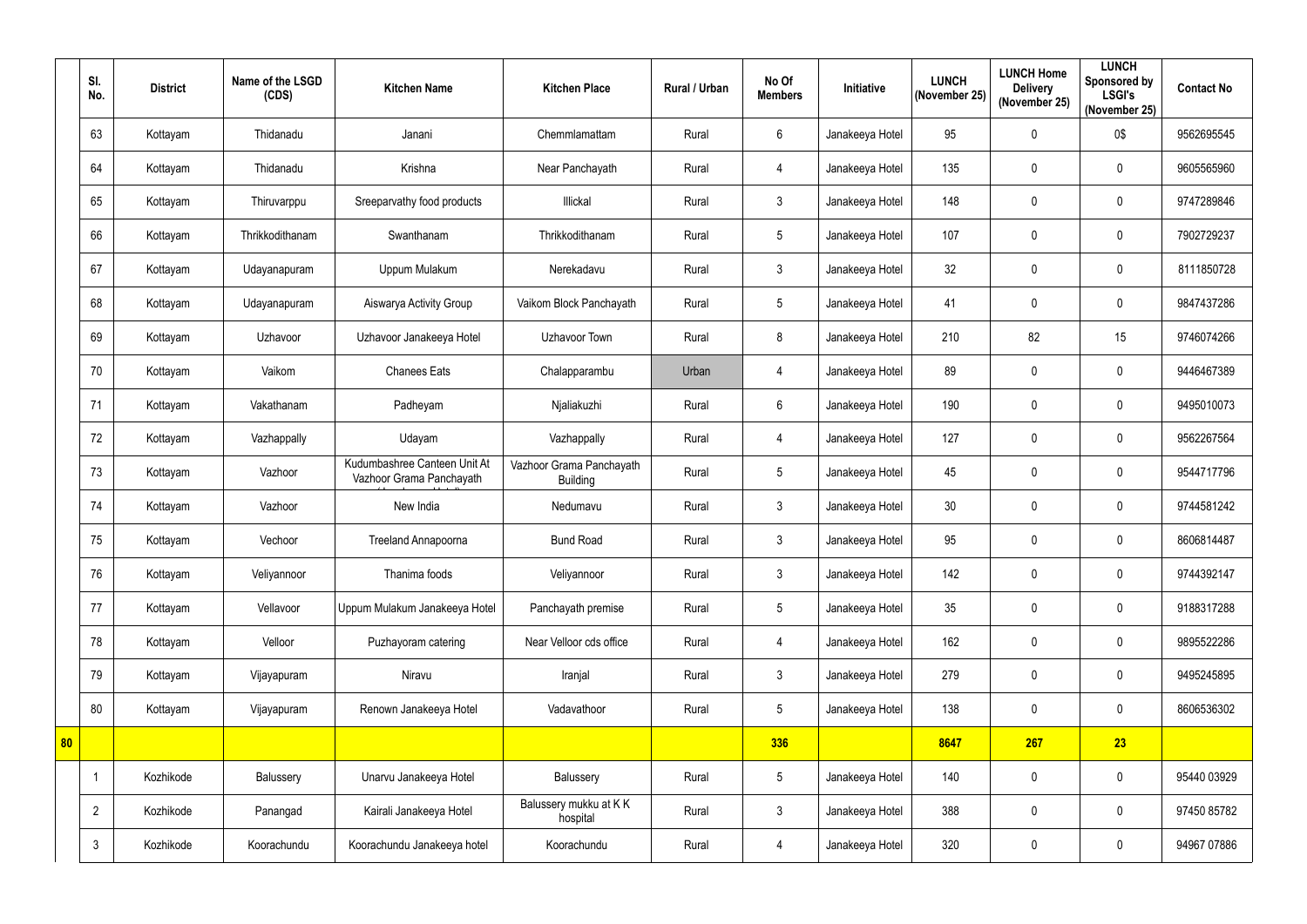|    | SI.<br>No.     | <b>District</b> | Name of the LSGD<br>(CDS) | <b>Kitchen Name</b>                                      | <b>Kitchen Place</b>                        | <b>Rural / Urban</b> | No Of<br><b>Members</b> | <b>Initiative</b> | <b>LUNCH</b><br>(November 25) | <b>LUNCH Home</b><br><b>Delivery</b><br>(November 25) | <b>LUNCH</b><br><b>Sponsored by</b><br><b>LSGI's</b><br>(November 25) | <b>Contact No</b> |
|----|----------------|-----------------|---------------------------|----------------------------------------------------------|---------------------------------------------|----------------------|-------------------------|-------------------|-------------------------------|-------------------------------------------------------|-----------------------------------------------------------------------|-------------------|
|    | 63             | Kottayam        | Thidanadu                 | Janani                                                   | Chemmlamattam                               | Rural                | $6\phantom{.}$          | Janakeeya Hotel   | 95                            | 0                                                     | 0\$                                                                   | 9562695545        |
|    | 64             | Kottayam        | Thidanadu                 | Krishna                                                  | Near Panchayath                             | Rural                | 4                       | Janakeeya Hotel   | 135                           | 0                                                     | $\pmb{0}$                                                             | 9605565960        |
|    | 65             | Kottayam        | Thiruvarppu               | Sreeparvathy food products                               | Illickal                                    | Rural                | 3                       | Janakeeya Hotel   | 148                           | $\mathbf 0$                                           | $\pmb{0}$                                                             | 9747289846        |
|    | 66             | Kottayam        | Thrikkodithanam           | Swanthanam                                               | Thrikkodithanam                             | Rural                | $5\phantom{.0}$         | Janakeeya Hotel   | 107                           | 0                                                     | $\mathbf 0$                                                           | 7902729237        |
|    | 67             | Kottayam        | Udayanapuram              | Uppum Mulakum                                            | Nerekadavu                                  | Rural                | $\mathfrak{Z}$          | Janakeeya Hotel   | 32                            | 0                                                     | $\mathbf 0$                                                           | 8111850728        |
|    | 68             | Kottayam        | Udayanapuram              | Aiswarya Activity Group                                  | Vaikom Block Panchayath                     | Rural                | $5\phantom{.0}$         | Janakeeya Hotel   | 41                            | 0                                                     | $\mathbf 0$                                                           | 9847437286        |
|    | 69             | Kottayam        | Uzhavoor                  | Uzhavoor Janakeeya Hotel                                 | Uzhavoor Town                               | Rural                | 8                       | Janakeeya Hotel   | 210                           | 82                                                    | 15                                                                    | 9746074266        |
|    | 70             | Kottayam        | Vaikom                    | <b>Chanees Eats</b>                                      | Chalapparambu                               | Urban                | 4                       | Janakeeya Hotel   | 89                            | $\mathbf 0$                                           | $\pmb{0}$                                                             | 9446467389        |
|    | 71             | Kottayam        | Vakathanam                | Padheyam                                                 | Njaliakuzhi                                 | Rural                | $6\phantom{.}6$         | Janakeeya Hotel   | 190                           | 0                                                     | $\mathbf 0$                                                           | 9495010073        |
|    | 72             | Kottayam        | Vazhappally               | Udayam                                                   | Vazhappally                                 | Rural                | 4                       | Janakeeya Hotel   | 127                           | $\mathbf 0$                                           | $\mathbf 0$                                                           | 9562267564        |
|    | 73             | Kottayam        | Vazhoor                   | Kudumbashree Canteen Unit At<br>Vazhoor Grama Panchayath | Vazhoor Grama Panchayath<br><b>Building</b> | Rural                | $\sqrt{5}$              | Janakeeya Hotel   | 45                            | 0                                                     | $\pmb{0}$                                                             | 9544717796        |
|    | 74             | Kottayam        | Vazhoor                   | New India                                                | Nedumavu                                    | Rural                | $\mathbf{3}$            | Janakeeya Hotel   | 30                            | 0                                                     | $\mathbf 0$                                                           | 9744581242        |
|    | 75             | Kottayam        | Vechoor                   | Treeland Annapoorna                                      | <b>Bund Road</b>                            | Rural                | $\mathfrak{Z}$          | Janakeeya Hotel   | 95                            | 0                                                     | 0                                                                     | 8606814487        |
|    | 76             | Kottayam        | Veliyannoor               | Thanima foods                                            | Veliyannoor                                 | Rural                | $\mathfrak{Z}$          | Janakeeya Hotel   | 142                           | $\mathbf 0$                                           | $\pmb{0}$                                                             | 9744392147        |
|    | 77             | Kottayam        | Vellavoor                 | Uppum Mulakum Janakeeya Hotel                            | Panchayath premise                          | Rural                | $5\phantom{.0}$         | Janakeeya Hotel   | 35                            | 0                                                     | $\pmb{0}$                                                             | 9188317288        |
|    | 78             | Kottayam        | Velloor                   | Puzhayoram catering                                      | Near Velloor cds office                     | Rural                | 4                       | Janakeeya Hotel   | 162                           | $\mathbf 0$                                           | $\mathbf 0$                                                           | 9895522286        |
|    | 79             | Kottayam        | Vijayapuram               | Niravu                                                   | Iranjal                                     | Rural                | $\mathfrak{Z}$          | Janakeeya Hotel   | 279                           | $\mathbf 0$                                           | $\mathbf 0$                                                           | 9495245895        |
|    | 80             | Kottayam        | Vijayapuram               | Renown Janakeeya Hotel                                   | Vadavathoor                                 | Rural                | $5\phantom{.0}$         | Janakeeya Hotel   | 138                           | $\mathbf 0$                                           | $\mathbf 0$                                                           | 8606536302        |
| 80 |                |                 |                           |                                                          |                                             |                      | 336                     |                   | 8647                          | 267                                                   | 23                                                                    |                   |
|    | $\overline{1}$ | Kozhikode       | Balussery                 | Unarvu Janakeeya Hotel                                   | Balussery                                   | Rural                | $5\phantom{.0}$         | Janakeeya Hotel   | 140                           | $\mathbf 0$                                           | $\mathbf 0$                                                           | 95440 03929       |
|    | $\overline{2}$ | Kozhikode       | Panangad                  | Kairali Janakeeya Hotel                                  | Balussery mukku at KK<br>hospital           | Rural                | $\mathfrak{Z}$          | Janakeeya Hotel   | 388                           | $\mathbf 0$                                           | $\pmb{0}$                                                             | 97450 85782       |
|    | $\mathfrak{Z}$ | Kozhikode       | Koorachundu               | Koorachundu Janakeeya hotel                              | Koorachundu                                 | Rural                | 4                       | Janakeeya Hotel   | 320                           | 0                                                     | $\pmb{0}$                                                             | 94967 07886       |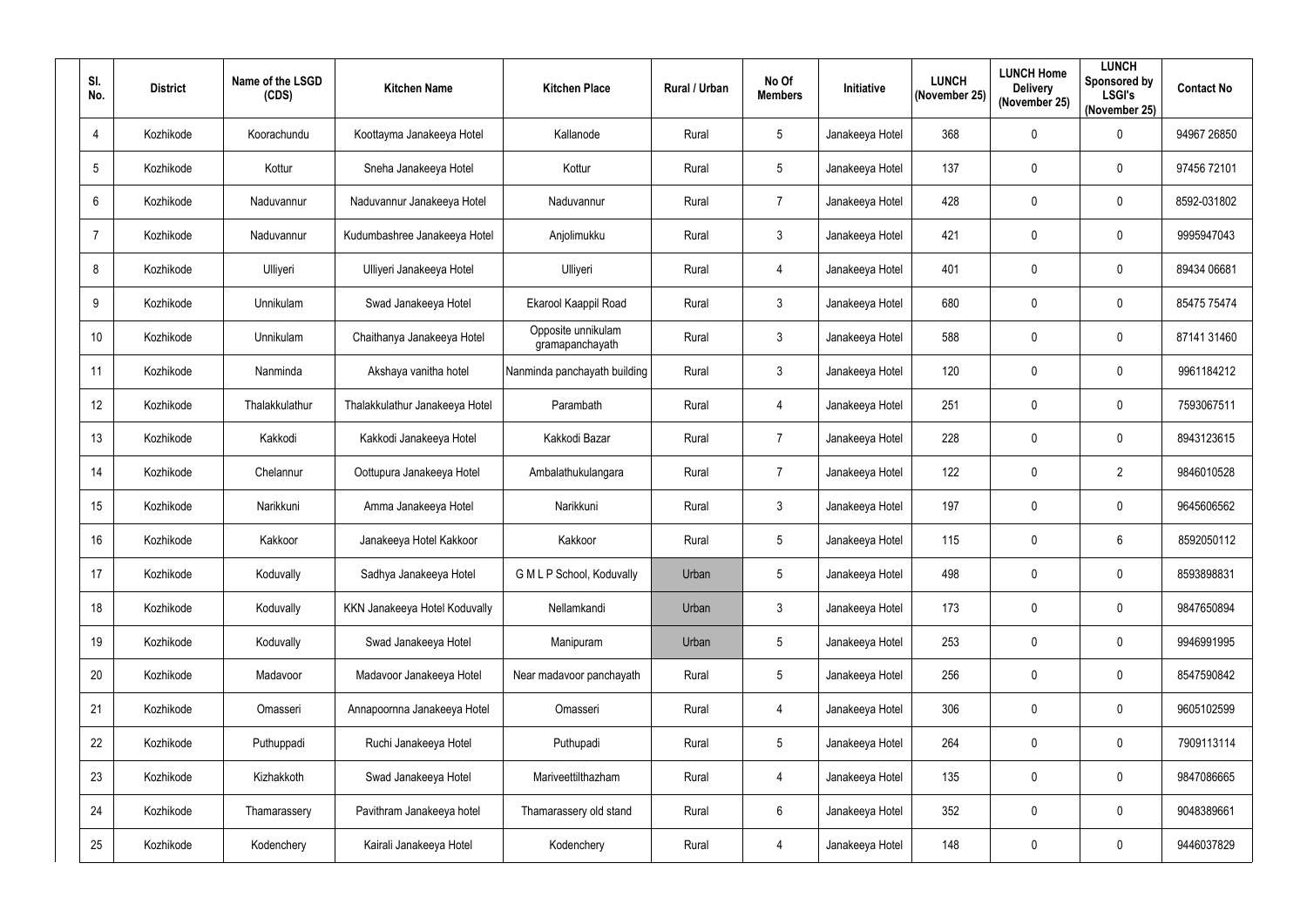| SI.<br>No.      | <b>District</b> | Name of the LSGD<br>(CDS) | <b>Kitchen Name</b>            | <b>Kitchen Place</b>                  | Rural / Urban | No Of<br><b>Members</b> | Initiative      | <b>LUNCH</b><br>(November 25) | <b>LUNCH Home</b><br><b>Delivery</b><br>(November 25) | <b>LUNCH</b><br>Sponsored by<br><b>LSGI's</b><br>(November 25) | <b>Contact No</b> |
|-----------------|-----------------|---------------------------|--------------------------------|---------------------------------------|---------------|-------------------------|-----------------|-------------------------------|-------------------------------------------------------|----------------------------------------------------------------|-------------------|
| $\overline{4}$  | Kozhikode       | Koorachundu               | Koottayma Janakeeya Hotel      | Kallanode                             | Rural         | 5                       | Janakeeya Hotel | 368                           | $\mathbf 0$                                           | $\mathbf 0$                                                    | 94967 26850       |
| 5               | Kozhikode       | Kottur                    | Sneha Janakeeya Hotel          | Kottur                                | Rural         | $5\overline{)}$         | Janakeeya Hotel | 137                           | $\mathbf 0$                                           | $\mathbf 0$                                                    | 97456 72101       |
| $6\phantom{1}6$ | Kozhikode       | Naduvannur                | Naduvannur Janakeeya Hotel     | Naduvannur                            | Rural         | $\overline{7}$          | Janakeeya Hotel | 428                           | $\overline{0}$                                        | $\mathbf 0$                                                    | 8592-031802       |
| -7              | Kozhikode       | Naduvannur                | Kudumbashree Janakeeya Hotel   | Anjolimukku                           | Rural         | 3                       | Janakeeya Hotel | 421                           | $\overline{0}$                                        | $\pmb{0}$                                                      | 9995947043        |
| 8               | Kozhikode       | Ulliyeri                  | Ulliyeri Janakeeya Hotel       | Ulliyeri                              | Rural         | $\overline{4}$          | Janakeeya Hotel | 401                           | $\mathbf 0$                                           | $\mathbf 0$                                                    | 89434 06681       |
| 9               | Kozhikode       | Unnikulam                 | Swad Janakeeya Hotel           | Ekarool Kaappil Road                  | Rural         | $\mathfrak{Z}$          | Janakeeya Hotel | 680                           | $\overline{0}$                                        | $\mathbf 0$                                                    | 85475 75474       |
| 10 <sup>°</sup> | Kozhikode       | Unnikulam                 | Chaithanya Janakeeya Hotel     | Opposite unnikulam<br>gramapanchayath | Rural         | $\mathfrak{Z}$          | Janakeeya Hotel | 588                           | $\boldsymbol{0}$                                      | $\mathbf 0$                                                    | 87141 31460       |
| 11              | Kozhikode       | Nanminda                  | Akshaya vanitha hotel          | Nanminda panchayath building          | Rural         | $\mathfrak{Z}$          | Janakeeya Hotel | 120                           | $\boldsymbol{0}$                                      | $\pmb{0}$                                                      | 9961184212        |
| 12              | Kozhikode       | Thalakkulathur            | Thalakkulathur Janakeeya Hotel | Parambath                             | Rural         | $\overline{4}$          | Janakeeya Hotel | 251                           | $\mathbf 0$                                           | $\mathbf 0$                                                    | 7593067511        |
| 13              | Kozhikode       | Kakkodi                   | Kakkodi Janakeeya Hotel        | Kakkodi Bazar                         | Rural         | $\overline{7}$          | Janakeeya Hotel | 228                           | $\mathbf 0$                                           | $\pmb{0}$                                                      | 8943123615        |
| 14              | Kozhikode       | Chelannur                 | Oottupura Janakeeya Hotel      | Ambalathukulangara                    | Rural         | $\overline{7}$          | Janakeeya Hotel | 122                           | $\boldsymbol{0}$                                      | $\overline{2}$                                                 | 9846010528        |
| 15              | Kozhikode       | Narikkuni                 | Amma Janakeeya Hotel           | Narikkuni                             | Rural         | $\mathbf{3}$            | Janakeeya Hotel | 197                           | $\boldsymbol{0}$                                      | $\mathbf 0$                                                    | 9645606562        |
| 16              | Kozhikode       | Kakkoor                   | Janakeeya Hotel Kakkoor        | Kakkoor                               | Rural         | 5                       | Janakeeya Hotel | 115                           | $\boldsymbol{0}$                                      | $6\phantom{.}6$                                                | 8592050112        |
| 17              | Kozhikode       | Koduvally                 | Sadhya Janakeeya Hotel         | G M L P School, Koduvally             | Urban         | 5                       | Janakeeya Hotel | 498                           | $\mathbf 0$                                           | $\pmb{0}$                                                      | 8593898831        |
| 18              | Kozhikode       | Koduvally                 | KKN Janakeeya Hotel Koduvally  | Nellamkandi                           | Urban         | $\mathfrak{Z}$          | Janakeeya Hotel | 173                           | $\boldsymbol{0}$                                      | $\pmb{0}$                                                      | 9847650894        |
| 19              | Kozhikode       | Koduvally                 | Swad Janakeeya Hotel           | Manipuram                             | Urban         | 5                       | Janakeeya Hotel | 253                           | $\boldsymbol{0}$                                      | $\pmb{0}$                                                      | 9946991995        |
| 20              | Kozhikode       | Madavoor                  | Madavoor Janakeeya Hotel       | Near madavoor panchayath              | Rural         | 5                       | Janakeeya Hotel | 256                           | $\boldsymbol{0}$                                      | $\pmb{0}$                                                      | 8547590842        |
| 21              | Kozhikode       | Omasseri                  | Annapoornna Janakeeya Hotel    | Omasseri                              | Rural         | $\overline{4}$          | Janakeeya Hotel | 306                           | $\mathbf 0$                                           | $\pmb{0}$                                                      | 9605102599        |
| 22              | Kozhikode       | Puthuppadi                | Ruchi Janakeeya Hotel          | Puthupadi                             | Rural         | 5                       | Janakeeya Hotel | 264                           | $\mathbf 0$                                           | $\pmb{0}$                                                      | 7909113114        |
| 23              | Kozhikode       | Kizhakkoth                | Swad Janakeeya Hotel           | Mariveettilthazham                    | Rural         | $\overline{4}$          | Janakeeya Hotel | 135                           | $\mathbf 0$                                           | $\mathbf 0$                                                    | 9847086665        |
| 24              | Kozhikode       | Thamarassery              | Pavithram Janakeeya hotel      | Thamarassery old stand                | Rural         | $6\phantom{.0}$         | Janakeeya Hotel | 352                           | $\pmb{0}$                                             | $\pmb{0}$                                                      | 9048389661        |
| 25              | Kozhikode       | Kodenchery                | Kairali Janakeeya Hotel        | Kodenchery                            | Rural         | $\overline{4}$          | Janakeeya Hotel | 148                           | $\boldsymbol{0}$                                      | $\pmb{0}$                                                      | 9446037829        |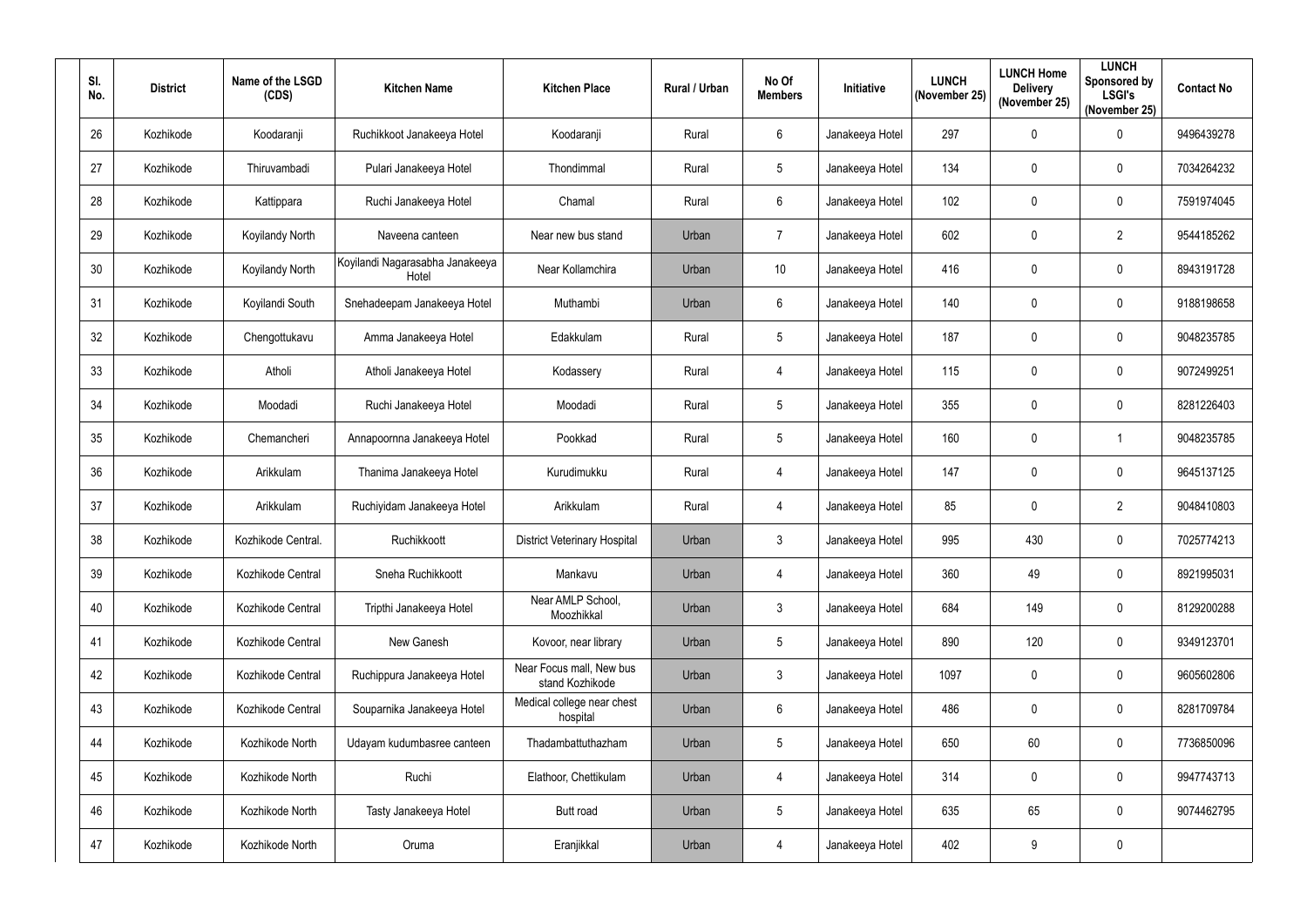| SI.<br>No. | <b>District</b> | Name of the LSGD<br>(CDS) | <b>Kitchen Name</b>                      | <b>Kitchen Place</b>                        | Rural / Urban | No Of<br><b>Members</b> | Initiative      | <b>LUNCH</b><br>(November 25) | <b>LUNCH Home</b><br><b>Delivery</b><br>(November 25) | <b>LUNCH</b><br>Sponsored by<br><b>LSGI's</b><br>(November 25) | <b>Contact No</b> |
|------------|-----------------|---------------------------|------------------------------------------|---------------------------------------------|---------------|-------------------------|-----------------|-------------------------------|-------------------------------------------------------|----------------------------------------------------------------|-------------------|
| 26         | Kozhikode       | Koodaranji                | Ruchikkoot Janakeeya Hotel               | Koodaranji                                  | Rural         | $6\overline{6}$         | Janakeeya Hotel | 297                           | $\overline{0}$                                        | $\pmb{0}$                                                      | 9496439278        |
| 27         | Kozhikode       | Thiruvambadi              | Pulari Janakeeya Hotel                   | Thondimmal                                  | Rural         | 5                       | Janakeeya Hotel | 134                           | $\mathbf 0$                                           | $\mathbf 0$                                                    | 7034264232        |
| 28         | Kozhikode       | Kattippara                | Ruchi Janakeeya Hotel                    | Chamal                                      | Rural         | $6\overline{6}$         | Janakeeya Hotel | 102                           | $\overline{0}$                                        | $\pmb{0}$                                                      | 7591974045        |
| 29         | Kozhikode       | Koyilandy North           | Naveena canteen                          | Near new bus stand                          | Urban         | $\overline{7}$          | Janakeeya Hotel | 602                           | $\boldsymbol{0}$                                      | $\overline{2}$                                                 | 9544185262        |
| 30         | Kozhikode       | Koyilandy North           | Koyilandi Nagarasabha Janakeeya<br>Hotel | Near Kollamchira                            | Urban         | 10 <sup>°</sup>         | Janakeeya Hotel | 416                           | $\overline{0}$                                        | $\pmb{0}$                                                      | 8943191728        |
| 31         | Kozhikode       | Koyilandi South           | Snehadeepam Janakeeya Hotel              | Muthambi                                    | Urban         | $6\overline{6}$         | Janakeeya Hotel | 140                           | $\boldsymbol{0}$                                      | $\pmb{0}$                                                      | 9188198658        |
| 32         | Kozhikode       | Chengottukavu             | Amma Janakeeya Hotel                     | Edakkulam                                   | Rural         | $5\phantom{.0}$         | Janakeeya Hotel | 187                           | $\overline{0}$                                        | $\mathbf 0$                                                    | 9048235785        |
| 33         | Kozhikode       | Atholi                    | Atholi Janakeeya Hotel                   | Kodassery                                   | Rural         | $\overline{4}$          | Janakeeya Hotel | 115                           | $\mathbf 0$                                           | $\pmb{0}$                                                      | 9072499251        |
| 34         | Kozhikode       | Moodadi                   | Ruchi Janakeeya Hotel                    | Moodadi                                     | Rural         | 5                       | Janakeeya Hotel | 355                           | $\mathbf 0$                                           | $\mathbf 0$                                                    | 8281226403        |
| 35         | Kozhikode       | Chemancheri               | Annapoornna Janakeeya Hotel              | Pookkad                                     | Rural         | $5\phantom{.0}$         | Janakeeya Hotel | 160                           | $\overline{0}$                                        | -1                                                             | 9048235785        |
| 36         | Kozhikode       | Arikkulam                 | Thanima Janakeeya Hotel                  | Kurudimukku                                 | Rural         | $\overline{4}$          | Janakeeya Hotel | 147                           | $\boldsymbol{0}$                                      | $\mathbf 0$                                                    | 9645137125        |
| 37         | Kozhikode       | Arikkulam                 | Ruchiyidam Janakeeya Hotel               | Arikkulam                                   | Rural         | 4                       | Janakeeya Hotel | 85                            | $\overline{0}$                                        | $\overline{2}$                                                 | 9048410803        |
| 38         | Kozhikode       | Kozhikode Central.        | Ruchikkoott                              | <b>District Veterinary Hospital</b>         | Urban         | 3                       | Janakeeya Hotel | 995                           | 430                                                   | $\mathbf 0$                                                    | 7025774213        |
| 39         | Kozhikode       | Kozhikode Central         | Sneha Ruchikkoott                        | Mankavu                                     | Urban         | $\overline{4}$          | Janakeeya Hotel | 360                           | 49                                                    | $\mathbf 0$                                                    | 8921995031        |
| 40         | Kozhikode       | Kozhikode Central         | Tripthi Janakeeya Hotel                  | Near AMLP School,<br>Moozhikkal             | Urban         | 3                       | Janakeeya Hotel | 684                           | 149                                                   | $\pmb{0}$                                                      | 8129200288        |
| 41         | Kozhikode       | Kozhikode Central         | New Ganesh                               | Kovoor, near library                        | Urban         | $5\phantom{.0}$         | Janakeeya Hotel | 890                           | 120                                                   | $\pmb{0}$                                                      | 9349123701        |
| 42         | Kozhikode       | Kozhikode Central         | Ruchippura Janakeeya Hotel               | Near Focus mall, New bus<br>stand Kozhikode | Urban         | $\mathbf{3}$            | Janakeeya Hotel | 1097                          | $\mathbf 0$                                           | $\pmb{0}$                                                      | 9605602806        |
| 43         | Kozhikode       | Kozhikode Central         | Souparnika Janakeeya Hotel               | Medical college near chest<br>hospital      | Urban         | $6\overline{6}$         | Janakeeya Hotel | 486                           | $\mathbf 0$                                           | $\pmb{0}$                                                      | 8281709784        |
| 44         | Kozhikode       | Kozhikode North           | Udayam kudumbasree canteen               | Thadambattuthazham                          | Urban         | $5\phantom{.0}$         | Janakeeya Hotel | 650                           | 60 <sub>1</sub>                                       | $\pmb{0}$                                                      | 7736850096        |
| 45         | Kozhikode       | Kozhikode North           | Ruchi                                    | Elathoor, Chettikulam                       | Urban         | $\overline{4}$          | Janakeeya Hotel | 314                           | $\mathbf 0$                                           | $\pmb{0}$                                                      | 9947743713        |
| 46         | Kozhikode       | Kozhikode North           | Tasty Janakeeya Hotel                    | Butt road                                   | Urban         | $5\phantom{.0}$         | Janakeeya Hotel | 635                           | 65                                                    | $\pmb{0}$                                                      | 9074462795        |
| 47         | Kozhikode       | Kozhikode North           | Oruma                                    | Eranjikkal                                  | Urban         | $\overline{4}$          | Janakeeya Hotel | 402                           | 9                                                     | $\pmb{0}$                                                      |                   |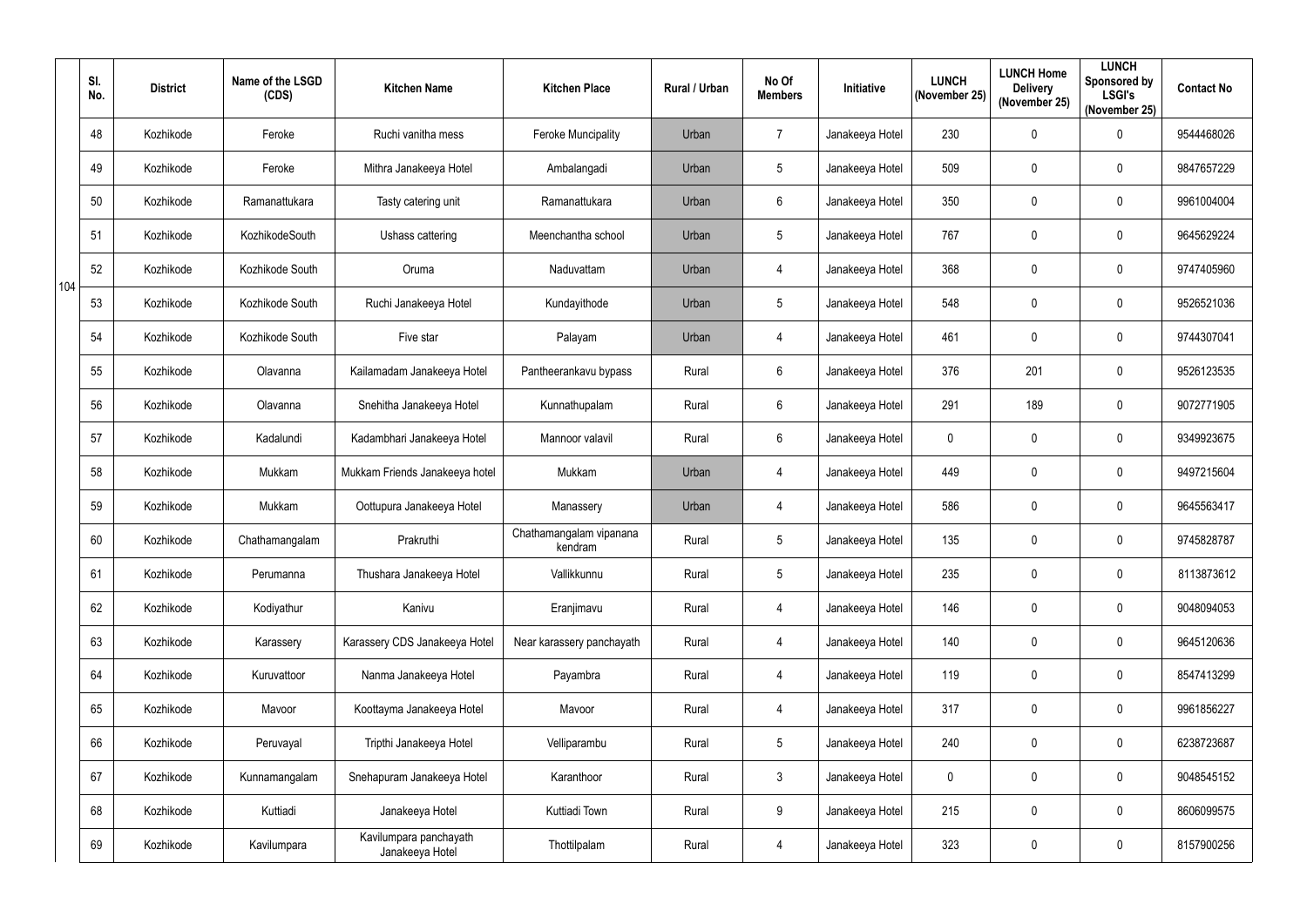|     | SI.<br>No. | <b>District</b> | Name of the LSGD<br>(CDS) | <b>Kitchen Name</b>                       | <b>Kitchen Place</b>               | Rural / Urban | No Of<br><b>Members</b> | Initiative      | <b>LUNCH</b><br>(November 25) | <b>LUNCH Home</b><br><b>Delivery</b><br>(November 25) | <b>LUNCH</b><br>Sponsored by<br><b>LSGI's</b><br>(November 25) | <b>Contact No</b> |
|-----|------------|-----------------|---------------------------|-------------------------------------------|------------------------------------|---------------|-------------------------|-----------------|-------------------------------|-------------------------------------------------------|----------------------------------------------------------------|-------------------|
|     | 48         | Kozhikode       | Feroke                    | Ruchi vanitha mess                        | <b>Feroke Muncipality</b>          | Urban         | $\overline{7}$          | Janakeeya Hotel | 230                           | $\mathbf 0$                                           | $\pmb{0}$                                                      | 9544468026        |
|     | 49         | Kozhikode       | Feroke                    | Mithra Janakeeya Hotel                    | Ambalangadi                        | Urban         | $5\phantom{.0}$         | Janakeeya Hotel | 509                           | $\mathbf 0$                                           | 0                                                              | 9847657229        |
|     | 50         | Kozhikode       | Ramanattukara             | Tasty catering unit                       | Ramanattukara                      | Urban         | $6\phantom{.}$          | Janakeeya Hotel | 350                           | $\mathbf 0$                                           | $\pmb{0}$                                                      | 9961004004        |
|     | 51         | Kozhikode       | KozhikodeSouth            | Ushass cattering                          | Meenchantha school                 | Urban         | 5                       | Janakeeya Hotel | 767                           | $\boldsymbol{0}$                                      | $\pmb{0}$                                                      | 9645629224        |
| 104 | 52         | Kozhikode       | Kozhikode South           | Oruma                                     | Naduvattam                         | Urban         | 4                       | Janakeeya Hotel | 368                           | $\mathbf 0$                                           | 0                                                              | 9747405960        |
|     | 53         | Kozhikode       | Kozhikode South           | Ruchi Janakeeya Hotel                     | Kundayithode                       | Urban         | 5                       | Janakeeya Hotel | 548                           | $\mathbf 0$                                           | $\pmb{0}$                                                      | 9526521036        |
|     | 54         | Kozhikode       | Kozhikode South           | Five star                                 | Palayam                            | Urban         | 4                       | Janakeeya Hotel | 461                           | $\pmb{0}$                                             | 0                                                              | 9744307041        |
|     | 55         | Kozhikode       | Olavanna                  | Kailamadam Janakeeya Hotel                | Pantheerankavu bypass              | Rural         | $6\phantom{.}$          | Janakeeya Hotel | 376                           | 201                                                   | $\pmb{0}$                                                      | 9526123535        |
|     | 56         | Kozhikode       | Olavanna                  | Snehitha Janakeeya Hotel                  | Kunnathupalam                      | Rural         | $6\phantom{.}$          | Janakeeya Hotel | 291                           | 189                                                   | $\pmb{0}$                                                      | 9072771905        |
|     | 57         | Kozhikode       | Kadalundi                 | Kadambhari Janakeeya Hotel                | Mannoor valavil                    | Rural         | 6                       | Janakeeya Hotel | $\mathbf 0$                   | $\mathbf 0$                                           | $\pmb{0}$                                                      | 9349923675        |
|     | 58         | Kozhikode       | Mukkam                    | Mukkam Friends Janakeeya hotel            | Mukkam                             | Urban         | 4                       | Janakeeya Hotel | 449                           | $\boldsymbol{0}$                                      | $\pmb{0}$                                                      | 9497215604        |
|     | 59         | Kozhikode       | Mukkam                    | Oottupura Janakeeya Hotel                 | Manassery                          | Urban         | 4                       | Janakeeya Hotel | 586                           | $\pmb{0}$                                             | 0                                                              | 9645563417        |
|     | 60         | Kozhikode       | Chathamangalam            | Prakruthi                                 | Chathamangalam vipanana<br>kendram | Rural         | 5                       | Janakeeya Hotel | 135                           | $\mathbf 0$                                           | 0                                                              | 9745828787        |
|     | 61         | Kozhikode       | Perumanna                 | Thushara Janakeeya Hotel                  | Vallikkunnu                        | Rural         | $5\phantom{.0}$         | Janakeeya Hotel | 235                           | $\mathbf 0$                                           | $\pmb{0}$                                                      | 8113873612        |
|     | 62         | Kozhikode       | Kodiyathur                | Kanivu                                    | Eranjimavu                         | Rural         | 4                       | Janakeeya Hotel | 146                           | $\boldsymbol{0}$                                      | $\pmb{0}$                                                      | 9048094053        |
|     | 63         | Kozhikode       | Karassery                 | Karassery CDS Janakeeya Hotel             | Near karassery panchayath          | Rural         | $\overline{4}$          | Janakeeya Hotel | 140                           | $\pmb{0}$                                             | $\pmb{0}$                                                      | 9645120636        |
|     | 64         | Kozhikode       | Kuruvattoor               | Nanma Janakeeya Hotel                     | Payambra                           | Rural         | 4                       | Janakeeya Hotel | 119                           | $\mathbf 0$                                           | $\pmb{0}$                                                      | 8547413299        |
|     | 65         | Kozhikode       | Mavoor                    | Koottayma Janakeeya Hotel                 | Mavoor                             | Rural         | 4                       | Janakeeya Hotel | 317                           | $\mathbf 0$                                           | $\mathbf 0$                                                    | 9961856227        |
|     | 66         | Kozhikode       | Peruvayal                 | Tripthi Janakeeya Hotel                   | Velliparambu                       | Rural         | $5\phantom{.0}$         | Janakeeya Hotel | 240                           | $\pmb{0}$                                             | $\pmb{0}$                                                      | 6238723687        |
|     | 67         | Kozhikode       | Kunnamangalam             | Snehapuram Janakeeya Hotel                | Karanthoor                         | Rural         | 3 <sup>1</sup>          | Janakeeya Hotel | $\mathbf 0$                   | $\mathbf 0$                                           | 0                                                              | 9048545152        |
|     | 68         | Kozhikode       | Kuttiadi                  | Janakeeya Hotel                           | Kuttiadi Town                      | Rural         | 9                       | Janakeeya Hotel | 215                           | $\overline{0}$                                        | $\pmb{0}$                                                      | 8606099575        |
|     | 69         | Kozhikode       | Kavilumpara               | Kavilumpara panchayath<br>Janakeeya Hotel | Thottilpalam                       | Rural         | 4                       | Janakeeya Hotel | 323                           | $\boldsymbol{0}$                                      | $\pmb{0}$                                                      | 8157900256        |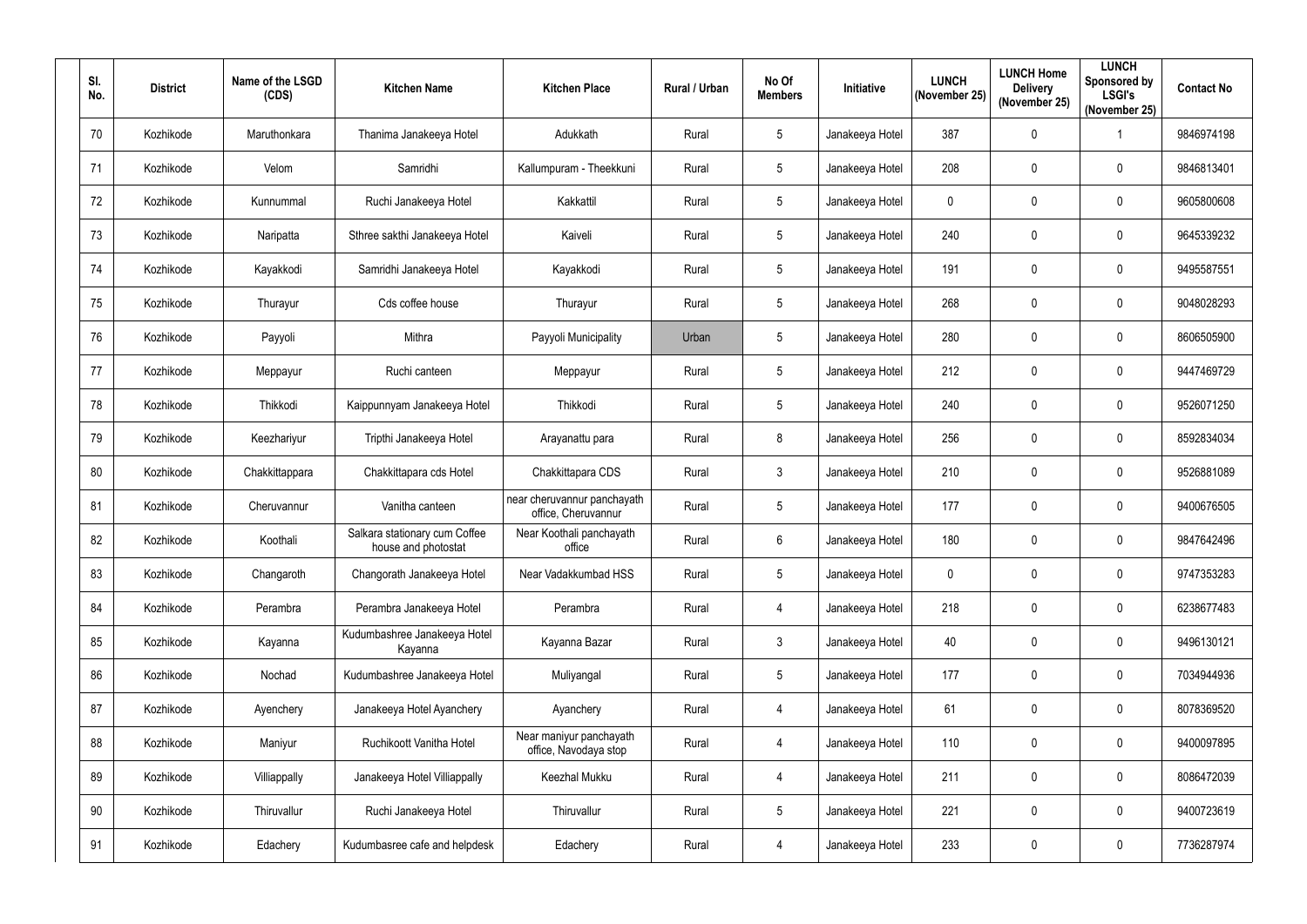| SI.<br>No.      | <b>District</b> | Name of the LSGD<br>(CDS) | <b>Kitchen Name</b>                                  | <b>Kitchen Place</b>                               | Rural / Urban | No Of<br><b>Members</b> | Initiative      | <b>LUNCH</b><br>(November 25) | <b>LUNCH Home</b><br><b>Delivery</b><br>(November 25) | <b>LUNCH</b><br>Sponsored by<br><b>LSGI's</b><br>(November 25) | <b>Contact No</b> |
|-----------------|-----------------|---------------------------|------------------------------------------------------|----------------------------------------------------|---------------|-------------------------|-----------------|-------------------------------|-------------------------------------------------------|----------------------------------------------------------------|-------------------|
| 70              | Kozhikode       | Maruthonkara              | Thanima Janakeeya Hotel                              | Adukkath                                           | Rural         | 5                       | Janakeeya Hotel | 387                           | $\boldsymbol{0}$                                      |                                                                | 9846974198        |
| 71              | Kozhikode       | Velom                     | Samridhi                                             | Kallumpuram - Theekkuni                            | Rural         | 5                       | Janakeeya Hotel | 208                           | $\boldsymbol{0}$                                      | $\mathbf 0$                                                    | 9846813401        |
| 72              | Kozhikode       | Kunnummal                 | Ruchi Janakeeya Hotel                                | Kakkattil                                          | Rural         | 5                       | Janakeeya Hotel | $\mathbf 0$                   | $\mathbf 0$                                           | $\pmb{0}$                                                      | 9605800608        |
| 73              | Kozhikode       | Naripatta                 | Sthree sakthi Janakeeya Hotel                        | Kaiveli                                            | Rural         | 5                       | Janakeeya Hotel | 240                           | $\boldsymbol{0}$                                      | $\pmb{0}$                                                      | 9645339232        |
| 74              | Kozhikode       | Kayakkodi                 | Samridhi Janakeeya Hotel                             | Kayakkodi                                          | Rural         | 5                       | Janakeeya Hotel | 191                           | $\overline{0}$                                        | $\pmb{0}$                                                      | 9495587551        |
| 75              | Kozhikode       | Thurayur                  | Cds coffee house                                     | Thurayur                                           | Rural         | 5                       | Janakeeya Hotel | 268                           | $\boldsymbol{0}$                                      | $\pmb{0}$                                                      | 9048028293        |
| 76              | Kozhikode       | Payyoli                   | Mithra                                               | Payyoli Municipality                               | Urban         | 5                       | Janakeeya Hotel | 280                           | $\boldsymbol{0}$                                      | $\mathbf 0$                                                    | 8606505900        |
| 77              | Kozhikode       | Meppayur                  | Ruchi canteen                                        | Meppayur                                           | Rural         | 5                       | Janakeeya Hotel | 212                           | $\mathbf 0$                                           | $\pmb{0}$                                                      | 9447469729        |
| 78              | Kozhikode       | Thikkodi                  | Kaippunnyam Janakeeya Hotel                          | Thikkodi                                           | Rural         | 5                       | Janakeeya Hotel | 240                           | $\mathbf 0$                                           | $\mathbf 0$                                                    | 9526071250        |
| 79              | Kozhikode       | Keezhariyur               | Tripthi Janakeeya Hotel                              | Arayanattu para                                    | Rural         | 8                       | Janakeeya Hotel | 256                           | $\mathbf 0$                                           | $\mathbf 0$                                                    | 8592834034        |
| 80              | Kozhikode       | Chakkittappara            | Chakkittapara cds Hotel                              | Chakkittapara CDS                                  | Rural         | 3                       | Janakeeya Hotel | 210                           | $\boldsymbol{0}$                                      | $\pmb{0}$                                                      | 9526881089        |
| 81              | Kozhikode       | Cheruvannur               | Vanitha canteen                                      | near cheruvannur panchayath<br>office, Cheruvannur | Rural         | 5                       | Janakeeya Hotel | 177                           | $\boldsymbol{0}$                                      | $\mathbf 0$                                                    | 9400676505        |
| 82              | Kozhikode       | Koothali                  | Salkara stationary cum Coffee<br>house and photostat | Near Koothali panchayath<br>office                 | Rural         | 6                       | Janakeeya Hotel | 180                           | $\mathbf 0$                                           | $\mathbf 0$                                                    | 9847642496        |
| 83              | Kozhikode       | Changaroth                | Changorath Janakeeya Hotel                           | Near Vadakkumbad HSS                               | Rural         | 5                       | Janakeeya Hotel | $\mathbf 0$                   | $\mathbf 0$                                           | $\pmb{0}$                                                      | 9747353283        |
| 84              | Kozhikode       | Perambra                  | Perambra Janakeeya Hotel                             | Perambra                                           | Rural         | $\overline{4}$          | Janakeeya Hotel | 218                           | $\mathbf 0$                                           | $\pmb{0}$                                                      | 6238677483        |
| 85              | Kozhikode       | Kayanna                   | Kudumbashree Janakeeya Hotel<br>Kayanna              | Kayanna Bazar                                      | Rural         | $\mathfrak{Z}$          | Janakeeya Hotel | 40                            | $\pmb{0}$                                             | $\pmb{0}$                                                      | 9496130121        |
| 86              | Kozhikode       | Nochad                    | Kudumbashree Janakeeya Hotel                         | Muliyangal                                         | Rural         | 5                       | Janakeeya Hotel | 177                           | $\boldsymbol{0}$                                      | $\pmb{0}$                                                      | 7034944936        |
| 87              | Kozhikode       | Ayenchery                 | Janakeeya Hotel Ayanchery                            | Ayanchery                                          | Rural         | $\overline{4}$          | Janakeeya Hotel | 61                            | $\mathbf 0$                                           | $\boldsymbol{0}$                                               | 8078369520        |
| 88              | Kozhikode       | Maniyur                   | Ruchikoott Vanitha Hotel                             | Near maniyur panchayath<br>office, Navodaya stop   | Rural         | $\overline{4}$          | Janakeeya Hotel | 110                           | $\boldsymbol{0}$                                      | $\pmb{0}$                                                      | 9400097895        |
| 89              | Kozhikode       | Villiappally              | Janakeeya Hotel Villiappally                         | Keezhal Mukku                                      | Rural         | $\overline{4}$          | Janakeeya Hotel | 211                           | $\mathbf 0$                                           | $\pmb{0}$                                                      | 8086472039        |
| 90 <sup>°</sup> | Kozhikode       | Thiruvallur               | Ruchi Janakeeya Hotel                                | Thiruvallur                                        | Rural         | 5                       | Janakeeya Hotel | 221                           | $\bm{0}$                                              | $\pmb{0}$                                                      | 9400723619        |
| 91              | Kozhikode       | Edachery                  | Kudumbasree cafe and helpdesk                        | Edachery                                           | Rural         | $\overline{4}$          | Janakeeya Hotel | 233                           | $\boldsymbol{0}$                                      | $\pmb{0}$                                                      | 7736287974        |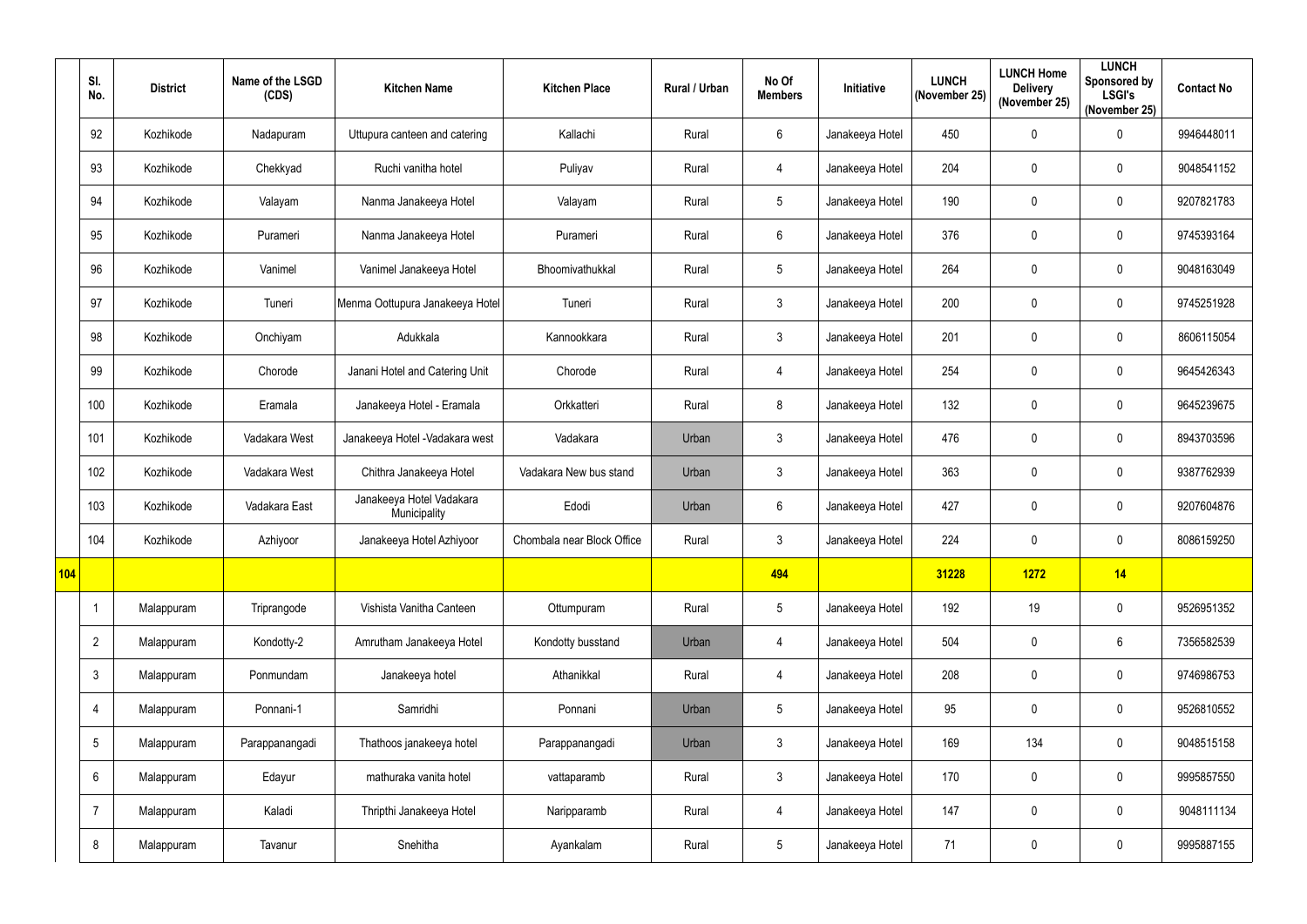|     | SI.<br>No.      | <b>District</b> | Name of the LSGD<br>(CDS) | <b>Kitchen Name</b>                      | <b>Kitchen Place</b>       | Rural / Urban | No Of<br><b>Members</b> | Initiative      | <b>LUNCH</b><br>(November 25) | <b>LUNCH Home</b><br><b>Delivery</b><br>(November 25) | <b>LUNCH</b><br>Sponsored by<br><b>LSGI's</b><br>(November 25) | <b>Contact No</b> |
|-----|-----------------|-----------------|---------------------------|------------------------------------------|----------------------------|---------------|-------------------------|-----------------|-------------------------------|-------------------------------------------------------|----------------------------------------------------------------|-------------------|
|     | 92              | Kozhikode       | Nadapuram                 | Uttupura canteen and catering            | Kallachi                   | Rural         | $6\phantom{.}$          | Janakeeya Hotel | 450                           | $\mathbf 0$                                           | $\pmb{0}$                                                      | 9946448011        |
|     | 93              | Kozhikode       | Chekkyad                  | Ruchi vanitha hotel                      | Puliyav                    | Rural         | 4                       | Janakeeya Hotel | 204                           | 0                                                     | $\pmb{0}$                                                      | 9048541152        |
|     | 94              | Kozhikode       | Valayam                   | Nanma Janakeeya Hotel                    | Valayam                    | Rural         | $5\phantom{.0}$         | Janakeeya Hotel | 190                           | $\mathbf 0$                                           | $\pmb{0}$                                                      | 9207821783        |
|     | 95              | Kozhikode       | Purameri                  | Nanma Janakeeya Hotel                    | Purameri                   | Rural         | $6\phantom{.}$          | Janakeeya Hotel | 376                           | $\mathbf 0$                                           | $\mathbf 0$                                                    | 9745393164        |
|     | 96              | Kozhikode       | Vanimel                   | Vanimel Janakeeya Hotel                  | Bhoomivathukkal            | Rural         | $5\phantom{.0}$         | Janakeeya Hotel | 264                           | $\pmb{0}$                                             | $\pmb{0}$                                                      | 9048163049        |
|     | 97              | Kozhikode       | Tuneri                    | Menma Oottupura Janakeeya Hotel          | Tuneri                     | Rural         | $\mathfrak{Z}$          | Janakeeya Hotel | 200                           | $\mathbf 0$                                           | $\mathbf 0$                                                    | 9745251928        |
|     | 98              | Kozhikode       | Onchiyam                  | Adukkala                                 | Kannookkara                | Rural         | $\mathbf{3}$            | Janakeeya Hotel | 201                           | $\overline{0}$                                        | $\mathbf 0$                                                    | 8606115054        |
|     | 99              | Kozhikode       | Chorode                   | Janani Hotel and Catering Unit           | Chorode                    | Rural         | 4                       | Janakeeya Hotel | 254                           | $\mathbf 0$                                           | $\pmb{0}$                                                      | 9645426343        |
|     | 100             | Kozhikode       | Eramala                   | Janakeeya Hotel - Eramala                | Orkkatteri                 | Rural         | 8                       | Janakeeya Hotel | 132                           | 0                                                     | $\mathbf 0$                                                    | 9645239675        |
|     | 101             | Kozhikode       | Vadakara West             | Janakeeya Hotel - Vadakara west          | Vadakara                   | Urban         | $\mathbf{3}$            | Janakeeya Hotel | 476                           | $\mathbf 0$                                           | $\pmb{0}$                                                      | 8943703596        |
|     | 102             | Kozhikode       | Vadakara West             | Chithra Janakeeya Hotel                  | Vadakara New bus stand     | Urban         | $\mathbf{3}$            | Janakeeya Hotel | 363                           | $\overline{0}$                                        | $\pmb{0}$                                                      | 9387762939        |
|     | 103             | Kozhikode       | Vadakara East             | Janakeeya Hotel Vadakara<br>Municipality | Edodi                      | Urban         | $6\phantom{.}$          | Janakeeya Hotel | 427                           | 0                                                     | $\mathbf 0$                                                    | 9207604876        |
|     | 104             | Kozhikode       | Azhiyoor                  | Janakeeya Hotel Azhiyoor                 | Chombala near Block Office | Rural         | 3                       | Janakeeya Hotel | 224                           | 0                                                     | 0                                                              | 8086159250        |
| 104 |                 |                 |                           |                                          |                            |               | 494                     |                 | 31228                         | <b>1272</b>                                           | 14                                                             |                   |
|     | -1              | Malappuram      | Triprangode               | Vishista Vanitha Canteen                 | Ottumpuram                 | Rural         | $5\phantom{.0}$         | Janakeeya Hotel | 192                           | 19                                                    | $\pmb{0}$                                                      | 9526951352        |
|     | $\overline{2}$  | Malappuram      | Kondotty-2                | Amrutham Janakeeya Hotel                 | Kondotty busstand          | Urban         | 4                       | Janakeeya Hotel | 504                           | $\mathbf 0$                                           | $6\,$                                                          | 7356582539        |
|     | $\mathfrak{Z}$  | Malappuram      | Ponmundam                 | Janakeeya hotel                          | Athanikkal                 | Rural         | 4                       | Janakeeya Hotel | 208                           | $\mathbf 0$                                           | $\mathbf 0$                                                    | 9746986753        |
|     | 4               | Malappuram      | Ponnani-1                 | Samridhi                                 | Ponnani                    | Urban         | $5\phantom{.0}$         | Janakeeya Hotel | 95                            | $\mathbf 0$                                           | $\boldsymbol{0}$                                               | 9526810552        |
|     | $5\phantom{.0}$ | Malappuram      | Parappanangadi            | Thathoos janakeeya hotel                 | Parappanangadi             | Urban         | $\mathfrak{Z}$          | Janakeeya Hotel | 169                           | 134                                                   | $\pmb{0}$                                                      | 9048515158        |
|     | $6\phantom{.}$  | Malappuram      | Edayur                    | mathuraka vanita hotel                   | vattaparamb                | Rural         | $3\overline{3}$         | Janakeeya Hotel | 170                           | $\mathbf 0$                                           | $\mathbf 0$                                                    | 9995857550        |
|     | 7               | Malappuram      | Kaladi                    | Thripthi Janakeeya Hotel                 | Naripparamb                | Rural         | $\overline{4}$          | Janakeeya Hotel | 147                           | $\overline{0}$                                        | $\pmb{0}$                                                      | 9048111134        |
|     | 8               | Malappuram      | Tavanur                   | Snehitha                                 | Ayankalam                  | Rural         | $5\phantom{.0}$         | Janakeeya Hotel | 71                            | $\mathbf 0$                                           | $\pmb{0}$                                                      | 9995887155        |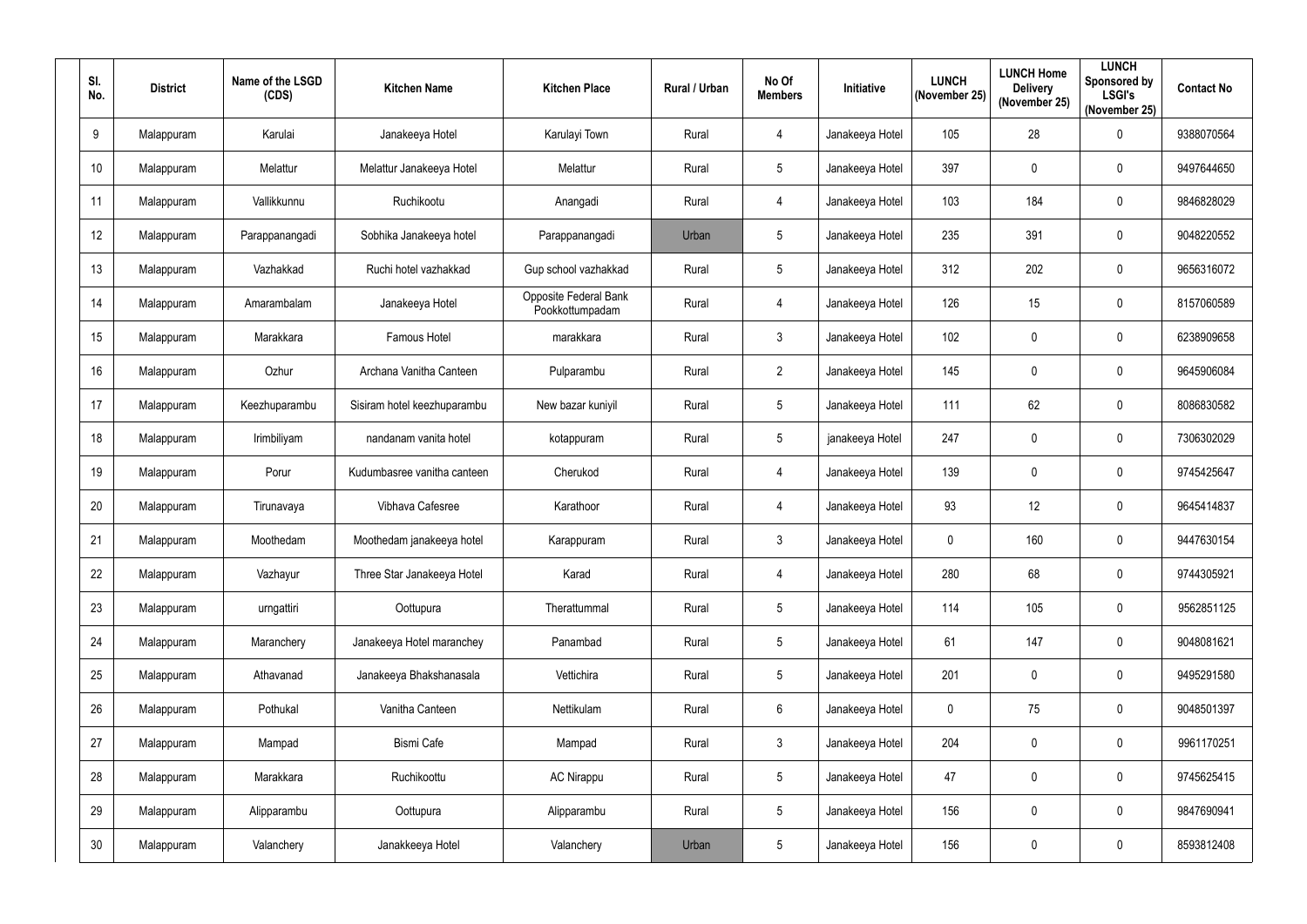| SI.<br>No.      | <b>District</b> | Name of the LSGD<br>(CDS) | <b>Kitchen Name</b>         | <b>Kitchen Place</b>                     | Rural / Urban | No Of<br><b>Members</b> | Initiative      | <b>LUNCH</b><br>(November 25) | <b>LUNCH Home</b><br><b>Delivery</b><br>(November 25) | <b>LUNCH</b><br><b>Sponsored by</b><br><b>LSGI's</b><br>(November 25) | <b>Contact No</b> |
|-----------------|-----------------|---------------------------|-----------------------------|------------------------------------------|---------------|-------------------------|-----------------|-------------------------------|-------------------------------------------------------|-----------------------------------------------------------------------|-------------------|
| 9               | Malappuram      | Karulai                   | Janakeeya Hotel             | Karulayi Town                            | Rural         | $\overline{4}$          | Janakeeya Hotel | 105                           | 28                                                    | $\mathbf 0$                                                           | 9388070564        |
| 10 <sup>°</sup> | Malappuram      | Melattur                  | Melattur Janakeeya Hotel    | Melattur                                 | Rural         | 5                       | Janakeeya Hotel | 397                           | $\mathbf 0$                                           | $\mathbf 0$                                                           | 9497644650        |
| 11              | Malappuram      | Vallikkunnu               | Ruchikootu                  | Anangadi                                 | Rural         | $\overline{4}$          | Janakeeya Hotel | 103                           | 184                                                   | $\mathbf 0$                                                           | 9846828029        |
| 12              | Malappuram      | Parappanangadi            | Sobhika Janakeeya hotel     | Parappanangadi                           | Urban         | 5                       | Janakeeya Hotel | 235                           | 391                                                   | $\pmb{0}$                                                             | 9048220552        |
| 13              | Malappuram      | Vazhakkad                 | Ruchi hotel vazhakkad       | Gup school vazhakkad                     | Rural         | 5                       | Janakeeya Hotel | 312                           | 202                                                   | $\mathbf 0$                                                           | 9656316072        |
| 14              | Malappuram      | Amarambalam               | Janakeeya Hotel             | Opposite Federal Bank<br>Pookkottumpadam | Rural         | $\overline{4}$          | Janakeeya Hotel | 126                           | 15                                                    | $\mathbf 0$                                                           | 8157060589        |
| 15              | Malappuram      | Marakkara                 | Famous Hotel                | marakkara                                | Rural         | $\mathbf{3}$            | Janakeeya Hotel | 102                           | $\boldsymbol{0}$                                      | $\mathbf 0$                                                           | 6238909658        |
| 16              | Malappuram      | Ozhur                     | Archana Vanitha Canteen     | Pulparambu                               | Rural         | $\overline{2}$          | Janakeeya Hotel | 145                           | $\mathbf 0$                                           | $\pmb{0}$                                                             | 9645906084        |
| 17              | Malappuram      | Keezhuparambu             | Sisiram hotel keezhuparambu | New bazar kuniyil                        | Rural         | 5                       | Janakeeya Hotel | 111                           | 62                                                    | $\mathbf 0$                                                           | 8086830582        |
| 18              | Malappuram      | Irimbiliyam               | nandanam vanita hotel       | kotappuram                               | Rural         | 5                       | janakeeya Hotel | 247                           | $\overline{0}$                                        | $\pmb{0}$                                                             | 7306302029        |
| 19              | Malappuram      | Porur                     | Kudumbasree vanitha canteen | Cherukod                                 | Rural         | $\overline{4}$          | Janakeeya Hotel | 139                           | $\boldsymbol{0}$                                      | $\pmb{0}$                                                             | 9745425647        |
| 20              | Malappuram      | Tirunavaya                | Vibhava Cafesree            | Karathoor                                | Rural         | $\overline{4}$          | Janakeeya Hotel | 93                            | 12                                                    | $\mathbf 0$                                                           | 9645414837        |
| 21              | Malappuram      | Moothedam                 | Moothedam janakeeya hotel   | Karappuram                               | Rural         | 3                       | Janakeeya Hotel | $\mathbf 0$                   | 160                                                   | $\mathbf 0$                                                           | 9447630154        |
| 22              | Malappuram      | Vazhayur                  | Three Star Janakeeya Hotel  | Karad                                    | Rural         | $\overline{4}$          | Janakeeya Hotel | 280                           | 68                                                    | $\pmb{0}$                                                             | 9744305921        |
| 23              | Malappuram      | urngattiri                | Oottupura                   | Therattummal                             | Rural         | 5                       | Janakeeya Hotel | 114                           | 105                                                   | $\pmb{0}$                                                             | 9562851125        |
| 24              | Malappuram      | Maranchery                | Janakeeya Hotel maranchey   | Panambad                                 | Rural         | 5                       | Janakeeya Hotel | 61                            | 147                                                   | $\mathbf 0$                                                           | 9048081621        |
| 25              | Malappuram      | Athavanad                 | Janakeeya Bhakshanasala     | Vettichira                               | Rural         | 5                       | Janakeeya Hotel | 201                           | $\mathbf 0$                                           | $\mathbf 0$                                                           | 9495291580        |
| 26              | Malappuram      | Pothukal                  | Vanitha Canteen             | Nettikulam                               | Rural         | $6\phantom{.}6$         | Janakeeya Hotel | $\mathbf 0$                   | 75                                                    | $\mathbf 0$                                                           | 9048501397        |
| 27              | Malappuram      | Mampad                    | Bismi Cafe                  | Mampad                                   | Rural         | $\mathfrak{Z}$          | Janakeeya Hotel | 204                           | $\mathbf 0$                                           | $\pmb{0}$                                                             | 9961170251        |
| 28              | Malappuram      | Marakkara                 | Ruchikoottu                 | <b>AC Nirappu</b>                        | Rural         | $5\phantom{.0}$         | Janakeeya Hotel | 47                            | $\mathbf 0$                                           | $\mathbf 0$                                                           | 9745625415        |
| 29              | Malappuram      | Alipparambu               | Oottupura                   | Alipparambu                              | Rural         | 5                       | Janakeeya Hotel | 156                           | $\pmb{0}$                                             | $\pmb{0}$                                                             | 9847690941        |
| 30 <sub>2</sub> | Malappuram      | Valanchery                | Janakkeeya Hotel            | Valanchery                               | Urban         | 5                       | Janakeeya Hotel | 156                           | $\boldsymbol{0}$                                      | $\pmb{0}$                                                             | 8593812408        |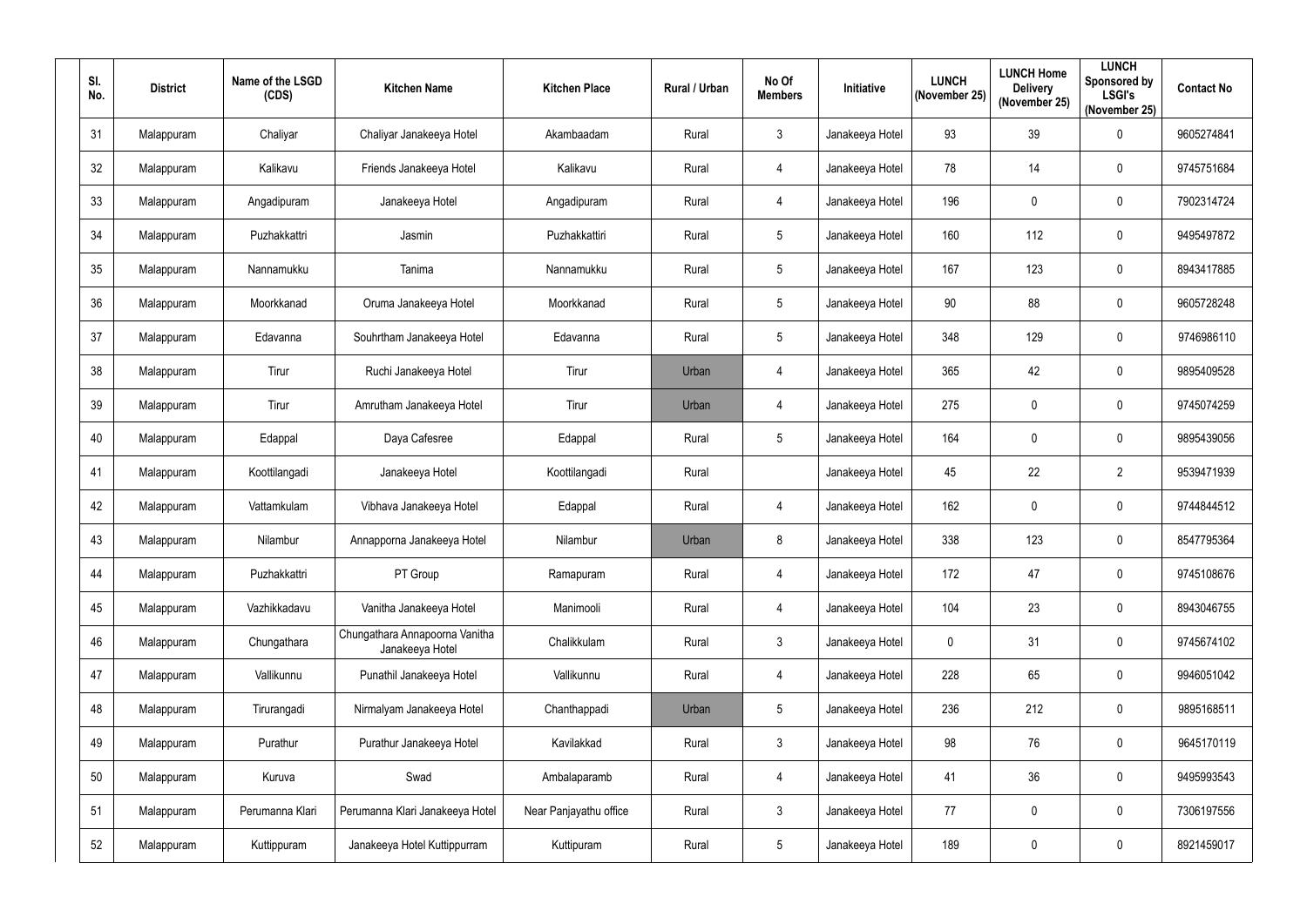| SI.<br>No. | <b>District</b> | Name of the LSGD<br>(CDS) | <b>Kitchen Name</b>                               | <b>Kitchen Place</b>   | Rural / Urban | No Of<br><b>Members</b> | Initiative      | <b>LUNCH</b><br>(November 25) | <b>LUNCH Home</b><br><b>Delivery</b><br>(November 25) | <b>LUNCH</b><br>Sponsored by<br><b>LSGI's</b><br>(November 25) | <b>Contact No</b> |
|------------|-----------------|---------------------------|---------------------------------------------------|------------------------|---------------|-------------------------|-----------------|-------------------------------|-------------------------------------------------------|----------------------------------------------------------------|-------------------|
| 31         | Malappuram      | Chaliyar                  | Chaliyar Janakeeya Hotel                          | Akambaadam             | Rural         | $\mathbf{3}$            | Janakeeya Hotel | 93                            | 39                                                    | $\pmb{0}$                                                      | 9605274841        |
| 32         | Malappuram      | Kalikavu                  | Friends Janakeeya Hotel                           | Kalikavu               | Rural         | 4                       | Janakeeya Hotel | 78                            | 14                                                    | $\mathbf 0$                                                    | 9745751684        |
| 33         | Malappuram      | Angadipuram               | Janakeeya Hotel                                   | Angadipuram            | Rural         | $\overline{4}$          | Janakeeya Hotel | 196                           | $\boldsymbol{0}$                                      | $\pmb{0}$                                                      | 7902314724        |
| 34         | Malappuram      | Puzhakkattri              | Jasmin                                            | Puzhakkattiri          | Rural         | 5                       | Janakeeya Hotel | 160                           | 112                                                   | $\pmb{0}$                                                      | 9495497872        |
| 35         | Malappuram      | Nannamukku                | Tanima                                            | Nannamukku             | Rural         | 5                       | Janakeeya Hotel | 167                           | 123                                                   | $\pmb{0}$                                                      | 8943417885        |
| 36         | Malappuram      | Moorkkanad                | Oruma Janakeeya Hotel                             | Moorkkanad             | Rural         | 5                       | Janakeeya Hotel | 90                            | 88                                                    | $\pmb{0}$                                                      | 9605728248        |
| 37         | Malappuram      | Edavanna                  | Souhrtham Janakeeya Hotel                         | Edavanna               | Rural         | $5\phantom{.0}$         | Janakeeya Hotel | 348                           | 129                                                   | $\mathbf 0$                                                    | 9746986110        |
| 38         | Malappuram      | Tirur                     | Ruchi Janakeeya Hotel                             | Tirur                  | Urban         | $\overline{4}$          | Janakeeya Hotel | 365                           | 42                                                    | $\pmb{0}$                                                      | 9895409528        |
| 39         | Malappuram      | Tirur                     | Amrutham Janakeeya Hotel                          | Tirur                  | Urban         | $\overline{4}$          | Janakeeya Hotel | 275                           | $\boldsymbol{0}$                                      | $\mathbf 0$                                                    | 9745074259        |
| 40         | Malappuram      | Edappal                   | Daya Cafesree                                     | Edappal                | Rural         | 5                       | Janakeeya Hotel | 164                           | $\overline{0}$                                        | $\mathbf 0$                                                    | 9895439056        |
| 41         | Malappuram      | Koottilangadi             | Janakeeya Hotel                                   | Koottilangadi          | Rural         |                         | Janakeeya Hotel | 45                            | 22                                                    | $\overline{2}$                                                 | 9539471939        |
| 42         | Malappuram      | Vattamkulam               | Vibhava Janakeeya Hotel                           | Edappal                | Rural         | $\overline{4}$          | Janakeeya Hotel | 162                           | $\boldsymbol{0}$                                      | $\mathbf 0$                                                    | 9744844512        |
| 43         | Malappuram      | Nilambur                  | Annapporna Janakeeya Hotel                        | Nilambur               | Urban         | 8                       | Janakeeya Hotel | 338                           | 123                                                   | $\mathbf 0$                                                    | 8547795364        |
| 44         | Malappuram      | Puzhakkattri              | PT Group                                          | Ramapuram              | Rural         | $\overline{4}$          | Janakeeya Hotel | 172                           | 47                                                    | $\mathbf 0$                                                    | 9745108676        |
| 45         | Malappuram      | Vazhikkadavu              | Vanitha Janakeeya Hotel                           | Manimooli              | Rural         | $\overline{4}$          | Janakeeya Hotel | 104                           | 23                                                    | $\pmb{0}$                                                      | 8943046755        |
| 46         | Malappuram      | Chungathara               | Chungathara Annapoorna Vanitha<br>Janakeeya Hotel | Chalikkulam            | Rural         | $\mathfrak{Z}$          | Janakeeya Hotel | $\mathbf 0$                   | 31                                                    | $\pmb{0}$                                                      | 9745674102        |
| 47         | Malappuram      | Vallikunnu                | Punathil Janakeeya Hotel                          | Vallikunnu             | Rural         | $\overline{4}$          | Janakeeya Hotel | 228                           | 65                                                    | $\pmb{0}$                                                      | 9946051042        |
| 48         | Malappuram      | Tirurangadi               | Nirmalyam Janakeeya Hotel                         | Chanthappadi           | Urban         | 5                       | Janakeeya Hotel | 236                           | 212                                                   | $\mathbf 0$                                                    | 9895168511        |
| 49         | Malappuram      | Purathur                  | Purathur Janakeeya Hotel                          | Kavilakkad             | Rural         | $\mathfrak{Z}$          | Janakeeya Hotel | 98                            | 76                                                    | $\pmb{0}$                                                      | 9645170119        |
| 50         | Malappuram      | Kuruva                    | Swad                                              | Ambalaparamb           | Rural         | $\overline{4}$          | Janakeeya Hotel | 41                            | 36                                                    | $\pmb{0}$                                                      | 9495993543        |
| 51         | Malappuram      | Perumanna Klari           | Perumanna Klari Janakeeya Hotel                   | Near Panjayathu office | Rural         | $\mathfrak{Z}$          | Janakeeya Hotel | 77                            | $\mathbf 0$                                           | $\pmb{0}$                                                      | 7306197556        |
| 52         | Malappuram      | Kuttippuram               | Janakeeya Hotel Kuttippurram                      | Kuttipuram             | Rural         | 5                       | Janakeeya Hotel | 189                           | $\boldsymbol{0}$                                      | $\pmb{0}$                                                      | 8921459017        |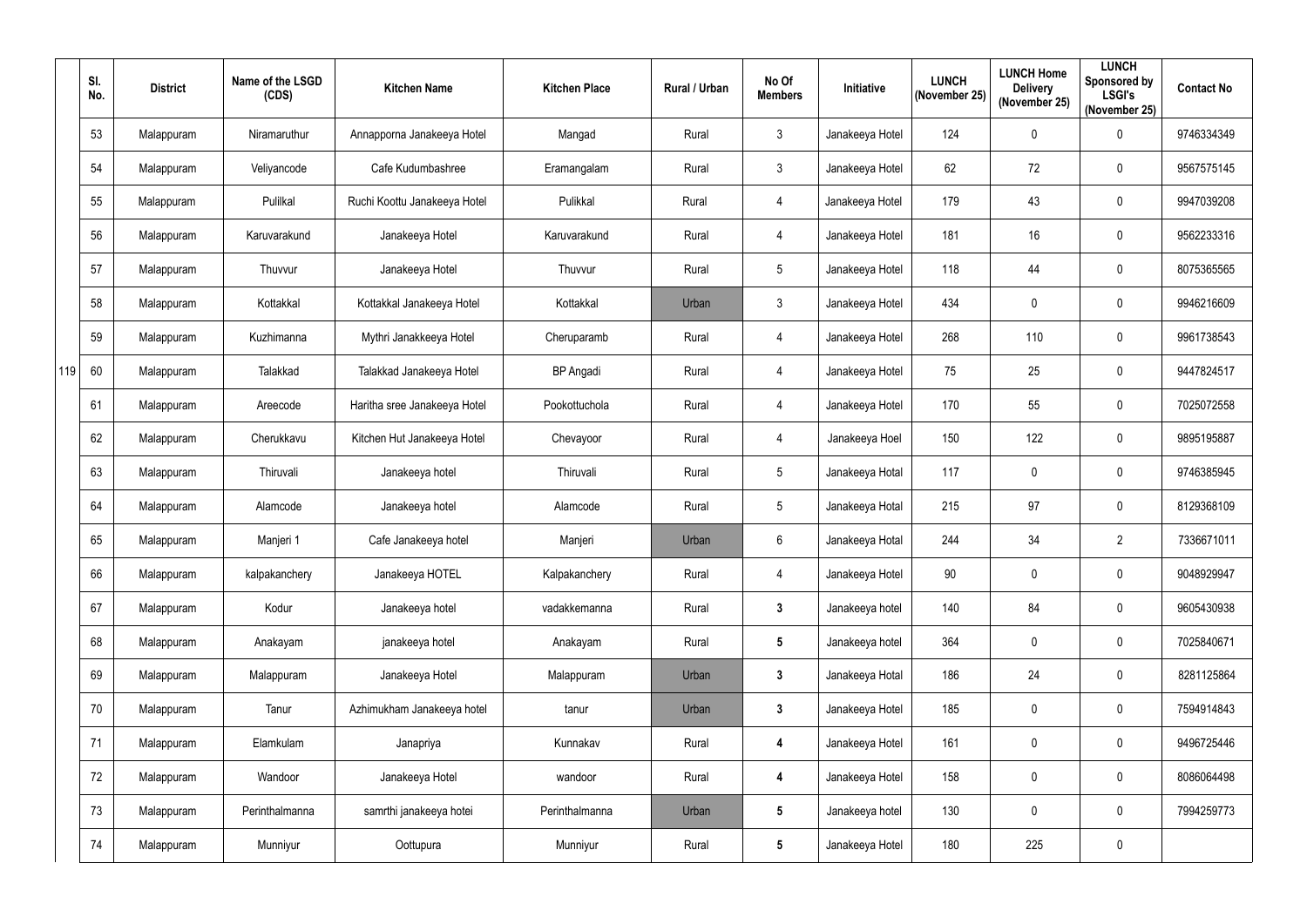|     | SI.<br>No. | <b>District</b> | Name of the LSGD<br>(CDS) | <b>Kitchen Name</b>          | <b>Kitchen Place</b> | Rural / Urban | No Of<br><b>Members</b> | Initiative      | <b>LUNCH</b><br>(November 25) | <b>LUNCH Home</b><br><b>Delivery</b><br>(November 25) | <b>LUNCH</b><br>Sponsored by<br><b>LSGI's</b><br>(November 25) | <b>Contact No</b> |
|-----|------------|-----------------|---------------------------|------------------------------|----------------------|---------------|-------------------------|-----------------|-------------------------------|-------------------------------------------------------|----------------------------------------------------------------|-------------------|
|     | 53         | Malappuram      | Niramaruthur              | Annapporna Janakeeya Hotel   | Mangad               | Rural         | $\mathbf{3}$            | Janakeeya Hotel | 124                           | $\mathbf 0$                                           | $\pmb{0}$                                                      | 9746334349        |
|     | 54         | Malappuram      | Veliyancode               | Cafe Kudumbashree            | Eramangalam          | Rural         | $\mathbf{3}$            | Janakeeya Hotel | 62                            | 72                                                    | $\pmb{0}$                                                      | 9567575145        |
|     | 55         | Malappuram      | Pulilkal                  | Ruchi Koottu Janakeeya Hotel | Pulikkal             | Rural         | 4                       | Janakeeya Hotel | 179                           | 43                                                    | $\pmb{0}$                                                      | 9947039208        |
|     | 56         | Malappuram      | Karuvarakund              | Janakeeya Hotel              | Karuvarakund         | Rural         | 4                       | Janakeeya Hotel | 181                           | 16                                                    | $\pmb{0}$                                                      | 9562233316        |
|     | 57         | Malappuram      | Thuvvur                   | Janakeeya Hotel              | Thuvvur              | Rural         | $5\overline{)}$         | Janakeeya Hotel | 118                           | 44                                                    | $\pmb{0}$                                                      | 8075365565        |
|     | 58         | Malappuram      | Kottakkal                 | Kottakkal Janakeeya Hotel    | Kottakkal            | Urban         | $\mathbf{3}$            | Janakeeya Hotel | 434                           | $\mathbf 0$                                           | $\pmb{0}$                                                      | 9946216609        |
|     | 59         | Malappuram      | Kuzhimanna                | Mythri Janakkeeya Hotel      | Cheruparamb          | Rural         | 4                       | Janakeeya Hotel | 268                           | 110                                                   | $\mathbf 0$                                                    | 9961738543        |
| 119 | 60         | Malappuram      | Talakkad                  | Talakkad Janakeeya Hotel     | <b>BP</b> Angadi     | Rural         | 4                       | Janakeeya Hotel | 75                            | 25                                                    | $\pmb{0}$                                                      | 9447824517        |
|     | 61         | Malappuram      | Areecode                  | Haritha sree Janakeeya Hotel | Pookottuchola        | Rural         | 4                       | Janakeeya Hotel | 170                           | 55                                                    | $\pmb{0}$                                                      | 7025072558        |
|     | 62         | Malappuram      | Cherukkavu                | Kitchen Hut Janakeeya Hotel  | Chevayoor            | Rural         | 4                       | Janakeeya Hoel  | 150                           | 122                                                   | $\pmb{0}$                                                      | 9895195887        |
|     | 63         | Malappuram      | Thiruvali                 | Janakeeya hotel              | Thiruvali            | Rural         | $5\overline{)}$         | Janakeeya Hotal | 117                           | $\overline{0}$                                        | $\pmb{0}$                                                      | 9746385945        |
|     | 64         | Malappuram      | Alamcode                  | Janakeeya hotel              | Alamcode             | Rural         | $5\overline{)}$         | Janakeeya Hotal | 215                           | 97                                                    | $\mathbf 0$                                                    | 8129368109        |
|     | 65         | Malappuram      | Manjeri 1                 | Cafe Janakeeya hotel         | Manjeri              | Urban         | $6\phantom{.}6$         | Janakeeya Hotal | 244                           | 34                                                    | $\overline{2}$                                                 | 7336671011        |
|     | 66         | Malappuram      | kalpakanchery             | Janakeeya HOTEL              | Kalpakanchery        | Rural         | $\overline{4}$          | Janakeeya Hotel | $90\,$                        | $\overline{0}$                                        | $\pmb{0}$                                                      | 9048929947        |
|     | 67         | Malappuram      | Kodur                     | Janakeeya hotel              | vadakkemanna         | Rural         | $3\phantom{a}$          | Janakeeya hotel | 140                           | 84                                                    | $\pmb{0}$                                                      | 9605430938        |
|     | 68         | Malappuram      | Anakayam                  | janakeeya hotel              | Anakayam             | Rural         | $5\phantom{.0}$         | Janakeeya hotel | 364                           | $\mathbf 0$                                           | $\pmb{0}$                                                      | 7025840671        |
|     | 69         | Malappuram      | Malappuram                | Janakeeya Hotel              | Malappuram           | Urban         | $3\phantom{a}$          | Janakeeya Hotal | 186                           | 24                                                    | $\pmb{0}$                                                      | 8281125864        |
|     | 70         | Malappuram      | Tanur                     | Azhimukham Janakeeya hotel   | tanur                | Urban         | $3\phantom{a}$          | Janakeeya Hotel | 185                           | $\overline{0}$                                        | $\boldsymbol{0}$                                               | 7594914843        |
|     | 71         | Malappuram      | Elamkulam                 | Janapriya                    | Kunnakav             | Rural         | $\overline{\mathbf{4}}$ | Janakeeya Hotel | 161                           | $\mathbf 0$                                           | $\pmb{0}$                                                      | 9496725446        |
|     | 72         | Malappuram      | Wandoor                   | Janakeeya Hotel              | wandoor              | Rural         | $\overline{\mathbf{4}}$ | Janakeeya Hotel | 158                           | $\overline{0}$                                        | $\pmb{0}$                                                      | 8086064498        |
|     | 73         | Malappuram      | Perinthalmanna            | samrthi janakeeya hotei      | Perinthalmanna       | Urban         | $5\phantom{.0}$         | Janakeeya hotel | 130                           | $\overline{0}$                                        | $\mathbf 0$                                                    | 7994259773        |
|     | 74         | Malappuram      | Munniyur                  | Oottupura                    | Munniyur             | Rural         | $5\phantom{.0}$         | Janakeeya Hotel | 180                           | 225                                                   | $\pmb{0}$                                                      |                   |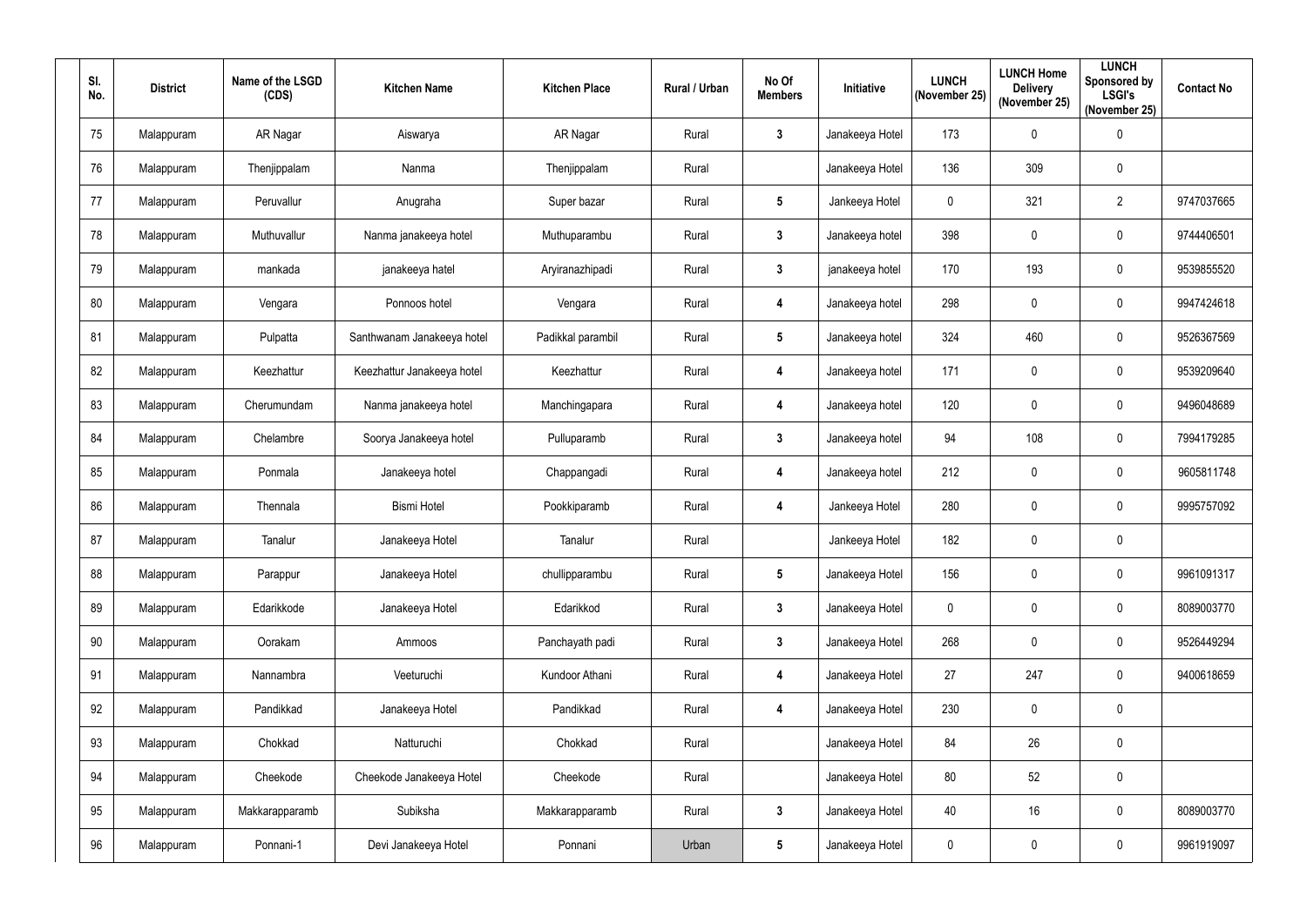| SI.<br>No. | <b>District</b> | Name of the LSGD<br>(CDS) | <b>Kitchen Name</b>        | <b>Kitchen Place</b> | Rural / Urban | No Of<br><b>Members</b> | Initiative      | <b>LUNCH</b><br>(November 25) | <b>LUNCH Home</b><br><b>Delivery</b><br>(November 25) | <b>LUNCH</b><br><b>Sponsored by</b><br><b>LSGI's</b><br>(November 25) | <b>Contact No</b> |
|------------|-----------------|---------------------------|----------------------------|----------------------|---------------|-------------------------|-----------------|-------------------------------|-------------------------------------------------------|-----------------------------------------------------------------------|-------------------|
| 75         | Malappuram      | AR Nagar                  | Aiswarya                   | AR Nagar             | Rural         | 3                       | Janakeeya Hotel | 173                           | $\mathbf 0$                                           | $\pmb{0}$                                                             |                   |
| 76         | Malappuram      | Thenjippalam              | Nanma                      | Thenjippalam         | Rural         |                         | Janakeeya Hotel | 136                           | 309                                                   | $\mathbf 0$                                                           |                   |
| 77         | Malappuram      | Peruvallur                | Anugraha                   | Super bazar          | Rural         | $5\phantom{.0}$         | Jankeeya Hotel  | $\mathbf 0$                   | 321                                                   | $\overline{2}$                                                        | 9747037665        |
| 78         | Malappuram      | Muthuvallur               | Nanma janakeeya hotel      | Muthuparambu         | Rural         | 3                       | Janakeeya hotel | 398                           | $\boldsymbol{0}$                                      | $\pmb{0}$                                                             | 9744406501        |
| 79         | Malappuram      | mankada                   | janakeeya hatel            | Aryiranazhipadi      | Rural         | $\boldsymbol{3}$        | janakeeya hotel | 170                           | 193                                                   | $\pmb{0}$                                                             | 9539855520        |
| 80         | Malappuram      | Vengara                   | Ponnoos hotel              | Vengara              | Rural         | 4                       | Janakeeya hotel | 298                           | $\mathbf 0$                                           | $\pmb{0}$                                                             | 9947424618        |
| 81         | Malappuram      | Pulpatta                  | Santhwanam Janakeeya hotel | Padikkal parambil    | Rural         | 5                       | Janakeeya hotel | 324                           | 460                                                   | $\pmb{0}$                                                             | 9526367569        |
| 82         | Malappuram      | Keezhattur                | Keezhattur Janakeeya hotel | Keezhattur           | Rural         | 4                       | Janakeeya hotel | 171                           | $\mathbf 0$                                           | $\pmb{0}$                                                             | 9539209640        |
| 83         | Malappuram      | Cherumundam               | Nanma janakeeya hotel      | Manchingapara        | Rural         | 4                       | Janakeeya hotel | 120                           | $\boldsymbol{0}$                                      | $\pmb{0}$                                                             | 9496048689        |
| 84         | Malappuram      | Chelambre                 | Soorya Janakeeya hotel     | Pulluparamb          | Rural         | 3                       | Janakeeya hotel | 94                            | 108                                                   | $\mathbf 0$                                                           | 7994179285        |
| 85         | Malappuram      | Ponmala                   | Janakeeya hotel            | Chappangadi          | Rural         | 4                       | Janakeeya hotel | 212                           | $\boldsymbol{0}$                                      | $\pmb{0}$                                                             | 9605811748        |
| 86         | Malappuram      | Thennala                  | <b>Bismi Hotel</b>         | Pookkiparamb         | Rural         | $\overline{\mathbf{4}}$ | Jankeeya Hotel  | 280                           | $\boldsymbol{0}$                                      | $\mathbf 0$                                                           | 9995757092        |
| 87         | Malappuram      | Tanalur                   | Janakeeya Hotel            | Tanalur              | Rural         |                         | Jankeeya Hotel  | 182                           | $\mathbf 0$                                           | $\pmb{0}$                                                             |                   |
| 88         | Malappuram      | Parappur                  | Janakeeya Hotel            | chullipparambu       | Rural         | $5\phantom{.0}$         | Janakeeya Hotel | 156                           | $\pmb{0}$                                             | $\pmb{0}$                                                             | 9961091317        |
| 89         | Malappuram      | Edarikkode                | Janakeeya Hotel            | Edarikkod            | Rural         | $\mathbf{3}$            | Janakeeya Hotel | $\mathbf 0$                   | $\mathbf 0$                                           | $\pmb{0}$                                                             | 8089003770        |
| 90         | Malappuram      | Oorakam                   | Ammoos                     | Panchayath padi      | Rural         | $\mathbf{3}$            | Janakeeya Hotel | 268                           | $\mathbf 0$                                           | $\boldsymbol{0}$                                                      | 9526449294        |
| 91         | Malappuram      | Nannambra                 | Veeturuchi                 | Kundoor Athani       | Rural         | $\overline{\mathbf{4}}$ | Janakeeya Hotel | 27                            | 247                                                   | $\mathbf 0$                                                           | 9400618659        |
| 92         | Malappuram      | Pandikkad                 | Janakeeya Hotel            | Pandikkad            | Rural         | $\overline{\mathbf{4}}$ | Janakeeya Hotel | 230                           | $\mathbf 0$                                           | $\pmb{0}$                                                             |                   |
| 93         | Malappuram      | Chokkad                   | Natturuchi                 | Chokkad              | Rural         |                         | Janakeeya Hotel | 84                            | 26                                                    | $\pmb{0}$                                                             |                   |
| 94         | Malappuram      | Cheekode                  | Cheekode Janakeeya Hotel   | Cheekode             | Rural         |                         | Janakeeya Hotel | 80                            | 52                                                    | $\pmb{0}$                                                             |                   |
| 95         | Malappuram      | Makkarapparamb            | Subiksha                   | Makkarapparamb       | Rural         | $3\phantom{a}$          | Janakeeya Hotel | 40                            | 16                                                    | $\pmb{0}$                                                             | 8089003770        |
| 96         | Malappuram      | Ponnani-1                 | Devi Janakeeya Hotel       | Ponnani              | Urban         | $5\phantom{.0}$         | Janakeeya Hotel | 0                             | $\boldsymbol{0}$                                      | $\pmb{0}$                                                             | 9961919097        |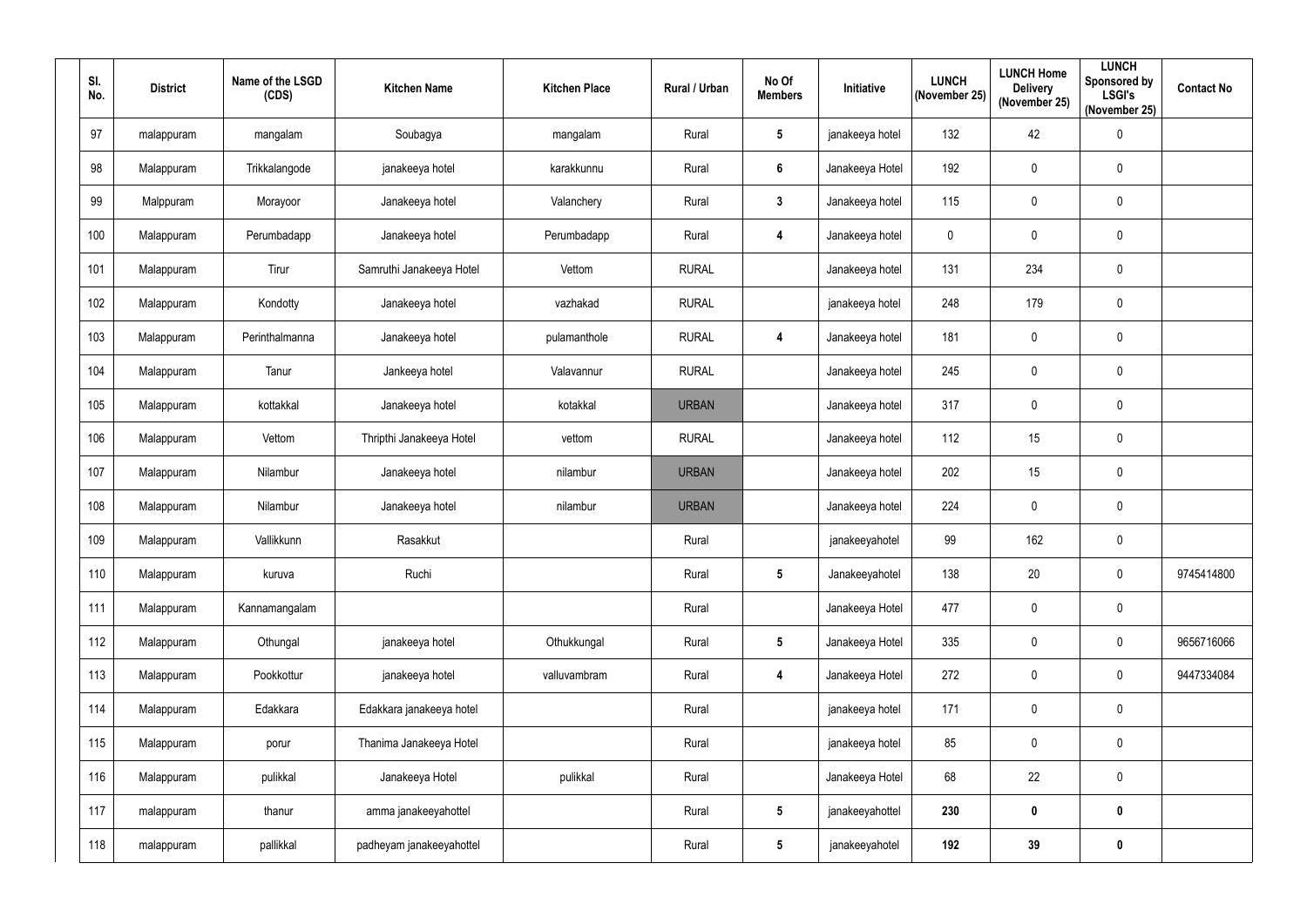| SI.<br>No. | <b>District</b> | Name of the LSGD<br>(CDS) | <b>Kitchen Name</b>      | <b>Kitchen Place</b> | Rural / Urban | No Of<br><b>Members</b> | Initiative      | <b>LUNCH</b><br>(November 25) | <b>LUNCH Home</b><br><b>Delivery</b><br>(November 25) | <b>LUNCH</b><br><b>Sponsored by</b><br><b>LSGI's</b><br>(November 25) | <b>Contact No</b> |
|------------|-----------------|---------------------------|--------------------------|----------------------|---------------|-------------------------|-----------------|-------------------------------|-------------------------------------------------------|-----------------------------------------------------------------------|-------------------|
| 97         | malappuram      | mangalam                  | Soubagya                 | mangalam             | Rural         | $\sqrt{5}$              | janakeeya hotel | 132                           | 42                                                    | $\mathbf 0$                                                           |                   |
| 98         | Malappuram      | Trikkalangode             | janakeeya hotel          | karakkunnu           | Rural         | $6\overline{6}$         | Janakeeya Hotel | 192                           | $\mathbf 0$                                           | 0                                                                     |                   |
| 99         | Malppuram       | Morayoor                  | Janakeeya hotel          | Valanchery           | Rural         | $\mathbf{3}$            | Janakeeya hotel | 115                           | $\mathbf 0$                                           | 0                                                                     |                   |
| 100        | Malappuram      | Perumbadapp               | Janakeeya hotel          | Perumbadapp          | Rural         | 4                       | Janakeeya hotel | $\mathbf 0$                   | $\mathbf 0$                                           | 0                                                                     |                   |
| 101        | Malappuram      | Tirur                     | Samruthi Janakeeya Hotel | Vettom               | <b>RURAL</b>  |                         | Janakeeya hotel | 131                           | 234                                                   | 0                                                                     |                   |
| 102        | Malappuram      | Kondotty                  | Janakeeya hotel          | vazhakad             | <b>RURAL</b>  |                         | janakeeya hotel | 248                           | 179                                                   | 0                                                                     |                   |
| 103        | Malappuram      | Perinthalmanna            | Janakeeya hotel          | pulamanthole         | <b>RURAL</b>  | $\overline{4}$          | Janakeeya hotel | 181                           | $\boldsymbol{0}$                                      | 0                                                                     |                   |
| 104        | Malappuram      | Tanur                     | Jankeeya hotel           | Valavannur           | <b>RURAL</b>  |                         | Janakeeya hotel | 245                           | $\pmb{0}$                                             | $\pmb{0}$                                                             |                   |
| 105        | Malappuram      | kottakkal                 | Janakeeya hotel          | kotakkal             | <b>URBAN</b>  |                         | Janakeeya hotel | 317                           | $\mathbf 0$                                           | 0                                                                     |                   |
| 106        | Malappuram      | Vettom                    | Thripthi Janakeeya Hotel | vettom               | <b>RURAL</b>  |                         | Janakeeya hotel | 112                           | 15                                                    | 0                                                                     |                   |
| 107        | Malappuram      | Nilambur                  | Janakeeya hotel          | nilambur             | <b>URBAN</b>  |                         | Janakeeya hotel | 202                           | 15                                                    | $\boldsymbol{0}$                                                      |                   |
| 108        | Malappuram      | Nilambur                  | Janakeeya hotel          | nilambur             | <b>URBAN</b>  |                         | Janakeeya hotel | 224                           | $\boldsymbol{0}$                                      | 0                                                                     |                   |
| 109        | Malappuram      | Vallikkunn                | Rasakkut                 |                      | Rural         |                         | janakeeyahotel  | 99                            | 162                                                   | 0                                                                     |                   |
| 110        | Malappuram      | kuruva                    | Ruchi                    |                      | Rural         | $5\phantom{.0}$         | Janakeeyahotel  | 138                           | 20                                                    | 0                                                                     | 9745414800        |
| 111        | Malappuram      | Kannamangalam             |                          |                      | Rural         |                         | Janakeeya Hotel | 477                           | $\pmb{0}$                                             | 0                                                                     |                   |
| 112        | Malappuram      | Othungal                  | janakeeya hotel          | Othukkungal          | Rural         | $5\phantom{.0}$         | Janakeeya Hotel | 335                           | $\mathbf 0$                                           | 0                                                                     | 9656716066        |
| 113        | Malappuram      | Pookkottur                | janakeeya hotel          | valluvambram         | Rural         | $\overline{\mathbf{4}}$ | Janakeeya Hotel | 272                           | $\mathbf 0$                                           | 0                                                                     | 9447334084        |
| 114        | Malappuram      | Edakkara                  | Edakkara janakeeya hotel |                      | Rural         |                         | janakeeya hotel | 171                           | $\mathbf 0$                                           | $\mathbf 0$                                                           |                   |
| 115        | Malappuram      | porur                     | Thanima Janakeeya Hotel  |                      | Rural         |                         | janakeeya hotel | 85                            | $\pmb{0}$                                             | 0                                                                     |                   |
| 116        | Malappuram      | pulikkal                  | Janakeeya Hotel          | pulikkal             | Rural         |                         | Janakeeya Hotel | 68                            | 22                                                    | 0                                                                     |                   |
| 117        | malappuram      | thanur                    | amma janakeeyahottel     |                      | Rural         | $5\phantom{.0}$         | janakeeyahottel | 230                           | $\mathbf 0$                                           | $\boldsymbol{0}$                                                      |                   |
| 118        | malappuram      | pallikkal                 | padheyam janakeeyahottel |                      | Rural         | $\sqrt{5}$              | janakeeyahotel  | 192                           | 39                                                    | 0                                                                     |                   |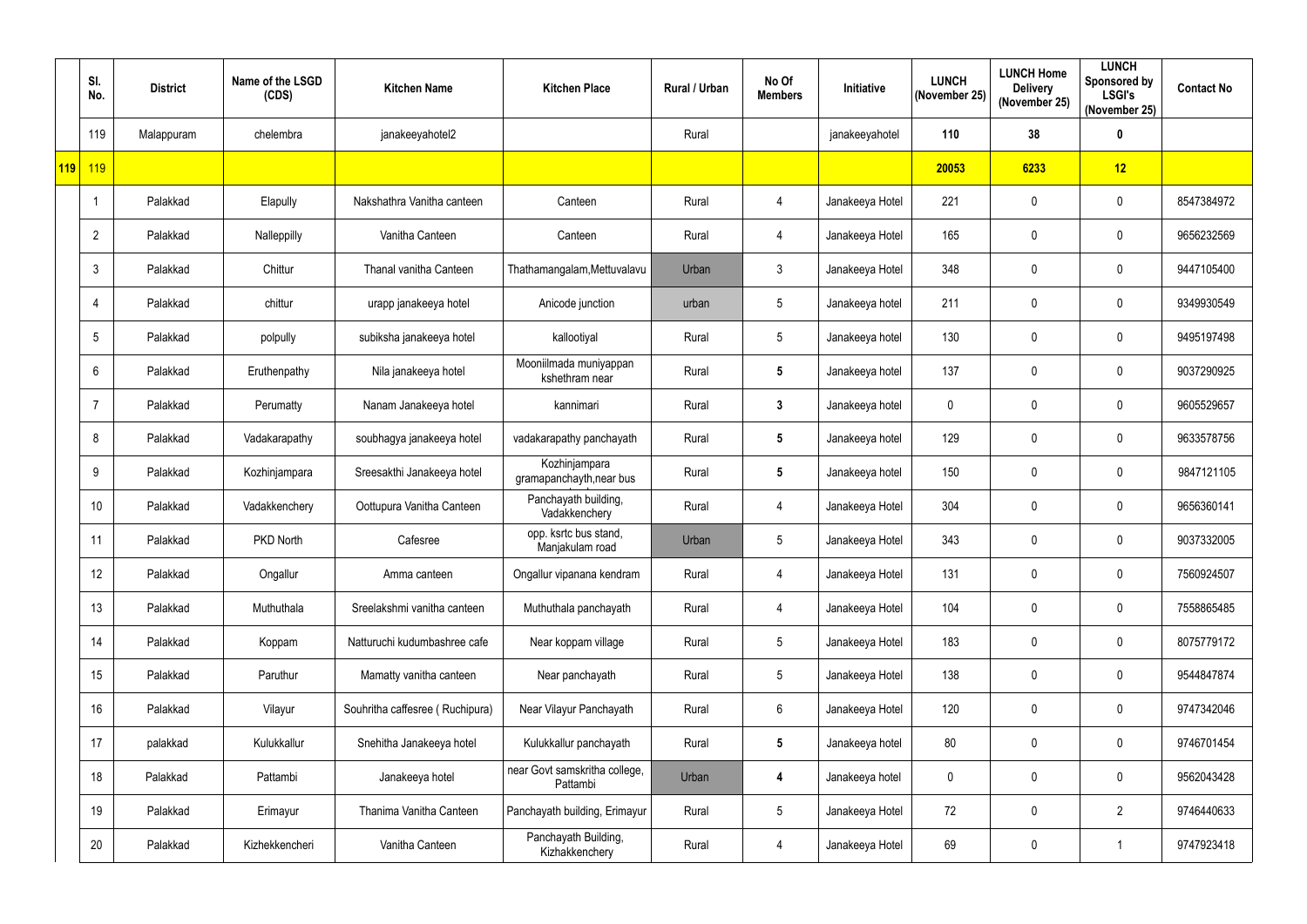|                  | SI.<br>No.      | <b>District</b> | Name of the LSGD<br>(CDS) | <b>Kitchen Name</b>             | <b>Kitchen Place</b>                      | Rural / Urban | No Of<br><b>Members</b> | Initiative      | <b>LUNCH</b><br>(November 25) | <b>LUNCH Home</b><br><b>Delivery</b><br>(November 25) | <b>LUNCH</b><br><b>Sponsored by</b><br><b>LSGI's</b><br>(November 25) | <b>Contact No</b> |
|------------------|-----------------|-----------------|---------------------------|---------------------------------|-------------------------------------------|---------------|-------------------------|-----------------|-------------------------------|-------------------------------------------------------|-----------------------------------------------------------------------|-------------------|
|                  | 119             | Malappuram      | chelembra                 | janakeeyahotel2                 |                                           | Rural         |                         | janakeeyahotel  | 110                           | 38                                                    | $\boldsymbol{0}$                                                      |                   |
| <mark>119</mark> | 119             |                 |                           |                                 |                                           |               |                         |                 | 20053                         | 6233                                                  | 12                                                                    |                   |
|                  |                 | Palakkad        | Elapully                  | Nakshathra Vanitha canteen      | Canteen                                   | Rural         | 4                       | Janakeeya Hotel | 221                           | $\mathbf 0$                                           | $\pmb{0}$                                                             | 8547384972        |
|                  | $\overline{2}$  | Palakkad        | Nalleppilly               | Vanitha Canteen                 | Canteen                                   | Rural         | 4                       | Janakeeya Hotel | 165                           | $\mathbf 0$                                           | $\pmb{0}$                                                             | 9656232569        |
|                  | 3               | Palakkad        | Chittur                   | Thanal vanitha Canteen          | Thathamangalam, Mettuvalavu               | Urban         | $\mathfrak{Z}$          | Janakeeya Hotel | 348                           | $\boldsymbol{0}$                                      | $\mathbf 0$                                                           | 9447105400        |
|                  | 4               | Palakkad        | chittur                   | urapp janakeeya hotel           | Anicode junction                          | urban         | 5 <sup>5</sup>          | Janakeeya hotel | 211                           | $\mathbf 0$                                           | $\mathbf 0$                                                           | 9349930549        |
|                  | $5\phantom{.0}$ | Palakkad        | polpully                  | subiksha janakeeya hotel        | kallootiyal                               | Rural         | 5                       | Janakeeya hotel | 130                           | $\boldsymbol{0}$                                      | $\pmb{0}$                                                             | 9495197498        |
|                  | 6               | Palakkad        | Eruthenpathy              | Nila janakeeya hotel            | Mooniilmada muniyappan<br>kshethram near  | Rural         | $5\phantom{.0}$         | Janakeeya hotel | 137                           | $\mathbf 0$                                           | $\pmb{0}$                                                             | 9037290925        |
|                  | $\overline{7}$  | Palakkad        | Perumatty                 | Nanam Janakeeya hotel           | kannimari                                 | Rural         | $\mathbf{3}$            | Janakeeya hotel | $\mathbf 0$                   | $\mathbf 0$                                           | $\mathbf 0$                                                           | 9605529657        |
|                  | 8               | Palakkad        | Vadakarapathy             | soubhagya janakeeya hotel       | vadakarapathy panchayath                  | Rural         | $5\phantom{.0}$         | Janakeeya hotel | 129                           | $\mathbf 0$                                           | $\mathbf 0$                                                           | 9633578756        |
|                  | 9               | Palakkad        | Kozhinjampara             | Sreesakthi Janakeeya hotel      | Kozhinjampara<br>gramapanchayth, near bus | Rural         | $5\phantom{.0}$         | Janakeeya hotel | 150                           | $\boldsymbol{0}$                                      | $\pmb{0}$                                                             | 9847121105        |
|                  | 10              | Palakkad        | Vadakkenchery             | Oottupura Vanitha Canteen       | Panchayath building,<br>Vadakkenchery     | Rural         | 4                       | Janakeeya Hotel | 304                           | $\mathbf 0$                                           | $\mathbf 0$                                                           | 9656360141        |
|                  | 11              | Palakkad        | PKD North                 | Cafesree                        | opp. ksrtc bus stand,<br>Manjakulam road  | Urban         | 5                       | Janakeeya Hotel | 343                           | $\boldsymbol{0}$                                      | $\mathbf 0$                                                           | 9037332005        |
|                  | 12              | Palakkad        | Ongallur                  | Amma canteen                    | Ongallur vipanana kendram                 | Rural         | 4                       | Janakeeya Hotel | 131                           | $\mathbf 0$                                           | $\pmb{0}$                                                             | 7560924507        |
|                  | 13              | Palakkad        | Muthuthala                | Sreelakshmi vanitha canteen     | Muthuthala panchayath                     | Rural         | 4                       | Janakeeya Hotel | 104                           | $\boldsymbol{0}$                                      | $\pmb{0}$                                                             | 7558865485        |
|                  | 14              | Palakkad        | Koppam                    | Natturuchi kudumbashree cafe    | Near koppam village                       | Rural         | $5\phantom{.0}$         | Janakeeya Hotel | 183                           | $\mathbf 0$                                           | $\boldsymbol{0}$                                                      | 8075779172        |
|                  | 15              | Palakkad        | Paruthur                  | Mamatty vanitha canteen         | Near panchayath                           | Rural         | $5\phantom{.0}$         | Janakeeya Hotel | 138                           | $\mathbf 0$                                           | $\mathbf 0$                                                           | 9544847874        |
|                  | 16 <sup>°</sup> | Palakkad        | Vilayur                   | Souhritha caffesree (Ruchipura) | Near Vilayur Panchayath                   | Rural         | $6\phantom{.0}$         | Janakeeya Hotel | 120                           | $\mathbf 0$                                           | $\pmb{0}$                                                             | 9747342046        |
|                  | 17              | palakkad        | Kulukkallur               | Snehitha Janakeeya hotel        | Kulukkallur panchayath                    | Rural         | $5\phantom{.0}$         | Janakeeya hotel | 80                            | $\mathbf 0$                                           | $\pmb{0}$                                                             | 9746701454        |
|                  | 18              | Palakkad        | Pattambi                  | Janakeeya hotel                 | near Govt samskritha college,<br>Pattambi | Urban         | $\overline{\mathbf{4}}$ | Janakeeya hotel | $\mathbf 0$                   | $\mathbf 0$                                           | $\mathbf 0$                                                           | 9562043428        |
|                  | 19              | Palakkad        | Erimayur                  | Thanima Vanitha Canteen         | Panchayath building, Erimayur             | Rural         | $5\phantom{.0}$         | Janakeeya Hotel | 72                            | $\mathbf 0$                                           | $\overline{2}$                                                        | 9746440633        |
|                  | 20              | Palakkad        | Kizhekkencheri            | Vanitha Canteen                 | Panchayath Building,<br>Kizhakkenchery    | Rural         | 4                       | Janakeeya Hotel | 69                            | $\pmb{0}$                                             | -1                                                                    | 9747923418        |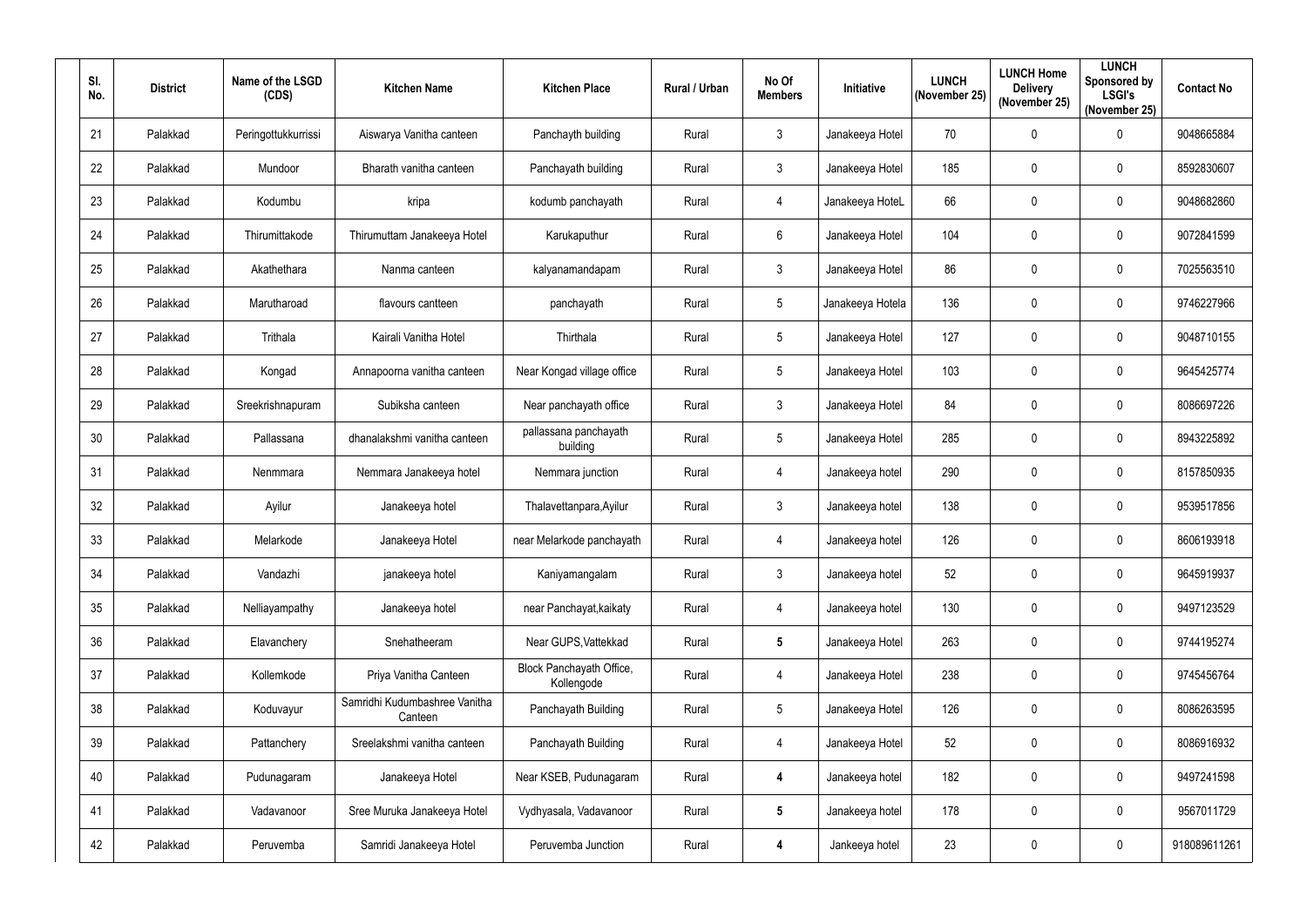| SI.<br>No. | <b>District</b> | Name of the LSGD<br>(CDS) | <b>Kitchen Name</b>                      | <b>Kitchen Place</b>                   | Rural / Urban | No Of<br><b>Members</b> | Initiative       | <b>LUNCH</b><br>(November 25) | <b>LUNCH Home</b><br><b>Delivery</b><br>(November 25) | <b>LUNCH</b><br>Sponsored by<br><b>LSGI's</b><br>(November 25) | <b>Contact No</b> |
|------------|-----------------|---------------------------|------------------------------------------|----------------------------------------|---------------|-------------------------|------------------|-------------------------------|-------------------------------------------------------|----------------------------------------------------------------|-------------------|
| 21         | Palakkad        | Peringottukkurrissi       | Aiswarya Vanitha canteen                 | Panchayth building                     | Rural         | 3                       | Janakeeya Hotel  | 70                            | $\overline{0}$                                        | $\pmb{0}$                                                      | 9048665884        |
| 22         | Palakkad        | Mundoor                   | Bharath vanitha canteen                  | Panchayath building                    | Rural         | $\mathfrak{Z}$          | Janakeeya Hotel  | 185                           | $\mathbf 0$                                           | $\mathbf 0$                                                    | 8592830607        |
| 23         | Palakkad        | Kodumbu                   | kripa                                    | kodumb panchayath                      | Rural         | $\overline{4}$          | Janakeeya HoteL  | 66                            | $\mathbf 0$                                           | $\pmb{0}$                                                      | 9048682860        |
| 24         | Palakkad        | Thirumittakode            | Thirumuttam Janakeeya Hotel              | Karukaputhur                           | Rural         | 6                       | Janakeeya Hotel  | 104                           | $\mathbf 0$                                           | $\mathbf 0$                                                    | 9072841599        |
| 25         | Palakkad        | Akathethara               | Nanma canteen                            | kalyanamandapam                        | Rural         | 3                       | Janakeeya Hotel  | 86                            | $\overline{0}$                                        | $\mathbf 0$                                                    | 7025563510        |
| 26         | Palakkad        | Marutharoad               | flavours cantteen                        | panchayath                             | Rural         | 5                       | Janakeeya Hotela | 136                           | $\boldsymbol{0}$                                      | $\mathbf 0$                                                    | 9746227966        |
| 27         | Palakkad        | Trithala                  | Kairali Vanitha Hotel                    | Thirthala                              | Rural         | 5                       | Janakeeya Hotel  | 127                           | $\overline{0}$                                        | $\mathbf 0$                                                    | 9048710155        |
| 28         | Palakkad        | Kongad                    | Annapoorna vanitha canteen               | Near Kongad village office             | Rural         | 5                       | Janakeeya Hotel  | 103                           | $\mathbf 0$                                           | $\pmb{0}$                                                      | 9645425774        |
| 29         | Palakkad        | Sreekrishnapuram          | Subiksha canteen                         | Near panchayath office                 | Rural         | 3                       | Janakeeya Hotel  | 84                            | $\mathbf 0$                                           | $\mathbf 0$                                                    | 8086697226        |
| 30         | Palakkad        | Pallassana                | dhanalakshmi vanitha canteen             | pallassana panchayath<br>building      | Rural         | 5                       | Janakeeya Hotel  | 285                           | $\mathbf 0$                                           | $\mathbf 0$                                                    | 8943225892        |
| 31         | Palakkad        | Nenmmara                  | Nemmara Janakeeya hotel                  | Nemmara junction                       | Rural         | $\overline{4}$          | Janakeeya hotel  | 290                           | $\boldsymbol{0}$                                      | $\mathbf 0$                                                    | 8157850935        |
| 32         | Palakkad        | Ayilur                    | Janakeeya hotel                          | Thalavettanpara, Ayilur                | Rural         | 3                       | Janakeeya hotel  | 138                           | $\mathbf 0$                                           | $\mathbf 0$                                                    | 9539517856        |
| 33         | Palakkad        | Melarkode                 | Janakeeya Hotel                          | near Melarkode panchayath              | Rural         | 4                       | Janakeeya hotel  | 126                           | $\mathbf 0$                                           | $\mathbf 0$                                                    | 8606193918        |
| 34         | Palakkad        | Vandazhi                  | janakeeya hotel                          | Kaniyamangalam                         | Rural         | $\mathfrak{Z}$          | Janakeeya hotel  | 52                            | $\mathbf 0$                                           | $\mathbf 0$                                                    | 9645919937        |
| 35         | Palakkad        | Nelliayampathy            | Janakeeya hotel                          | near Panchayat, kaikaty                | Rural         | $\overline{4}$          | Janakeeya hotel  | 130                           | $\mathbf 0$                                           | $\pmb{0}$                                                      | 9497123529        |
| 36         | Palakkad        | Elavanchery               | Snehatheeram                             | Near GUPS, Vattekkad                   | Rural         | $5\phantom{.0}$         | Janakeeya Hotel  | 263                           | $\mathbf 0$                                           | $\pmb{0}$                                                      | 9744195274        |
| 37         | Palakkad        | Kollemkode                | Priya Vanitha Canteen                    | Block Panchayath Office,<br>Kollengode | Rural         | $\overline{4}$          | Janakeeya Hotel  | 238                           | $\mathbf 0$                                           | $\pmb{0}$                                                      | 9745456764        |
| 38         | Palakkad        | Koduvayur                 | Samridhi Kudumbashree Vanitha<br>Canteen | Panchayath Building                    | Rural         | 5                       | Janakeeya Hotel  | 126                           | $\boldsymbol{0}$                                      | $\pmb{0}$                                                      | 8086263595        |
| 39         | Palakkad        | Pattanchery               | Sreelakshmi vanitha canteen              | Panchayath Building                    | Rural         | $\overline{4}$          | Janakeeya Hotel  | 52                            | $\mathbf 0$                                           | $\pmb{0}$                                                      | 8086916932        |
| 40         | Palakkad        | Pudunagaram               | Janakeeya Hotel                          | Near KSEB, Pudunagaram                 | Rural         | $\overline{4}$          | Janakeeya hotel  | 182                           | $\mathbf 0$                                           | $\pmb{0}$                                                      | 9497241598        |
| 41         | Palakkad        | Vadavanoor                | Sree Muruka Janakeeya Hotel              | Vydhyasala, Vadavanoor                 | Rural         | $5\phantom{.0}$         | Janakeeya hotel  | 178                           | $\mathbf 0$                                           | $\pmb{0}$                                                      | 9567011729        |
| 42         | Palakkad        | Peruvemba                 | Samridi Janakeeya Hotel                  | Peruvemba Junction                     | Rural         | 4                       | Jankeeya hotel   | 23                            | $\boldsymbol{0}$                                      | $\pmb{0}$                                                      | 918089611261      |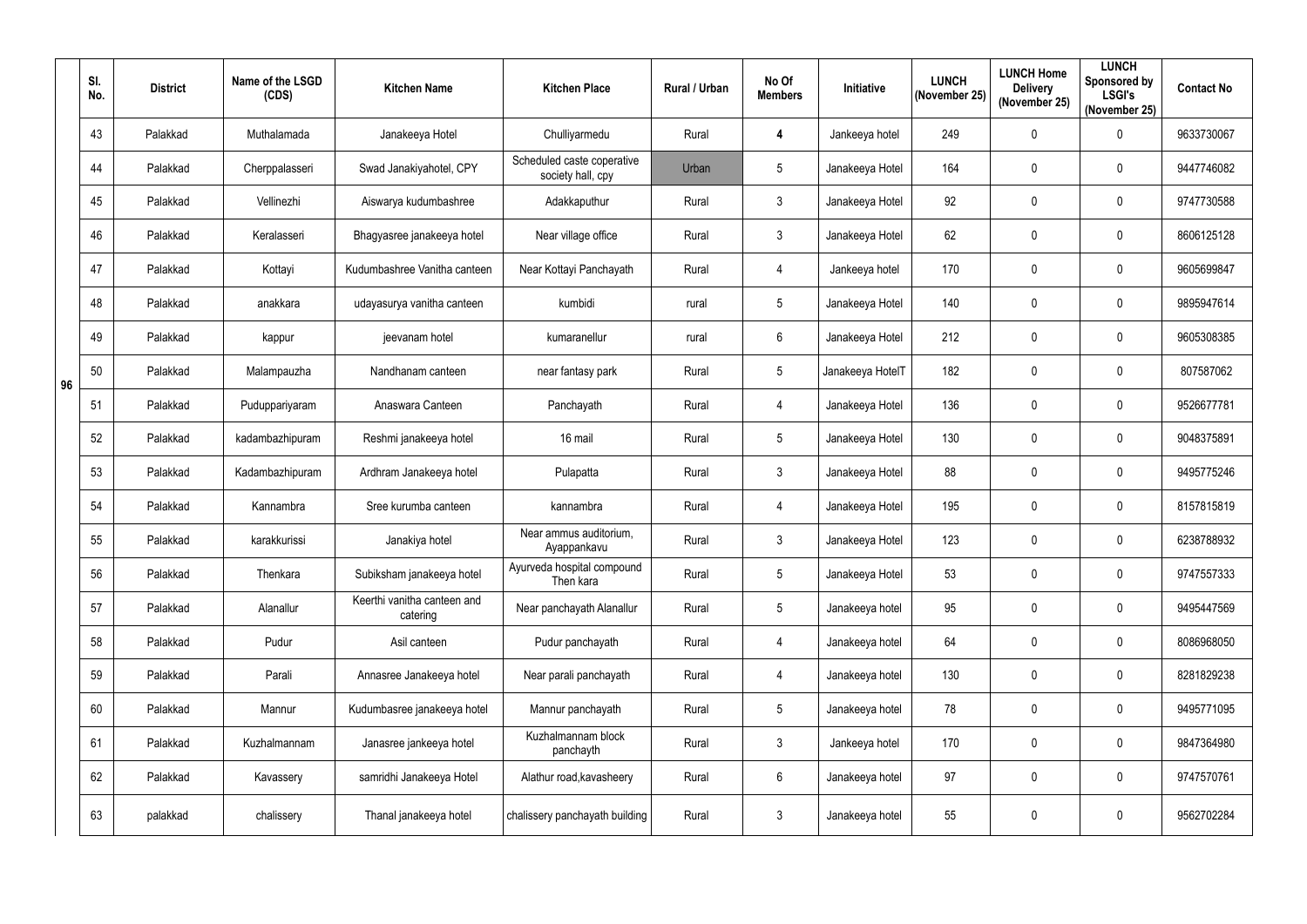|    | SI.<br>No. | <b>District</b> | Name of the LSGD<br>(CDS) | <b>Kitchen Name</b>                     | <b>Kitchen Place</b>                            | Rural / Urban | No Of<br><b>Members</b> | Initiative       | <b>LUNCH</b><br>(November 25) | <b>LUNCH Home</b><br><b>Delivery</b><br>(November 25) | <b>LUNCH</b><br>Sponsored by<br><b>LSGI's</b><br>(November 25) | <b>Contact No</b> |
|----|------------|-----------------|---------------------------|-----------------------------------------|-------------------------------------------------|---------------|-------------------------|------------------|-------------------------------|-------------------------------------------------------|----------------------------------------------------------------|-------------------|
|    | 43         | Palakkad        | Muthalamada               | Janakeeya Hotel                         | Chulliyarmedu                                   | Rural         | 4                       | Jankeeya hotel   | 249                           | $\mathbf 0$                                           | $\pmb{0}$                                                      | 9633730067        |
|    | 44         | Palakkad        | Cherppalasseri            | Swad Janakiyahotel, CPY                 | Scheduled caste coperative<br>society hall, cpy | Urban         | 5                       | Janakeeya Hotel  | 164                           | $\mathbf 0$                                           | 0                                                              | 9447746082        |
|    | 45         | Palakkad        | Vellinezhi                | Aiswarya kudumbashree                   | Adakkaputhur                                    | Rural         | $\mathfrak{Z}$          | Janakeeya Hotel  | 92                            | $\mathbf 0$                                           | $\pmb{0}$                                                      | 9747730588        |
|    | 46         | Palakkad        | Keralasseri               | Bhagyasree janakeeya hotel              | Near village office                             | Rural         | $\mathfrak{Z}$          | Janakeeya Hotel  | 62                            | $\mathbf 0$                                           | $\pmb{0}$                                                      | 8606125128        |
|    | 47         | Palakkad        | Kottayi                   | Kudumbashree Vanitha canteen            | Near Kottayi Panchayath                         | Rural         | 4                       | Jankeeya hotel   | 170                           | $\mathbf 0$                                           | 0                                                              | 9605699847        |
|    | 48         | Palakkad        | anakkara                  | udayasurya vanitha canteen              | kumbidi                                         | rural         | 5                       | Janakeeya Hotel  | 140                           | $\mathbf 0$                                           | 0                                                              | 9895947614        |
|    | 49         | Palakkad        | kappur                    | jeevanam hotel                          | kumaranellur                                    | rural         | $6\phantom{.}$          | Janakeeya Hotel  | 212                           | $\boldsymbol{0}$                                      | 0                                                              | 9605308385        |
| 96 | 50         | Palakkad        | Malampauzha               | Nandhanam canteen                       | near fantasy park                               | Rural         | 5                       | Janakeeya HotelT | 182                           | $\boldsymbol{0}$                                      | $\pmb{0}$                                                      | 807587062         |
|    | 51         | Palakkad        | Puduppariyaram            | Anaswara Canteen                        | Panchayath                                      | Rural         | 4                       | Janakeeya Hotel  | 136                           | $\mathbf 0$                                           | $\pmb{0}$                                                      | 9526677781        |
|    | 52         | Palakkad        | kadambazhipuram           | Reshmi janakeeya hotel                  | 16 mail                                         | Rural         | 5                       | Janakeeya Hotel  | 130                           | $\mathbf 0$                                           | $\pmb{0}$                                                      | 9048375891        |
|    | 53         | Palakkad        | Kadambazhipuram           | Ardhram Janakeeya hotel                 | Pulapatta                                       | Rural         | $\mathfrak{Z}$          | Janakeeya Hotel  | 88                            | $\boldsymbol{0}$                                      | $\pmb{0}$                                                      | 9495775246        |
|    | 54         | Palakkad        | Kannambra                 | Sree kurumba canteen                    | kannambra                                       | Rural         | 4                       | Janakeeya Hotel  | 195                           | $\boldsymbol{0}$                                      | 0                                                              | 8157815819        |
|    | 55         | Palakkad        | karakkurissi              | Janakiya hotel                          | Near ammus auditorium,<br>Ayappankavu           | Rural         | 3                       | Janakeeya Hotel  | 123                           | $\mathbf 0$                                           | 0                                                              | 6238788932        |
|    | 56         | Palakkad        | Thenkara                  | Subiksham janakeeya hotel               | Ayurveda hospital compound<br>Then kara         | Rural         | $5\phantom{.0}$         | Janakeeya Hotel  | 53                            | $\mathbf 0$                                           | $\pmb{0}$                                                      | 9747557333        |
|    | 57         | Palakkad        | Alanallur                 | Keerthi vanitha canteen and<br>catering | Near panchayath Alanallur                       | Rural         | 5                       | Janakeeya hotel  | 95                            | $\pmb{0}$                                             | $\pmb{0}$                                                      | 9495447569        |
|    | 58         | Palakkad        | Pudur                     | Asil canteen                            | Pudur panchayath                                | Rural         | $\overline{4}$          | Janakeeya hotel  | 64                            | $\pmb{0}$                                             | $\boldsymbol{0}$                                               | 8086968050        |
|    | 59         | Palakkad        | Parali                    | Annasree Janakeeya hotel                | Near parali panchayath                          | Rural         | $\overline{4}$          | Janakeeya hotel  | 130                           | $\mathbf 0$                                           | $\pmb{0}$                                                      | 8281829238        |
|    | 60         | Palakkad        | Mannur                    | Kudumbasree janakeeya hotel             | Mannur panchayath                               | Rural         | $5\phantom{.0}$         | Janakeeya hotel  | 78                            | $\mathbf 0$                                           | $\mathbf 0$                                                    | 9495771095        |
|    | 61         | Palakkad        | Kuzhalmannam              | Janasree jankeeya hotel                 | Kuzhalmannam block<br>panchayth                 | Rural         | $\mathfrak{Z}$          | Jankeeya hotel   | 170                           | $\mathbf 0$                                           | $\pmb{0}$                                                      | 9847364980        |
|    | 62         | Palakkad        | Kavassery                 | samridhi Janakeeya Hotel                | Alathur road, kavasheery                        | Rural         | $6\phantom{.0}$         | Janakeeya hotel  | 97                            | $\mathbf 0$                                           | $\pmb{0}$                                                      | 9747570761        |
|    | 63         | palakkad        | chalissery                | Thanal janakeeya hotel                  | chalissery panchayath building                  | Rural         | $\mathfrak{Z}$          | Janakeeya hotel  | 55                            | $\mathbf 0$                                           | $\pmb{0}$                                                      | 9562702284        |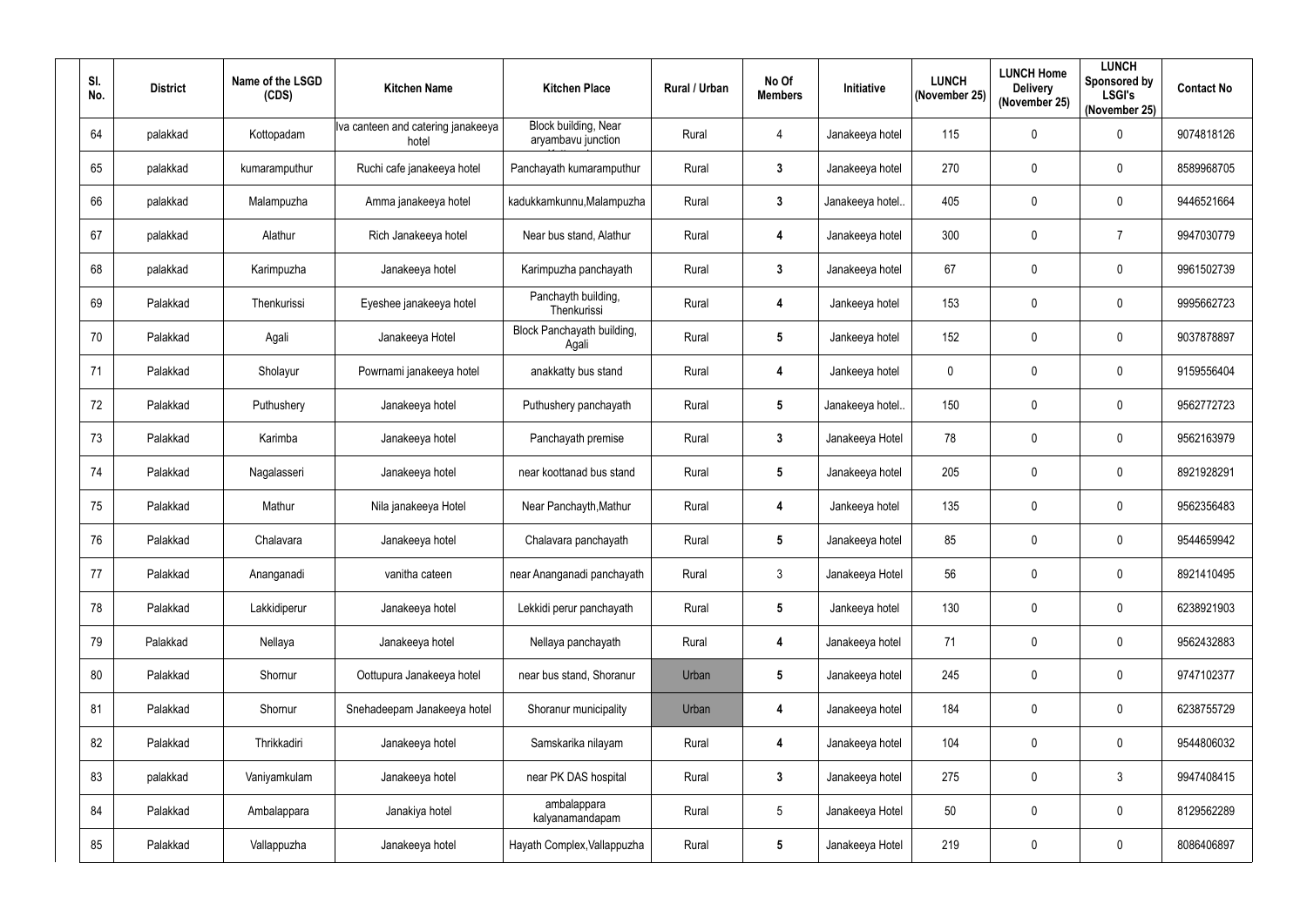| SI.<br>No. | <b>District</b> | Name of the LSGD<br>(CDS) | <b>Kitchen Name</b>                         | <b>Kitchen Place</b>                       | Rural / Urban | No Of<br><b>Members</b> | Initiative       | <b>LUNCH</b><br>(November 25) | <b>LUNCH Home</b><br><b>Delivery</b><br>(November 25) | <b>LUNCH</b><br>Sponsored by<br><b>LSGI's</b><br>(November 25) | <b>Contact No</b> |
|------------|-----------------|---------------------------|---------------------------------------------|--------------------------------------------|---------------|-------------------------|------------------|-------------------------------|-------------------------------------------------------|----------------------------------------------------------------|-------------------|
| 64         | palakkad        | Kottopadam                | Iva canteen and catering janakeeya<br>hotel | Block building, Near<br>aryambavu junction | Rural         | 4                       | Janakeeya hotel  | 115                           | $\mathbf 0$                                           | 0                                                              | 9074818126        |
| 65         | palakkad        | kumaramputhur             | Ruchi cafe janakeeya hotel                  | Panchayath kumaramputhur                   | Rural         | $\mathbf{3}$            | Janakeeya hotel  | 270                           | $\mathbf 0$                                           | 0                                                              | 8589968705        |
| 66         | palakkad        | Malampuzha                | Amma janakeeya hotel                        | kadukkamkunnu, Malampuzha                  | Rural         | $\mathbf{3}$            | Janakeeya hotel. | 405                           | $\mathbf 0$                                           | 0                                                              | 9446521664        |
| 67         | palakkad        | Alathur                   | Rich Janakeeya hotel                        | Near bus stand, Alathur                    | Rural         | $\overline{4}$          | Janakeeya hotel  | 300                           | $\mathbf 0$                                           | $\overline{7}$                                                 | 9947030779        |
| 68         | palakkad        | Karimpuzha                | Janakeeya hotel                             | Karimpuzha panchayath                      | Rural         | $\mathbf{3}$            | Janakeeya hotel  | 67                            | $\mathbf 0$                                           | 0                                                              | 9961502739        |
| 69         | Palakkad        | Thenkurissi               | Eyeshee janakeeya hotel                     | Panchayth building,<br>Thenkurissi         | Rural         | $\overline{4}$          | Jankeeya hotel   | 153                           | $\mathbf 0$                                           | 0                                                              | 9995662723        |
| 70         | Palakkad        | Agali                     | Janakeeya Hotel                             | Block Panchayath building,<br>Agali        | Rural         | $5\phantom{.0}$         | Jankeeya hotel   | 152                           | $\mathbf 0$                                           | $\mathbf 0$                                                    | 9037878897        |
| 71         | Palakkad        | Sholayur                  | Powrnami janakeeya hotel                    | anakkatty bus stand                        | Rural         | $\overline{4}$          | Jankeeya hotel   | $\mathbf 0$                   | $\mathbf 0$                                           | 0                                                              | 9159556404        |
| 72         | Palakkad        | Puthushery                | Janakeeya hotel                             | Puthushery panchayath                      | Rural         | 5                       | Janakeeya hotel. | 150                           | $\mathbf 0$                                           | 0                                                              | 9562772723        |
| 73         | Palakkad        | Karimba                   | Janakeeya hotel                             | Panchayath premise                         | Rural         | 3                       | Janakeeya Hotel  | 78                            | $\mathbf 0$                                           | 0                                                              | 9562163979        |
| 74         | Palakkad        | Nagalasseri               | Janakeeya hotel                             | near koottanad bus stand                   | Rural         | 5                       | Janakeeya hotel  | 205                           | $\mathbf 0$                                           | 0                                                              | 8921928291        |
| 75         | Palakkad        | Mathur                    | Nila janakeeya Hotel                        | Near Panchayth, Mathur                     | Rural         | $\overline{4}$          | Jankeeya hotel   | 135                           | $\mathbf 0$                                           | 0                                                              | 9562356483        |
| 76         | Palakkad        | Chalavara                 | Janakeeya hotel                             | Chalavara panchayath                       | Rural         | 5                       | Janakeeya hotel  | 85                            | $\mathbf 0$                                           | $\mathbf 0$                                                    | 9544659942        |
| 77         | Palakkad        | Ananganadi                | vanitha cateen                              | near Ananganadi panchayath                 | Rural         | $\mathfrak{S}$          | Janakeeya Hotel  | 56                            | $\mathbf 0$                                           | 0                                                              | 8921410495        |
| 78         | Palakkad        | Lakkidiperur              | Janakeeya hotel                             | Lekkidi perur panchayath                   | Rural         | $5\phantom{.0}$         | Jankeeya hotel   | 130                           | $\mathbf 0$                                           | $\pmb{0}$                                                      | 6238921903        |
| 79         | Palakkad        | Nellaya                   | Janakeeya hotel                             | Nellaya panchayath                         | Rural         | $\overline{4}$          | Janakeeya hotel  | 71                            | $\mathbf 0$                                           | $\pmb{0}$                                                      | 9562432883        |
| 80         | Palakkad        | Shornur                   | Oottupura Janakeeya hotel                   | near bus stand, Shoranur                   | Urban         | 5                       | Janakeeya hotel  | 245                           | $\mathbf 0$                                           | 0                                                              | 9747102377        |
| 81         | Palakkad        | Shornur                   | Snehadeepam Janakeeya hotel                 | Shoranur municipality                      | Urban         | $\overline{4}$          | Janakeeya hotel  | 184                           | $\mathbf 0$                                           | 0                                                              | 6238755729        |
| 82         | Palakkad        | Thrikkadiri               | Janakeeya hotel                             | Samskarika nilayam                         | Rural         | $\overline{\mathbf{4}}$ | Janakeeya hotel  | 104                           | $\mathbf 0$                                           | $\pmb{0}$                                                      | 9544806032        |
| 83         | palakkad        | Vaniyamkulam              | Janakeeya hotel                             | near PK DAS hospital                       | Rural         | $\mathbf{3}$            | Janakeeya hotel  | 275                           | $\mathbf 0$                                           | $\mathfrak{Z}$                                                 | 9947408415        |
| 84         | Palakkad        | Ambalappara               | Janakiya hotel                              | ambalappara<br>kalyanamandapam             | Rural         | 5                       | Janakeeya Hotel  | 50                            | $\mathbf 0$                                           | 0                                                              | 8129562289        |
| 85         | Palakkad        | Vallappuzha               | Janakeeya hotel                             | Hayath Complex, Vallappuzha                | Rural         | 5                       | Janakeeya Hotel  | 219                           | $\boldsymbol{0}$                                      | 0                                                              | 8086406897        |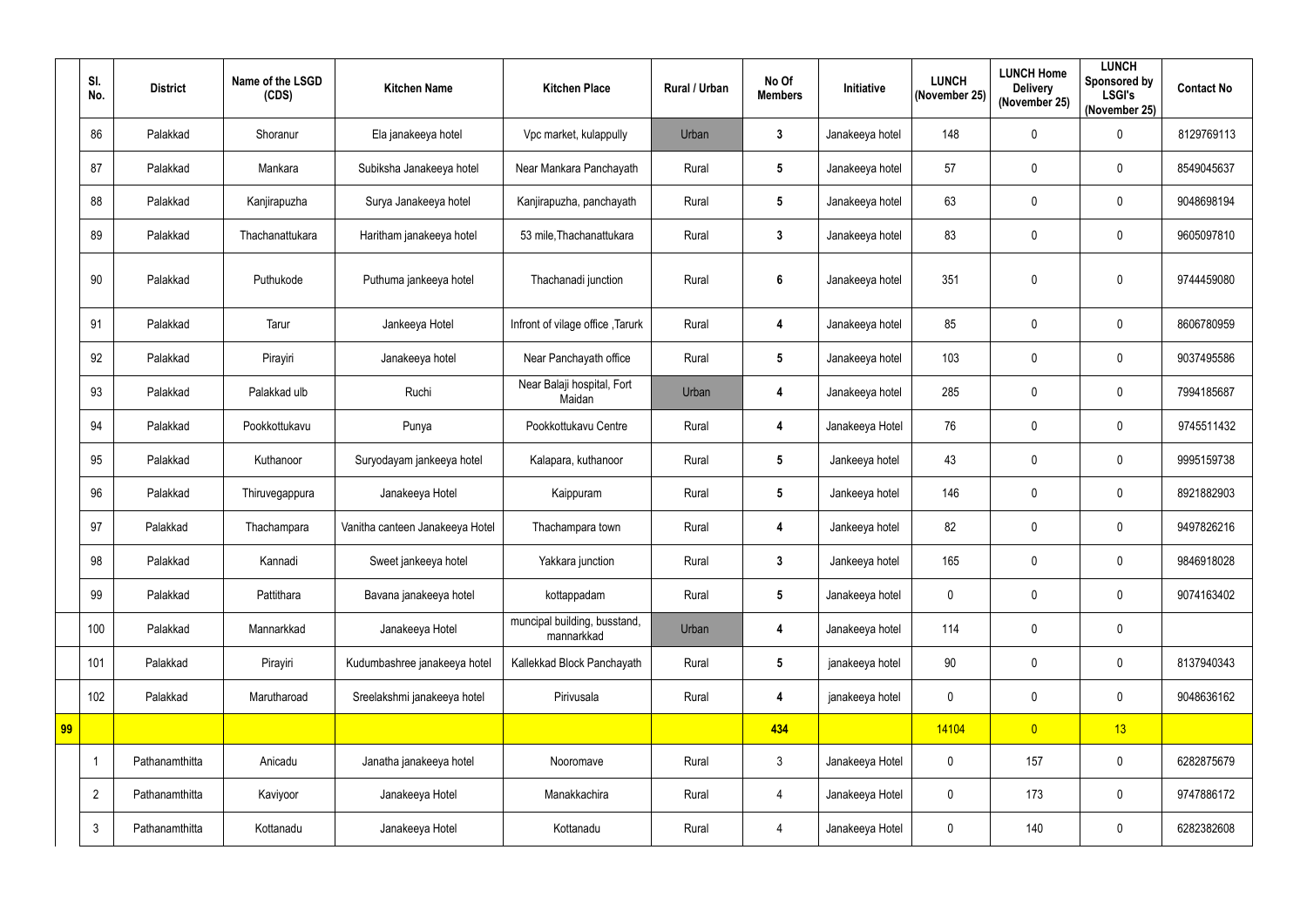|    | SI.<br>No.     | <b>District</b> | Name of the LSGD<br>(CDS) | <b>Kitchen Name</b>             | <b>Kitchen Place</b>                       | Rural / Urban | No Of<br><b>Members</b> | Initiative      | <b>LUNCH</b><br>(November 25) | <b>LUNCH Home</b><br><b>Delivery</b><br>(November 25) | <b>LUNCH</b><br>Sponsored by<br><b>LSGI's</b><br>(November 25) | <b>Contact No</b> |
|----|----------------|-----------------|---------------------------|---------------------------------|--------------------------------------------|---------------|-------------------------|-----------------|-------------------------------|-------------------------------------------------------|----------------------------------------------------------------|-------------------|
|    | 86             | Palakkad        | Shoranur                  | Ela janakeeya hotel             | Vpc market, kulappully                     | Urban         | $\mathbf{3}$            | Janakeeya hotel | 148                           | $\mathbf 0$                                           | $\pmb{0}$                                                      | 8129769113        |
|    | 87             | Palakkad        | Mankara                   | Subiksha Janakeeya hotel        | Near Mankara Panchayath                    | Rural         | $5\phantom{.0}$         | Janakeeya hotel | 57                            | 0                                                     | $\mathbf 0$                                                    | 8549045637        |
|    | 88             | Palakkad        | Kanjirapuzha              | Surya Janakeeya hotel           | Kanjirapuzha, panchayath                   | Rural         | $5\phantom{.0}$         | Janakeeya hotel | 63                            | $\mathbf 0$                                           | $\pmb{0}$                                                      | 9048698194        |
|    | 89             | Palakkad        | Thachanattukara           | Haritham janakeeya hotel        | 53 mile, Thachanattukara                   | Rural         | $\mathbf{3}$            | Janakeeya hotel | 83                            | $\mathbf 0$                                           | $\mathbf 0$                                                    | 9605097810        |
|    | 90             | Palakkad        | Puthukode                 | Puthuma jankeeya hotel          | Thachanadi junction                        | Rural         | 6                       | Janakeeya hotel | 351                           | $\mathbf 0$                                           | $\pmb{0}$                                                      | 9744459080        |
|    | 91             | Palakkad        | Tarur                     | Jankeeya Hotel                  | Infront of vilage office, Tarurk           | Rural         | 4                       | Janakeeya hotel | 85                            | $\mathbf 0$                                           | $\mathbf 0$                                                    | 8606780959        |
|    | 92             | Palakkad        | Pirayiri                  | Janakeeya hotel                 | Near Panchayath office                     | Rural         | $5\phantom{.0}$         | Janakeeya hotel | 103                           | $\mathbf 0$                                           | $\pmb{0}$                                                      | 9037495586        |
|    | 93             | Palakkad        | Palakkad ulb              | Ruchi                           | Near Balaji hospital, Fort<br>Maidan       | Urban         | 4                       | Janakeeya hotel | 285                           | $\mathbf 0$                                           | $\mathbf 0$                                                    | 7994185687        |
|    | 94             | Palakkad        | Pookkottukavu             | Punya                           | Pookkottukavu Centre                       | Rural         | 4                       | Janakeeya Hotel | 76                            | $\mathbf 0$                                           | $\pmb{0}$                                                      | 9745511432        |
|    | 95             | Palakkad        | Kuthanoor                 | Suryodayam jankeeya hotel       | Kalapara, kuthanoor                        | Rural         | $5\phantom{.0}$         | Jankeeya hotel  | 43                            | $\mathbf 0$                                           | $\pmb{0}$                                                      | 9995159738        |
|    | 96             | Palakkad        | Thiruvegappura            | Janakeeya Hotel                 | Kaippuram                                  | Rural         | $5\phantom{.0}$         | Jankeeya hotel  | 146                           | $\mathbf 0$                                           | $\mathbf 0$                                                    | 8921882903        |
|    | 97             | Palakkad        | Thachampara               | Vanitha canteen Janakeeya Hotel | Thachampara town                           | Rural         | 4                       | Jankeeya hotel  | 82                            | $\mathbf 0$                                           | $\mathbf 0$                                                    | 9497826216        |
|    | 98             | Palakkad        | Kannadi                   | Sweet jankeeya hotel            | Yakkara junction                           | Rural         | $\mathbf{3}$            | Jankeeya hotel  | 165                           | $\mathbf 0$                                           | $\pmb{0}$                                                      | 9846918028        |
|    | 99             | Palakkad        | Pattithara                | Bavana janakeeya hotel          | kottappadam                                | Rural         | $5\phantom{.0}$         | Janakeeya hotel | 0                             | $\mathbf 0$                                           | $\pmb{0}$                                                      | 9074163402        |
|    | 100            | Palakkad        | Mannarkkad                | Janakeeya Hotel                 | muncipal building, busstand,<br>mannarkkad | Urban         | 4                       | Janakeeya hotel | 114                           | $\mathbf 0$                                           | $\pmb{0}$                                                      |                   |
|    | 101            | Palakkad        | Pirayiri                  | Kudumbashree janakeeya hotel    | Kallekkad Block Panchayath                 | Rural         | $5\phantom{.0}$         | janakeeya hotel | $90\,$                        | $\mathbf 0$                                           | $\pmb{0}$                                                      | 8137940343        |
|    | 102            | Palakkad        | Marutharoad               | Sreelakshmi janakeeya hotel     | Pirivusala                                 | Rural         | $\overline{\mathbf{4}}$ | janakeeya hotel | 0                             | $\mathbf 0$                                           | $\pmb{0}$                                                      | 9048636162        |
| 99 |                |                 |                           |                                 |                                            |               | 434                     |                 | 14104                         | $\overline{0}$                                        | 13                                                             |                   |
|    |                | Pathanamthitta  | Anicadu                   | Janatha janakeeya hotel         | Nooromave                                  | Rural         | $\mathfrak{Z}$          | Janakeeya Hotel | 0                             | 157                                                   | $\pmb{0}$                                                      | 6282875679        |
|    | $\overline{2}$ | Pathanamthitta  | Kaviyoor                  | Janakeeya Hotel                 | Manakkachira                               | Rural         | $\overline{4}$          | Janakeeya Hotel | 0                             | 173                                                   | $\pmb{0}$                                                      | 9747886172        |
|    | $\mathfrak{Z}$ | Pathanamthitta  | Kottanadu                 | Janakeeya Hotel                 | Kottanadu                                  | Rural         | $\overline{4}$          | Janakeeya Hotel | 0                             | 140                                                   | $\pmb{0}$                                                      | 6282382608        |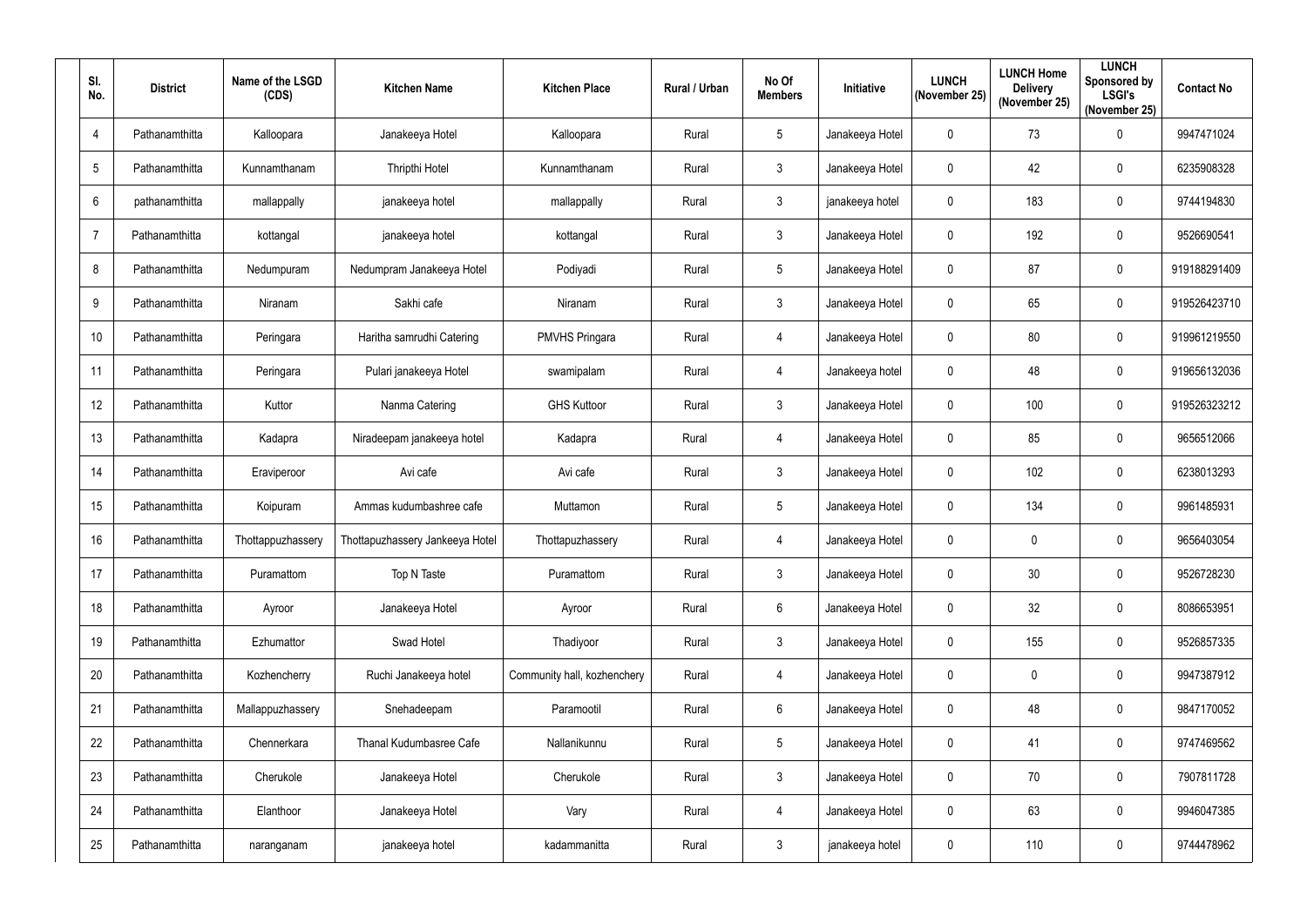| SI.<br>No.     | <b>District</b> | Name of the LSGD<br>(CDS) | <b>Kitchen Name</b>             | <b>Kitchen Place</b>        | Rural / Urban | No Of<br><b>Members</b> | Initiative      | <b>LUNCH</b><br>(November 25) | <b>LUNCH Home</b><br><b>Delivery</b><br>(November 25) | <b>LUNCH</b><br>Sponsored by<br><b>LSGI's</b><br>(November 25) | <b>Contact No</b> |
|----------------|-----------------|---------------------------|---------------------------------|-----------------------------|---------------|-------------------------|-----------------|-------------------------------|-------------------------------------------------------|----------------------------------------------------------------|-------------------|
| 4              | Pathanamthitta  | Kalloopara                | Janakeeya Hotel                 | Kalloopara                  | Rural         | 5                       | Janakeeya Hotel | $\pmb{0}$                     | 73                                                    | $\pmb{0}$                                                      | 9947471024        |
| 5              | Pathanamthitta  | Kunnamthanam              | Thripthi Hotel                  | Kunnamthanam                | Rural         | $\mathbf{3}$            | Janakeeya Hotel | 0                             | 42                                                    | $\mathbf 0$                                                    | 6235908328        |
| $6\phantom{1}$ | pathanamthitta  | mallappally               | janakeeya hotel                 | mallappally                 | Rural         | $\mathbf{3}$            | janakeeya hotel | $\mathbf 0$                   | 183                                                   | $\pmb{0}$                                                      | 9744194830        |
| $\overline{7}$ | Pathanamthitta  | kottangal                 | janakeeya hotel                 | kottangal                   | Rural         | $\mathbf{3}$            | Janakeeya Hotel | 0                             | 192                                                   | $\pmb{0}$                                                      | 9526690541        |
| 8              | Pathanamthitta  | Nedumpuram                | Nedumpram Janakeeya Hotel       | Podiyadi                    | Rural         | 5                       | Janakeeya Hotel | $\mathbf 0$                   | 87                                                    | $\pmb{0}$                                                      | 919188291409      |
| 9              | Pathanamthitta  | Niranam                   | Sakhi cafe                      | Niranam                     | Rural         | $\mathfrak{Z}$          | Janakeeya Hotel | $\boldsymbol{0}$              | 65                                                    | $\pmb{0}$                                                      | 919526423710      |
| 10             | Pathanamthitta  | Peringara                 | Haritha samrudhi Catering       | <b>PMVHS Pringara</b>       | Rural         | $\overline{4}$          | Janakeeya Hotel | $\mathbf 0$                   | 80                                                    | $\mathbf 0$                                                    | 919961219550      |
| 11             | Pathanamthitta  | Peringara                 | Pulari janakeeya Hotel          | swamipalam                  | Rural         | $\overline{4}$          | Janakeeya hotel | $\mathbf 0$                   | 48                                                    | $\pmb{0}$                                                      | 919656132036      |
| 12             | Pathanamthitta  | Kuttor                    | Nanma Catering                  | <b>GHS Kuttoor</b>          | Rural         | $\mathbf{3}$            | Janakeeya Hotel | 0                             | 100                                                   | $\mathbf 0$                                                    | 919526323212      |
| 13             | Pathanamthitta  | Kadapra                   | Niradeepam janakeeya hotel      | Kadapra                     | Rural         | $\overline{4}$          | Janakeeya Hotel | 0                             | 85                                                    | $\mathbf 0$                                                    | 9656512066        |
| 14             | Pathanamthitta  | Eraviperoor               | Avi cafe                        | Avi cafe                    | Rural         | $\mathbf{3}$            | Janakeeya Hotel | $\mathbf 0$                   | 102                                                   | $\pmb{0}$                                                      | 6238013293        |
| 15             | Pathanamthitta  | Koipuram                  | Ammas kudumbashree cafe         | Muttamon                    | Rural         | 5                       | Janakeeya Hotel | 0                             | 134                                                   | $\mathbf 0$                                                    | 9961485931        |
| 16             | Pathanamthitta  | Thottappuzhassery         | Thottapuzhassery Jankeeya Hotel | Thottapuzhassery            | Rural         | 4                       | Janakeeya Hotel | $\mathbf 0$                   | $\mathbf 0$                                           | $\mathbf 0$                                                    | 9656403054        |
| 17             | Pathanamthitta  | Puramattom                | Top N Taste                     | Puramattom                  | Rural         | $\mathfrak{Z}$          | Janakeeya Hotel | $\mathbf 0$                   | 30                                                    | $\mathbf 0$                                                    | 9526728230        |
| 18             | Pathanamthitta  | Ayroor                    | Janakeeya Hotel                 | Ayroor                      | Rural         | $6\phantom{.}$          | Janakeeya Hotel | $\mathbf 0$                   | 32                                                    | $\pmb{0}$                                                      | 8086653951        |
| 19             | Pathanamthitta  | Ezhumattor                | Swad Hotel                      | Thadiyoor                   | Rural         | $\mathfrak{Z}$          | Janakeeya Hotel | $\mathbf 0$                   | 155                                                   | $\pmb{0}$                                                      | 9526857335        |
| 20             | Pathanamthitta  | Kozhencherry              | Ruchi Janakeeya hotel           | Community hall, kozhenchery | Rural         | $\overline{4}$          | Janakeeya Hotel | 0                             | $\mathbf 0$                                           | $\pmb{0}$                                                      | 9947387912        |
| 21             | Pathanamthitta  | Mallappuzhassery          | Snehadeepam                     | Paramootil                  | Rural         | $6\phantom{.}$          | Janakeeya Hotel | $\mathbf 0$                   | 48                                                    | $\pmb{0}$                                                      | 9847170052        |
| 22             | Pathanamthitta  | Chennerkara               | Thanal Kudumbasree Cafe         | Nallanikunnu                | Rural         | 5                       | Janakeeya Hotel | $\boldsymbol{0}$              | 41                                                    | $\pmb{0}$                                                      | 9747469562        |
| 23             | Pathanamthitta  | Cherukole                 | Janakeeya Hotel                 | Cherukole                   | Rural         | $\mathbf{3}$            | Janakeeya Hotel | $\mathbf 0$                   | 70                                                    | $\pmb{0}$                                                      | 7907811728        |
| 24             | Pathanamthitta  | Elanthoor                 | Janakeeya Hotel                 | Vary                        | Rural         | $\overline{4}$          | Janakeeya Hotel | $\mathbf 0$                   | 63                                                    | $\pmb{0}$                                                      | 9946047385        |
| 25             | Pathanamthitta  | naranganam                | janakeeya hotel                 | kadammanitta                | Rural         | $\mathfrak{Z}$          | janakeeya hotel | $\boldsymbol{0}$              | 110                                                   | $\pmb{0}$                                                      | 9744478962        |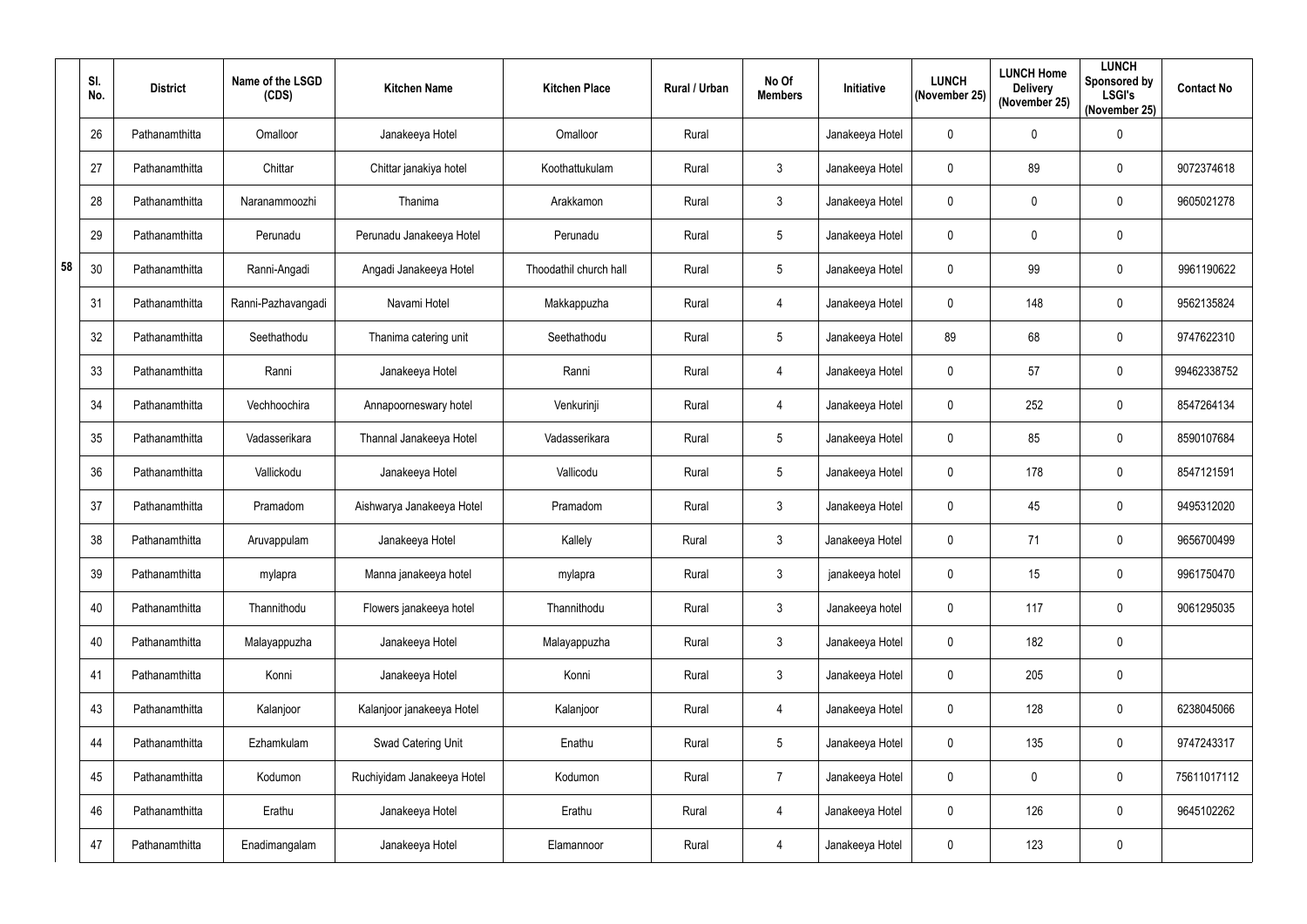|    | SI.<br>No. | <b>District</b> | Name of the LSGD<br>(CDS) | <b>Kitchen Name</b>        | <b>Kitchen Place</b>   | Rural / Urban | No Of<br><b>Members</b> | Initiative      | <b>LUNCH</b><br>(November 25) | <b>LUNCH Home</b><br><b>Delivery</b><br>(November 25) | <b>LUNCH</b><br>Sponsored by<br><b>LSGI's</b><br>(November 25) | <b>Contact No</b> |
|----|------------|-----------------|---------------------------|----------------------------|------------------------|---------------|-------------------------|-----------------|-------------------------------|-------------------------------------------------------|----------------------------------------------------------------|-------------------|
|    | 26         | Pathanamthitta  | Omalloor                  | Janakeeya Hotel            | Omalloor               | Rural         |                         | Janakeeya Hotel | $\mathbf 0$                   | $\mathbf 0$                                           | $\pmb{0}$                                                      |                   |
|    | 27         | Pathanamthitta  | Chittar                   | Chittar janakiya hotel     | Koothattukulam         | Rural         | $\mathfrak{Z}$          | Janakeeya Hotel | 0                             | 89                                                    | 0                                                              | 9072374618        |
|    | 28         | Pathanamthitta  | Naranammoozhi             | Thanima                    | Arakkamon              | Rural         | $\mathbf{3}$            | Janakeeya Hotel | 0                             | $\mathbf 0$                                           | $\pmb{0}$                                                      | 9605021278        |
|    | 29         | Pathanamthitta  | Perunadu                  | Perunadu Janakeeya Hotel   | Perunadu               | Rural         | 5                       | Janakeeya Hotel | 0                             | $\mathbf 0$                                           | $\pmb{0}$                                                      |                   |
| 58 | 30         | Pathanamthitta  | Ranni-Angadi              | Angadi Janakeeya Hotel     | Thoodathil church hall | Rural         | 5                       | Janakeeya Hotel | 0                             | 99                                                    | $\pmb{0}$                                                      | 9961190622        |
|    | 31         | Pathanamthitta  | Ranni-Pazhavangadi        | Navami Hotel               | Makkappuzha            | Rural         | $\overline{4}$          | Janakeeya Hotel | 0                             | 148                                                   | $\pmb{0}$                                                      | 9562135824        |
|    | 32         | Pathanamthitta  | Seethathodu               | Thanima catering unit      | Seethathodu            | Rural         | $5\phantom{.0}$         | Janakeeya Hotel | 89                            | 68                                                    | $\mathbf 0$                                                    | 9747622310        |
|    | 33         | Pathanamthitta  | Ranni                     | Janakeeya Hotel            | Ranni                  | Rural         | 4                       | Janakeeya Hotel | $\mathbf 0$                   | 57                                                    | $\pmb{0}$                                                      | 99462338752       |
|    | 34         | Pathanamthitta  | Vechhoochira              | Annapoorneswary hotel      | Venkurinji             | Rural         | 4                       | Janakeeya Hotel | $\mathbf 0$                   | 252                                                   | 0                                                              | 8547264134        |
|    | 35         | Pathanamthitta  | Vadasserikara             | Thannal Janakeeya Hotel    | Vadasserikara          | Rural         | 5                       | Janakeeya Hotel | $\mathbf 0$                   | 85                                                    | 0                                                              | 8590107684        |
|    | 36         | Pathanamthitta  | Vallickodu                | Janakeeya Hotel            | Vallicodu              | Rural         | 5                       | Janakeeya Hotel | 0                             | 178                                                   | $\pmb{0}$                                                      | 8547121591        |
|    | 37         | Pathanamthitta  | Pramadom                  | Aishwarya Janakeeya Hotel  | Pramadom               | Rural         | $\mathfrak{Z}$          | Janakeeya Hotel | $\mathbf 0$                   | 45                                                    | 0                                                              | 9495312020        |
|    | 38         | Pathanamthitta  | Aruvappulam               | Janakeeya Hotel            | Kallely                | Rural         | $\mathfrak{Z}$          | Janakeeya Hotel | 0                             | 71                                                    | $\mathbf 0$                                                    | 9656700499        |
|    | 39         | Pathanamthitta  | mylapra                   | Manna janakeeya hotel      | mylapra                | Rural         | $\mathfrak{Z}$          | janakeeya hotel | $\mathbf 0$                   | 15                                                    | $\pmb{0}$                                                      | 9961750470        |
|    | 40         | Pathanamthitta  | Thannithodu               | Flowers janakeeya hotel    | Thannithodu            | Rural         | $\mathfrak{Z}$          | Janakeeya hotel | $\mathbf 0$                   | 117                                                   | $\pmb{0}$                                                      | 9061295035        |
|    | 40         | Pathanamthitta  | Malayappuzha              | Janakeeya Hotel            | Malayappuzha           | Rural         | $\mathfrak{Z}$          | Janakeeya Hotel | $\mathbf 0$                   | 182                                                   | $\pmb{0}$                                                      |                   |
|    | 41         | Pathanamthitta  | Konni                     | Janakeeya Hotel            | Konni                  | Rural         | $\mathfrak{Z}$          | Janakeeya Hotel | $\mathbf 0$                   | 205                                                   | $\pmb{0}$                                                      |                   |
|    | 43         | Pathanamthitta  | Kalanjoor                 | Kalanjoor janakeeya Hotel  | Kalanjoor              | Rural         | $\overline{4}$          | Janakeeya Hotel | $\mathbf 0$                   | 128                                                   | $\boldsymbol{0}$                                               | 6238045066        |
|    | 44         | Pathanamthitta  | Ezhamkulam                | Swad Catering Unit         | Enathu                 | Rural         | $\overline{5}$          | Janakeeya Hotel | $\mathbf 0$                   | 135                                                   | $\pmb{0}$                                                      | 9747243317        |
|    | 45         | Pathanamthitta  | Kodumon                   | Ruchiyidam Janakeeya Hotel | Kodumon                | Rural         | $\overline{7}$          | Janakeeya Hotel | $\mathbf 0$                   | $\mathbf 0$                                           | $\pmb{0}$                                                      | 75611017112       |
|    | 46         | Pathanamthitta  | Erathu                    | Janakeeya Hotel            | Erathu                 | Rural         | $\overline{4}$          | Janakeeya Hotel | $\mathbf 0$                   | 126                                                   | $\pmb{0}$                                                      | 9645102262        |
|    | 47         | Pathanamthitta  | Enadimangalam             | Janakeeya Hotel            | Elamannoor             | Rural         | 4                       | Janakeeya Hotel | $\mathbf 0$                   | 123                                                   | $\pmb{0}$                                                      |                   |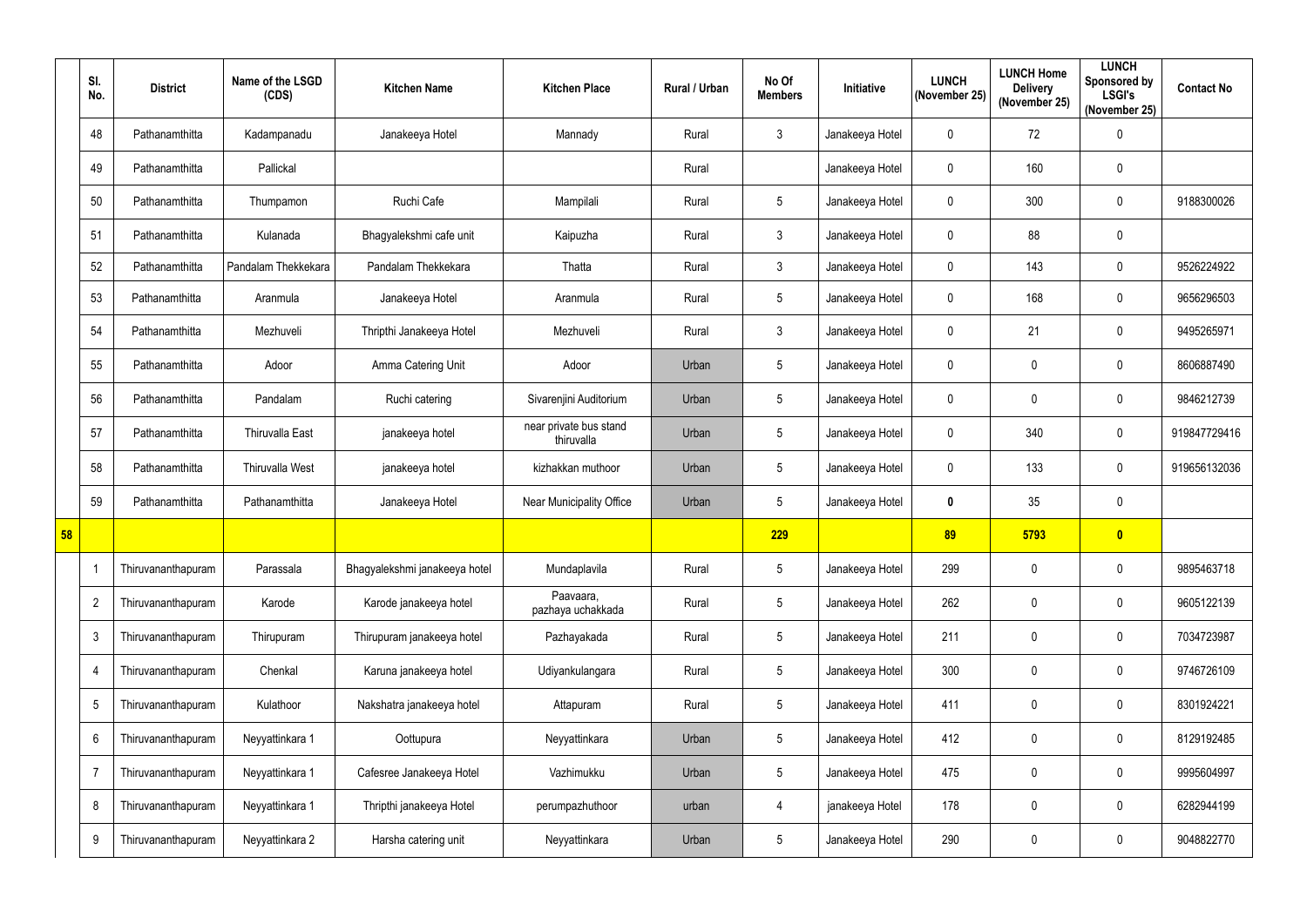|    | SI.<br>No.     | <b>District</b>    | Name of the LSGD<br>(CDS) | <b>Kitchen Name</b>           | <b>Kitchen Place</b>                 | Rural / Urban | No Of<br><b>Members</b> | Initiative      | <b>LUNCH</b><br>(November 25) | <b>LUNCH Home</b><br><b>Delivery</b><br>(November 25) | <b>LUNCH</b><br><b>Sponsored by</b><br><b>LSGI's</b><br>(November 25) | <b>Contact No</b> |
|----|----------------|--------------------|---------------------------|-------------------------------|--------------------------------------|---------------|-------------------------|-----------------|-------------------------------|-------------------------------------------------------|-----------------------------------------------------------------------|-------------------|
|    | 48             | Pathanamthitta     | Kadampanadu               | Janakeeya Hotel               | Mannady                              | Rural         | $\mathbf{3}$            | Janakeeya Hotel | 0                             | 72                                                    | $\pmb{0}$                                                             |                   |
|    | 49             | Pathanamthitta     | Pallickal                 |                               |                                      | Rural         |                         | Janakeeya Hotel | 0                             | 160                                                   | $\pmb{0}$                                                             |                   |
|    | 50             | Pathanamthitta     | Thumpamon                 | Ruchi Cafe                    | Mampilali                            | Rural         | $5\overline{)}$         | Janakeeya Hotel | $\mathbf{0}$                  | 300                                                   | $\pmb{0}$                                                             | 9188300026        |
|    | 51             | Pathanamthitta     | Kulanada                  | Bhagyalekshmi cafe unit       | Kaipuzha                             | Rural         | $\mathbf{3}$            | Janakeeya Hotel | $\mathbf{0}$                  | 88                                                    | $\pmb{0}$                                                             |                   |
|    | 52             | Pathanamthitta     | Pandalam Thekkekara       | Pandalam Thekkekara           | Thatta                               | Rural         | $\mathbf{3}$            | Janakeeya Hotel | $\mathbf 0$                   | 143                                                   | $\mathbf 0$                                                           | 9526224922        |
|    | 53             | Pathanamthitta     | Aranmula                  | Janakeeya Hotel               | Aranmula                             | Rural         | 5                       | Janakeeya Hotel | $\mathbf{0}$                  | 168                                                   | $\pmb{0}$                                                             | 9656296503        |
|    | 54             | Pathanamthitta     | Mezhuveli                 | Thripthi Janakeeya Hotel      | Mezhuveli                            | Rural         | $\mathbf{3}$            | Janakeeya Hotel | $\mathbf{0}$                  | 21                                                    | $\pmb{0}$                                                             | 9495265971        |
|    | 55             | Pathanamthitta     | Adoor                     | Amma Catering Unit            | Adoor                                | Urban         | $5\overline{)}$         | Janakeeya Hotel | 0                             | $\overline{0}$                                        | $\mathbf 0$                                                           | 8606887490        |
|    | 56             | Pathanamthitta     | Pandalam                  | Ruchi catering                | Sivarenjini Auditorium               | Urban         | $5\phantom{.0}$         | Janakeeya Hotel | $\mathbf{0}$                  | $\overline{0}$                                        | $\mathbf 0$                                                           | 9846212739        |
|    | 57             | Pathanamthitta     | <b>Thiruvalla East</b>    | janakeeya hotel               | near private bus stand<br>thiruvalla | Urban         | $5\overline{)}$         | Janakeeya Hotel | 0                             | 340                                                   | $\pmb{0}$                                                             | 919847729416      |
|    | 58             | Pathanamthitta     | Thiruvalla West           | janakeeya hotel               | kizhakkan muthoor                    | Urban         | $5\overline{)}$         | Janakeeya Hotel | $\mathbf{0}$                  | 133                                                   | $\mathbf 0$                                                           | 919656132036      |
|    | 59             | Pathanamthitta     | Pathanamthitta            | Janakeeya Hotel               | <b>Near Municipality Office</b>      | Urban         | 5                       | Janakeeya Hotel | 0                             | 35                                                    | $\pmb{0}$                                                             |                   |
| 58 |                |                    |                           |                               |                                      |               | 229                     |                 | 89                            | 5793                                                  | $\bullet$                                                             |                   |
|    | -1             | Thiruvananthapuram | Parassala                 | Bhagyalekshmi janakeeya hotel | Mundaplavila                         | Rural         | $5\overline{)}$         | Janakeeya Hotel | 299                           | $\mathbf 0$                                           | $\pmb{0}$                                                             | 9895463718        |
|    | $\overline{2}$ | Thiruvananthapuram | Karode                    | Karode janakeeya hotel        | Paavaara,<br>pazhaya uchakkada       | Rural         | $5\overline{)}$         | Janakeeya Hotel | 262                           | $\mathbf 0$                                           | $\pmb{0}$                                                             | 9605122139        |
|    | 3              | Thiruvananthapuram | Thirupuram                | Thirupuram janakeeya hotel    | Pazhayakada                          | Rural         | $5\phantom{.0}$         | Janakeeya Hotel | 211                           | $\overline{0}$                                        | $\pmb{0}$                                                             | 7034723987        |
|    | 4              | Thiruvananthapuram | Chenkal                   | Karuna janakeeya hotel        | Udiyankulangara                      | Rural         | $5\overline{)}$         | Janakeeya Hotel | 300                           | $\overline{0}$                                        | $\pmb{0}$                                                             | 9746726109        |
|    | 5              | Thiruvananthapuram | Kulathoor                 | Nakshatra janakeeya hotel     | Attapuram                            | Rural         | $5\overline{)}$         | Janakeeya Hotel | 411                           | $\mathbf 0$                                           | $\pmb{0}$                                                             | 8301924221        |
|    | 6              | Thiruvananthapuram | Neyyattinkara 1           | Oottupura                     | Neyyattinkara                        | Urban         | $5\overline{)}$         | Janakeeya Hotel | 412                           | $\overline{0}$                                        | $\pmb{0}$                                                             | 8129192485        |
|    | $\overline{7}$ | Thiruvananthapuram | Neyyattinkara 1           | Cafesree Janakeeya Hotel      | Vazhimukku                           | Urban         | 5                       | Janakeeya Hotel | 475                           | $\overline{0}$                                        | $\pmb{0}$                                                             | 9995604997        |
|    | 8              | Thiruvananthapuram | Neyyattinkara 1           | Thripthi janakeeya Hotel      | perumpazhuthoor                      | urban         | 4                       | janakeeya Hotel | 178                           | $\mathbf 0$                                           | $\pmb{0}$                                                             | 6282944199        |
|    | 9              | Thiruvananthapuram | Neyyattinkara 2           | Harsha catering unit          | Neyyattinkara                        | Urban         | $\sqrt{5}$              | Janakeeya Hotel | 290                           | $\overline{0}$                                        | $\pmb{0}$                                                             | 9048822770        |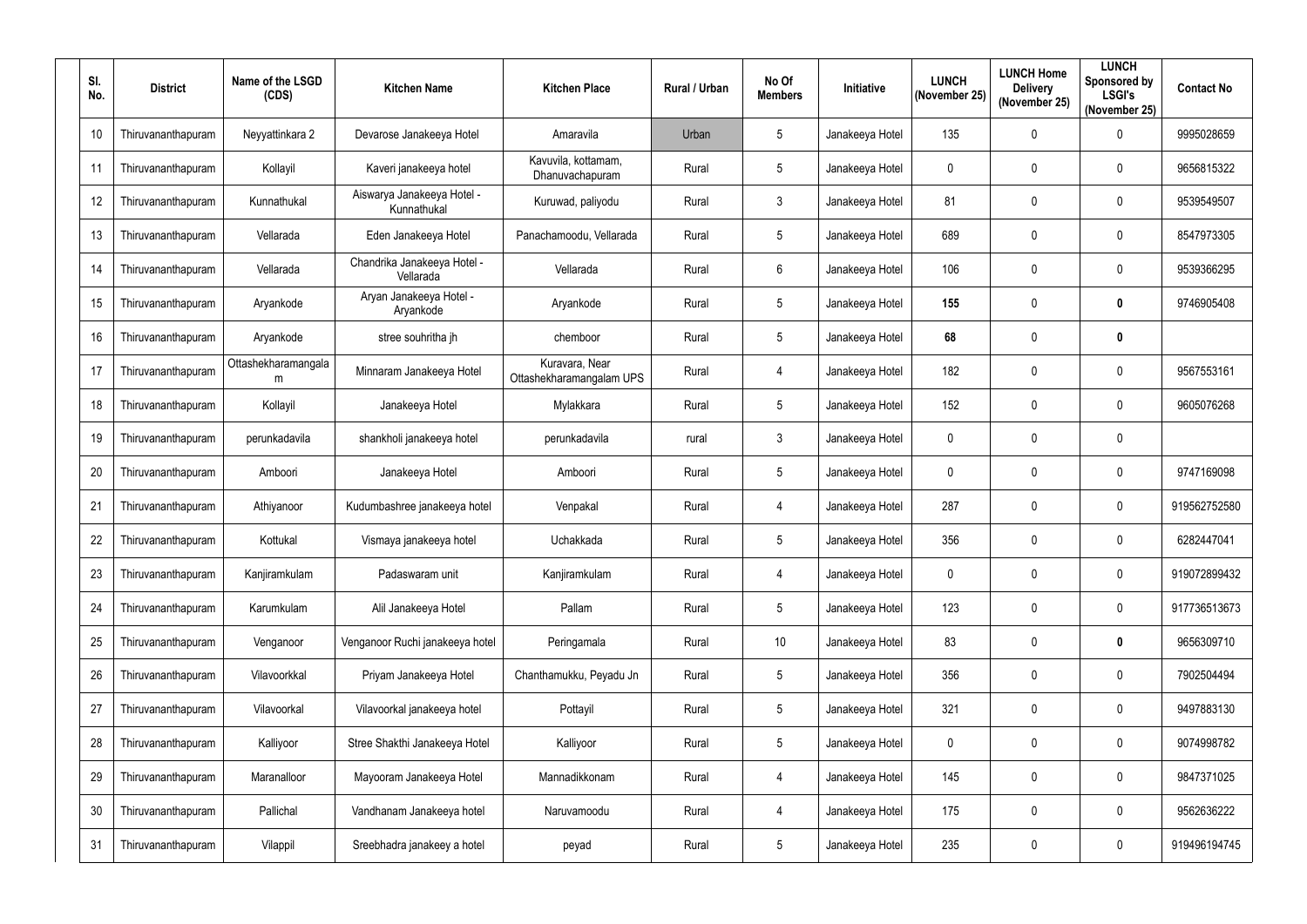| SI.<br>No. | <b>District</b>    | Name of the LSGD<br>(CDS) | <b>Kitchen Name</b>                       | <b>Kitchen Place</b>                       | Rural / Urban | No Of<br><b>Members</b> | Initiative      | <b>LUNCH</b><br>(November 25) | <b>LUNCH Home</b><br><b>Delivery</b><br>(November 25) | <b>LUNCH</b><br>Sponsored by<br><b>LSGI's</b><br>(November 25) | <b>Contact No</b> |
|------------|--------------------|---------------------------|-------------------------------------------|--------------------------------------------|---------------|-------------------------|-----------------|-------------------------------|-------------------------------------------------------|----------------------------------------------------------------|-------------------|
| 10         | Thiruvananthapuram | Neyyattinkara 2           | Devarose Janakeeya Hotel                  | Amaravila                                  | Urban         | 5                       | Janakeeya Hotel | 135                           | $\overline{0}$                                        | $\mathbf 0$                                                    | 9995028659        |
| 11         | Thiruvananthapuram | Kollayil                  | Kaveri janakeeya hotel                    | Kavuvila, kottamam,<br>Dhanuvachapuram     | Rural         | 5                       | Janakeeya Hotel | 0                             | $\mathbf 0$                                           | $\mathbf 0$                                                    | 9656815322        |
| 12         | Thiruvananthapuram | Kunnathukal               | Aiswarya Janakeeya Hotel -<br>Kunnathukal | Kuruwad, paliyodu                          | Rural         | $\mathbf{3}$            | Janakeeya Hotel | 81                            | $\overline{0}$                                        | $\mathbf 0$                                                    | 9539549507        |
| 13         | Thiruvananthapuram | Vellarada                 | Eden Janakeeya Hotel                      | Panachamoodu, Vellarada                    | Rural         | 5                       | Janakeeya Hotel | 689                           | $\overline{0}$                                        | $\mathbf 0$                                                    | 8547973305        |
| 14         | Thiruvananthapuram | Vellarada                 | Chandrika Janakeeya Hotel -<br>Vellarada  | Vellarada                                  | Rural         | $6\phantom{.}6$         | Janakeeya Hotel | 106                           | $\mathbf 0$                                           | $\mathbf 0$                                                    | 9539366295        |
| 15         | Thiruvananthapuram | Aryankode                 | Aryan Janakeeya Hotel -<br>Aryankode      | Aryankode                                  | Rural         | $5\phantom{.0}$         | Janakeeya Hotel | 155                           | $\overline{0}$                                        | $\mathbf 0$                                                    | 9746905408        |
| 16         | Thiruvananthapuram | Aryankode                 | stree souhritha jh                        | chemboor                                   | Rural         | 5                       | Janakeeya Hotel | 68                            | $\overline{0}$                                        | $\boldsymbol{0}$                                               |                   |
| 17         | Thiruvananthapuram | Ottashekharamangala<br>m  | Minnaram Janakeeya Hotel                  | Kuravara, Near<br>Ottashekharamangalam UPS | Rural         | 4                       | Janakeeya Hotel | 182                           | $\overline{0}$                                        | $\pmb{0}$                                                      | 9567553161        |
| 18         | Thiruvananthapuram | Kollayil                  | Janakeeya Hotel                           | Mylakkara                                  | Rural         | $5\phantom{.0}$         | Janakeeya Hotel | 152                           | $\mathbf 0$                                           | $\mathbf 0$                                                    | 9605076268        |
| 19         | Thiruvananthapuram | perunkadavila             | shankholi janakeeya hotel                 | perunkadavila                              | rural         | $\mathbf{3}$            | Janakeeya Hotel | 0                             | $\overline{0}$                                        | $\mathbf 0$                                                    |                   |
| 20         | Thiruvananthapuram | Amboori                   | Janakeeya Hotel                           | Amboori                                    | Rural         | 5                       | Janakeeya Hotel | $\mathbf 0$                   | $\overline{0}$                                        | $\pmb{0}$                                                      | 9747169098        |
| 21         | Thiruvananthapuram | Athiyanoor                | Kudumbashree janakeeya hotel              | Venpakal                                   | Rural         | 4                       | Janakeeya Hotel | 287                           | $\mathbf 0$                                           | $\mathbf 0$                                                    | 919562752580      |
| 22         | Thiruvananthapuram | Kottukal                  | Vismaya janakeeya hotel                   | Uchakkada                                  | Rural         | 5                       | Janakeeya Hotel | 356                           | $\mathbf 0$                                           | $\mathbf 0$                                                    | 6282447041        |
| 23         | Thiruvananthapuram | Kanjiramkulam             | Padaswaram unit                           | Kanjiramkulam                              | Rural         | $\overline{4}$          | Janakeeya Hotel | $\mathbf 0$                   | $\boldsymbol{0}$                                      | $\pmb{0}$                                                      | 919072899432      |
| 24         | Thiruvananthapuram | Karumkulam                | Alil Janakeeya Hotel                      | Pallam                                     | Rural         | $5\phantom{.0}$         | Janakeeya Hotel | 123                           | $\mathbf 0$                                           | $\pmb{0}$                                                      | 917736513673      |
| 25         | Thiruvananthapuram | Venganoor                 | Venganoor Ruchi janakeeya hotel           | Peringamala                                | Rural         | 10 <sup>°</sup>         | Janakeeya Hotel | 83                            | $\boldsymbol{0}$                                      | $\pmb{0}$                                                      | 9656309710        |
| 26         | Thiruvananthapuram | Vilavoorkkal              | Priyam Janakeeya Hotel                    | Chanthamukku, Peyadu Jn                    | Rural         | $5\phantom{.0}$         | Janakeeya Hotel | 356                           | $\overline{0}$                                        | $\pmb{0}$                                                      | 7902504494        |
| 27         | Thiruvananthapuram | Vilavoorkal               | Vilavoorkal janakeeya hotel               | Pottayil                                   | Rural         | $5\phantom{.0}$         | Janakeeya Hotel | 321                           | $\mathbf 0$                                           | $\pmb{0}$                                                      | 9497883130        |
| 28         | Thiruvananthapuram | Kalliyoor                 | Stree Shakthi Janakeeya Hotel             | Kalliyoor                                  | Rural         | $5\phantom{.0}$         | Janakeeya Hotel | 0                             | $\boldsymbol{0}$                                      | $\pmb{0}$                                                      | 9074998782        |
| 29         | Thiruvananthapuram | Maranalloor               | Mayooram Janakeeya Hotel                  | Mannadikkonam                              | Rural         | $\overline{4}$          | Janakeeya Hotel | 145                           | $\mathbf 0$                                           | $\mathbf 0$                                                    | 9847371025        |
| 30         | Thiruvananthapuram | Pallichal                 | Vandhanam Janakeeya hotel                 | Naruvamoodu                                | Rural         | $\overline{4}$          | Janakeeya Hotel | 175                           | $\pmb{0}$                                             | $\pmb{0}$                                                      | 9562636222        |
| 31         | Thiruvananthapuram | Vilappil                  | Sreebhadra janakeey a hotel               | peyad                                      | Rural         | $5\phantom{.0}$         | Janakeeya Hotel | 235                           | $\mathbf 0$                                           | $\pmb{0}$                                                      | 919496194745      |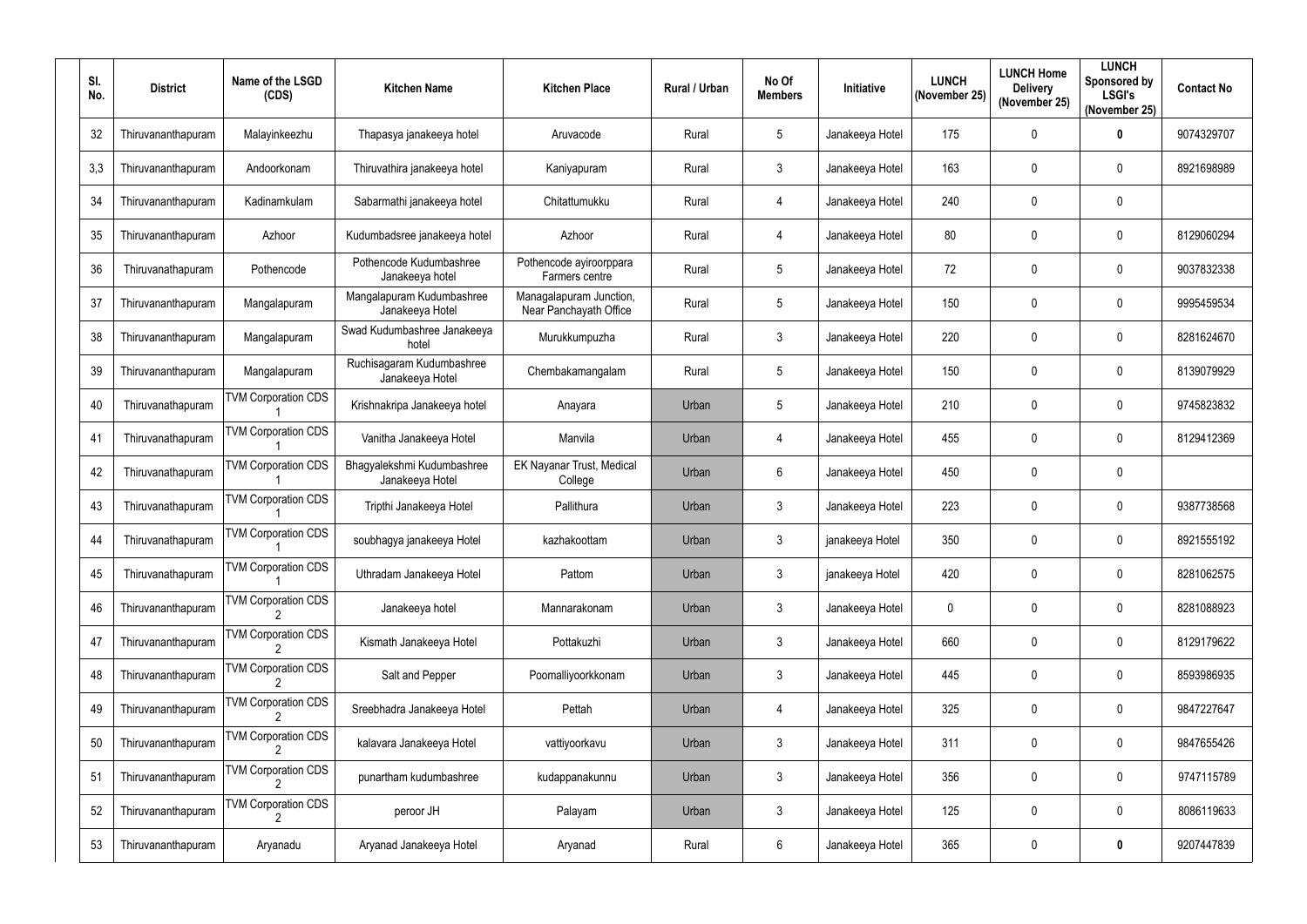| SI.<br>No. | <b>District</b>    | Name of the LSGD<br>(CDS)  | <b>Kitchen Name</b>                           | <b>Kitchen Place</b>                              | Rural / Urban | No Of<br><b>Members</b> | Initiative      | <b>LUNCH</b><br>(November 25) | <b>LUNCH Home</b><br><b>Delivery</b><br>(November 25) | <b>LUNCH</b><br>Sponsored by<br><b>LSGI's</b><br>(November 25) | <b>Contact No</b> |
|------------|--------------------|----------------------------|-----------------------------------------------|---------------------------------------------------|---------------|-------------------------|-----------------|-------------------------------|-------------------------------------------------------|----------------------------------------------------------------|-------------------|
| 32         | Thiruvananthapuram | Malayinkeezhu              | Thapasya janakeeya hotel                      | Aruvacode                                         | Rural         | 5                       | Janakeeya Hotel | 175                           | $\mathbf 0$                                           | $\boldsymbol{0}$                                               | 9074329707        |
| 3,3        | Thiruvananthapuram | Andoorkonam                | Thiruvathira janakeeya hotel                  | Kaniyapuram                                       | Rural         | $\mathbf{3}$            | Janakeeya Hotel | 163                           | $\mathbf 0$                                           | $\mathbf 0$                                                    | 8921698989        |
| 34         | Thiruvananthapuram | Kadinamkulam               | Sabarmathi janakeeya hotel                    | Chitattumukku                                     | Rural         | 4                       | Janakeeya Hotel | 240                           | $\mathbf 0$                                           | $\mathbf 0$                                                    |                   |
| 35         | Thiruvananthapuram | Azhoor                     | Kudumbadsree janakeeya hotel                  | Azhoor                                            | Rural         | 4                       | Janakeeya Hotel | 80                            | $\mathbf 0$                                           | $\mathbf 0$                                                    | 8129060294        |
| 36         | Thiruvanathapuram  | Pothencode                 | Pothencode Kudumbashree<br>Janakeeya hotel    | Pothencode ayiroorppara<br>Farmers centre         | Rural         | 5                       | Janakeeya Hotel | 72                            | $\mathbf 0$                                           | $\mathbf 0$                                                    | 9037832338        |
| 37         | Thiruvananthapuram | Mangalapuram               | Mangalapuram Kudumbashree<br>Janakeeya Hotel  | Managalapuram Junction,<br>Near Panchayath Office | Rural         | $5\phantom{.0}$         | Janakeeya Hotel | 150                           | $\mathbf 0$                                           | $\mathbf 0$                                                    | 9995459534        |
| 38         | Thiruvananthapuram | Mangalapuram               | Swad Kudumbashree Janakeeya<br>hotel          | Murukkumpuzha                                     | Rural         | $\mathbf{3}$            | Janakeeya Hotel | 220                           | $\mathbf 0$                                           | $\mathbf 0$                                                    | 8281624670        |
| 39         | Thiruvananthapuram | Mangalapuram               | Ruchisagaram Kudumbashree<br>Janakeeya Hotel  | Chembakamangalam                                  | Rural         | 5                       | Janakeeya Hotel | 150                           | $\mathbf 0$                                           | 0                                                              | 8139079929        |
| 40         | Thiruvanathapuram  | <b>TVM Corporation CDS</b> | Krishnakripa Janakeeya hotel                  | Anayara                                           | Urban         | 5                       | Janakeeya Hotel | 210                           | $\mathbf 0$                                           | $\mathbf 0$                                                    | 9745823832        |
| 41         | Thiruvanathapuram  | <b>TVM Corporation CDS</b> | Vanitha Janakeeya Hotel                       | Manvila                                           | Urban         | 4                       | Janakeeya Hotel | 455                           | $\mathbf 0$                                           | $\mathbf 0$                                                    | 8129412369        |
| 42         | Thiruvanathapuram  | <b>TVM Corporation CDS</b> | Bhagyalekshmi Kudumbashree<br>Janakeeya Hotel | <b>EK Nayanar Trust, Medical</b><br>College       | Urban         | 6                       | Janakeeya Hotel | 450                           | $\mathbf 0$                                           | 0                                                              |                   |
| 43         | Thiruvanathapuram  | <b>TVM Corporation CDS</b> | Tripthi Janakeeya Hotel                       | Pallithura                                        | Urban         | $\mathfrak{Z}$          | Janakeeya Hotel | 223                           | $\mathbf 0$                                           | $\mathbf 0$                                                    | 9387738568        |
| 44         | Thiruvanathapuram  | <b>TVM Corporation CDS</b> | soubhagya janakeeya Hotel                     | kazhakoottam                                      | Urban         | 3                       | janakeeya Hotel | 350                           | $\mathbf 0$                                           | 0                                                              | 8921555192        |
| 45         | Thiruvanathapuram  | <b>TVM Corporation CDS</b> | Uthradam Janakeeya Hotel                      | Pattom                                            | Urban         | $\mathbf{3}$            | janakeeya Hotel | 420                           | $\overline{0}$                                        | 0                                                              | 8281062575        |
| 46         | Thiruvananthapuram | <b>TVM Corporation CDS</b> | Janakeeya hotel                               | Mannarakonam                                      | Urban         | $\mathbf{3}$            | Janakeeya Hotel | $\mathbf 0$                   | $\pmb{0}$                                             | $\pmb{0}$                                                      | 8281088923        |
| 47         | Thiruvananthapuram | <b>TVM Corporation CDS</b> | Kismath Janakeeya Hotel                       | Pottakuzhi                                        | Urban         | $\mathbf{3}$            | Janakeeya Hotel | 660                           | $\overline{0}$                                        | 0                                                              | 8129179622        |
| 48         | Thiruvananthapuram | <b>TVM Corporation CDS</b> | Salt and Pepper                               | Poomalliyoorkkonam                                | Urban         | $\mathbf{3}$            | Janakeeya Hotel | 445                           | $\mathbf 0$                                           | 0                                                              | 8593986935        |
| 49         | Thiruvananthapuram | <b>TVM Corporation CDS</b> | Sreebhadra Janakeeya Hotel                    | Pettah                                            | Urban         | $\overline{4}$          | Janakeeya Hotel | 325                           | $\overline{0}$                                        | $\pmb{0}$                                                      | 9847227647        |
| 50         | Thiruvananthapuram | <b>TVM Corporation CDS</b> | kalavara Janakeeya Hotel                      | vattiyoorkavu                                     | Urban         | $\mathbf{3}$            | Janakeeya Hotel | 311                           | $\mathbf 0$                                           | 0                                                              | 9847655426        |
| 51         | Thiruvananthapuram | <b>TVM Corporation CDS</b> | punartham kudumbashree                        | kudappanakunnu                                    | Urban         | $\mathbf{3}$            | Janakeeya Hotel | 356                           | $\overline{0}$                                        | 0                                                              | 9747115789        |
| 52         | Thiruvananthapuram | <b>TVM Corporation CDS</b> | peroor JH                                     | Palayam                                           | Urban         | $\mathbf{3}$            | Janakeeya Hotel | 125                           | $\pmb{0}$                                             | 0                                                              | 8086119633        |
| 53         | Thiruvananthapuram | Aryanadu                   | Aryanad Janakeeya Hotel                       | Aryanad                                           | Rural         | $6\overline{6}$         | Janakeeya Hotel | 365                           | $\mathbf 0$                                           | $\bm{0}$                                                       | 9207447839        |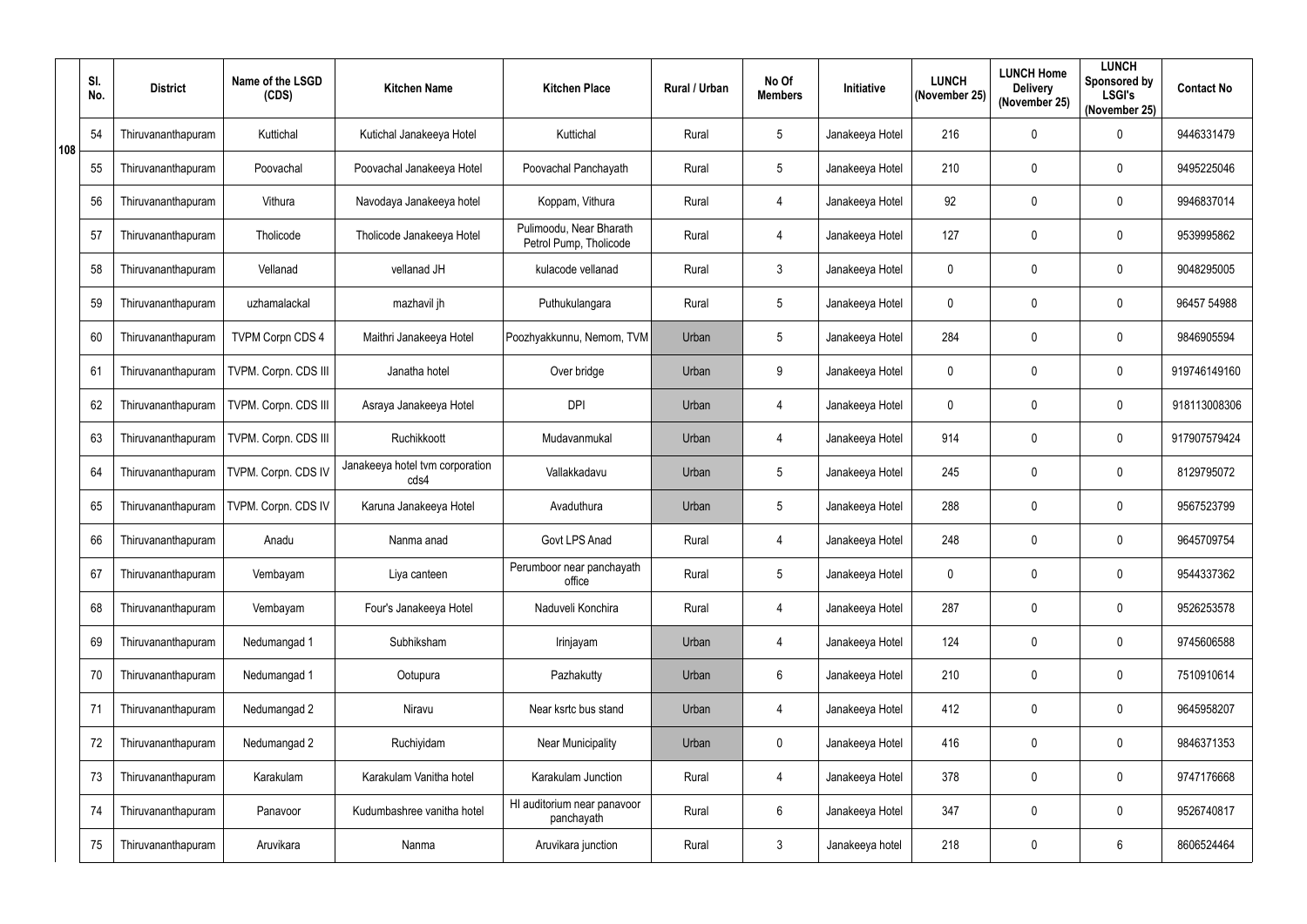|     | SI.<br>No. | <b>District</b>    | Name of the LSGD<br>(CDS) | <b>Kitchen Name</b>                     | <b>Kitchen Place</b>                              | Rural / Urban | No Of<br><b>Members</b> | Initiative      | <b>LUNCH</b><br>(November 25) | <b>LUNCH Home</b><br><b>Delivery</b><br>(November 25) | <b>LUNCH</b><br>Sponsored by<br><b>LSGI's</b><br>(November 25) | <b>Contact No</b> |
|-----|------------|--------------------|---------------------------|-----------------------------------------|---------------------------------------------------|---------------|-------------------------|-----------------|-------------------------------|-------------------------------------------------------|----------------------------------------------------------------|-------------------|
| 108 | 54         | Thiruvananthapuram | Kuttichal                 | Kutichal Janakeeya Hotel                | Kuttichal                                         | Rural         | 5                       | Janakeeya Hotel | 216                           | $\mathbf 0$                                           | $\pmb{0}$                                                      | 9446331479        |
|     | 55         | Thiruvananthapuram | Poovachal                 | Poovachal Janakeeya Hotel               | Poovachal Panchayath                              | Rural         | $5\phantom{.0}$         | Janakeeya Hotel | 210                           | $\mathbf 0$                                           | 0                                                              | 9495225046        |
|     | 56         | Thiruvananthapuram | Vithura                   | Navodaya Janakeeya hotel                | Koppam, Vithura                                   | Rural         | $\overline{4}$          | Janakeeya Hotel | 92                            | $\mathbf 0$                                           | $\pmb{0}$                                                      | 9946837014        |
|     | 57         | Thiruvananthapuram | Tholicode                 | Tholicode Janakeeya Hotel               | Pulimoodu, Near Bharath<br>Petrol Pump, Tholicode | Rural         | $\overline{4}$          | Janakeeya Hotel | 127                           | $\mathbf 0$                                           | $\mathbf 0$                                                    | 9539995862        |
|     | 58         | Thiruvananthapuram | Vellanad                  | vellanad JH                             | kulacode vellanad                                 | Rural         | 3                       | Janakeeya Hotel | $\mathbf 0$                   | $\mathbf 0$                                           | 0                                                              | 9048295005        |
|     | 59         | Thiruvananthapuram | uzhamalackal              | mazhavil jh                             | Puthukulangara                                    | Rural         | 5                       | Janakeeya Hotel | 0                             | $\mathbf 0$                                           | 0                                                              | 96457 54988       |
|     | 60         | Thiruvananthapuram | <b>TVPM Corpn CDS 4</b>   | Maithri Janakeeya Hotel                 | Poozhyakkunnu, Nemom, TVM                         | Urban         | $5\overline{)}$         | Janakeeya Hotel | 284                           | $\boldsymbol{0}$                                      | $\mathbf 0$                                                    | 9846905594        |
|     | 61         | Thiruvananthapuram | TVPM. Corpn. CDS III      | Janatha hotel                           | Over bridge                                       | Urban         | 9                       | Janakeeya Hotel | $\mathbf 0$                   | $\mathbf 0$                                           | $\pmb{0}$                                                      | 919746149160      |
|     | 62         | Thiruvananthapuram | TVPM. Corpn. CDS III      | Asraya Janakeeya Hotel                  | <b>DPI</b>                                        | Urban         | 4                       | Janakeeya Hotel | 0                             | $\mathbf 0$                                           | 0                                                              | 918113008306      |
|     | 63         | Thiruvananthapuram | TVPM. Corpn. CDS III      | Ruchikkoott                             | Mudavanmukal                                      | Urban         | $\overline{4}$          | Janakeeya Hotel | 914                           | $\mathbf 0$                                           | 0                                                              | 917907579424      |
|     | 64         | Thiruvananthapuram | TVPM. Corpn. CDS IV       | Janakeeya hotel tvm corporation<br>cds4 | Vallakkadavu                                      | Urban         | 5                       | Janakeeya Hotel | 245                           | $\mathbf 0$                                           | 0                                                              | 8129795072        |
|     | 65         | Thiruvananthapuram | TVPM. Corpn. CDS IV       | Karuna Janakeeya Hotel                  | Avaduthura                                        | Urban         | 5                       | Janakeeya Hotel | 288                           | $\mathbf 0$                                           | 0                                                              | 9567523799        |
|     | 66         | Thiruvananthapuram | Anadu                     | Nanma anad                              | Govt LPS Anad                                     | Rural         | 4                       | Janakeeya Hotel | 248                           | $\mathbf 0$                                           | 0                                                              | 9645709754        |
|     | 67         | Thiruvananthapuram | Vembayam                  | Liya canteen                            | Perumboor near panchayath<br>office               | Rural         | 5                       | Janakeeya Hotel | 0                             | $\mathbf 0$                                           | 0                                                              | 9544337362        |
|     | 68         | Thiruvananthapuram | Vembayam                  | Four's Janakeeya Hotel                  | Naduveli Konchira                                 | Rural         | $\overline{4}$          | Janakeeya Hotel | 287                           | $\mathbf 0$                                           | $\pmb{0}$                                                      | 9526253578        |
|     | 69         | Thiruvananthapuram | Nedumangad 1              | Subhiksham                              | Irinjayam                                         | Urban         | $\overline{4}$          | Janakeeya Hotel | 124                           | $\mathbf 0$                                           | $\pmb{0}$                                                      | 9745606588        |
|     | 70         | Thiruvananthapuram | Nedumangad 1              | Ootupura                                | Pazhakutty                                        | Urban         | 6                       | Janakeeya Hotel | 210                           | $\mathbf 0$                                           | $\pmb{0}$                                                      | 7510910614        |
|     | 71         | Thiruvananthapuram | Nedumangad 2              | Niravu                                  | Near ksrtc bus stand                              | Urban         | $\overline{4}$          | Janakeeya Hotel | 412                           | $\mathbf 0$                                           | $\pmb{0}$                                                      | 9645958207        |
|     | 72         | Thiruvananthapuram | Nedumangad 2              | Ruchiyidam                              | <b>Near Municipality</b>                          | Urban         | 0                       | Janakeeya Hotel | 416                           | $\boldsymbol{0}$                                      | $\pmb{0}$                                                      | 9846371353        |
|     | 73         | Thiruvananthapuram | Karakulam                 | Karakulam Vanitha hotel                 | Karakulam Junction                                | Rural         | $\overline{4}$          | Janakeeya Hotel | 378                           | $\boldsymbol{0}$                                      | $\pmb{0}$                                                      | 9747176668        |
|     | 74         | Thiruvananthapuram | Panavoor                  | Kudumbashree vanitha hotel              | HI auditorium near panavoor<br>panchayath         | Rural         | 6                       | Janakeeya Hotel | 347                           | $\boldsymbol{0}$                                      | $\pmb{0}$                                                      | 9526740817        |
|     | 75         | Thiruvananthapuram | Aruvikara                 | Nanma                                   | Aruvikara junction                                | Rural         | 3                       | Janakeeya hotel | 218                           | $\boldsymbol{0}$                                      | $6\phantom{.}$                                                 | 8606524464        |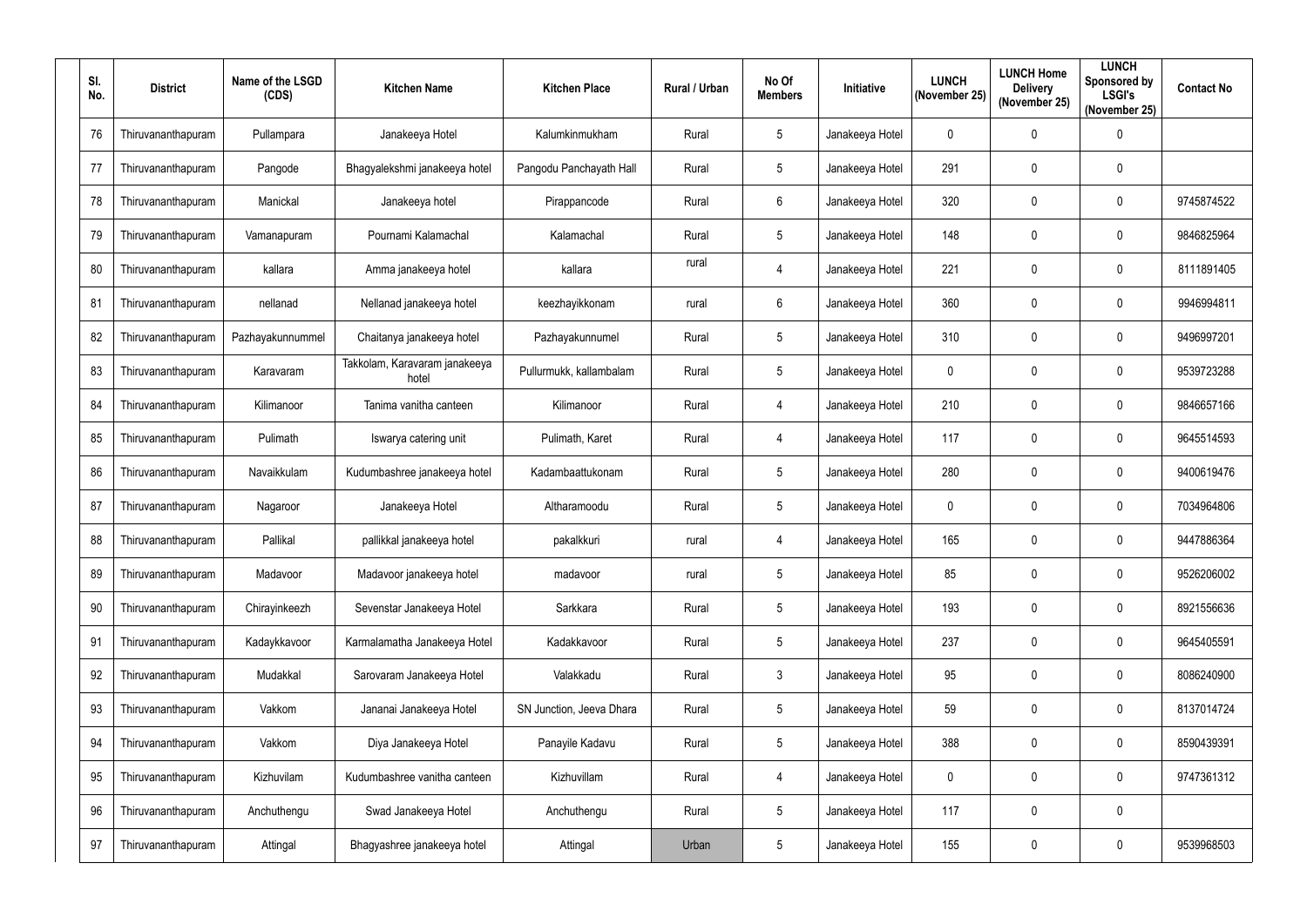| SI.<br>No. | <b>District</b>    | Name of the LSGD<br>(CDS) | <b>Kitchen Name</b>                    | <b>Kitchen Place</b>     | <b>Rural / Urban</b> | No Of<br><b>Members</b> | Initiative      | <b>LUNCH</b><br>(November 25) | <b>LUNCH Home</b><br><b>Delivery</b><br>(November 25) | <b>LUNCH</b><br>Sponsored by<br><b>LSGI's</b><br>(November 25) | <b>Contact No</b> |
|------------|--------------------|---------------------------|----------------------------------------|--------------------------|----------------------|-------------------------|-----------------|-------------------------------|-------------------------------------------------------|----------------------------------------------------------------|-------------------|
| 76         | Thiruvananthapuram | Pullampara                | Janakeeya Hotel                        | Kalumkinmukham           | Rural                | 5                       | Janakeeya Hotel | $\mathbf 0$                   | $\overline{0}$                                        | $\pmb{0}$                                                      |                   |
| 77         | Thiruvananthapuram | Pangode                   | Bhagyalekshmi janakeeya hotel          | Pangodu Panchayath Hall  | Rural                | 5                       | Janakeeya Hotel | 291                           | $\mathbf 0$                                           | $\mathbf 0$                                                    |                   |
| 78         | Thiruvananthapuram | Manickal                  | Janakeeya hotel                        | Pirappancode             | Rural                | $6\overline{6}$         | Janakeeya Hotel | 320                           | $\overline{0}$                                        | $\pmb{0}$                                                      | 9745874522        |
| 79         | Thiruvananthapuram | Vamanapuram               | Pournami Kalamachal                    | Kalamachal               | Rural                | 5                       | Janakeeya Hotel | 148                           | $\overline{0}$                                        | $\mathbf 0$                                                    | 9846825964        |
| 80         | Thiruvananthapuram | kallara                   | Amma janakeeya hotel                   | kallara                  | rural                | $\overline{4}$          | Janakeeya Hotel | 221                           | $\overline{0}$                                        | $\pmb{0}$                                                      | 8111891405        |
| 81         | Thiruvananthapuram | nellanad                  | Nellanad janakeeya hotel               | keezhayikkonam           | rural                | $6\overline{6}$         | Janakeeya Hotel | 360                           | $\boldsymbol{0}$                                      | $\mathbf 0$                                                    | 9946994811        |
| 82         | Thiruvananthapuram | Pazhayakunnummel          | Chaitanya janakeeya hotel              | Pazhayakunnumel          | Rural                | 5 <sup>5</sup>          | Janakeeya Hotel | 310                           | $\overline{0}$                                        | $\mathbf 0$                                                    | 9496997201        |
| 83         | Thiruvananthapuram | Karavaram                 | Takkolam, Karavaram janakeeya<br>hotel | Pullurmukk, kallambalam  | Rural                | $5\phantom{.0}$         | Janakeeya Hotel | $\mathbf 0$                   | $\overline{0}$                                        | $\pmb{0}$                                                      | 9539723288        |
| 84         | Thiruvananthapuram | Kilimanoor                | Tanima vanitha canteen                 | Kilimanoor               | Rural                | 4                       | Janakeeya Hotel | 210                           | $\mathbf 0$                                           | $\mathbf 0$                                                    | 9846657166        |
| 85         | Thiruvananthapuram | Pulimath                  | Iswarya catering unit                  | Pulimath, Karet          | Rural                | $\overline{4}$          | Janakeeya Hotel | 117                           | $\overline{0}$                                        | $\mathbf 0$                                                    | 9645514593        |
| 86         | Thiruvananthapuram | Navaikkulam               | Kudumbashree janakeeya hotel           | Kadambaattukonam         | Rural                | 5                       | Janakeeya Hotel | 280                           | $\overline{0}$                                        | $\mathbf 0$                                                    | 9400619476        |
| 87         | Thiruvananthapuram | Nagaroor                  | Janakeeya Hotel                        | Altharamoodu             | Rural                | $5\phantom{.0}$         | Janakeeya Hotel | 0                             | $\mathbf 0$                                           | $\mathbf 0$                                                    | 7034964806        |
| 88         | Thiruvananthapuram | Pallikal                  | pallikkal janakeeya hotel              | pakalkkuri               | rural                | 4                       | Janakeeya Hotel | 165                           | 0                                                     | $\mathbf 0$                                                    | 9447886364        |
| 89         | Thiruvananthapuram | Madavoor                  | Madavoor janakeeya hotel               | madavoor                 | rural                | $5\phantom{.0}$         | Janakeeya Hotel | 85                            | $\overline{0}$                                        | $\mathbf 0$                                                    | 9526206002        |
| 90         | Thiruvananthapuram | Chirayinkeezh             | Sevenstar Janakeeya Hotel              | Sarkkara                 | Rural                | 5                       | Janakeeya Hotel | 193                           | $\mathbf 0$                                           | $\pmb{0}$                                                      | 8921556636        |
| 91         | Thiruvananthapuram | Kadaykkavoor              | Karmalamatha Janakeeya Hotel           | Kadakkavoor              | Rural                | $5\phantom{.0}$         | Janakeeya Hotel | 237                           | $\mathbf 0$                                           | $\pmb{0}$                                                      | 9645405591        |
| 92         | Thiruvananthapuram | Mudakkal                  | Sarovaram Janakeeya Hotel              | Valakkadu                | Rural                | $\mathbf{3}$            | Janakeeya Hotel | 95                            | $\mathbf 0$                                           | $\pmb{0}$                                                      | 8086240900        |
| 93         | Thiruvananthapuram | Vakkom                    | Jananai Janakeeya Hotel                | SN Junction, Jeeva Dhara | Rural                | 5                       | Janakeeya Hotel | 59                            | $\boldsymbol{0}$                                      | $\pmb{0}$                                                      | 8137014724        |
| 94         | Thiruvananthapuram | Vakkom                    | Diya Janakeeya Hotel                   | Panayile Kadavu          | Rural                | $5\phantom{.0}$         | Janakeeya Hotel | 388                           | $\mathbf 0$                                           | $\pmb{0}$                                                      | 8590439391        |
| 95         | Thiruvananthapuram | Kizhuvilam                | Kudumbashree vanitha canteen           | Kizhuvillam              | Rural                | $\overline{4}$          | Janakeeya Hotel | 0                             | $\mathbf 0$                                           | $\mathbf 0$                                                    | 9747361312        |
| 96         | Thiruvananthapuram | Anchuthengu               | Swad Janakeeya Hotel                   | Anchuthengu              | Rural                | $5\phantom{.0}$         | Janakeeya Hotel | 117                           | $\mathbf 0$                                           | $\pmb{0}$                                                      |                   |
| 97         | Thiruvananthapuram | Attingal                  | Bhagyashree janakeeya hotel            | Attingal                 | Urban                | 5                       | Janakeeya Hotel | 155                           | $\boldsymbol{0}$                                      | $\pmb{0}$                                                      | 9539968503        |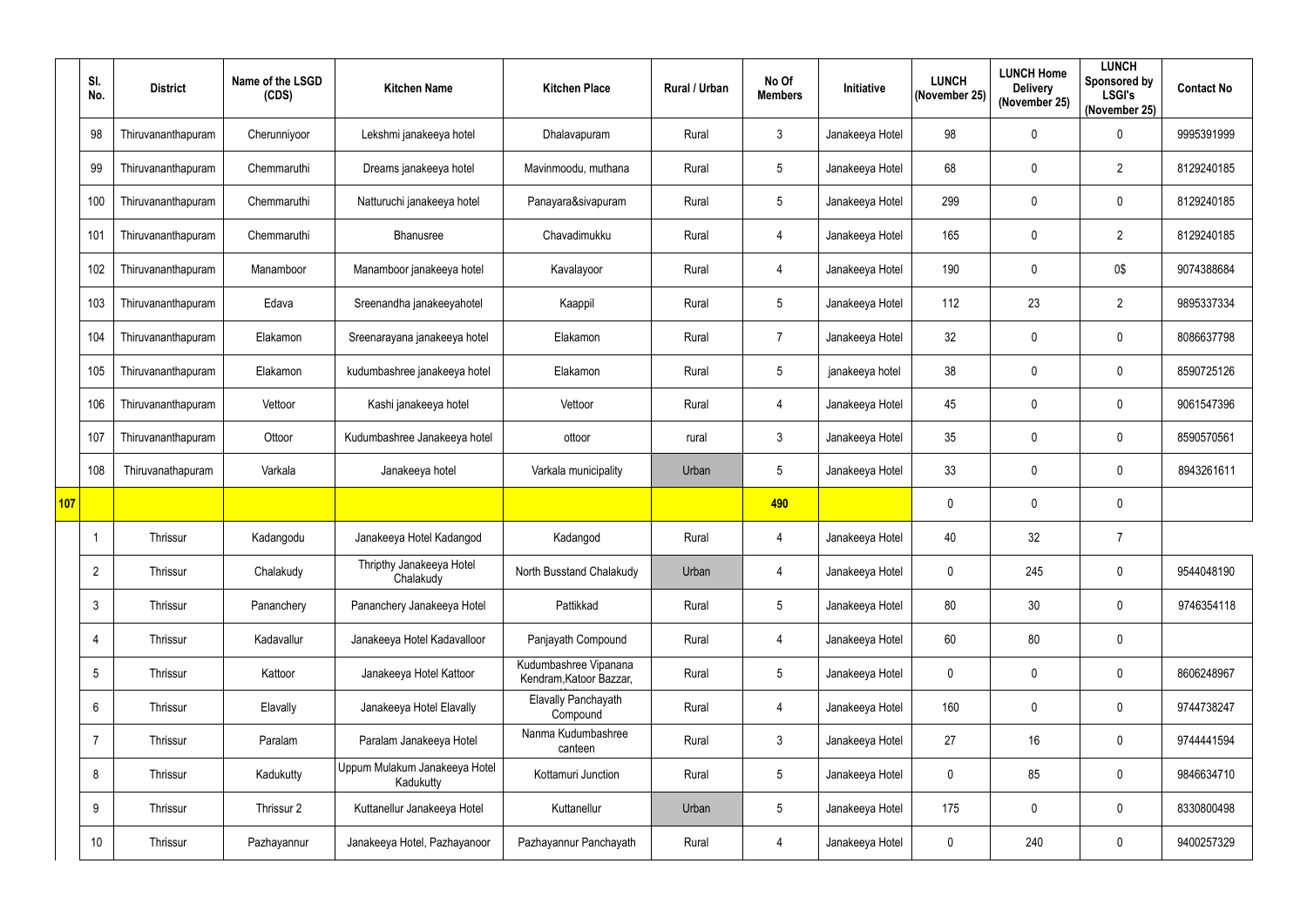|     | SI.<br>No.      | <b>District</b>    | Name of the LSGD<br>(CDS) | <b>Kitchen Name</b>                        | <b>Kitchen Place</b>                             | <b>Rural / Urban</b> | No Of<br><b>Members</b> | Initiative      | <b>LUNCH</b><br>(November 25) | <b>LUNCH Home</b><br><b>Delivery</b><br>(November 25) | <b>LUNCH</b><br>Sponsored by<br><b>LSGI's</b><br>(November 25) | <b>Contact No</b> |
|-----|-----------------|--------------------|---------------------------|--------------------------------------------|--------------------------------------------------|----------------------|-------------------------|-----------------|-------------------------------|-------------------------------------------------------|----------------------------------------------------------------|-------------------|
|     | 98              | Thiruvananthapuram | Cherunniyoor              | Lekshmi janakeeya hotel                    | Dhalavapuram                                     | Rural                | 3                       | Janakeeya Hotel | 98                            | 0                                                     | $\pmb{0}$                                                      | 9995391999        |
|     | 99              | Thiruvananthapuram | Chemmaruthi               | Dreams janakeeya hotel                     | Mavinmoodu, muthana                              | Rural                | $5\phantom{.0}$         | Janakeeya Hotel | 68                            | 0                                                     | $\overline{2}$                                                 | 8129240185        |
|     | 100             | Thiruvananthapuram | Chemmaruthi               | Natturuchi janakeeya hotel                 | Panayara&sivapuram                               | Rural                | 5                       | Janakeeya Hotel | 299                           | $\overline{0}$                                        | $\pmb{0}$                                                      | 8129240185        |
|     | 101             | Thiruvananthapuram | Chemmaruthi               | Bhanusree                                  | Chavadimukku                                     | Rural                | 4                       | Janakeeya Hotel | 165                           | 0                                                     | $\overline{2}$                                                 | 8129240185        |
|     | 102             | Thiruvananthapuram | Manamboor                 | Manamboor janakeeya hotel                  | Kavalayoor                                       | Rural                | 4                       | Janakeeya Hotel | 190                           | 0                                                     | 0\$                                                            | 9074388684        |
|     | 103             | Thiruvananthapuram | Edava                     | Sreenandha janakeeyahotel                  | Kaappil                                          | Rural                | $5\phantom{.0}$         | Janakeeya Hotel | 112                           | 23                                                    | $\overline{2}$                                                 | 9895337334        |
|     | 104             | Thiruvananthapuram | Elakamon                  | Sreenarayana janakeeya hotel               | Elakamon                                         | Rural                | $\overline{7}$          | Janakeeya Hotel | 32                            | $\mathbf 0$                                           | $\mathbf 0$                                                    | 8086637798        |
|     | 105             | Thiruvananthapuram | Elakamon                  | kudumbashree janakeeya hotel               | Elakamon                                         | Rural                | $5\phantom{.0}$         | janakeeya hotel | 38                            | 0                                                     | $\pmb{0}$                                                      | 8590725126        |
|     | 106             | Thiruvananthapuram | Vettoor                   | Kashi janakeeya hotel                      | Vettoor                                          | Rural                | 4                       | Janakeeya Hotel | 45                            | 0                                                     | $\mathbf 0$                                                    | 9061547396        |
|     | 107             | Thiruvananthapuram | Ottoor                    | Kudumbashree Janakeeya hotel               | ottoor                                           | rural                | 3                       | Janakeeya Hotel | 35                            | 0                                                     | $\mathbf 0$                                                    | 8590570561        |
|     | 108             | Thiruvanathapuram  | Varkala                   | Janakeeya hotel                            | Varkala municipality                             | Urban                | $5\overline{)}$         | Janakeeya Hotel | 33                            | 0                                                     | $\mathbf 0$                                                    | 8943261611        |
| 107 |                 |                    |                           |                                            |                                                  |                      | 490                     |                 |                               | $\mathbf 0$                                           | $\mathbf 0$                                                    |                   |
|     |                 | Thrissur           | Kadangodu                 | Janakeeya Hotel Kadangod                   | Kadangod                                         | Rural                | 4                       | Janakeeya Hotel | 40                            | 32                                                    | $\overline{7}$                                                 |                   |
|     | $\overline{2}$  | Thrissur           | Chalakudy                 | Thripthy Janakeeya Hotel<br>Chalakudy      | North Busstand Chalakudy                         | Urban                | 4                       | Janakeeya Hotel | 0                             | 245                                                   | $\pmb{0}$                                                      | 9544048190        |
|     | $\mathbf{3}$    | Thrissur           | Pananchery                | Pananchery Janakeeya Hotel                 | Pattikkad                                        | Rural                | $5\phantom{.0}$         | Janakeeya Hotel | 80                            | 30                                                    | $\pmb{0}$                                                      | 9746354118        |
|     | 4               | Thrissur           | Kadavallur                | Janakeeya Hotel Kadavalloor                | Panjayath Compound                               | Rural                | $\overline{4}$          | Janakeeya Hotel | 60                            | 80                                                    | $\pmb{0}$                                                      |                   |
|     | $5\phantom{.0}$ | Thrissur           | Kattoor                   | Janakeeya Hotel Kattoor                    | Kudumbashree Vipanana<br>Kendram, Katoor Bazzar, | Rural                | $5\phantom{.0}$         | Janakeeya Hotel | 0                             | $\mathbf 0$                                           | $\pmb{0}$                                                      | 8606248967        |
|     | $6\phantom{.}$  | Thrissur           | Elavally                  | Janakeeya Hotel Elavally                   | <b>Elavally Panchayath</b><br>Compound           | Rural                | 4                       | Janakeeya Hotel | 160                           | $\mathbf 0$                                           | $\pmb{0}$                                                      | 9744738247        |
|     | $\overline{7}$  | Thrissur           | Paralam                   | Paralam Janakeeya Hotel                    | Nanma Kudumbashree<br>canteen                    | Rural                | $\mathfrak{Z}$          | Janakeeya Hotel | 27                            | 16 <sup>°</sup>                                       | $\pmb{0}$                                                      | 9744441594        |
|     | 8               | Thrissur           | Kadukutty                 | Uppum Mulakum Janakeeya Hotel<br>Kadukutty | Kottamuri Junction                               | Rural                | $5\phantom{.0}$         | Janakeeya Hotel | $\mathbf 0$                   | 85                                                    | $\mathbf 0$                                                    | 9846634710        |
|     | 9               | Thrissur           | Thrissur 2                | Kuttanellur Janakeeya Hotel                | Kuttanellur                                      | Urban                | $5\phantom{.0}$         | Janakeeya Hotel | 175                           | $\mathbf 0$                                           | $\pmb{0}$                                                      | 8330800498        |
|     | 10              | Thrissur           | Pazhayannur               | Janakeeya Hotel, Pazhayanoor               | Pazhayannur Panchayath                           | Rural                | 4                       | Janakeeya Hotel | $\mathbf{0}$                  | 240                                                   | $\pmb{0}$                                                      | 9400257329        |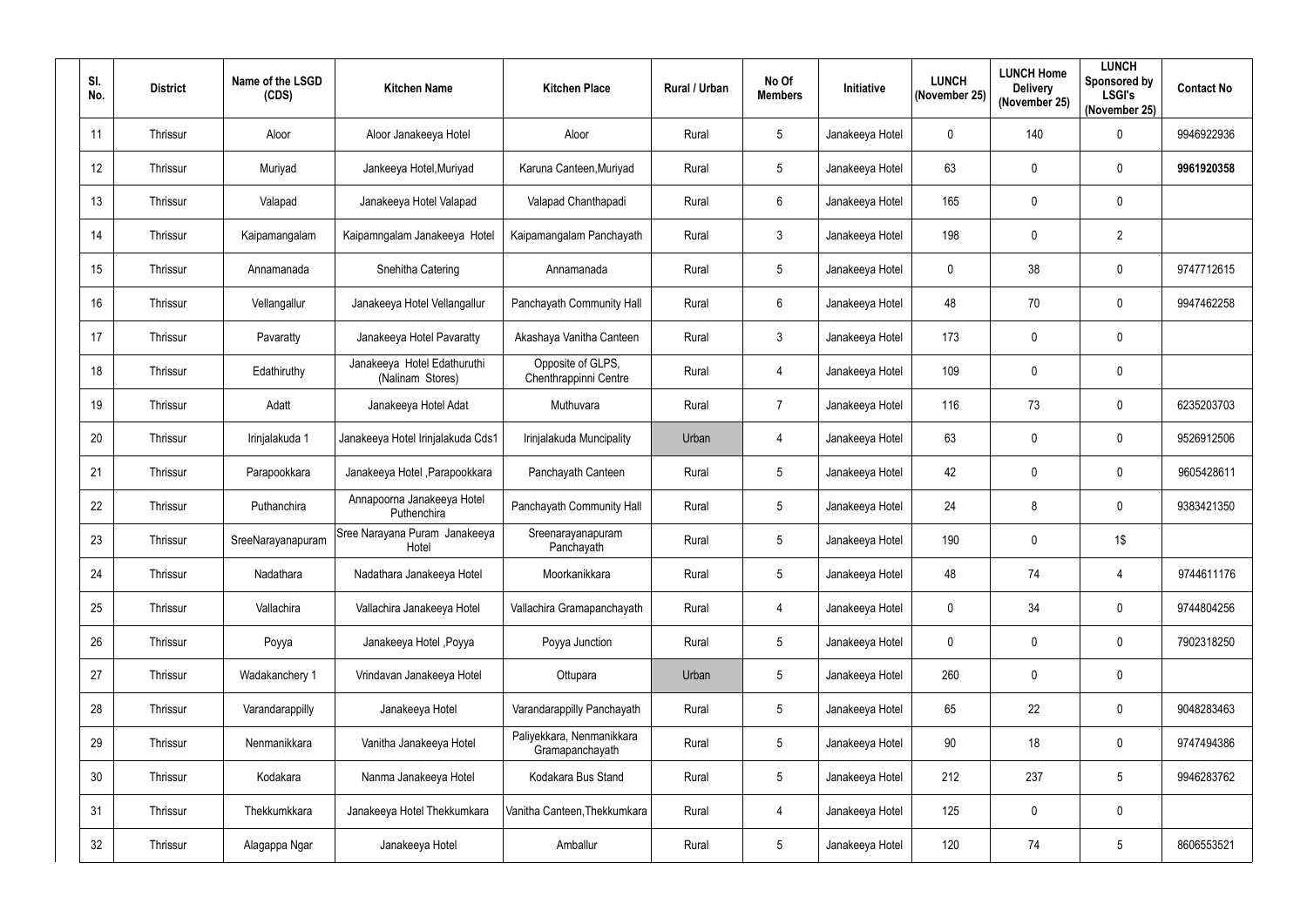| SI.<br>No. | <b>District</b> | Name of the LSGD<br>(CDS) | <b>Kitchen Name</b>                             | <b>Kitchen Place</b>                         | Rural / Urban | No Of<br><b>Members</b> | Initiative      | <b>LUNCH</b><br>(November 25) | <b>LUNCH Home</b><br><b>Delivery</b><br>(November 25) | <b>LUNCH</b><br><b>Sponsored by</b><br><b>LSGI's</b><br>(November 25) | <b>Contact No</b> |
|------------|-----------------|---------------------------|-------------------------------------------------|----------------------------------------------|---------------|-------------------------|-----------------|-------------------------------|-------------------------------------------------------|-----------------------------------------------------------------------|-------------------|
| 11         | Thrissur        | Aloor                     | Aloor Janakeeya Hotel                           | Aloor                                        | Rural         | 5                       | Janakeeya Hotel | 0                             | 140                                                   | $\pmb{0}$                                                             | 9946922936        |
| 12         | Thrissur        | Muriyad                   | Jankeeya Hotel, Muriyad                         | Karuna Canteen, Muriyad                      | Rural         | $5\phantom{.0}$         | Janakeeya Hotel | 63                            | $\mathbf 0$                                           | 0                                                                     | 9961920358        |
| 13         | Thrissur        | Valapad                   | Janakeeya Hotel Valapad                         | Valapad Chanthapadi                          | Rural         | 6                       | Janakeeya Hotel | 165                           | $\mathbf 0$                                           | $\pmb{0}$                                                             |                   |
| 14         | Thrissur        | Kaipamangalam             | Kaipamngalam Janakeeya Hotel                    | Kaipamangalam Panchayath                     | Rural         | 3                       | Janakeeya Hotel | 198                           | $\mathbf 0$                                           | $\overline{2}$                                                        |                   |
| 15         | Thrissur        | Annamanada                | Snehitha Catering                               | Annamanada                                   | Rural         | 5                       | Janakeeya Hotel | $\mathbf 0$                   | 38                                                    | $\pmb{0}$                                                             | 9747712615        |
| 16         | Thrissur        | Vellangallur              | Janakeeya Hotel Vellangallur                    | Panchayath Community Hall                    | Rural         | 6                       | Janakeeya Hotel | 48                            | 70                                                    | 0                                                                     | 9947462258        |
| 17         | Thrissur        | Pavaratty                 | Janakeeya Hotel Pavaratty                       | Akashaya Vanitha Canteen                     | Rural         | $\mathfrak{Z}$          | Janakeeya Hotel | 173                           | $\boldsymbol{0}$                                      | $\pmb{0}$                                                             |                   |
| 18         | Thrissur        | Edathiruthy               | Janakeeya Hotel Edathuruthi<br>(Nalinam Stores) | Opposite of GLPS,<br>Chenthrappinni Centre   | Rural         | $\overline{4}$          | Janakeeya Hotel | 109                           | $\boldsymbol{0}$                                      | $\pmb{0}$                                                             |                   |
| 19         | Thrissur        | Adatt                     | Janakeeya Hotel Adat                            | Muthuvara                                    | Rural         | $\overline{7}$          | Janakeeya Hotel | 116                           | 73                                                    | $\pmb{0}$                                                             | 6235203703        |
| 20         | Thrissur        | Irinjalakuda 1            | Janakeeya Hotel Irinjalakuda Cds1               | Irinjalakuda Muncipality                     | Urban         | $\overline{4}$          | Janakeeya Hotel | 63                            | $\mathbf 0$                                           | $\pmb{0}$                                                             | 9526912506        |
| 21         | Thrissur        | Parapookkara              | Janakeeya Hotel , Parapookkara                  | Panchayath Canteen                           | Rural         | 5                       | Janakeeya Hotel | 42                            | $\boldsymbol{0}$                                      | $\pmb{0}$                                                             | 9605428611        |
| 22         | Thrissur        | Puthanchira               | Annapoorna Janakeeya Hotel<br>Puthenchira       | Panchayath Community Hall                    | Rural         | 5                       | Janakeeya Hotel | 24                            | 8                                                     | 0                                                                     | 9383421350        |
| 23         | Thrissur        | SreeNarayanapuram         | Sree Narayana Puram Janakeeya<br>Hotel          | Sreenarayanapuram<br>Panchayath              | Rural         | 5                       | Janakeeya Hotel | 190                           | $\mathbf 0$                                           | 1\$                                                                   |                   |
| 24         | Thrissur        | Nadathara                 | Nadathara Janakeeya Hotel                       | Moorkanikkara                                | Rural         | $5\phantom{.0}$         | Janakeeya Hotel | 48                            | 74                                                    | 4                                                                     | 9744611176        |
| 25         | Thrissur        | Vallachira                | Vallachira Janakeeya Hotel                      | Vallachira Gramapanchayath                   | Rural         | $\overline{4}$          | Janakeeya Hotel | $\mathbf 0$                   | 34                                                    | $\pmb{0}$                                                             | 9744804256        |
| 26         | Thrissur        | Poyya                     | Janakeeya Hotel , Poyya                         | Poyya Junction                               | Rural         | $5\phantom{.0}$         | Janakeeya Hotel | $\mathbf 0$                   | $\pmb{0}$                                             | $\pmb{0}$                                                             | 7902318250        |
| 27         | Thrissur        | Wadakanchery 1            | Vrindavan Janakeeya Hotel                       | Ottupara                                     | Urban         | 5                       | Janakeeya Hotel | 260                           | $\pmb{0}$                                             | $\pmb{0}$                                                             |                   |
| 28         | Thrissur        | Varandarappilly           | Janakeeya Hotel                                 | Varandarappilly Panchayath                   | Rural         | 5                       | Janakeeya Hotel | 65                            | 22                                                    | $\pmb{0}$                                                             | 9048283463        |
| 29         | Thrissur        | Nenmanikkara              | Vanitha Janakeeya Hotel                         | Paliyekkara, Nenmanikkara<br>Gramapanchayath | Rural         | $5\phantom{.0}$         | Janakeeya Hotel | 90                            | 18                                                    | $\pmb{0}$                                                             | 9747494386        |
| 30         | Thrissur        | Kodakara                  | Nanma Janakeeya Hotel                           | Kodakara Bus Stand                           | Rural         | $5\phantom{.0}$         | Janakeeya Hotel | 212                           | 237                                                   | $\sqrt{5}$                                                            | 9946283762        |
| 31         | Thrissur        | Thekkumkkara              | Janakeeya Hotel Thekkumkara                     | Vanitha Canteen, Thekkumkara                 | Rural         | $\overline{4}$          | Janakeeya Hotel | 125                           | $\pmb{0}$                                             | $\pmb{0}$                                                             |                   |
| 32         | Thrissur        | Alagappa Ngar             | Janakeeya Hotel                                 | Amballur                                     | Rural         | 5                       | Janakeeya Hotel | 120                           | 74                                                    | $\sqrt{5}$                                                            | 8606553521        |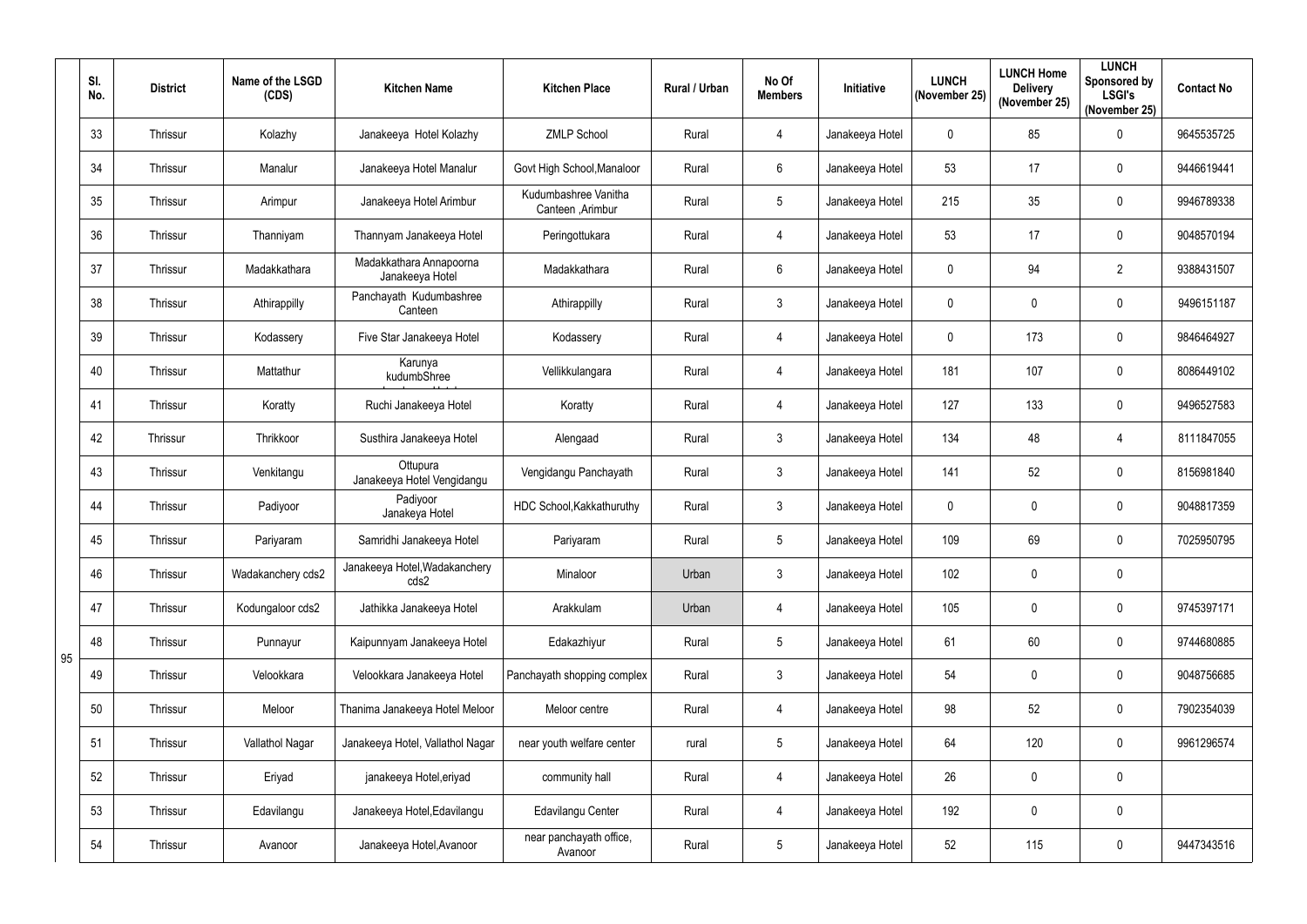|    | SI.<br>No. | <b>District</b> | Name of the LSGD<br>(CDS) | <b>Kitchen Name</b>                        | <b>Kitchen Place</b>                     | Rural / Urban | No Of<br><b>Members</b> | Initiative      | <b>LUNCH</b><br>(November 25) | <b>LUNCH Home</b><br><b>Delivery</b><br>(November 25) | <b>LUNCH</b><br>Sponsored by<br><b>LSGI's</b><br>(November 25) | <b>Contact No</b> |
|----|------------|-----------------|---------------------------|--------------------------------------------|------------------------------------------|---------------|-------------------------|-----------------|-------------------------------|-------------------------------------------------------|----------------------------------------------------------------|-------------------|
|    | 33         | Thrissur        | Kolazhy                   | Janakeeya Hotel Kolazhy                    | <b>ZMLP School</b>                       | Rural         | 4                       | Janakeeya Hotel | $\mathbf 0$                   | 85                                                    | $\pmb{0}$                                                      | 9645535725        |
|    | 34         | Thrissur        | Manalur                   | Janakeeya Hotel Manalur                    | Govt High School, Manaloor               | Rural         | 6                       | Janakeeya Hotel | 53                            | 17                                                    | $\mathbf 0$                                                    | 9446619441        |
|    | 35         | Thrissur        | Arimpur                   | Janakeeya Hotel Arimbur                    | Kudumbashree Vanitha<br>Canteen, Arimbur | Rural         | $5\overline{)}$         | Janakeeya Hotel | 215                           | 35                                                    | $\pmb{0}$                                                      | 9946789338        |
|    | 36         | Thrissur        | Thanniyam                 | Thannyam Janakeeya Hotel                   | Peringottukara                           | Rural         | 4                       | Janakeeya Hotel | 53                            | 17                                                    | $\pmb{0}$                                                      | 9048570194        |
|    | 37         | Thrissur        | Madakkathara              | Madakkathara Annapoorna<br>Janakeeya Hotel | Madakkathara                             | Rural         | $6\overline{6}$         | Janakeeya Hotel | 0                             | 94                                                    | $\overline{2}$                                                 | 9388431507        |
|    | 38         | Thrissur        | Athirappilly              | Panchayath Kudumbashree<br>Canteen         | Athirappilly                             | Rural         | $\mathbf{3}$            | Janakeeya Hotel | 0                             | $\overline{0}$                                        | $\mathbf 0$                                                    | 9496151187        |
|    | 39         | Thrissur        | Kodassery                 | Five Star Janakeeya Hotel                  | Kodassery                                | Rural         | 4                       | Janakeeya Hotel | $\mathbf{0}$                  | 173                                                   | $\mathbf 0$                                                    | 9846464927        |
|    | 40         | Thrissur        | Mattathur                 | Karunya<br>kudumbShree                     | Vellikkulangara                          | Rural         | 4                       | Janakeeya Hotel | 181                           | 107                                                   | $\pmb{0}$                                                      | 8086449102        |
|    | 41         | Thrissur        | Koratty                   | Ruchi Janakeeya Hotel                      | Koratty                                  | Rural         | 4                       | Janakeeya Hotel | 127                           | 133                                                   | $\mathbf 0$                                                    | 9496527583        |
|    | 42         | Thrissur        | Thrikkoor                 | Susthira Janakeeya Hotel                   | Alengaad                                 | Rural         | $\mathbf{3}$            | Janakeeya Hotel | 134                           | 48                                                    | 4                                                              | 8111847055        |
|    | 43         | Thrissur        | Venkitangu                | Ottupura<br>Janakeeya Hotel Vengidangu     | Vengidangu Panchayath                    | Rural         | $\mathbf{3}$            | Janakeeya Hotel | 141                           | 52                                                    | $\pmb{0}$                                                      | 8156981840        |
|    | 44         | Thrissur        | Padiyoor                  | Padiyoor<br>Janakeya Hotel                 | HDC School, Kakkathuruthy                | Rural         | $\mathbf{3}$            | Janakeeya Hotel | 0                             | $\overline{0}$                                        | $\mathbf 0$                                                    | 9048817359        |
|    | 45         | Thrissur        | Pariyaram                 | Samridhi Janakeeya Hotel                   | Pariyaram                                | Rural         | 5                       | Janakeeya Hotel | 109                           | 69                                                    | 0                                                              | 7025950795        |
|    | 46         | Thrissur        | Wadakanchery cds2         | Janakeeya Hotel, Wadakanchery<br>cds2      | Minaloor                                 | Urban         | $\mathbf{3}$            | Janakeeya Hotel | 102                           | $\overline{0}$                                        | $\pmb{0}$                                                      |                   |
|    | 47         | Thrissur        | Kodungaloor cds2          | Jathikka Janakeeya Hotel                   | Arakkulam                                | Urban         | 4                       | Janakeeya Hotel | 105                           | $\mathbf 0$                                           | $\pmb{0}$                                                      | 9745397171        |
| 95 | 48         | Thrissur        | Punnayur                  | Kaipunnyam Janakeeya Hotel                 | Edakazhiyur                              | Rural         | $5\overline{)}$         | Janakeeya Hotel | 61                            | 60                                                    | $\pmb{0}$                                                      | 9744680885        |
|    | 49         | Thrissur        | Velookkara                | Velookkara Janakeeya Hotel                 | Panchayath shopping complex              | Rural         | $\mathbf{3}$            | Janakeeya Hotel | 54                            | $\mathbf 0$                                           | $\pmb{0}$                                                      | 9048756685        |
|    | 50         | Thrissur        | Meloor                    | Thanima Janakeeya Hotel Meloor             | Meloor centre                            | Rural         | 4                       | Janakeeya Hotel | 98                            | 52                                                    | $\pmb{0}$                                                      | 7902354039        |
|    | 51         | Thrissur        | Vallathol Nagar           | Janakeeya Hotel, Vallathol Nagar           | near youth welfare center                | rural         | $5\phantom{.0}$         | Janakeeya Hotel | 64                            | 120                                                   | $\pmb{0}$                                                      | 9961296574        |
|    | 52         | Thrissur        | Eriyad                    | janakeeya Hotel, eriyad                    | community hall                           | Rural         | 4                       | Janakeeya Hotel | 26                            | $\mathbf 0$                                           | $\pmb{0}$                                                      |                   |
|    | 53         | Thrissur        | Edavilangu                | Janakeeya Hotel, Edavilangu                | Edavilangu Center                        | Rural         | 4                       | Janakeeya Hotel | 192                           | $\overline{0}$                                        | $\pmb{0}$                                                      |                   |
|    | 54         | Thrissur        | Avanoor                   | Janakeeya Hotel, Avanoor                   | near panchayath office,<br>Avanoor       | Rural         | $5\phantom{.0}$         | Janakeeya Hotel | 52                            | 115                                                   | $\pmb{0}$                                                      | 9447343516        |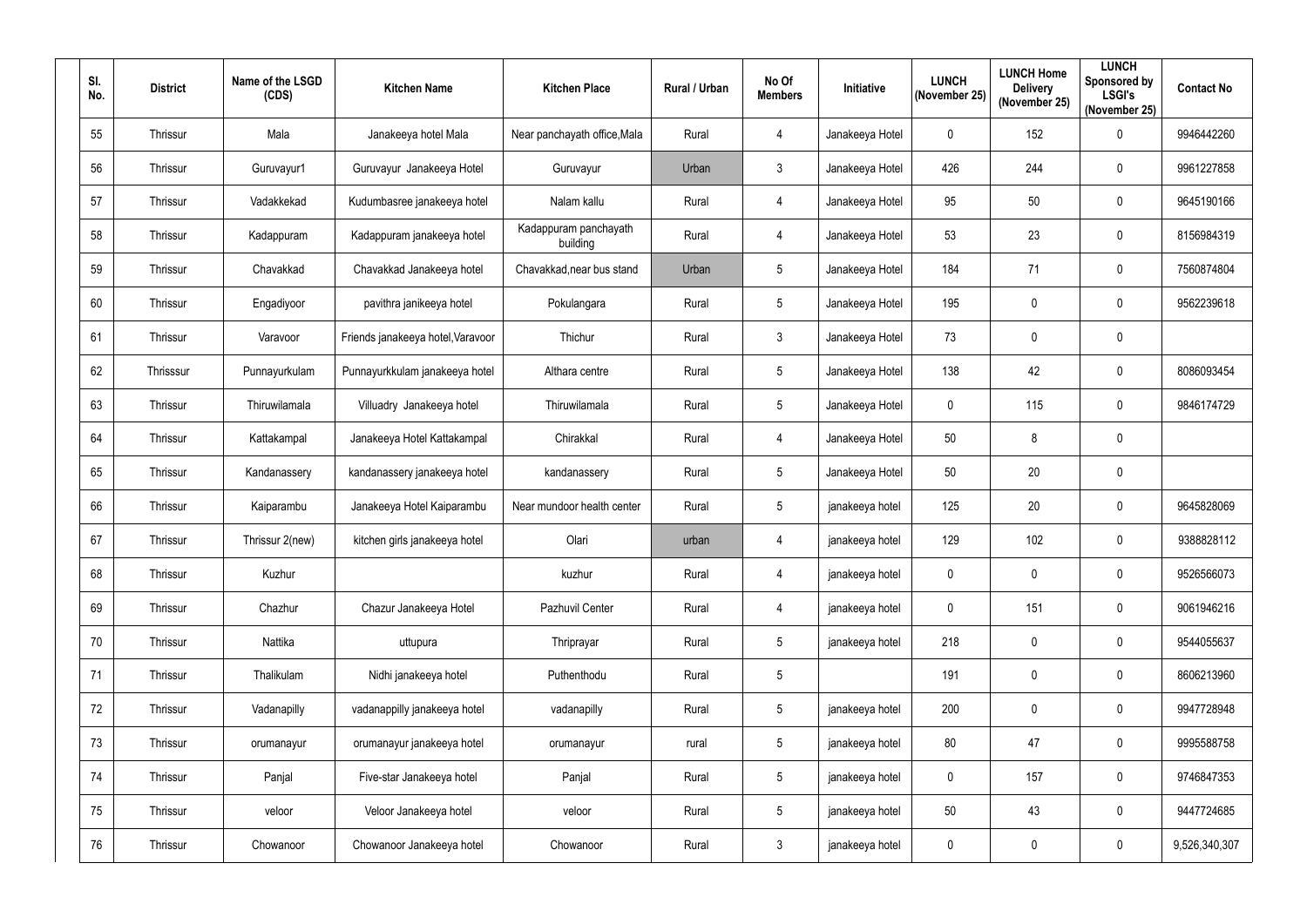| SI.<br>No. | <b>District</b> | Name of the LSGD<br>(CDS) | <b>Kitchen Name</b>               | <b>Kitchen Place</b>              | Rural / Urban | No Of<br><b>Members</b> | Initiative      | <b>LUNCH</b><br>(November 25) | <b>LUNCH Home</b><br><b>Delivery</b><br>(November 25) | <b>LUNCH</b><br><b>Sponsored by</b><br><b>LSGI's</b><br>(November 25) | <b>Contact No</b> |
|------------|-----------------|---------------------------|-----------------------------------|-----------------------------------|---------------|-------------------------|-----------------|-------------------------------|-------------------------------------------------------|-----------------------------------------------------------------------|-------------------|
| 55         | Thrissur        | Mala                      | Janakeeya hotel Mala              | Near panchayath office, Mala      | Rural         | 4                       | Janakeeya Hotel | $\mathbf 0$                   | 152                                                   | $\mathbf 0$                                                           | 9946442260        |
| 56         | Thrissur        | Guruvayur1                | Guruvayur Janakeeya Hotel         | Guruvayur                         | Urban         | $\mathbf{3}$            | Janakeeya Hotel | 426                           | 244                                                   | 0                                                                     | 9961227858        |
| 57         | Thrissur        | Vadakkekad                | Kudumbasree janakeeya hotel       | Nalam kallu                       | Rural         | 4                       | Janakeeya Hotel | 95                            | 50                                                    | $\pmb{0}$                                                             | 9645190166        |
| 58         | Thrissur        | Kadappuram                | Kadappuram janakeeya hotel        | Kadappuram panchayath<br>building | Rural         | 4                       | Janakeeya Hotel | 53                            | 23                                                    | $\pmb{0}$                                                             | 8156984319        |
| 59         | Thrissur        | Chavakkad                 | Chavakkad Janakeeya hotel         | Chavakkad, near bus stand         | Urban         | 5                       | Janakeeya Hotel | 184                           | 71                                                    | 0                                                                     | 7560874804        |
| 60         | Thrissur        | Engadiyoor                | pavithra janikeeya hotel          | Pokulangara                       | Rural         | 5                       | Janakeeya Hotel | 195                           | $\mathbf 0$                                           | 0                                                                     | 9562239618        |
| 61         | Thrissur        | Varavoor                  | Friends janakeeya hotel, Varavoor | Thichur                           | Rural         | $\mathfrak{Z}$          | Janakeeya Hotel | 73                            | $\mathbf 0$                                           | $\pmb{0}$                                                             |                   |
| 62         | Thrisssur       | Punnayurkulam             | Punnayurkkulam janakeeya hotel    | Althara centre                    | Rural         | 5                       | Janakeeya Hotel | 138                           | 42                                                    | $\pmb{0}$                                                             | 8086093454        |
| 63         | Thrissur        | Thiruwilamala             | Villuadry Janakeeya hotel         | Thiruwilamala                     | Rural         | 5                       | Janakeeya Hotel | $\mathbf 0$                   | 115                                                   | 0                                                                     | 9846174729        |
| 64         | Thrissur        | Kattakampal               | Janakeeya Hotel Kattakampal       | Chirakkal                         | Rural         | 4                       | Janakeeya Hotel | 50                            | 8                                                     | $\pmb{0}$                                                             |                   |
| 65         | Thrissur        | Kandanassery              | kandanassery janakeeya hotel      | kandanassery                      | Rural         | 5                       | Janakeeya Hotel | 50                            | 20                                                    | $\pmb{0}$                                                             |                   |
| 66         | Thrissur        | Kaiparambu                | Janakeeya Hotel Kaiparambu        | Near mundoor health center        | Rural         | 5                       | janakeeya hotel | 125                           | 20                                                    | 0                                                                     | 9645828069        |
| 67         | Thrissur        | Thrissur 2(new)           | kitchen girls janakeeya hotel     | Olari                             | urban         | 4                       | janakeeya hotel | 129                           | 102                                                   | 0                                                                     | 9388828112        |
| 68         | Thrissur        | Kuzhur                    |                                   | kuzhur                            | Rural         | $\overline{4}$          | janakeeya hotel | $\mathbf 0$                   | $\overline{0}$                                        | $\pmb{0}$                                                             | 9526566073        |
| 69         | Thrissur        | Chazhur                   | Chazur Janakeeya Hotel            | Pazhuvil Center                   | Rural         | $\overline{4}$          | janakeeya hotel | 0                             | 151                                                   | $\pmb{0}$                                                             | 9061946216        |
| 70         | Thrissur        | Nattika                   | uttupura                          | Thriprayar                        | Rural         | $5\overline{)}$         | janakeeya hotel | 218                           | $\overline{0}$                                        | $\mathbf 0$                                                           | 9544055637        |
| 71         | Thrissur        | Thalikulam                | Nidhi janakeeya hotel             | Puthenthodu                       | Rural         | 5                       |                 | 191                           | $\mathbf 0$                                           | $\mathbf 0$                                                           | 8606213960        |
| 72         | Thrissur        | Vadanapilly               | vadanappilly janakeeya hotel      | vadanapilly                       | Rural         | $5\phantom{.0}$         | janakeeya hotel | 200                           | $\mathbf 0$                                           | $\mathbf 0$                                                           | 9947728948        |
| 73         | Thrissur        | orumanayur                | orumanayur janakeeya hotel        | orumanayur                        | rural         | $5\phantom{.0}$         | janakeeya hotel | 80                            | 47                                                    | $\mathbf 0$                                                           | 9995588758        |
| 74         | Thrissur        | Panjal                    | Five-star Janakeeya hotel         | Panjal                            | Rural         | $5\phantom{.0}$         | janakeeya hotel | $\mathbf 0$                   | 157                                                   | $\mathbf 0$                                                           | 9746847353        |
| 75         | Thrissur        | veloor                    | Veloor Janakeeya hotel            | veloor                            | Rural         | $\sqrt{5}$              | janakeeya hotel | 50                            | 43                                                    | $\pmb{0}$                                                             | 9447724685        |
| 76         | Thrissur        | Chowanoor                 | Chowanoor Janakeeya hotel         | Chowanoor                         | Rural         | $\mathfrak{Z}$          | janakeeya hotel | $\mathbf{0}$                  | $\pmb{0}$                                             | $\pmb{0}$                                                             | 9,526,340,307     |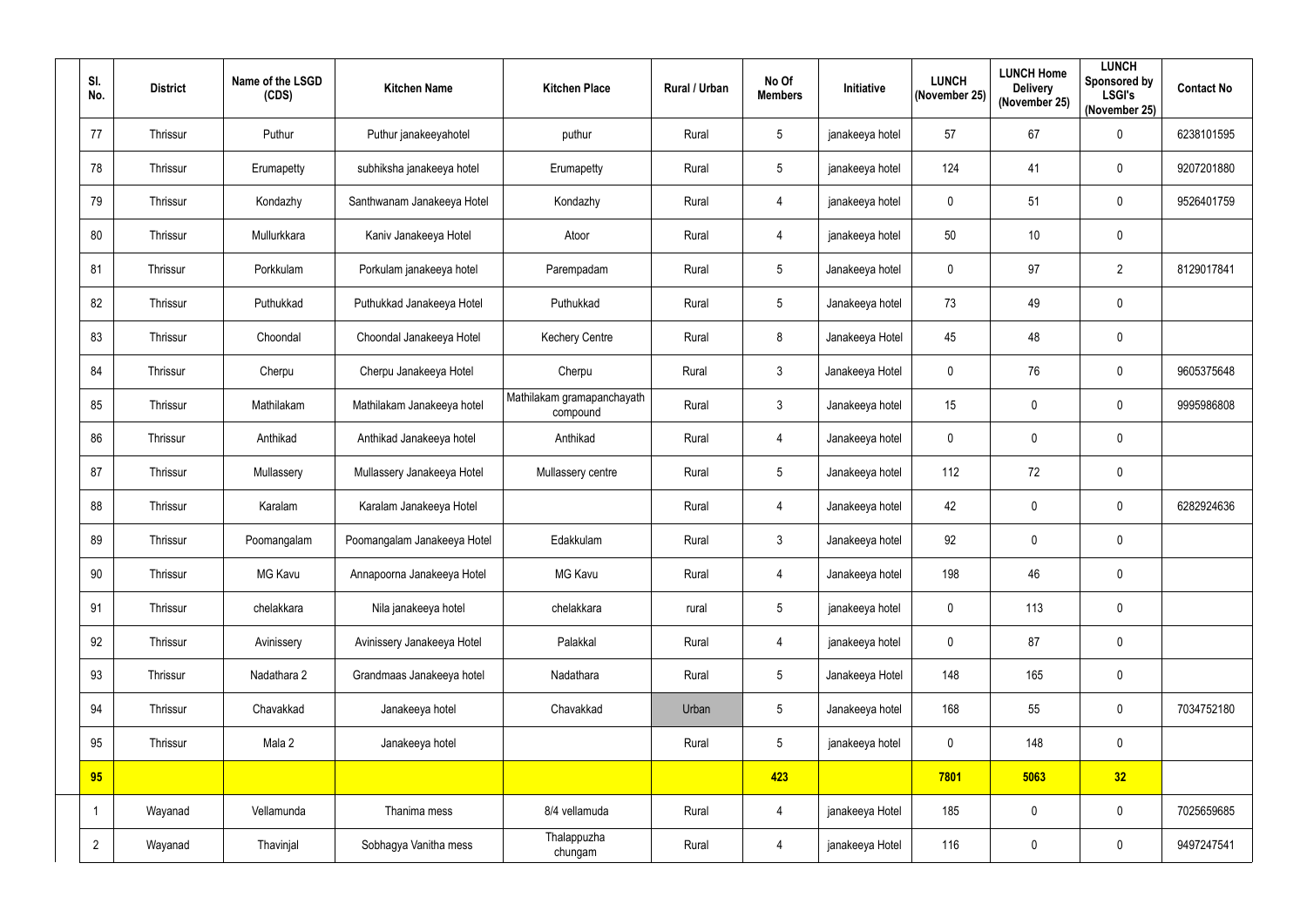| SI.<br>No.     | <b>District</b> | Name of the LSGD<br>(CDS) | <b>Kitchen Name</b>         | <b>Kitchen Place</b>                   | <b>Rural / Urban</b> | No Of<br><b>Members</b> | Initiative      | <b>LUNCH</b><br>(November 25) | <b>LUNCH Home</b><br><b>Delivery</b><br>(November 25) | <b>LUNCH</b><br><b>Sponsored by</b><br><b>LSGI's</b><br>(November 25) | <b>Contact No</b> |
|----------------|-----------------|---------------------------|-----------------------------|----------------------------------------|----------------------|-------------------------|-----------------|-------------------------------|-------------------------------------------------------|-----------------------------------------------------------------------|-------------------|
| 77             | Thrissur        | Puthur                    | Puthur janakeeyahotel       | puthur                                 | Rural                | 5                       | janakeeya hotel | 57                            | 67                                                    | $\pmb{0}$                                                             | 6238101595        |
| 78             | Thrissur        | Erumapetty                | subhiksha janakeeya hotel   | Erumapetty                             | Rural                | $5\phantom{.0}$         | janakeeya hotel | 124                           | 41                                                    | $\mathbf 0$                                                           | 9207201880        |
| 79             | Thrissur        | Kondazhy                  | Santhwanam Janakeeya Hotel  | Kondazhy                               | Rural                | $\overline{4}$          | janakeeya hotel | 0                             | 51                                                    | $\pmb{0}$                                                             | 9526401759        |
| 80             | Thrissur        | Mullurkkara               | Kaniv Janakeeya Hotel       | Atoor                                  | Rural                | $\overline{4}$          | janakeeya hotel | 50                            | 10                                                    | $\pmb{0}$                                                             |                   |
| 81             | Thrissur        | Porkkulam                 | Porkulam janakeeya hotel    | Parempadam                             | Rural                | $5\phantom{.0}$         | Janakeeya hotel | 0                             | 97                                                    | $\overline{2}$                                                        | 8129017841        |
| 82             | Thrissur        | Puthukkad                 | Puthukkad Janakeeya Hotel   | Puthukkad                              | Rural                | $5\phantom{.0}$         | Janakeeya hotel | 73                            | 49                                                    | $\pmb{0}$                                                             |                   |
| 83             | Thrissur        | Choondal                  | Choondal Janakeeya Hotel    | <b>Kechery Centre</b>                  | Rural                | 8                       | Janakeeya Hotel | 45                            | 48                                                    | $\mathbf 0$                                                           |                   |
| 84             | Thrissur        | Cherpu                    | Cherpu Janakeeya Hotel      | Cherpu                                 | Rural                | $\mathfrak{Z}$          | Janakeeya Hotel | 0                             | 76                                                    | $\pmb{0}$                                                             | 9605375648        |
| 85             | Thrissur        | Mathilakam                | Mathilakam Janakeeya hotel  | Mathilakam gramapanchayath<br>compound | Rural                | $\mathbf{3}$            | Janakeeya hotel | 15                            | $\mathbf 0$                                           | $\mathbf 0$                                                           | 9995986808        |
| 86             | Thrissur        | Anthikad                  | Anthikad Janakeeya hotel    | Anthikad                               | Rural                | $\overline{4}$          | Janakeeya hotel | 0                             | $\mathbf 0$                                           | $\pmb{0}$                                                             |                   |
| 87             | Thrissur        | Mullassery                | Mullassery Janakeeya Hotel  | Mullassery centre                      | Rural                | $5\phantom{.0}$         | Janakeeya hotel | 112                           | 72                                                    | $\pmb{0}$                                                             |                   |
| 88             | Thrissur        | Karalam                   | Karalam Janakeeya Hotel     |                                        | Rural                | $\overline{4}$          | Janakeeya hotel | 42                            | $\mathbf 0$                                           | $\mathbf 0$                                                           | 6282924636        |
| 89             | Thrissur        | Poomangalam               | Poomangalam Janakeeya Hotel | Edakkulam                              | Rural                | $\mathfrak{Z}$          | Janakeeya hotel | 92                            | $\mathbf 0$                                           | $\mathbf 0$                                                           |                   |
| 90             | Thrissur        | <b>MG Kavu</b>            | Annapoorna Janakeeya Hotel  | MG Kavu                                | Rural                | $\overline{4}$          | Janakeeya hotel | 198                           | 46                                                    | $\pmb{0}$                                                             |                   |
| 91             | Thrissur        | chelakkara                | Nila janakeeya hotel        | chelakkara                             | rural                | $5\phantom{.0}$         | janakeeya hotel | 0                             | 113                                                   | $\pmb{0}$                                                             |                   |
| 92             | Thrissur        | Avinissery                | Avinissery Janakeeya Hotel  | Palakkal                               | Rural                | $\overline{4}$          | janakeeya hotel | 0                             | 87                                                    | $\pmb{0}$                                                             |                   |
| 93             | Thrissur        | Nadathara 2               | Grandmaas Janakeeya hotel   | Nadathara                              | Rural                | $5\phantom{.0}$         | Janakeeya Hotel | 148                           | 165                                                   | $\pmb{0}$                                                             |                   |
| 94             | Thrissur        | Chavakkad                 | Janakeeya hotel             | Chavakkad                              | Urban                | $5\phantom{.0}$         | Janakeeya hotel | 168                           | 55                                                    | $\pmb{0}$                                                             | 7034752180        |
| 95             | Thrissur        | Mala 2                    | Janakeeya hotel             |                                        | Rural                | $5\phantom{.0}$         | janakeeya hotel | $\mathbf{0}$                  | 148                                                   | $\pmb{0}$                                                             |                   |
| 95             |                 |                           |                             |                                        |                      | 423                     |                 | 7801                          | 5063                                                  | 32                                                                    |                   |
|                | Wayanad         | Vellamunda                | Thanima mess                | 8/4 vellamuda                          | Rural                | $\overline{4}$          | janakeeya Hotel | 185                           | $\mathbf 0$                                           | $\pmb{0}$                                                             | 7025659685        |
| $\overline{2}$ | Wayanad         | Thavinjal                 | Sobhagya Vanitha mess       | Thalappuzha<br>chungam                 | Rural                | $\overline{4}$          | janakeeya Hotel | 116                           | $\mathsf{0}$                                          | $\pmb{0}$                                                             | 9497247541        |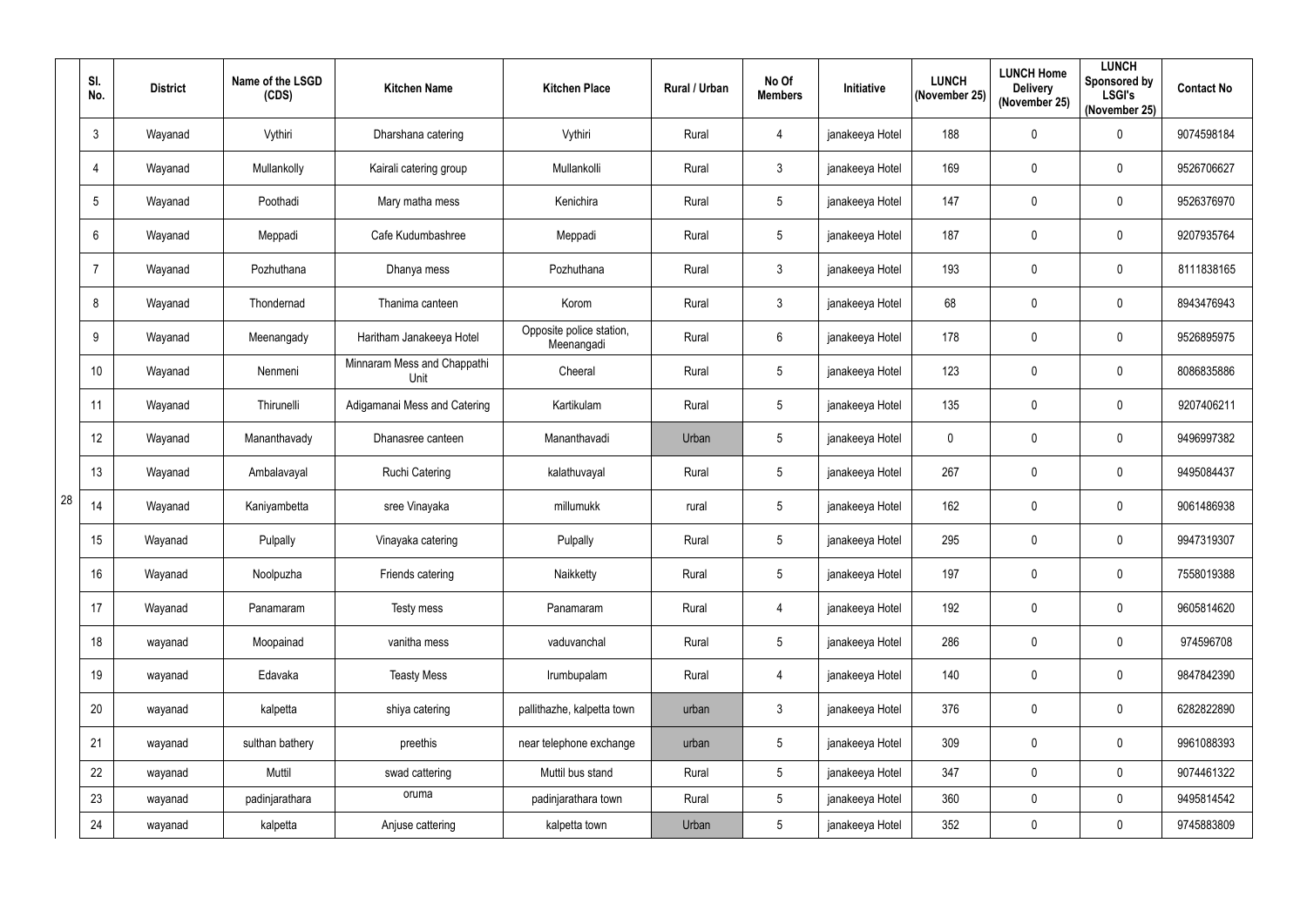|    | SI.<br>No.     | <b>District</b> | Name of the LSGD<br>(CDS) | <b>Kitchen Name</b>                 | <b>Kitchen Place</b>                   | Rural / Urban | No Of<br><b>Members</b> | Initiative      | <b>LUNCH</b><br>(November 25) | <b>LUNCH Home</b><br><b>Delivery</b><br>(November 25) | <b>LUNCH</b><br>Sponsored by<br><b>LSGI's</b><br>(November 25) | <b>Contact No</b> |
|----|----------------|-----------------|---------------------------|-------------------------------------|----------------------------------------|---------------|-------------------------|-----------------|-------------------------------|-------------------------------------------------------|----------------------------------------------------------------|-------------------|
|    | $\mathbf{3}$   | Wayanad         | Vythiri                   | Dharshana catering                  | Vythiri                                | Rural         | 4                       | janakeeya Hotel | 188                           | $\mathbf 0$                                           | $\pmb{0}$                                                      | 9074598184        |
|    | $\overline{4}$ | Wayanad         | Mullankolly               | Kairali catering group              | Mullankolli                            | Rural         | $\mathbf{3}$            | janakeeya Hotel | 169                           | $\mathbf 0$                                           | 0                                                              | 9526706627        |
|    | 5              | Wayanad         | Poothadi                  | Mary matha mess                     | Kenichira                              | Rural         | 5                       | janakeeya Hotel | 147                           | $\mathbf 0$                                           | $\pmb{0}$                                                      | 9526376970        |
|    | 6              | Wayanad         | Meppadi                   | Cafe Kudumbashree                   | Meppadi                                | Rural         | 5                       | janakeeya Hotel | 187                           | $\mathbf 0$                                           | $\pmb{0}$                                                      | 9207935764        |
|    |                | Wayanad         | Pozhuthana                | Dhanya mess                         | Pozhuthana                             | Rural         | 3                       | janakeeya Hotel | 193                           | $\mathbf 0$                                           | $\pmb{0}$                                                      | 8111838165        |
|    | 8              | Wayanad         | Thondernad                | Thanima canteen                     | Korom                                  | Rural         | $\mathbf{3}$            | janakeeya Hotel | 68                            | $\mathbf 0$                                           | $\pmb{0}$                                                      | 8943476943        |
|    | 9              | Wayanad         | Meenangady                | Haritham Janakeeya Hotel            | Opposite police station,<br>Meenangadi | Rural         | 6                       | janakeeya Hotel | 178                           | $\mathbf 0$                                           | 0                                                              | 9526895975        |
|    | 10             | Wayanad         | Nenmeni                   | Minnaram Mess and Chappathi<br>Unit | Cheeral                                | Rural         | $5\phantom{.0}$         | janakeeya Hotel | 123                           | $\mathbf 0$                                           | $\pmb{0}$                                                      | 8086835886        |
|    | 11             | Wayanad         | Thirunelli                | Adigamanai Mess and Catering        | Kartikulam                             | Rural         | 5                       | janakeeya Hotel | 135                           | $\mathbf 0$                                           | 0                                                              | 9207406211        |
|    | 12             | Wayanad         | Mananthavady              | Dhanasree canteen                   | Mananthavadi                           | Urban         | 5                       | janakeeya Hotel | $\mathbf 0$                   | $\mathbf 0$                                           | 0                                                              | 9496997382        |
|    | 13             | Wayanad         | Ambalavayal               | <b>Ruchi Catering</b>               | kalathuvayal                           | Rural         | 5                       | janakeeya Hotel | 267                           | $\boldsymbol{0}$                                      | 0                                                              | 9495084437        |
| 28 | 14             | Wayanad         | Kaniyambetta              | sree Vinayaka                       | millumukk                              | rural         | 5                       | janakeeya Hotel | 162                           | $\boldsymbol{0}$                                      | 0                                                              | 9061486938        |
|    | 15             | Wayanad         | Pulpally                  | Vinayaka catering                   | Pulpally                               | Rural         | 5                       | janakeeya Hotel | 295                           | $\mathbf 0$                                           | 0                                                              | 9947319307        |
|    | 16             | Wayanad         | Noolpuzha                 | Friends catering                    | Naikketty                              | Rural         | $\sqrt{5}$              | janakeeya Hotel | 197                           | $\overline{0}$                                        | $\pmb{0}$                                                      | 7558019388        |
|    | 17             | Wayanad         | Panamaram                 | Testy mess                          | Panamaram                              | Rural         | 4                       | janakeeya Hotel | 192                           | $\mathbf 0$                                           | $\pmb{0}$                                                      | 9605814620        |
|    | 18             | wayanad         | Moopainad                 | vanitha mess                        | vaduvanchal                            | Rural         | $5\overline{)}$         | janakeeya Hotel | 286                           | $\mathbf 0$                                           | $\pmb{0}$                                                      | 974596708         |
|    | 19             | wayanad         | Edavaka                   | <b>Teasty Mess</b>                  | Irumbupalam                            | Rural         | 4                       | janakeeya Hotel | 140                           | $\mathbf 0$                                           | $\pmb{0}$                                                      | 9847842390        |
|    | 20             | wayanad         | kalpetta                  | shiya catering                      | pallithazhe, kalpetta town             | urban         | $\mathfrak{Z}$          | janakeeya Hotel | 376                           | $\overline{0}$                                        | $\pmb{0}$                                                      | 6282822890        |
|    | 21             | wayanad         | sulthan bathery           | preethis                            | near telephone exchange                | urban         | $\overline{5}$          | janakeeya Hotel | 309                           | $\overline{0}$                                        | $\mathbf 0$                                                    | 9961088393        |
|    | 22             | wayanad         | Muttil                    | swad cattering                      | Muttil bus stand                       | Rural         | $5\overline{)}$         | janakeeya Hotel | 347                           | $\pmb{0}$                                             | $\pmb{0}$                                                      | 9074461322        |
|    | 23             | wayanad         | padinjarathara            | oruma                               | padinjarathara town                    | Rural         | $5\phantom{.0}$         | janakeeya Hotel | 360                           | $\overline{0}$                                        | $\pmb{0}$                                                      | 9495814542        |
|    | 24             | wayanad         | kalpetta                  | Anjuse cattering                    | kalpetta town                          | Urban         | $\sqrt{5}$              | janakeeya Hotel | 352                           | $\bm{0}$                                              | $\pmb{0}$                                                      | 9745883809        |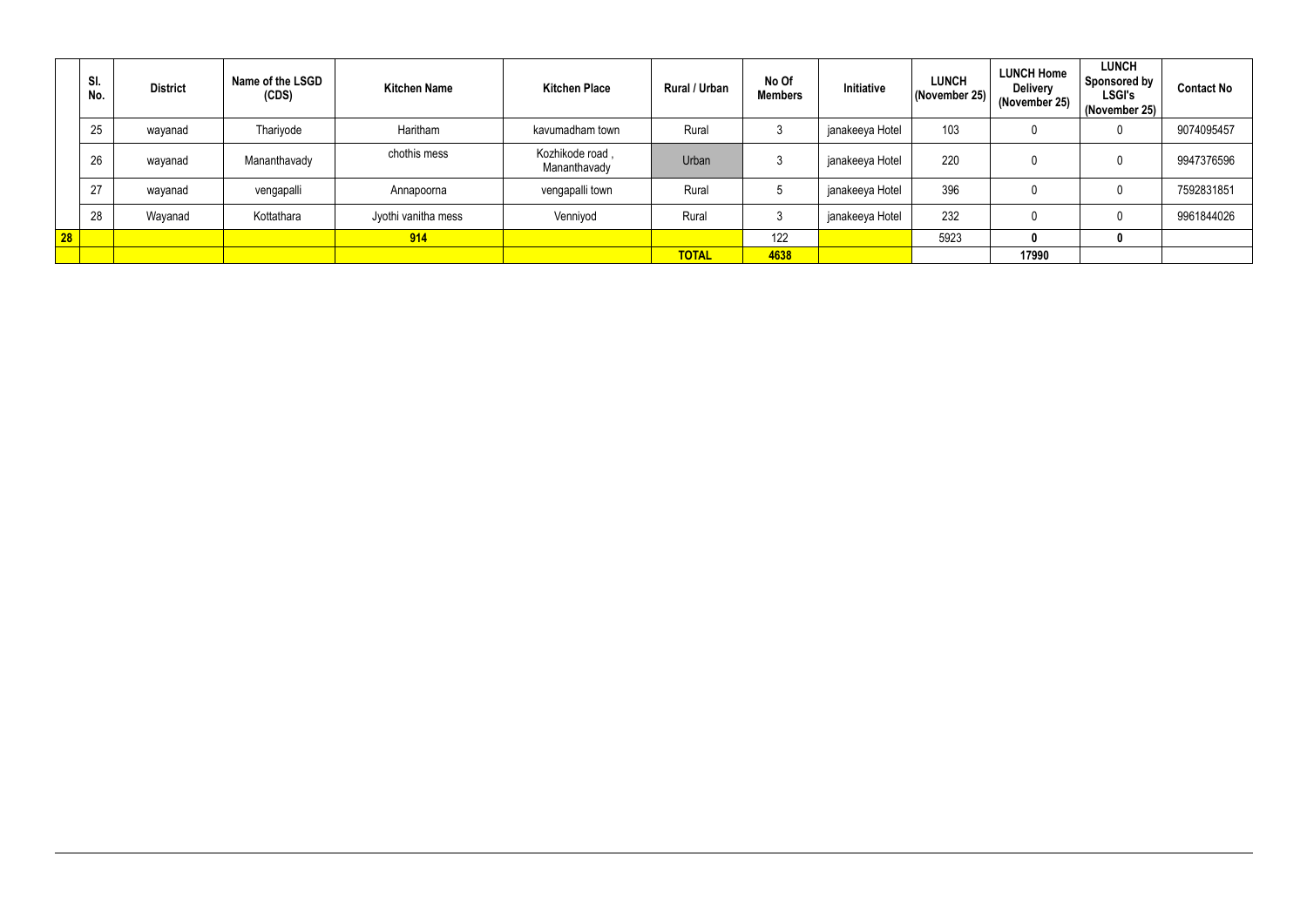|    | SI.<br>No. | <b>District</b> | Name of the LSGD<br>(CDS) | <b>Kitchen Name</b> | <b>Kitchen Place</b>            | Rural / Urban | No Of<br><b>Members</b> | Initiative      | <b>LUNCH</b><br>(November 25) | <b>LUNCH Home</b><br><b>Delivery</b><br>(November 25) | <b>LUNCH</b><br><b>Sponsored by</b><br><b>LSGI's</b><br>(November 25) | <b>Contact No</b> |
|----|------------|-----------------|---------------------------|---------------------|---------------------------------|---------------|-------------------------|-----------------|-------------------------------|-------------------------------------------------------|-----------------------------------------------------------------------|-------------------|
|    | 25         | wayanad         | Thariyode                 | Haritham            | kavumadham town                 | Rural         |                         | janakeeya Hotel | 103                           |                                                       | υ                                                                     | 9074095457        |
|    | 26         | wayanad         | Mananthavady              | chothis mess        | Kozhikode road,<br>Mananthavady | Urban         |                         | janakeeya Hotel | 220                           |                                                       |                                                                       | 9947376596        |
|    | 27         | wayanad         | vengapalli                | Annapoorna          | vengapalli town                 | Rural         |                         | janakeeya Hotel | 396                           |                                                       |                                                                       | 7592831851        |
|    | 28         | Wayanad         | Kottathara                | Jyothi vanitha mess | Venniyod                        | Rural         |                         | janakeeya Hotel | 232                           |                                                       |                                                                       | 9961844026        |
| 28 |            |                 |                           | 914                 |                                 |               | 122                     |                 | 5923                          |                                                       | υ                                                                     |                   |
|    |            |                 |                           |                     |                                 | <b>TOTAL</b>  | 4638                    |                 |                               | 17990                                                 |                                                                       |                   |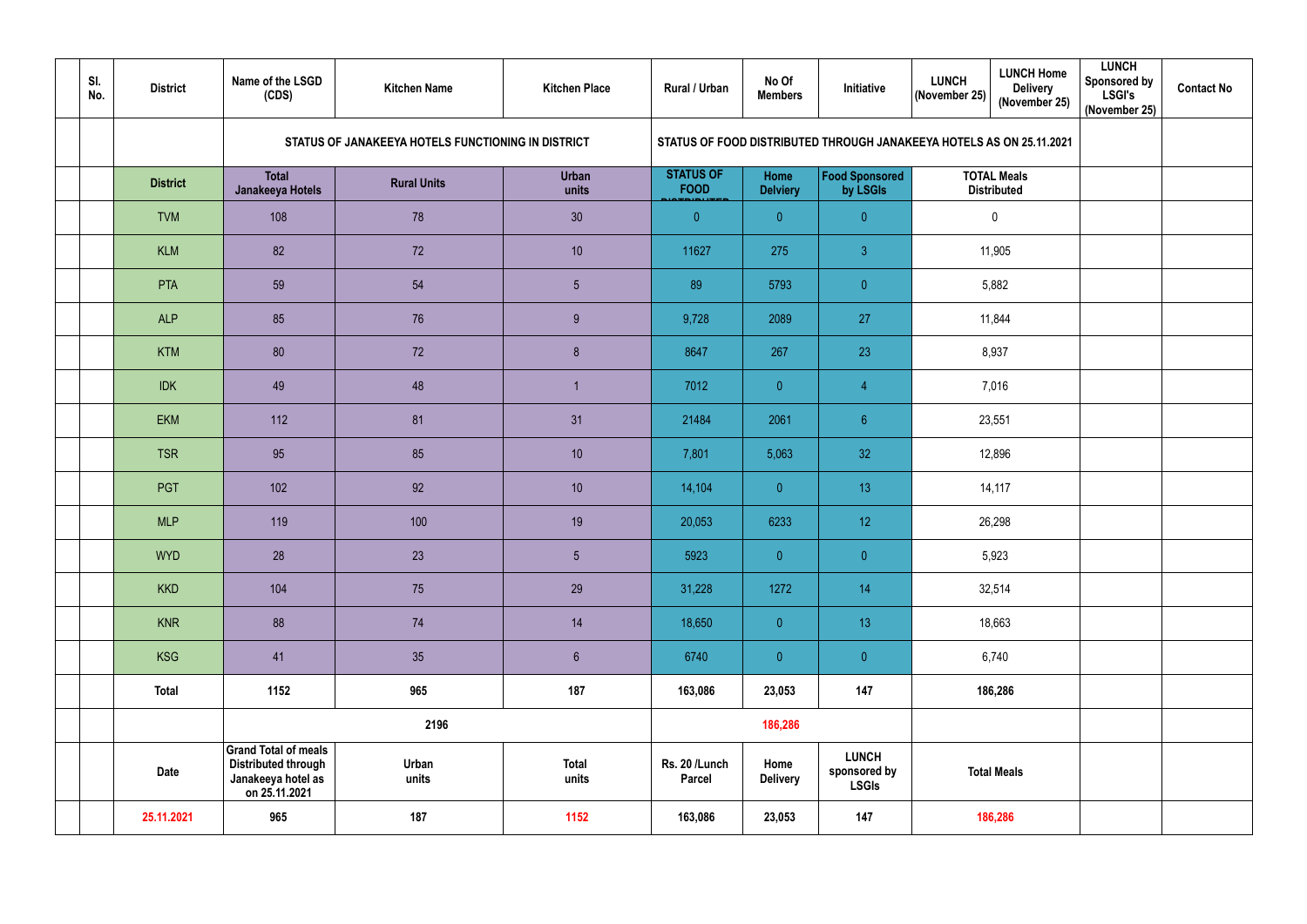| SI.<br>No. | <b>District</b> | Name of the LSGD<br>(CDS)                                                                        | <b>Kitchen Name</b>                                | <b>Kitchen Place</b>  | Rural / Urban                   | No Of<br><b>Members</b> | Initiative                                   | <b>LUNCH Home</b><br><b>LUNCH</b><br><b>Delivery</b><br>(November 25)<br>(November 25) | <b>LUNCH</b><br><b>Sponsored by</b><br><b>LSGI's</b><br>(November 25) | <b>Contact No</b> |
|------------|-----------------|--------------------------------------------------------------------------------------------------|----------------------------------------------------|-----------------------|---------------------------------|-------------------------|----------------------------------------------|----------------------------------------------------------------------------------------|-----------------------------------------------------------------------|-------------------|
|            |                 |                                                                                                  | STATUS OF JANAKEEYA HOTELS FUNCTIONING IN DISTRICT |                       |                                 |                         |                                              | STATUS OF FOOD DISTRIBUTED THROUGH JANAKEEYA HOTELS AS ON 25.11.2021                   |                                                                       |                   |
|            | <b>District</b> | <b>Total</b><br>Janakeeya Hotels                                                                 | <b>Rural Units</b>                                 | <b>Urban</b><br>units | <b>STATUS OF</b><br><b>FOOD</b> | Home<br><b>Delviery</b> | <b>Food Sponsored</b><br>by LSGIs            | <b>TOTAL Meals</b><br><b>Distributed</b>                                               |                                                                       |                   |
|            | <b>TVM</b>      | 108                                                                                              | 78                                                 | 30                    | $\overline{0}$                  | $\overline{0}$          | $\overline{0}$                               | $\mathbf 0$                                                                            |                                                                       |                   |
|            | <b>KLM</b>      | 82                                                                                               | 72                                                 | 10                    | 11627                           | 275                     | $\mathbf{3}$                                 | 11,905                                                                                 |                                                                       |                   |
|            | <b>PTA</b>      | 59                                                                                               | 54                                                 | $5\phantom{.0}$       | 89                              | 5793                    | $\overline{0}$                               | 5,882                                                                                  |                                                                       |                   |
|            | <b>ALP</b>      | 85                                                                                               | 76                                                 | 9                     | 9,728                           | 2089                    | 27                                           | 11,844                                                                                 |                                                                       |                   |
|            | <b>KTM</b>      | 80                                                                                               | 72                                                 | $\delta$              | 8647                            | 267                     | 23                                           | 8,937                                                                                  |                                                                       |                   |
|            | <b>IDK</b>      | 49                                                                                               | 48                                                 |                       | 7012                            | $\overline{0}$          | $\overline{4}$                               | 7,016                                                                                  |                                                                       |                   |
|            | <b>EKM</b>      | 112                                                                                              | 81                                                 | 31                    | 21484                           | 2061                    | $6\phantom{.}6$                              | 23,551                                                                                 |                                                                       |                   |
|            | <b>TSR</b>      | 95                                                                                               | 85                                                 | 10                    | 7,801                           | 5,063                   | 32 <sub>2</sub>                              | 12,896                                                                                 |                                                                       |                   |
|            | <b>PGT</b>      | 102                                                                                              | 92                                                 | 10                    | 14,104                          | $\overline{0}$          | 13                                           | 14,117                                                                                 |                                                                       |                   |
|            | <b>MLP</b>      | 119                                                                                              | 100                                                | 19                    | 20,053                          | 6233                    | 12                                           | 26,298                                                                                 |                                                                       |                   |
|            | <b>WYD</b>      | 28                                                                                               | 23                                                 | $5\phantom{.0}$       | 5923                            | $\overline{0}$          | $\overline{0}$                               | 5,923                                                                                  |                                                                       |                   |
|            | <b>KKD</b>      | 104                                                                                              | 75                                                 | 29                    | 31,228                          | 1272                    | 14                                           | 32,514                                                                                 |                                                                       |                   |
|            | <b>KNR</b>      | 88                                                                                               | 74                                                 | 14                    | 18,650                          | $\overline{0}$          | 13                                           | 18,663                                                                                 |                                                                       |                   |
|            | <b>KSG</b>      | 41                                                                                               | 35                                                 | $\sqrt{6}$            | 6740                            | $\overline{0}$          | $\overline{0}$                               | 6,740                                                                                  |                                                                       |                   |
|            | <b>Total</b>    | 1152                                                                                             | 965                                                | 187                   | 163,086                         | 23,053                  | 147                                          | 186,286                                                                                |                                                                       |                   |
|            |                 | 2196                                                                                             |                                                    |                       |                                 | 186,286                 |                                              |                                                                                        |                                                                       |                   |
|            | Date            | <b>Grand Total of meals</b><br><b>Distributed through</b><br>Janakeeya hotel as<br>on 25.11.2021 | Urban<br>units                                     | <b>Total</b><br>units | Rs. 20 /Lunch<br><b>Parcel</b>  | Home<br><b>Delivery</b> | <b>LUNCH</b><br>sponsored by<br><b>LSGIs</b> | <b>Total Meals</b>                                                                     |                                                                       |                   |
|            | 25.11.2021      | 965                                                                                              | 187                                                | 1152                  | 163,086                         | 23,053                  | 147                                          | 186,286                                                                                |                                                                       |                   |